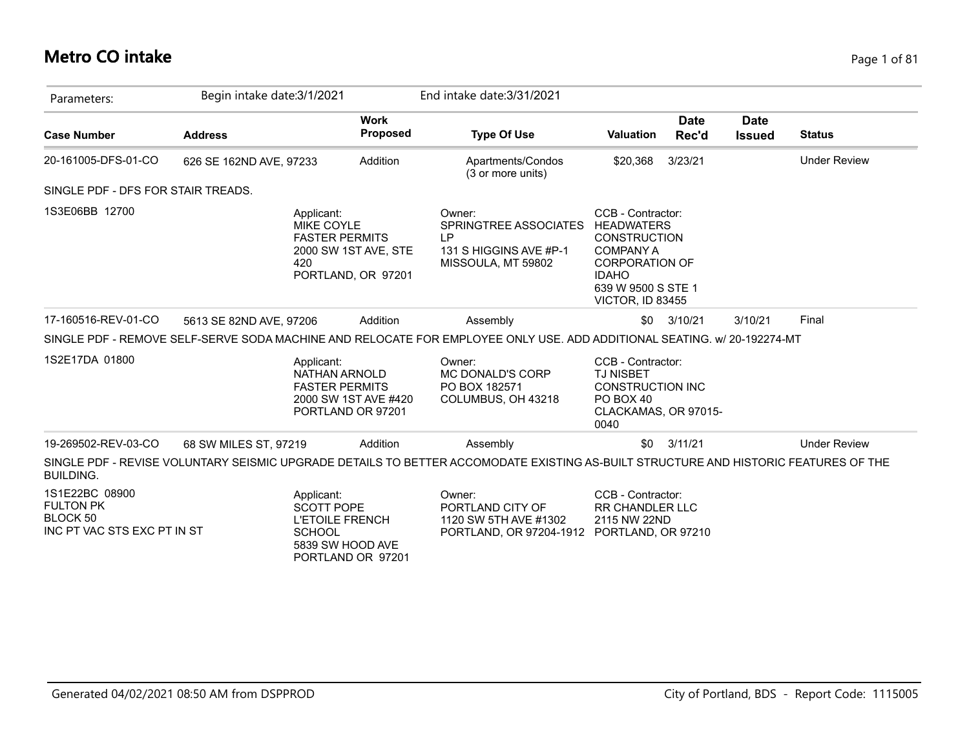## **Metro CO intake** Page 1 of 81

| Parameters:                                                                   | Begin intake date: 3/1/2021 |                                                                                                                     | End intake date: 3/31/2021                                                                                                          |                                                                                                                                                                             |                      |                              |                     |
|-------------------------------------------------------------------------------|-----------------------------|---------------------------------------------------------------------------------------------------------------------|-------------------------------------------------------------------------------------------------------------------------------------|-----------------------------------------------------------------------------------------------------------------------------------------------------------------------------|----------------------|------------------------------|---------------------|
| <b>Case Number</b>                                                            | <b>Address</b>              | <b>Work</b><br><b>Proposed</b>                                                                                      | <b>Type Of Use</b>                                                                                                                  | <b>Valuation</b>                                                                                                                                                            | <b>Date</b><br>Rec'd | <b>Date</b><br><b>Issued</b> | <b>Status</b>       |
| 20-161005-DFS-01-CO                                                           | 626 SE 162ND AVE, 97233     | Addition                                                                                                            | Apartments/Condos<br>(3 or more units)                                                                                              | \$20,368                                                                                                                                                                    | 3/23/21              |                              | <b>Under Review</b> |
| SINGLE PDF - DFS FOR STAIR TREADS.                                            |                             |                                                                                                                     |                                                                                                                                     |                                                                                                                                                                             |                      |                              |                     |
| 1S3E06BB 12700                                                                | 420                         | Applicant:<br><b>MIKE COYLE</b><br><b>FASTER PERMITS</b><br>2000 SW 1ST AVE, STE<br>PORTLAND, OR 97201              | Owner:<br>SPRINGTREE ASSOCIATES<br>LP.<br>131 S HIGGINS AVE #P-1<br>MISSOULA, MT 59802                                              | CCB - Contractor:<br><b>HEADWATERS</b><br><b>CONSTRUCTION</b><br><b>COMPANY A</b><br><b>CORPORATION OF</b><br><b>IDAHO</b><br>639 W 9500 S STE 1<br><b>VICTOR, ID 83455</b> |                      |                              |                     |
| 17-160516-REV-01-CO                                                           | 5613 SE 82ND AVE, 97206     | Addition                                                                                                            | Assembly                                                                                                                            | \$0                                                                                                                                                                         | 3/10/21              | 3/10/21                      | Final               |
|                                                                               |                             |                                                                                                                     | SINGLE PDF - REMOVE SELF-SERVE SODA MACHINE AND RELOCATE FOR EMPLOYEE ONLY USE. ADD ADDITIONAL SEATING. w/ 20-192274-MT             |                                                                                                                                                                             |                      |                              |                     |
| 1S2E17DA 01800                                                                |                             | Applicant:<br><b>NATHAN ARNOLD</b><br><b>FASTER PERMITS</b><br>2000 SW 1ST AVE #420<br>PORTLAND OR 97201            | Owner:<br>MC DONALD'S CORP<br>PO BOX 182571<br>COLUMBUS, OH 43218                                                                   | CCB - Contractor:<br><b>TJ NISBET</b><br><b>CONSTRUCTION INC</b><br>PO BOX 40<br>CLACKAMAS, OR 97015-<br>0040                                                               |                      |                              |                     |
| 19-269502-REV-03-CO                                                           | 68 SW MILES ST, 97219       | Addition                                                                                                            | Assembly                                                                                                                            | \$0                                                                                                                                                                         | 3/11/21              |                              | <b>Under Review</b> |
| <b>BUILDING.</b>                                                              |                             |                                                                                                                     | SINGLE PDF - REVISE VOLUNTARY SEISMIC UPGRADE DETAILS TO BETTER ACCOMODATE EXISTING AS-BUILT STRUCTURE AND HISTORIC FEATURES OF THE |                                                                                                                                                                             |                      |                              |                     |
| 1S1E22BC 08900<br><b>FULTON PK</b><br>BLOCK 50<br>INC PT VAC STS EXC PT IN ST |                             | Applicant:<br><b>SCOTT POPE</b><br><b>L'ETOILE FRENCH</b><br><b>SCHOOL</b><br>5839 SW HOOD AVE<br>PORTLAND OR 97201 | Owner:<br>PORTLAND CITY OF<br>1120 SW 5TH AVE #1302<br>PORTLAND, OR 97204-1912                                                      | CCB - Contractor:<br><b>RR CHANDLER LLC</b><br>2115 NW 22ND<br>PORTLAND, OR 97210                                                                                           |                      |                              |                     |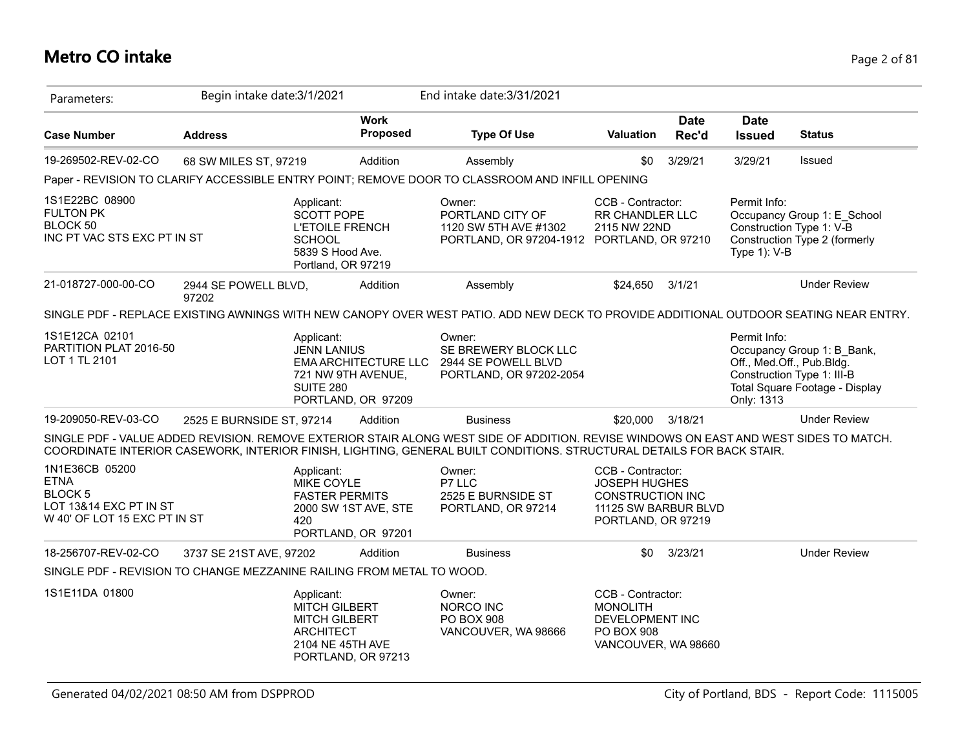## **Metro CO intake** Page 2 of 81

| Parameters:                                                                                               | Begin intake date: 3/1/2021   |                                                                                                                      |                                                   | End intake date: 3/31/2021                                                                                                                                                                                                                                     |                                                                                                                    |                      |                              |                                                                                                                         |
|-----------------------------------------------------------------------------------------------------------|-------------------------------|----------------------------------------------------------------------------------------------------------------------|---------------------------------------------------|----------------------------------------------------------------------------------------------------------------------------------------------------------------------------------------------------------------------------------------------------------------|--------------------------------------------------------------------------------------------------------------------|----------------------|------------------------------|-------------------------------------------------------------------------------------------------------------------------|
| <b>Case Number</b>                                                                                        | <b>Address</b>                |                                                                                                                      | <b>Work</b><br>Proposed                           | <b>Type Of Use</b>                                                                                                                                                                                                                                             | <b>Valuation</b>                                                                                                   | <b>Date</b><br>Rec'd | <b>Date</b><br><b>Issued</b> | <b>Status</b>                                                                                                           |
| 19-269502-REV-02-CO                                                                                       | 68 SW MILES ST, 97219         |                                                                                                                      | Addition                                          | Assembly                                                                                                                                                                                                                                                       | \$0                                                                                                                | 3/29/21              | 3/29/21                      | Issued                                                                                                                  |
|                                                                                                           |                               |                                                                                                                      |                                                   | Paper - REVISION TO CLARIFY ACCESSIBLE ENTRY POINT; REMOVE DOOR TO CLASSROOM AND INFILL OPENING                                                                                                                                                                |                                                                                                                    |                      |                              |                                                                                                                         |
| 1S1E22BC 08900<br><b>FULTON PK</b><br>BLOCK 50<br>INC PT VAC STS EXC PT IN ST                             |                               | Applicant:<br><b>SCOTT POPE</b><br><b>L'ETOILE FRENCH</b><br><b>SCHOOL</b><br>5839 S Hood Ave.<br>Portland, OR 97219 |                                                   | Owner:<br>PORTLAND CITY OF<br>1120 SW 5TH AVE #1302<br>PORTLAND, OR 97204-1912 PORTLAND, OR 97210                                                                                                                                                              | CCB - Contractor:<br>RR CHANDLER LLC<br>2115 NW 22ND                                                               |                      | Permit Info:<br>Type 1): V-B | Occupancy Group 1: E_School<br>Construction Type 1: V-B<br>Construction Type 2 (formerly                                |
| 21-018727-000-00-CO                                                                                       | 2944 SE POWELL BLVD,<br>97202 |                                                                                                                      | Addition                                          | Assembly                                                                                                                                                                                                                                                       | \$24,650                                                                                                           | 3/1/21               |                              | <b>Under Review</b>                                                                                                     |
|                                                                                                           |                               |                                                                                                                      |                                                   | SINGLE PDF - REPLACE EXISTING AWNINGS WITH NEW CANOPY OVER WEST PATIO. ADD NEW DECK TO PROVIDE ADDITIONAL OUTDOOR SEATING NEAR ENTRY.                                                                                                                          |                                                                                                                    |                      |                              |                                                                                                                         |
| 1S1E12CA 02101<br>PARTITION PLAT 2016-50<br>LOT 1 TL 2101                                                 |                               | Applicant:<br><b>JENN LANIUS</b><br>721 NW 9TH AVENUE,<br><b>SUITE 280</b>                                           | <b>EMA ARCHITECTURE LLC</b><br>PORTLAND, OR 97209 | Owner:<br>SE BREWERY BLOCK LLC<br>2944 SE POWELL BLVD<br>PORTLAND, OR 97202-2054                                                                                                                                                                               |                                                                                                                    |                      | Permit Info:<br>Only: 1313   | Occupancy Group 1: B Bank,<br>Off., Med.Off., Pub.Bldg.<br>Construction Type 1: III-B<br>Total Square Footage - Display |
| 19-209050-REV-03-CO                                                                                       | 2525 E BURNSIDE ST, 97214     |                                                                                                                      | Addition                                          | <b>Business</b>                                                                                                                                                                                                                                                | \$20,000                                                                                                           | 3/18/21              |                              | <b>Under Review</b>                                                                                                     |
|                                                                                                           |                               |                                                                                                                      |                                                   | SINGLE PDF - VALUE ADDED REVISION. REMOVE EXTERIOR STAIR ALONG WEST SIDE OF ADDITION. REVISE WINDOWS ON EAST AND WEST SIDES TO MATCH.<br>COORDINATE INTERIOR CASEWORK, INTERIOR FINISH, LIGHTING, GENERAL BUILT CONDITIONS. STRUCTURAL DETAILS FOR BACK STAIR. |                                                                                                                    |                      |                              |                                                                                                                         |
| 1N1E36CB 05200<br><b>ETNA</b><br><b>BLOCK 5</b><br>LOT 13&14 EXC PT IN ST<br>W 40' OF LOT 15 EXC PT IN ST |                               | Applicant:<br>MIKE COYLE<br><b>FASTER PERMITS</b><br>420                                                             | 2000 SW 1ST AVE, STE<br>PORTLAND, OR 97201        | Owner:<br>P7 LLC<br>2525 E BURNSIDE ST<br>PORTLAND, OR 97214                                                                                                                                                                                                   | CCB - Contractor:<br><b>JOSEPH HUGHES</b><br><b>CONSTRUCTION INC</b><br>11125 SW BARBUR BLVD<br>PORTLAND, OR 97219 |                      |                              |                                                                                                                         |
| 18-256707-REV-02-CO                                                                                       | 3737 SE 21ST AVE, 97202       |                                                                                                                      | Addition                                          | <b>Business</b>                                                                                                                                                                                                                                                | \$0                                                                                                                | 3/23/21              |                              | <b>Under Review</b>                                                                                                     |
| SINGLE PDF - REVISION TO CHANGE MEZZANINE RAILING FROM METAL TO WOOD.                                     |                               |                                                                                                                      |                                                   |                                                                                                                                                                                                                                                                |                                                                                                                    |                      |                              |                                                                                                                         |
| 1S1E11DA 01800                                                                                            |                               | Applicant:<br><b>MITCH GILBERT</b><br><b>MITCH GILBERT</b><br><b>ARCHITECT</b><br>2104 NE 45TH AVE                   | PORTLAND, OR 97213                                | Owner:<br>NORCO INC<br><b>PO BOX 908</b><br>VANCOUVER, WA 98666                                                                                                                                                                                                | CCB - Contractor:<br><b>MONOLITH</b><br>DEVELOPMENT INC<br><b>PO BOX 908</b><br>VANCOUVER, WA 98660                |                      |                              |                                                                                                                         |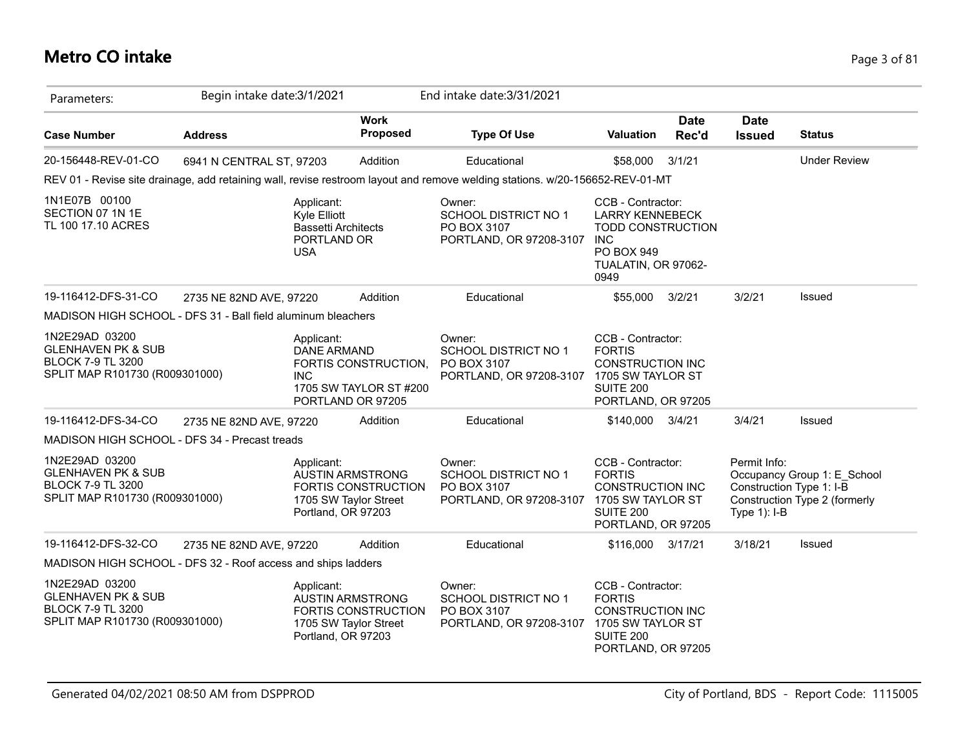## **Metro CO intake** Page 3 of 81

| Parameters:                                                                                                   | Begin intake date: 3/1/2021 |                                                                                       |                                                                         | End intake date: 3/31/2021                                                                                                   |                                                                                                                             |                      |                                                            |                                                              |
|---------------------------------------------------------------------------------------------------------------|-----------------------------|---------------------------------------------------------------------------------------|-------------------------------------------------------------------------|------------------------------------------------------------------------------------------------------------------------------|-----------------------------------------------------------------------------------------------------------------------------|----------------------|------------------------------------------------------------|--------------------------------------------------------------|
| <b>Case Number</b>                                                                                            | <b>Address</b>              |                                                                                       | <b>Work</b><br><b>Proposed</b>                                          | <b>Type Of Use</b>                                                                                                           | <b>Valuation</b>                                                                                                            | <b>Date</b><br>Rec'd | <b>Date</b><br><b>Issued</b>                               | <b>Status</b>                                                |
| 20-156448-REV-01-CO                                                                                           | 6941 N CENTRAL ST, 97203    |                                                                                       | Addition                                                                | Educational                                                                                                                  | \$58,000                                                                                                                    | 3/1/21               |                                                            | <b>Under Review</b>                                          |
|                                                                                                               |                             |                                                                                       |                                                                         | REV 01 - Revise site drainage, add retaining wall, revise restroom layout and remove welding stations. w/20-156652-REV-01-MT |                                                                                                                             |                      |                                                            |                                                              |
| 1N1E07B 00100<br>SECTION 07 1N 1E<br>TL 100 17.10 ACRES                                                       |                             | Applicant:<br>Kyle Elliott<br><b>Bassetti Architects</b><br>PORTLAND OR<br><b>USA</b> |                                                                         | Owner:<br>SCHOOL DISTRICT NO 1<br>PO BOX 3107<br>PORTLAND, OR 97208-3107 INC                                                 | CCB - Contractor:<br><b>LARRY KENNEBECK</b><br><b>TODD CONSTRUCTION</b><br><b>PO BOX 949</b><br>TUALATIN, OR 97062-<br>0949 |                      |                                                            |                                                              |
| 19-116412-DFS-31-CO                                                                                           | 2735 NE 82ND AVE, 97220     |                                                                                       | Addition                                                                | Educational                                                                                                                  | \$55,000 3/2/21                                                                                                             |                      | 3/2/21                                                     | Issued                                                       |
| MADISON HIGH SCHOOL - DFS 31 - Ball field aluminum bleachers                                                  |                             |                                                                                       |                                                                         |                                                                                                                              |                                                                                                                             |                      |                                                            |                                                              |
| 1N2E29AD 03200<br><b>GLENHAVEN PK &amp; SUB</b><br><b>BLOCK 7-9 TL 3200</b><br>SPLIT MAP R101730 (R009301000) |                             | Applicant:<br><b>DANE ARMAND</b><br><b>INC</b>                                        | FORTIS CONSTRUCTION,<br>1705 SW TAYLOR ST #200<br>PORTLAND OR 97205     | Owner:<br><b>SCHOOL DISTRICT NO 1</b><br>PO BOX 3107<br>PORTLAND, OR 97208-3107 1705 SW TAYLOR ST                            | CCB - Contractor:<br><b>FORTIS</b><br><b>CONSTRUCTION INC</b><br>SUITE 200<br>PORTLAND, OR 97205                            |                      |                                                            |                                                              |
| 19-116412-DFS-34-CO                                                                                           | 2735 NE 82ND AVE, 97220     |                                                                                       | Addition                                                                | Educational                                                                                                                  | \$140,000 3/4/21                                                                                                            |                      | 3/4/21                                                     | <b>Issued</b>                                                |
| MADISON HIGH SCHOOL - DFS 34 - Precast treads                                                                 |                             |                                                                                       |                                                                         |                                                                                                                              |                                                                                                                             |                      |                                                            |                                                              |
| 1N2E29AD 03200<br><b>GLENHAVEN PK &amp; SUB</b><br><b>BLOCK 7-9 TL 3200</b><br>SPLIT MAP R101730 (R009301000) |                             | Applicant:<br>Portland, OR 97203                                                      | <b>AUSTIN ARMSTRONG</b><br>FORTIS CONSTRUCTION<br>1705 SW Taylor Street | Owner:<br>SCHOOL DISTRICT NO 1<br>PO BOX 3107<br>PORTLAND, OR 97208-3107 1705 SW TAYLOR ST                                   | CCB - Contractor:<br><b>FORTIS</b><br><b>CONSTRUCTION INC</b><br>SUITE 200<br>PORTLAND, OR 97205                            |                      | Permit Info:<br>Construction Type 1: I-B<br>Type $1$ : I-B | Occupancy Group 1: E_School<br>Construction Type 2 (formerly |
| 19-116412-DFS-32-CO                                                                                           | 2735 NE 82ND AVE, 97220     |                                                                                       | Addition                                                                | Educational                                                                                                                  | \$116,000 3/17/21                                                                                                           |                      | 3/18/21                                                    | Issued                                                       |
| MADISON HIGH SCHOOL - DFS 32 - Roof access and ships ladders                                                  |                             |                                                                                       |                                                                         |                                                                                                                              |                                                                                                                             |                      |                                                            |                                                              |
| 1N2E29AD 03200<br><b>GLENHAVEN PK &amp; SUB</b><br><b>BLOCK 7-9 TL 3200</b><br>SPLIT MAP R101730 (R009301000) |                             | Applicant:<br>Portland, OR 97203                                                      | <b>AUSTIN ARMSTRONG</b><br>FORTIS CONSTRUCTION<br>1705 SW Taylor Street | Owner:<br><b>SCHOOL DISTRICT NO 1</b><br>PO BOX 3107<br>PORTLAND, OR 97208-3107 1705 SW TAYLOR ST                            | CCB - Contractor:<br><b>FORTIS</b><br><b>CONSTRUCTION INC</b><br>SUITE 200<br>PORTLAND, OR 97205                            |                      |                                                            |                                                              |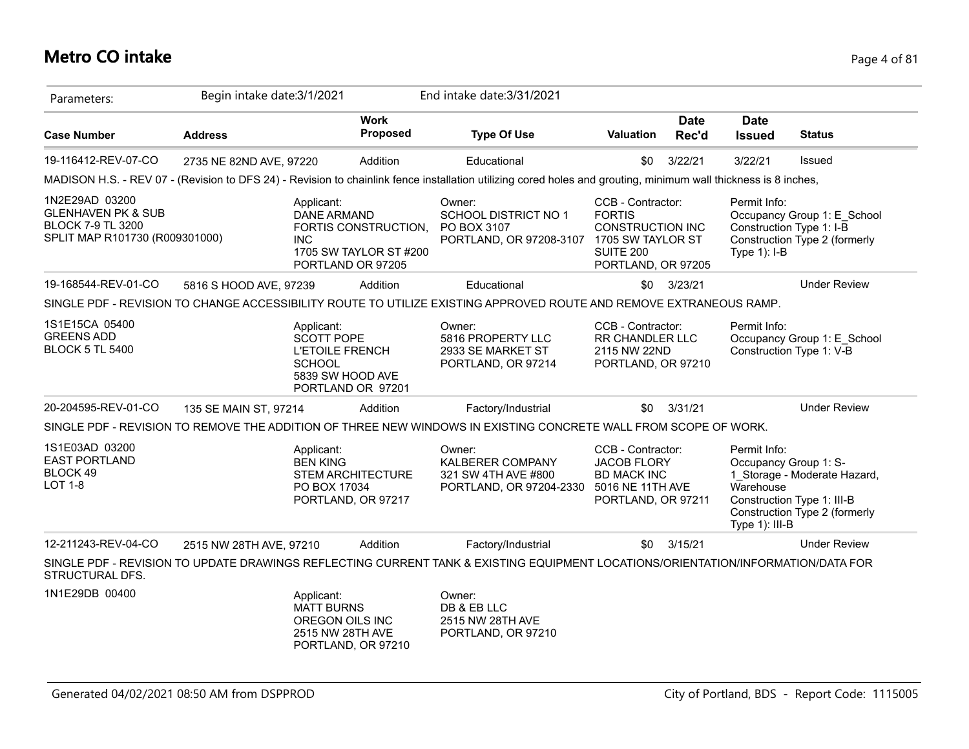#### **Metro CO intake** Page 4 of 81

| Parameters:                                                                                                   | Begin intake date: 3/1/2021 |                                                                                                                     | End intake date: 3/31/2021                                                                                                                                      |                                                                                                         |                      |                                                                         |                                                                                             |
|---------------------------------------------------------------------------------------------------------------|-----------------------------|---------------------------------------------------------------------------------------------------------------------|-----------------------------------------------------------------------------------------------------------------------------------------------------------------|---------------------------------------------------------------------------------------------------------|----------------------|-------------------------------------------------------------------------|---------------------------------------------------------------------------------------------|
| <b>Case Number</b>                                                                                            | <b>Address</b>              | <b>Work</b><br><b>Proposed</b>                                                                                      | <b>Type Of Use</b>                                                                                                                                              | Valuation                                                                                               | <b>Date</b><br>Rec'd | <b>Date</b><br><b>Issued</b>                                            | <b>Status</b>                                                                               |
| 19-116412-REV-07-CO                                                                                           | 2735 NE 82ND AVE, 97220     | Addition                                                                                                            | Educational                                                                                                                                                     | \$0                                                                                                     | 3/22/21              | 3/22/21                                                                 | <b>Issued</b>                                                                               |
|                                                                                                               |                             |                                                                                                                     | MADISON H.S. - REV 07 - (Revision to DFS 24) - Revision to chainlink fence installation utilizing cored holes and grouting, minimum wall thickness is 8 inches, |                                                                                                         |                      |                                                                         |                                                                                             |
| 1N2E29AD 03200<br><b>GLENHAVEN PK &amp; SUB</b><br><b>BLOCK 7-9 TL 3200</b><br>SPLIT MAP R101730 (R009301000) | <b>INC</b>                  | Applicant:<br><b>DANE ARMAND</b><br>FORTIS CONSTRUCTION,<br>1705 SW TAYLOR ST #200<br>PORTLAND OR 97205             | Owner:<br>SCHOOL DISTRICT NO 1<br>PO BOX 3107<br>PORTLAND, OR 97208-3107 1705 SW TAYLOR ST                                                                      | CCB - Contractor:<br><b>FORTIS</b><br>CONSTRUCTION INC<br><b>SUITE 200</b><br>PORTLAND, OR 97205        |                      | Permit Info:<br>Type 1): I-B                                            | Occupancy Group 1: E School<br>Construction Type 1: I-B<br>Construction Type 2 (formerly    |
| 19-168544-REV-01-CO                                                                                           | 5816 S HOOD AVE, 97239      | Addition                                                                                                            | Educational                                                                                                                                                     | \$0                                                                                                     | 3/23/21              |                                                                         | <b>Under Review</b>                                                                         |
|                                                                                                               |                             |                                                                                                                     | SINGLE PDF - REVISION TO CHANGE ACCESSIBILITY ROUTE TO UTILIZE EXISTING APPROVED ROUTE AND REMOVE EXTRANEOUS RAMP.                                              |                                                                                                         |                      |                                                                         |                                                                                             |
| 1S1E15CA 05400<br><b>GREENS ADD</b><br><b>BLOCK 5 TL 5400</b>                                                 |                             | Applicant:<br><b>SCOTT POPE</b><br><b>L'ETOILE FRENCH</b><br><b>SCHOOL</b><br>5839 SW HOOD AVE<br>PORTLAND OR 97201 | Owner:<br>5816 PROPERTY LLC<br>2933 SE MARKET ST<br>PORTLAND, OR 97214                                                                                          | CCB - Contractor:<br><b>RR CHANDLER LLC</b><br>2115 NW 22ND<br>PORTLAND, OR 97210                       |                      | Permit Info:                                                            | Occupancy Group 1: E School<br>Construction Type 1: V-B                                     |
| 20-204595-REV-01-CO                                                                                           | 135 SE MAIN ST, 97214       | Addition                                                                                                            | Factory/Industrial                                                                                                                                              | \$0                                                                                                     | 3/31/21              |                                                                         | <b>Under Review</b>                                                                         |
|                                                                                                               |                             |                                                                                                                     | SINGLE PDF - REVISION TO REMOVE THE ADDITION OF THREE NEW WINDOWS IN EXISTING CONCRETE WALL FROM SCOPE OF WORK.                                                 |                                                                                                         |                      |                                                                         |                                                                                             |
| 1S1E03AD 03200<br><b>EAST PORTLAND</b><br>BLOCK 49<br><b>LOT 1-8</b>                                          |                             | Applicant:<br><b>BEN KING</b><br><b>STEM ARCHITECTURE</b><br>PO BOX 17034<br>PORTLAND, OR 97217                     | Owner:<br><b>KALBERER COMPANY</b><br>321 SW 4TH AVE #800<br>PORTLAND, OR 97204-2330                                                                             | CCB - Contractor:<br><b>JACOB FLORY</b><br><b>BD MACK INC</b><br>5016 NE 11TH AVE<br>PORTLAND, OR 97211 |                      | Permit Info:<br>Occupancy Group 1: S-<br>Warehouse<br>Type $1$ ): III-B | 1 Storage - Moderate Hazard,<br>Construction Type 1: III-B<br>Construction Type 2 (formerly |
| 12-211243-REV-04-CO                                                                                           | 2515 NW 28TH AVE, 97210     | Addition                                                                                                            | Factory/Industrial                                                                                                                                              | \$0                                                                                                     | 3/15/21              |                                                                         | <b>Under Review</b>                                                                         |
| STRUCTURAL DFS.                                                                                               |                             |                                                                                                                     | SINGLE PDF - REVISION TO UPDATE DRAWINGS REFLECTING CURRENT TANK & EXISTING EQUIPMENT LOCATIONS/ORIENTATION/INFORMATION/DATA FOR                                |                                                                                                         |                      |                                                                         |                                                                                             |
| 1N1E29DB 00400                                                                                                |                             | Applicant:<br><b>MATT BURNS</b><br>OREGON OILS INC<br>2515 NW 28TH AVE<br>PORTLAND, OR 97210                        | Owner:<br>DB & EB LLC<br>2515 NW 28TH AVE<br>PORTLAND, OR 97210                                                                                                 |                                                                                                         |                      |                                                                         |                                                                                             |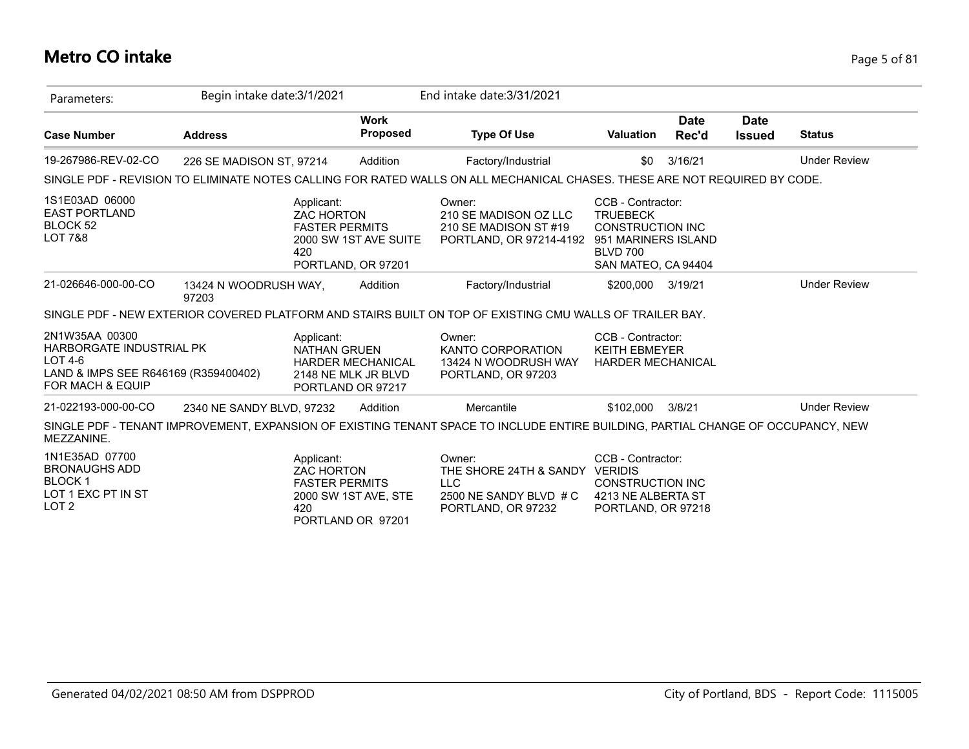## **Metro CO intake** Page 5 of 81

| Parameters:                                                                                                        | Begin intake date: 3/1/2021    |                                                                 |                                                                      | End intake date: 3/31/2021                                                                                                       |                                                                                                           |                      |                              |                     |
|--------------------------------------------------------------------------------------------------------------------|--------------------------------|-----------------------------------------------------------------|----------------------------------------------------------------------|----------------------------------------------------------------------------------------------------------------------------------|-----------------------------------------------------------------------------------------------------------|----------------------|------------------------------|---------------------|
| <b>Case Number</b>                                                                                                 | <b>Address</b>                 |                                                                 | <b>Work</b><br><b>Proposed</b>                                       | <b>Type Of Use</b>                                                                                                               | <b>Valuation</b>                                                                                          | <b>Date</b><br>Rec'd | <b>Date</b><br><b>Issued</b> | <b>Status</b>       |
| 19-267986-REV-02-CO                                                                                                | 226 SE MADISON ST, 97214       |                                                                 | Addition                                                             | Factory/Industrial                                                                                                               | \$0                                                                                                       | 3/16/21              |                              | <b>Under Review</b> |
|                                                                                                                    |                                |                                                                 |                                                                      | SINGLE PDF - REVISION TO ELIMINATE NOTES CALLING FOR RATED WALLS ON ALL MECHANICAL CHASES. THESE ARE NOT REQUIRED BY CODE.       |                                                                                                           |                      |                              |                     |
| 1S1E03AD 06000<br><b>EAST PORTLAND</b><br>BLOCK 52<br><b>LOT 7&amp;8</b>                                           |                                | Applicant:<br><b>ZAC HORTON</b><br><b>FASTER PERMITS</b><br>420 | 2000 SW 1ST AVE SUITE<br>PORTLAND, OR 97201                          | Owner:<br>210 SE MADISON OZ LLC<br>210 SE MADISON ST #19<br>PORTLAND, OR 97214-4192 951 MARINERS ISLAND                          | CCB - Contractor:<br><b>TRUEBECK</b><br><b>CONSTRUCTION INC</b><br><b>BLVD 700</b><br>SAN MATEO, CA 94404 |                      |                              |                     |
| 21-026646-000-00-CO                                                                                                | 13424 N WOODRUSH WAY,<br>97203 |                                                                 | Addition                                                             | Factory/Industrial                                                                                                               | \$200,000 3/19/21                                                                                         |                      |                              | <b>Under Review</b> |
|                                                                                                                    |                                |                                                                 |                                                                      | SINGLE PDF - NEW EXTERIOR COVERED PLATFORM AND STAIRS BUILT ON TOP OF EXISTING CMU WALLS OF TRAILER BAY.                         |                                                                                                           |                      |                              |                     |
| 2N1W35AA 00300<br>HARBORGATE INDUSTRIAL PK<br>$LOT4-6$<br>LAND & IMPS SEE R646169 (R359400402)<br>FOR MACH & EQUIP |                                | Applicant:<br><b>NATHAN GRUEN</b>                               | <b>HARDER MECHANICAL</b><br>2148 NE MLK JR BLVD<br>PORTLAND OR 97217 | Owner:<br>KANTO CORPORATION<br>13424 N WOODRUSH WAY<br>PORTLAND, OR 97203                                                        | CCB - Contractor:<br><b>KEITH EBMEYER</b><br><b>HARDER MECHANICAL</b>                                     |                      |                              |                     |
| 21-022193-000-00-CO                                                                                                | 2340 NE SANDY BLVD, 97232      |                                                                 | Addition                                                             | Mercantile                                                                                                                       | \$102.000                                                                                                 | 3/8/21               |                              | <b>Under Review</b> |
| MEZZANINE.                                                                                                         |                                |                                                                 |                                                                      | SINGLE PDF - TENANT IMPROVEMENT, EXPANSION OF EXISTING TENANT SPACE TO INCLUDE ENTIRE BUILDING, PARTIAL CHANGE OF OCCUPANCY, NEW |                                                                                                           |                      |                              |                     |
| 1N1E35AD 07700<br><b>BRONAUGHS ADD</b><br><b>BLOCK1</b><br>LOT 1 EXC PT IN ST<br>LOT <sub>2</sub>                  |                                | Applicant:<br><b>ZAC HORTON</b><br><b>FASTER PERMITS</b><br>420 | 2000 SW 1ST AVE, STE<br>PORTLAND OR 97201                            | Owner:<br>THE SHORE 24TH & SANDY VERIDIS<br><b>LLC</b><br>2500 NE SANDY BLVD # C<br>PORTLAND, OR 97232                           | CCB - Contractor:<br><b>CONSTRUCTION INC</b><br>4213 NE ALBERTA ST<br>PORTLAND, OR 97218                  |                      |                              |                     |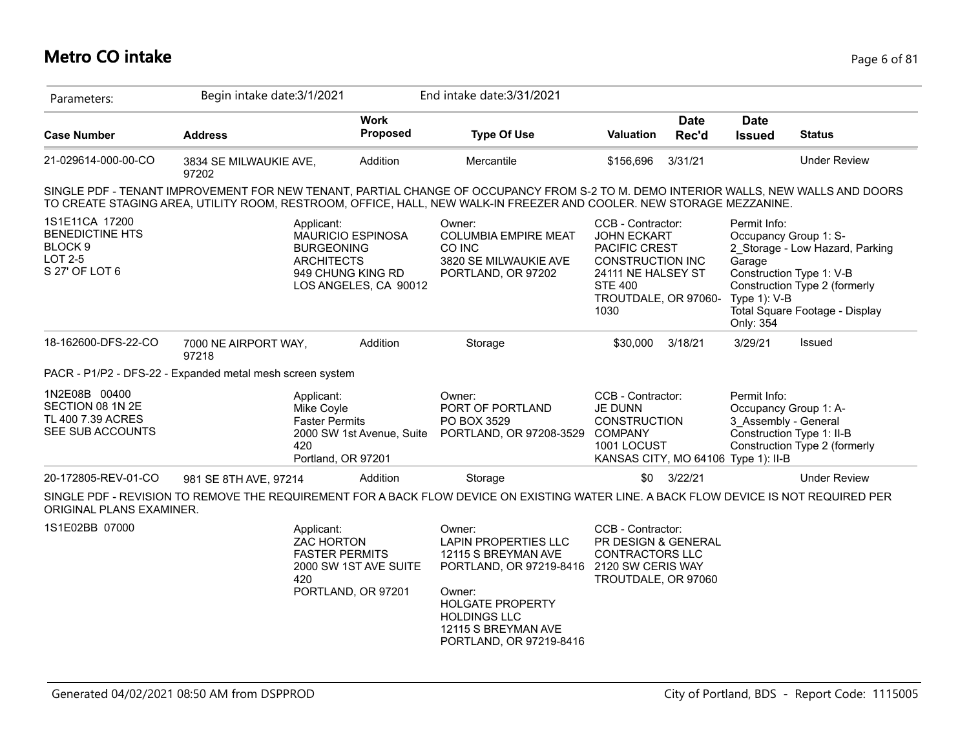## **Metro CO intake** Page 6 of 81

| Parameters:                                                                                        | Begin intake date: 3/1/2021                                                                                                                                                                                                                                 |                                                   | End intake date: 3/31/2021                                                                                                                                                                            |                                                                                                                                                      |                      |                                                     |                                                                                                                                                         |
|----------------------------------------------------------------------------------------------------|-------------------------------------------------------------------------------------------------------------------------------------------------------------------------------------------------------------------------------------------------------------|---------------------------------------------------|-------------------------------------------------------------------------------------------------------------------------------------------------------------------------------------------------------|------------------------------------------------------------------------------------------------------------------------------------------------------|----------------------|-----------------------------------------------------|---------------------------------------------------------------------------------------------------------------------------------------------------------|
| <b>Case Number</b>                                                                                 | <b>Address</b>                                                                                                                                                                                                                                              | <b>Work</b><br>Proposed                           | <b>Type Of Use</b>                                                                                                                                                                                    | <b>Valuation</b>                                                                                                                                     | <b>Date</b><br>Rec'd | <b>Date</b><br><b>Issued</b>                        | <b>Status</b>                                                                                                                                           |
| 21-029614-000-00-CO                                                                                | 3834 SE MILWAUKIE AVE,<br>97202                                                                                                                                                                                                                             | Addition                                          | Mercantile                                                                                                                                                                                            | \$156,696                                                                                                                                            | 3/31/21              |                                                     | <b>Under Review</b>                                                                                                                                     |
|                                                                                                    | SINGLE PDF - TENANT IMPROVEMENT FOR NEW TENANT, PARTIAL CHANGE OF OCCUPANCY FROM S-2 TO M. DEMO INTERIOR WALLS, NEW WALLS AND DOORS<br>TO CREATE STAGING AREA, UTILITY ROOM, RESTROOM, OFFICE, HALL, NEW WALK-IN FREEZER AND COOLER. NEW STORAGE MEZZANINE. |                                                   |                                                                                                                                                                                                       |                                                                                                                                                      |                      |                                                     |                                                                                                                                                         |
| 1S1E11CA 17200<br><b>BENEDICTINE HTS</b><br>BLOCK <sub>9</sub><br><b>LOT 2-5</b><br>S 27' OF LOT 6 | Applicant:<br><b>BURGEONING</b><br><b>ARCHITECTS</b><br>949 CHUNG KING RD                                                                                                                                                                                   | <b>MAURICIO ESPINOSA</b><br>LOS ANGELES, CA 90012 | Owner:<br><b>COLUMBIA EMPIRE MEAT</b><br>CO INC<br>3820 SE MILWAUKIE AVE<br>PORTLAND, OR 97202                                                                                                        | CCB - Contractor:<br><b>JOHN ECKART</b><br>PACIFIC CREST<br>CONSTRUCTION INC<br>24111 NE HALSEY ST<br><b>STE 400</b><br>TROUTDALE, OR 97060-<br>1030 |                      | Permit Info:<br>Garage<br>Type 1): V-B<br>Only: 354 | Occupancy Group 1: S-<br>2 Storage - Low Hazard, Parking<br>Construction Type 1: V-B<br>Construction Type 2 (formerly<br>Total Square Footage - Display |
| 18-162600-DFS-22-CO                                                                                | 7000 NE AIRPORT WAY,<br>97218                                                                                                                                                                                                                               | Addition                                          | Storage                                                                                                                                                                                               | \$30,000                                                                                                                                             | 3/18/21              | 3/29/21                                             | Issued                                                                                                                                                  |
|                                                                                                    | PACR - P1/P2 - DFS-22 - Expanded metal mesh screen system                                                                                                                                                                                                   |                                                   |                                                                                                                                                                                                       |                                                                                                                                                      |                      |                                                     |                                                                                                                                                         |
| 1N2E08B 00400<br>SECTION 08 1N 2E<br>TL 400 7.39 ACRES<br>SEE SUB ACCOUNTS                         | Applicant:<br>Mike Coyle<br><b>Faster Permits</b><br>420<br>Portland, OR 97201                                                                                                                                                                              | 2000 SW 1st Avenue, Suite                         | Owner:<br>PORT OF PORTLAND<br>PO BOX 3529<br>PORTLAND, OR 97208-3529                                                                                                                                  | CCB - Contractor:<br>JE DUNN<br><b>CONSTRUCTION</b><br><b>COMPANY</b><br>1001 LOCUST<br>KANSAS CITY, MO 64106 Type 1): II-B                          |                      | Permit Info:<br>3 Assembly - General                | Occupancy Group 1: A-<br>Construction Type 1: II-B<br>Construction Type 2 (formerly                                                                     |
| 20-172805-REV-01-CO                                                                                | 981 SE 8TH AVE, 97214                                                                                                                                                                                                                                       | Addition                                          | Storage                                                                                                                                                                                               |                                                                                                                                                      | \$0 3/22/21          |                                                     | <b>Under Review</b>                                                                                                                                     |
| ORIGINAL PLANS EXAMINER.                                                                           | SINGLE PDF - REVISION TO REMOVE THE REQUIREMENT FOR A BACK FLOW DEVICE ON EXISTING WATER LINE. A BACK FLOW DEVICE IS NOT REQUIRED PER                                                                                                                       |                                                   |                                                                                                                                                                                                       |                                                                                                                                                      |                      |                                                     |                                                                                                                                                         |
| 1S1E02BB 07000                                                                                     | Applicant:<br><b>ZAC HORTON</b><br><b>FASTER PERMITS</b><br>420                                                                                                                                                                                             | 2000 SW 1ST AVE SUITE<br>PORTLAND, OR 97201       | Owner:<br><b>LAPIN PROPERTIES LLC</b><br>12115 S BREYMAN AVE<br>PORTLAND, OR 97219-8416<br>Owner:<br><b>HOLGATE PROPERTY</b><br><b>HOLDINGS LLC</b><br>12115 S BREYMAN AVE<br>PORTLAND, OR 97219-8416 | CCB - Contractor:<br>PR DESIGN & GENERAL<br><b>CONTRACTORS LLC</b><br>2120 SW CERIS WAY<br>TROUTDALE, OR 97060                                       |                      |                                                     |                                                                                                                                                         |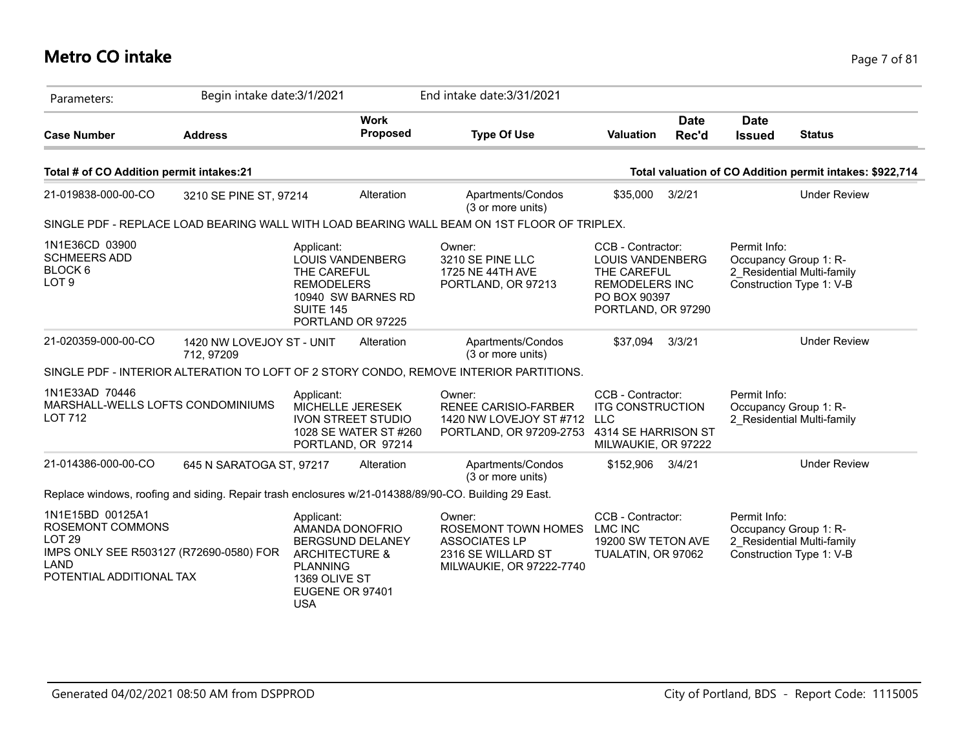## **Metro CO intake** Page 7 of 81

| Parameters:                                                                                                                              | Begin intake date: 3/1/2021             |                                                                                                                                                            | End intake date: 3/31/2021                                                                              |                                                                                                                            |                                                                                                 |
|------------------------------------------------------------------------------------------------------------------------------------------|-----------------------------------------|------------------------------------------------------------------------------------------------------------------------------------------------------------|---------------------------------------------------------------------------------------------------------|----------------------------------------------------------------------------------------------------------------------------|-------------------------------------------------------------------------------------------------|
| <b>Case Number</b>                                                                                                                       | <b>Address</b>                          | <b>Work</b><br><b>Proposed</b>                                                                                                                             | <b>Type Of Use</b>                                                                                      | <b>Date</b><br>Rec'd<br><b>Valuation</b>                                                                                   | <b>Date</b><br><b>Issued</b><br><b>Status</b>                                                   |
| Total # of CO Addition permit intakes:21                                                                                                 |                                         |                                                                                                                                                            |                                                                                                         |                                                                                                                            | Total valuation of CO Addition permit intakes: \$922,714                                        |
| 21-019838-000-00-CO                                                                                                                      | 3210 SE PINE ST, 97214                  | Alteration                                                                                                                                                 | Apartments/Condos<br>(3 or more units)                                                                  | 3/2/21<br>\$35,000                                                                                                         | <b>Under Review</b>                                                                             |
|                                                                                                                                          |                                         |                                                                                                                                                            | SINGLE PDF - REPLACE LOAD BEARING WALL WITH LOAD BEARING WALL BEAM ON 1ST FLOOR OF TRIPLEX.             |                                                                                                                            |                                                                                                 |
| 1N1E36CD 03900<br><b>SCHMEERS ADD</b><br>BLOCK 6<br>LOT <sub>9</sub>                                                                     |                                         | Applicant:<br><b>LOUIS VANDENBERG</b><br>THE CAREFUL<br><b>REMODELERS</b><br>10940 SW BARNES RD<br>SUITE 145<br>PORTLAND OR 97225                          | Owner:<br>3210 SE PINE LLC<br>1725 NE 44TH AVE<br>PORTLAND, OR 97213                                    | CCB - Contractor:<br><b>LOUIS VANDENBERG</b><br>THE CAREFUL<br><b>REMODELERS INC</b><br>PO BOX 90397<br>PORTLAND, OR 97290 | Permit Info:<br>Occupancy Group 1: R-<br>2 Residential Multi-family<br>Construction Type 1: V-B |
| 21-020359-000-00-CO                                                                                                                      | 1420 NW LOVEJOY ST - UNIT<br>712, 97209 | Alteration                                                                                                                                                 | Apartments/Condos<br>(3 or more units)                                                                  | \$37.094<br>3/3/21                                                                                                         | <b>Under Review</b>                                                                             |
|                                                                                                                                          |                                         |                                                                                                                                                            | SINGLE PDF - INTERIOR ALTERATION TO LOFT OF 2 STORY CONDO, REMOVE INTERIOR PARTITIONS.                  |                                                                                                                            |                                                                                                 |
| 1N1E33AD 70446<br>MARSHALL-WELLS LOFTS CONDOMINIUMS<br><b>LOT 712</b>                                                                    |                                         | Applicant:<br>MICHELLE JERESEK<br><b>IVON STREET STUDIO</b><br>1028 SE WATER ST #260<br>PORTLAND, OR 97214                                                 | Owner:<br><b>RENEE CARISIO-FARBER</b><br>1420 NW LOVEJOY ST #712<br>PORTLAND, OR 97209-2753             | CCB - Contractor:<br><b>ITG CONSTRUCTION</b><br><b>LLC</b><br>4314 SE HARRISON ST<br>MILWAUKIE, OR 97222                   | Permit Info:<br>Occupancy Group 1: R-<br>2 Residential Multi-family                             |
| 21-014386-000-00-CO                                                                                                                      | 645 N SARATOGA ST, 97217                | Alteration                                                                                                                                                 | Apartments/Condos<br>(3 or more units)                                                                  | \$152,906<br>3/4/21                                                                                                        | <b>Under Review</b>                                                                             |
|                                                                                                                                          |                                         | Replace windows, roofing and siding. Repair trash enclosures w/21-014388/89/90-CO. Building 29 East.                                                       |                                                                                                         |                                                                                                                            |                                                                                                 |
| 1N1E15BD 00125A1<br>ROSEMONT COMMONS<br>LOT <sub>29</sub><br>IMPS ONLY SEE R503127 (R72690-0580) FOR<br>LAND<br>POTENTIAL ADDITIONAL TAX |                                         | Applicant:<br>AMANDA DONOFRIO<br><b>BERGSUND DELANEY</b><br><b>ARCHITECTURE &amp;</b><br><b>PLANNING</b><br>1369 OLIVE ST<br>EUGENE OR 97401<br><b>USA</b> | Owner:<br>ROSEMONT TOWN HOMES<br><b>ASSOCIATES LP</b><br>2316 SE WILLARD ST<br>MILWAUKIE, OR 97222-7740 | CCB - Contractor:<br><b>LMC INC</b><br>19200 SW TETON AVE<br>TUALATIN, OR 97062                                            | Permit Info:<br>Occupancy Group 1: R-<br>2 Residential Multi-family<br>Construction Type 1: V-B |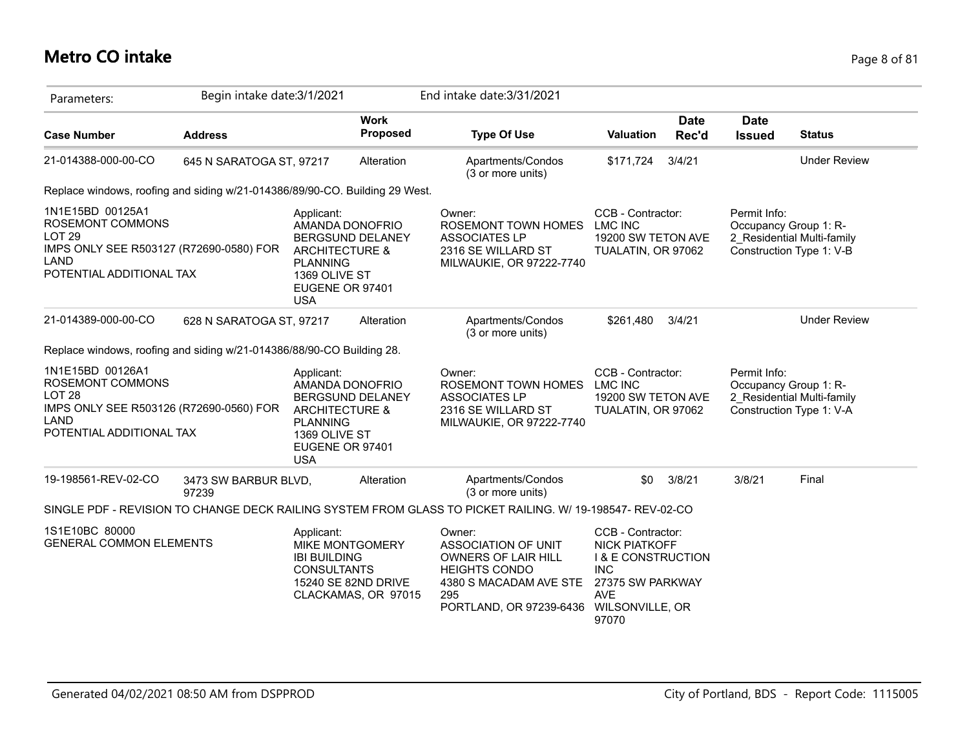## **Metro CO intake** Page 8 of 81

| Parameters:                                                                                                                                 | Begin intake date: 3/1/2021   |                                                                                                              |                                                                      | End intake date: 3/31/2021                                                                                                               |                                                                                                                                                        |                      |                              |                                                                                 |
|---------------------------------------------------------------------------------------------------------------------------------------------|-------------------------------|--------------------------------------------------------------------------------------------------------------|----------------------------------------------------------------------|------------------------------------------------------------------------------------------------------------------------------------------|--------------------------------------------------------------------------------------------------------------------------------------------------------|----------------------|------------------------------|---------------------------------------------------------------------------------|
| <b>Case Number</b>                                                                                                                          | <b>Address</b>                |                                                                                                              | <b>Work</b><br><b>Proposed</b>                                       | <b>Type Of Use</b>                                                                                                                       | Valuation                                                                                                                                              | <b>Date</b><br>Rec'd | <b>Date</b><br><b>Issued</b> | <b>Status</b>                                                                   |
| 21-014388-000-00-CO                                                                                                                         | 645 N SARATOGA ST, 97217      |                                                                                                              | Alteration                                                           | Apartments/Condos<br>(3 or more units)                                                                                                   | \$171,724                                                                                                                                              | 3/4/21               |                              | <b>Under Review</b>                                                             |
| Replace windows, roofing and siding w/21-014386/89/90-CO. Building 29 West.                                                                 |                               |                                                                                                              |                                                                      |                                                                                                                                          |                                                                                                                                                        |                      |                              |                                                                                 |
| 1N1E15BD 00125A1<br>ROSEMONT COMMONS<br>LOT <sub>29</sub><br>IMPS ONLY SEE R503127 (R72690-0580) FOR<br>LAND<br>POTENTIAL ADDITIONAL TAX    |                               | Applicant:<br><b>ARCHITECTURE &amp;</b><br><b>PLANNING</b><br>1369 OLIVE ST<br>EUGENE OR 97401<br><b>USA</b> | AMANDA DONOFRIO<br>BERGSUND DELANEY                                  | Owner:<br>ROSEMONT TOWN HOMES<br><b>ASSOCIATES LP</b><br>2316 SE WILLARD ST<br>MILWAUKIE, OR 97222-7740                                  | CCB - Contractor:<br><b>LMC INC</b><br>19200 SW TETON AVE<br>TUALATIN, OR 97062                                                                        |                      | Permit Info:                 | Occupancy Group 1: R-<br>2 Residential Multi-family<br>Construction Type 1: V-B |
| 21-014389-000-00-CO                                                                                                                         | 628 N SARATOGA ST, 97217      |                                                                                                              | Alteration                                                           | Apartments/Condos<br>(3 or more units)                                                                                                   | \$261,480                                                                                                                                              | 3/4/21               |                              | <b>Under Review</b>                                                             |
| Replace windows, roofing and siding w/21-014386/88/90-CO Building 28.                                                                       |                               |                                                                                                              |                                                                      |                                                                                                                                          |                                                                                                                                                        |                      |                              |                                                                                 |
| 1N1E15BD 00126A1<br><b>ROSEMONT COMMONS</b><br><b>LOT 28</b><br>IMPS ONLY SEE R503126 (R72690-0560) FOR<br>LAND<br>POTENTIAL ADDITIONAL TAX |                               | Applicant:<br><b>ARCHITECTURE &amp;</b><br><b>PLANNING</b><br>1369 OLIVE ST<br>EUGENE OR 97401<br><b>USA</b> | AMANDA DONOFRIO<br>BERGSUND DELANEY                                  | Owner:<br>ROSEMONT TOWN HOMES<br><b>ASSOCIATES LP</b><br>2316 SE WILLARD ST<br>MILWAUKIE, OR 97222-7740                                  | CCB - Contractor:<br>LMC INC<br>19200 SW TETON AVE<br>TUALATIN, OR 97062                                                                               |                      | Permit Info:                 | Occupancy Group 1: R-<br>2 Residential Multi-family<br>Construction Type 1: V-A |
| 19-198561-REV-02-CO                                                                                                                         | 3473 SW BARBUR BLVD,<br>97239 |                                                                                                              | Alteration                                                           | Apartments/Condos<br>(3 or more units)                                                                                                   | \$0                                                                                                                                                    | 3/8/21               | 3/8/21                       | Final                                                                           |
|                                                                                                                                             |                               |                                                                                                              |                                                                      | SINGLE PDF - REVISION TO CHANGE DECK RAILING SYSTEM FROM GLASS TO PICKET RAILING. W/ 19-198547- REV-02-CO                                |                                                                                                                                                        |                      |                              |                                                                                 |
| 1S1E10BC 80000<br><b>GENERAL COMMON ELEMENTS</b>                                                                                            |                               | Applicant:<br><b>IBI BUILDING</b><br><b>CONSULTANTS</b>                                                      | <b>MIKE MONTGOMERY</b><br>15240 SE 82ND DRIVE<br>CLACKAMAS, OR 97015 | Owner:<br>ASSOCIATION OF UNIT<br>OWNERS OF LAIR HILL<br><b>HEIGHTS CONDO</b><br>4380 S MACADAM AVE STE<br>295<br>PORTLAND, OR 97239-6436 | CCB - Contractor:<br><b>NICK PIATKOFF</b><br><b>I &amp; E CONSTRUCTION</b><br><b>INC</b><br>27375 SW PARKWAY<br><b>AVE</b><br>WILSONVILLE, OR<br>97070 |                      |                              |                                                                                 |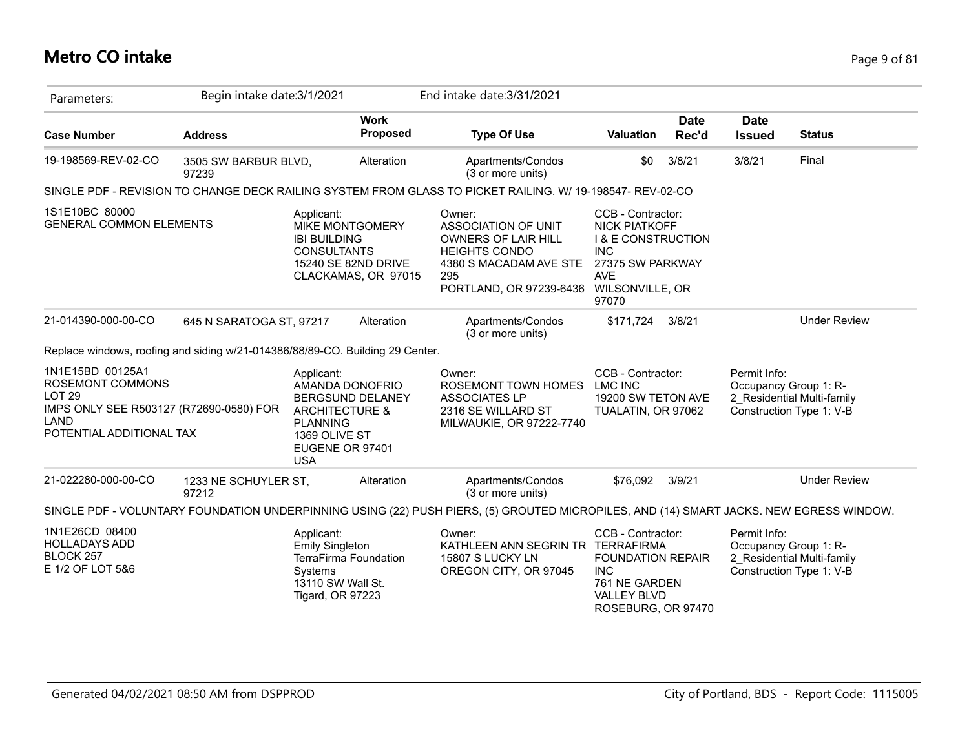## **Metro CO intake** Page 9 of 81

| Parameters:                                                                                                                              | Begin intake date: 3/1/2021   |                                                                                                                                 |                                | End intake date: 3/31/2021                                                                                                                               |                                                                                                                                     |                      |                              |                                                                                 |
|------------------------------------------------------------------------------------------------------------------------------------------|-------------------------------|---------------------------------------------------------------------------------------------------------------------------------|--------------------------------|----------------------------------------------------------------------------------------------------------------------------------------------------------|-------------------------------------------------------------------------------------------------------------------------------------|----------------------|------------------------------|---------------------------------------------------------------------------------|
| <b>Case Number</b>                                                                                                                       | <b>Address</b>                |                                                                                                                                 | <b>Work</b><br><b>Proposed</b> | <b>Type Of Use</b>                                                                                                                                       | Valuation                                                                                                                           | <b>Date</b><br>Rec'd | <b>Date</b><br><b>Issued</b> | <b>Status</b>                                                                   |
| 19-198569-REV-02-CO                                                                                                                      | 3505 SW BARBUR BLVD,<br>97239 |                                                                                                                                 | Alteration                     | Apartments/Condos<br>(3 or more units)                                                                                                                   | \$0                                                                                                                                 | 3/8/21               | 3/8/21                       | Final                                                                           |
|                                                                                                                                          |                               |                                                                                                                                 |                                | SINGLE PDF - REVISION TO CHANGE DECK RAILING SYSTEM FROM GLASS TO PICKET RAILING. W/ 19-198547- REV-02-CO                                                |                                                                                                                                     |                      |                              |                                                                                 |
| 1S1E10BC 80000<br><b>GENERAL COMMON ELEMENTS</b>                                                                                         |                               | Applicant:<br><b>MIKE MONTGOMERY</b><br><b>IBI BUILDING</b><br><b>CONSULTANTS</b><br>15240 SE 82ND DRIVE                        | CLACKAMAS, OR 97015            | Owner:<br>ASSOCIATION OF UNIT<br>OWNERS OF LAIR HILL<br><b>HEIGHTS CONDO</b><br>4380 S MACADAM AVE STE<br>295<br>PORTLAND, OR 97239-6436 WILSONVILLE, OR | CCB - Contractor:<br><b>NICK PIATKOFF</b><br><b>I &amp; E CONSTRUCTION</b><br><b>INC</b><br>27375 SW PARKWAY<br><b>AVE</b><br>97070 |                      |                              |                                                                                 |
| 21-014390-000-00-CO                                                                                                                      | 645 N SARATOGA ST, 97217      |                                                                                                                                 | Alteration                     | Apartments/Condos<br>(3 or more units)                                                                                                                   | \$171,724                                                                                                                           | 3/8/21               |                              | <b>Under Review</b>                                                             |
| Replace windows, roofing and siding w/21-014386/88/89-CO. Building 29 Center.                                                            |                               |                                                                                                                                 |                                |                                                                                                                                                          |                                                                                                                                     |                      |                              |                                                                                 |
| 1N1E15BD 00125A1<br>ROSEMONT COMMONS<br>LOT <sub>29</sub><br>IMPS ONLY SEE R503127 (R72690-0580) FOR<br>LAND<br>POTENTIAL ADDITIONAL TAX |                               | Applicant:<br>AMANDA DONOFRIO<br><b>ARCHITECTURE &amp;</b><br><b>PLANNING</b><br>1369 OLIVE ST<br>EUGENE OR 97401<br><b>USA</b> | <b>BERGSUND DELANEY</b>        | Owner:<br>ROSEMONT TOWN HOMES<br><b>ASSOCIATES LP</b><br>2316 SE WILLARD ST<br>MILWAUKIE, OR 97222-7740                                                  | CCB - Contractor:<br>LMC INC<br>19200 SW TETON AVE<br>TUALATIN, OR 97062                                                            |                      | Permit Info:                 | Occupancy Group 1: R-<br>2 Residential Multi-family<br>Construction Type 1: V-B |
| 21-022280-000-00-CO                                                                                                                      | 1233 NE SCHUYLER ST,<br>97212 |                                                                                                                                 | Alteration                     | Apartments/Condos<br>(3 or more units)                                                                                                                   | \$76.092                                                                                                                            | 3/9/21               |                              | <b>Under Review</b>                                                             |
|                                                                                                                                          |                               |                                                                                                                                 |                                | SINGLE PDF - VOLUNTARY FOUNDATION UNDERPINNING USING (22) PUSH PIERS, (5) GROUTED MICROPILES, AND (14) SMART JACKS. NEW EGRESS WINDOW.                   |                                                                                                                                     |                      |                              |                                                                                 |
| 1N1E26CD 08400<br><b>HOLLADAYS ADD</b><br>BLOCK 257<br>E 1/2 OF LOT 5&6                                                                  |                               | Applicant:<br><b>Emily Singleton</b><br>TerraFirma Foundation<br>Systems<br>13110 SW Wall St.<br>Tigard, OR 97223               |                                | Owner:<br>KATHLEEN ANN SEGRIN TR TERRAFIRMA<br>15807 S LUCKY LN<br>OREGON CITY, OR 97045                                                                 | CCB - Contractor:<br><b>FOUNDATION REPAIR</b><br><b>INC</b><br>761 NE GARDEN<br><b>VALLEY BLVD</b><br>ROSEBURG, OR 97470            |                      | Permit Info:                 | Occupancy Group 1: R-<br>2 Residential Multi-family<br>Construction Type 1: V-B |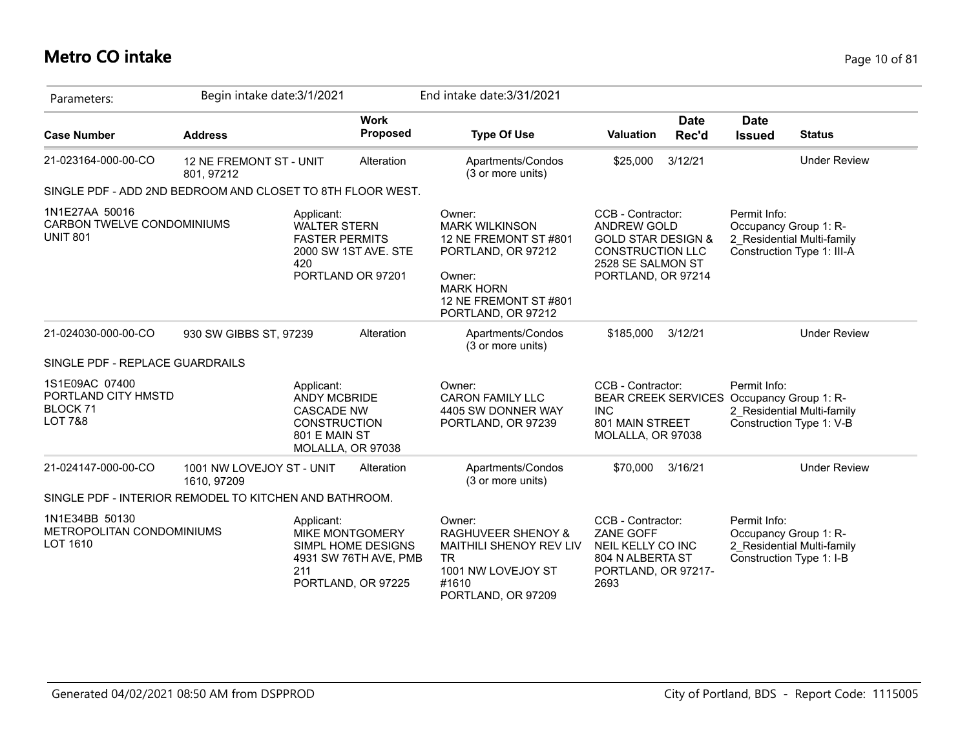## **Metro CO intake** Page 10 of 81

| Parameters:                                                                        | Begin intake date: 3/1/2021              |                                                                                                                     |                                                                                             | End intake date: 3/31/2021                                                                                                                                  |                                                                                                                                                |                      |                                                                   |                                                          |
|------------------------------------------------------------------------------------|------------------------------------------|---------------------------------------------------------------------------------------------------------------------|---------------------------------------------------------------------------------------------|-------------------------------------------------------------------------------------------------------------------------------------------------------------|------------------------------------------------------------------------------------------------------------------------------------------------|----------------------|-------------------------------------------------------------------|----------------------------------------------------------|
| <b>Case Number</b>                                                                 | <b>Address</b>                           |                                                                                                                     | <b>Work</b><br>Proposed                                                                     | <b>Type Of Use</b>                                                                                                                                          | Valuation                                                                                                                                      | <b>Date</b><br>Rec'd | <b>Date</b><br><b>Issued</b>                                      | <b>Status</b>                                            |
| 21-023164-000-00-CO                                                                | 12 NE FREMONT ST - UNIT<br>801, 97212    |                                                                                                                     | Alteration                                                                                  | Apartments/Condos<br>(3 or more units)                                                                                                                      | \$25,000                                                                                                                                       | 3/12/21              |                                                                   | <b>Under Review</b>                                      |
| SINGLE PDF - ADD 2ND BEDROOM AND CLOSET TO 8TH FLOOR WEST.                         |                                          |                                                                                                                     |                                                                                             |                                                                                                                                                             |                                                                                                                                                |                      |                                                                   |                                                          |
| 1N1E27AA 50016<br>CARBON TWELVE CONDOMINIUMS<br><b>UNIT 801</b>                    |                                          | Applicant:<br><b>WALTER STERN</b><br><b>FASTER PERMITS</b><br>420                                                   | 2000 SW 1ST AVE. STE<br>PORTLAND OR 97201                                                   | Owner:<br><b>MARK WILKINSON</b><br>12 NE FREMONT ST #801<br>PORTLAND, OR 97212<br>Owner:<br><b>MARK HORN</b><br>12 NE FREMONT ST #801<br>PORTLAND, OR 97212 | CCB - Contractor:<br><b>ANDREW GOLD</b><br><b>GOLD STAR DESIGN &amp;</b><br><b>CONSTRUCTION LLC</b><br>2528 SE SALMON ST<br>PORTLAND, OR 97214 |                      | Permit Info:<br>Occupancy Group 1: R-                             | 2 Residential Multi-family<br>Construction Type 1: III-A |
| 21-024030-000-00-CO                                                                | 930 SW GIBBS ST, 97239                   |                                                                                                                     | Alteration                                                                                  | Apartments/Condos<br>(3 or more units)                                                                                                                      | \$185,000                                                                                                                                      | 3/12/21              |                                                                   | <b>Under Review</b>                                      |
| SINGLE PDF - REPLACE GUARDRAILS                                                    |                                          |                                                                                                                     |                                                                                             |                                                                                                                                                             |                                                                                                                                                |                      |                                                                   |                                                          |
| 1S1E09AC 07400<br>PORTLAND CITY HMSTD<br>BLOCK <sub>71</sub><br><b>LOT 7&amp;8</b> |                                          | Applicant:<br><b>ANDY MCBRIDE</b><br><b>CASCADE NW</b><br><b>CONSTRUCTION</b><br>801 E MAIN ST<br>MOLALLA, OR 97038 |                                                                                             | Owner:<br><b>CARON FAMILY LLC</b><br>4405 SW DONNER WAY<br>PORTLAND, OR 97239                                                                               | CCB - Contractor:<br><b>BEAR CREEK SERVICES</b><br><b>INC</b><br>801 MAIN STREET<br>MOLALLA, OR 97038                                          |                      | Permit Info:<br>Occupancy Group 1: R-                             | 2 Residential Multi-family<br>Construction Type 1: V-B   |
| 21-024147-000-00-CO                                                                | 1001 NW LOVEJOY ST - UNIT<br>1610, 97209 |                                                                                                                     | Alteration                                                                                  | Apartments/Condos<br>(3 or more units)                                                                                                                      | \$70,000                                                                                                                                       | 3/16/21              |                                                                   | <b>Under Review</b>                                      |
| SINGLE PDF - INTERIOR REMODEL TO KITCHEN AND BATHROOM.                             |                                          |                                                                                                                     |                                                                                             |                                                                                                                                                             |                                                                                                                                                |                      |                                                                   |                                                          |
| 1N1E34BB 50130<br>METROPOLITAN CONDOMINIUMS<br>LOT 1610                            |                                          | Applicant:<br>211                                                                                                   | <b>MIKE MONTGOMERY</b><br>SIMPL HOME DESIGNS<br>4931 SW 76TH AVE, PMB<br>PORTLAND, OR 97225 | Owner:<br><b>RAGHUVEER SHENOY &amp;</b><br>MAITHILI SHENOY REV LIV<br><b>TR</b><br>1001 NW LOVEJOY ST<br>#1610<br>PORTLAND, OR 97209                        | CCB - Contractor:<br>ZANE GOFF<br>NEIL KELLY CO INC<br>804 N ALBERTA ST<br>PORTLAND, OR 97217-<br>2693                                         |                      | Permit Info:<br>Occupancy Group 1: R-<br>Construction Type 1: I-B | 2 Residential Multi-family                               |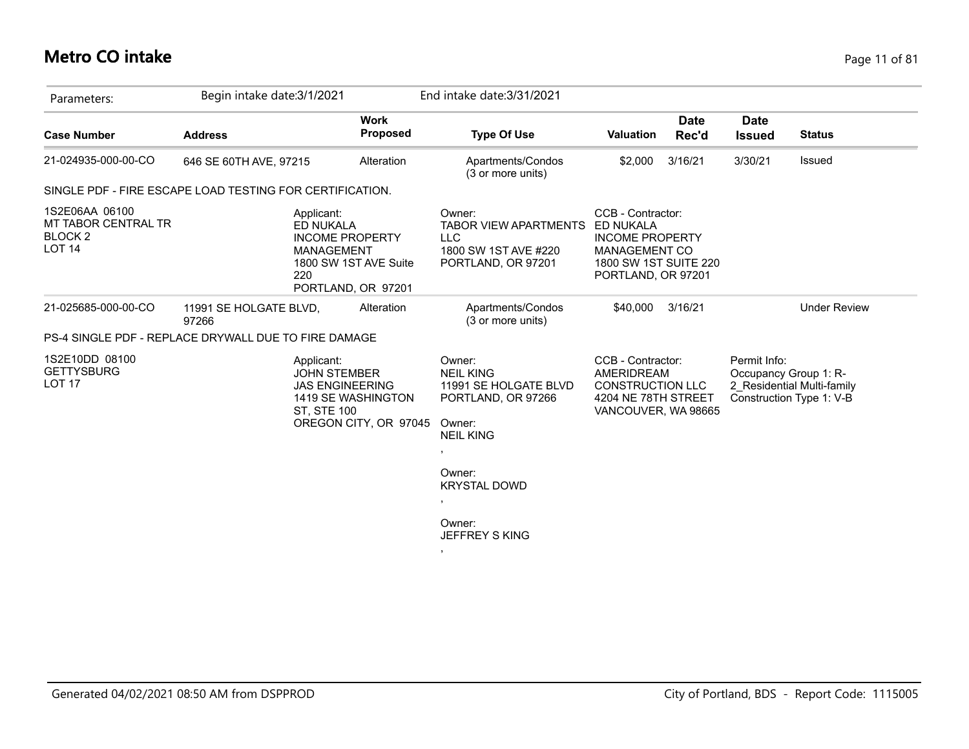# **Metro CO intake** Page 11 of 81

| Parameters:                                                                  | Begin intake date: 3/1/2021                              |                                                                       | End intake date: 3/31/2021                                                                                                |                                                                                                                                 |                      |                              |                                                                                 |
|------------------------------------------------------------------------------|----------------------------------------------------------|-----------------------------------------------------------------------|---------------------------------------------------------------------------------------------------------------------------|---------------------------------------------------------------------------------------------------------------------------------|----------------------|------------------------------|---------------------------------------------------------------------------------|
| <b>Case Number</b>                                                           | <b>Address</b>                                           | <b>Work</b><br><b>Proposed</b>                                        | <b>Type Of Use</b>                                                                                                        | <b>Valuation</b>                                                                                                                | <b>Date</b><br>Rec'd | <b>Date</b><br><b>Issued</b> | <b>Status</b>                                                                   |
| 21-024935-000-00-CO                                                          | 646 SE 60TH AVE, 97215                                   | Alteration                                                            | Apartments/Condos<br>(3 or more units)                                                                                    | \$2,000                                                                                                                         | 3/16/21              | 3/30/21                      | Issued                                                                          |
|                                                                              | SINGLE PDF - FIRE ESCAPE LOAD TESTING FOR CERTIFICATION. |                                                                       |                                                                                                                           |                                                                                                                                 |                      |                              |                                                                                 |
| 1S2E06AA 06100<br>MT TABOR CENTRAL TR<br>BLOCK <sub>2</sub><br><b>LOT 14</b> | Applicant:<br>ED NUKALA<br><b>MANAGEMENT</b><br>220      | <b>INCOME PROPERTY</b><br>1800 SW 1ST AVE Suite<br>PORTLAND, OR 97201 | Owner:<br><b>TABOR VIEW APARTMENTS</b><br><b>LLC</b><br>1800 SW 1ST AVE #220<br>PORTLAND, OR 97201                        | CCB - Contractor:<br>ED NUKALA<br><b>INCOME PROPERTY</b><br><b>MANAGEMENT CO</b><br>1800 SW 1ST SUITE 220<br>PORTLAND, OR 97201 |                      |                              |                                                                                 |
| 21-025685-000-00-CO                                                          | 11991 SE HOLGATE BLVD,<br>97266                          | Alteration                                                            | Apartments/Condos<br>(3 or more units)                                                                                    | \$40.000                                                                                                                        | 3/16/21              |                              | <b>Under Review</b>                                                             |
|                                                                              | PS-4 SINGLE PDF - REPLACE DRYWALL DUE TO FIRE DAMAGE     |                                                                       |                                                                                                                           |                                                                                                                                 |                      |                              |                                                                                 |
| 1S2E10DD 08100<br><b>GETTYSBURG</b><br>LOT <sub>17</sub>                     | Applicant:<br><b>JOHN STEMBER</b><br><b>ST, STE 100</b>  | <b>JAS ENGINEERING</b><br>1419 SE WASHINGTON<br>OREGON CITY, OR 97045 | Owner:<br><b>NEIL KING</b><br>11991 SE HOLGATE BLVD<br>PORTLAND, OR 97266<br>Owner:<br><b>NEIL KING</b><br>$\overline{ }$ | CCB - Contractor:<br>AMERIDREAM<br><b>CONSTRUCTION LLC</b><br>4204 NE 78TH STREET<br>VANCOUVER, WA 98665                        |                      | Permit Info:                 | Occupancy Group 1: R-<br>2 Residential Multi-family<br>Construction Type 1: V-B |
|                                                                              |                                                          |                                                                       | Owner:<br><b>KRYSTAL DOWD</b><br>$\,$                                                                                     |                                                                                                                                 |                      |                              |                                                                                 |
|                                                                              |                                                          |                                                                       | Owner:<br><b>JEFFREY S KING</b>                                                                                           |                                                                                                                                 |                      |                              |                                                                                 |
|                                                                              |                                                          |                                                                       | $\mathbf{F}$                                                                                                              |                                                                                                                                 |                      |                              |                                                                                 |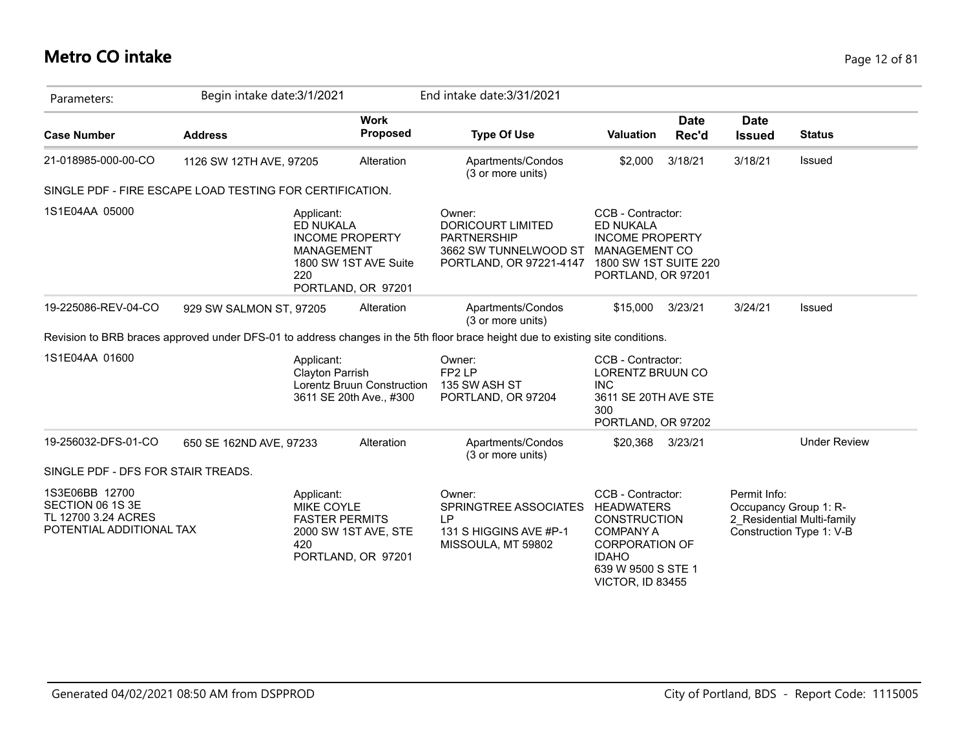# **Metro CO intake** Page 12 of 81

| Parameters:                                                                           | Begin intake date: 3/1/2021                              |                                                                                                                              | End intake date: 3/31/2021                                                                                                     |                                                                                                                                                                      |                      |                              |                                                                                 |
|---------------------------------------------------------------------------------------|----------------------------------------------------------|------------------------------------------------------------------------------------------------------------------------------|--------------------------------------------------------------------------------------------------------------------------------|----------------------------------------------------------------------------------------------------------------------------------------------------------------------|----------------------|------------------------------|---------------------------------------------------------------------------------|
| <b>Case Number</b>                                                                    | <b>Address</b>                                           | <b>Work</b><br>Proposed                                                                                                      | <b>Type Of Use</b>                                                                                                             | <b>Valuation</b>                                                                                                                                                     | <b>Date</b><br>Rec'd | <b>Date</b><br><b>Issued</b> | <b>Status</b>                                                                   |
| 21-018985-000-00-CO                                                                   | 1126 SW 12TH AVE, 97205                                  | Alteration                                                                                                                   | Apartments/Condos<br>(3 or more units)                                                                                         | \$2,000                                                                                                                                                              | 3/18/21              | 3/18/21                      | <b>Issued</b>                                                                   |
|                                                                                       | SINGLE PDF - FIRE ESCAPE LOAD TESTING FOR CERTIFICATION. |                                                                                                                              |                                                                                                                                |                                                                                                                                                                      |                      |                              |                                                                                 |
| 1S1E04AA 05000                                                                        |                                                          | Applicant:<br>ED NUKALA<br><b>INCOME PROPERTY</b><br><b>MANAGEMENT</b><br>1800 SW 1ST AVE Suite<br>220<br>PORTLAND, OR 97201 | Owner:<br>DORICOURT LIMITED<br><b>PARTNERSHIP</b><br>3662 SW TUNNELWOOD ST<br>PORTLAND, OR 97221-4147                          | CCB - Contractor:<br><b>ED NUKALA</b><br><b>INCOME PROPERTY</b><br><b>MANAGEMENT CO</b><br>1800 SW 1ST SUITE 220<br>PORTLAND, OR 97201                               |                      |                              |                                                                                 |
| 19-225086-REV-04-CO                                                                   | 929 SW SALMON ST, 97205                                  | Alteration                                                                                                                   | Apartments/Condos<br>(3 or more units)                                                                                         | \$15,000 3/23/21                                                                                                                                                     |                      | 3/24/21                      | Issued                                                                          |
|                                                                                       |                                                          |                                                                                                                              | Revision to BRB braces approved under DFS-01 to address changes in the 5th floor brace height due to existing site conditions. |                                                                                                                                                                      |                      |                              |                                                                                 |
| 1S1E04AA 01600                                                                        |                                                          | Applicant:<br>Clayton Parrish<br>Lorentz Bruun Construction<br>3611 SE 20th Ave., #300                                       | Owner:<br>FP <sub>2</sub> LP<br>135 SW ASH ST<br>PORTLAND, OR 97204                                                            | CCB - Contractor:<br>LORENTZ BRUUN CO<br><b>INC</b><br>3611 SE 20TH AVE STE<br>300<br>PORTLAND, OR 97202                                                             |                      |                              |                                                                                 |
| 19-256032-DFS-01-CO                                                                   | 650 SE 162ND AVE, 97233                                  | Alteration                                                                                                                   | Apartments/Condos<br>(3 or more units)                                                                                         | \$20,368 3/23/21                                                                                                                                                     |                      |                              | <b>Under Review</b>                                                             |
| SINGLE PDF - DFS FOR STAIR TREADS.                                                    |                                                          |                                                                                                                              |                                                                                                                                |                                                                                                                                                                      |                      |                              |                                                                                 |
| 1S3E06BB 12700<br>SECTION 06 1S 3E<br>TL 12700 3.24 ACRES<br>POTENTIAL ADDITIONAL TAX |                                                          | Applicant:<br><b>MIKE COYLE</b><br><b>FASTER PERMITS</b><br>2000 SW 1ST AVE, STE<br>420<br>PORTLAND, OR 97201                | Owner:<br>SPRINGTREE ASSOCIATES<br>IP<br>131 S HIGGINS AVE #P-1<br>MISSOULA, MT 59802                                          | CCB - Contractor:<br><b>HEADWATERS</b><br><b>CONSTRUCTION</b><br><b>COMPANY A</b><br><b>CORPORATION OF</b><br><b>IDAHO</b><br>639 W 9500 S STE 1<br>VICTOR, ID 83455 |                      | Permit Info:                 | Occupancy Group 1: R-<br>2 Residential Multi-family<br>Construction Type 1: V-B |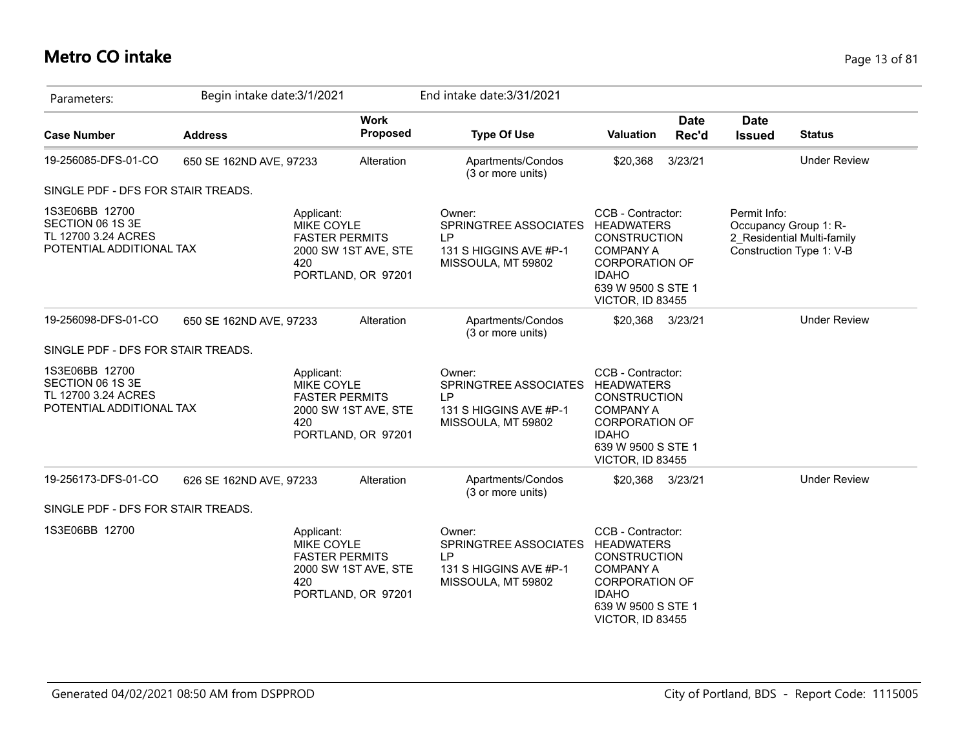## **Metro CO intake** Page 13 of 81

| Parameters:                                                                           | Begin intake date: 3/1/2021 |                                                                 |                                            | End intake date: 3/31/2021                                                            |                                                                                                                                                                             |                      |                                       |                                                        |
|---------------------------------------------------------------------------------------|-----------------------------|-----------------------------------------------------------------|--------------------------------------------|---------------------------------------------------------------------------------------|-----------------------------------------------------------------------------------------------------------------------------------------------------------------------------|----------------------|---------------------------------------|--------------------------------------------------------|
| <b>Case Number</b>                                                                    | <b>Address</b>              |                                                                 | <b>Work</b><br><b>Proposed</b>             | <b>Type Of Use</b>                                                                    | <b>Valuation</b>                                                                                                                                                            | <b>Date</b><br>Rec'd | <b>Date</b><br><b>Issued</b>          | <b>Status</b>                                          |
| 19-256085-DFS-01-CO                                                                   | 650 SE 162ND AVE, 97233     |                                                                 | Alteration                                 | Apartments/Condos<br>(3 or more units)                                                | \$20,368                                                                                                                                                                    | 3/23/21              |                                       | <b>Under Review</b>                                    |
| SINGLE PDF - DFS FOR STAIR TREADS.                                                    |                             |                                                                 |                                            |                                                                                       |                                                                                                                                                                             |                      |                                       |                                                        |
| 1S3E06BB 12700<br>SECTION 06 1S 3E<br>TL 12700 3.24 ACRES<br>POTENTIAL ADDITIONAL TAX |                             | Applicant:<br>MIKE COYLE<br><b>FASTER PERMITS</b><br>420        | 2000 SW 1ST AVE, STE<br>PORTLAND, OR 97201 | Owner:<br>SPRINGTREE ASSOCIATES<br>LP<br>131 S HIGGINS AVE #P-1<br>MISSOULA, MT 59802 | CCB - Contractor:<br><b>HEADWATERS</b><br><b>CONSTRUCTION</b><br><b>COMPANY A</b><br><b>CORPORATION OF</b><br><b>IDAHO</b><br>639 W 9500 S STE 1<br>VICTOR, ID 83455        |                      | Permit Info:<br>Occupancy Group 1: R- | 2 Residential Multi-family<br>Construction Type 1: V-B |
| 19-256098-DFS-01-CO                                                                   | 650 SE 162ND AVE, 97233     |                                                                 | Alteration                                 | Apartments/Condos<br>(3 or more units)                                                | \$20,368                                                                                                                                                                    | 3/23/21              |                                       | <b>Under Review</b>                                    |
| SINGLE PDF - DFS FOR STAIR TREADS.                                                    |                             |                                                                 |                                            |                                                                                       |                                                                                                                                                                             |                      |                                       |                                                        |
| 1S3E06BB 12700<br>SECTION 06 1S 3E<br>TL 12700 3.24 ACRES<br>POTENTIAL ADDITIONAL TAX |                             | Applicant:<br>MIKE COYLE<br><b>FASTER PERMITS</b><br>420        | 2000 SW 1ST AVE, STE<br>PORTLAND, OR 97201 | Owner:<br>SPRINGTREE ASSOCIATES<br>LP<br>131 S HIGGINS AVE #P-1<br>MISSOULA, MT 59802 | CCB - Contractor:<br><b>HEADWATERS</b><br><b>CONSTRUCTION</b><br><b>COMPANY A</b><br><b>CORPORATION OF</b><br><b>IDAHO</b><br>639 W 9500 S STE 1<br><b>VICTOR, ID 83455</b> |                      |                                       |                                                        |
| 19-256173-DFS-01-CO                                                                   | 626 SE 162ND AVE, 97233     |                                                                 | Alteration                                 | Apartments/Condos<br>(3 or more units)                                                | \$20,368                                                                                                                                                                    | 3/23/21              |                                       | <b>Under Review</b>                                    |
| SINGLE PDF - DFS FOR STAIR TREADS.                                                    |                             |                                                                 |                                            |                                                                                       |                                                                                                                                                                             |                      |                                       |                                                        |
| 1S3E06BB 12700                                                                        |                             | Applicant:<br><b>MIKE COYLE</b><br><b>FASTER PERMITS</b><br>420 | 2000 SW 1ST AVE, STE<br>PORTLAND, OR 97201 | Owner:<br>SPRINGTREE ASSOCIATES<br>LP<br>131 S HIGGINS AVE #P-1<br>MISSOULA, MT 59802 | CCB - Contractor:<br><b>HEADWATERS</b><br><b>CONSTRUCTION</b><br><b>COMPANY A</b><br><b>CORPORATION OF</b><br><b>IDAHO</b><br>639 W 9500 S STE 1<br>VICTOR, ID 83455        |                      |                                       |                                                        |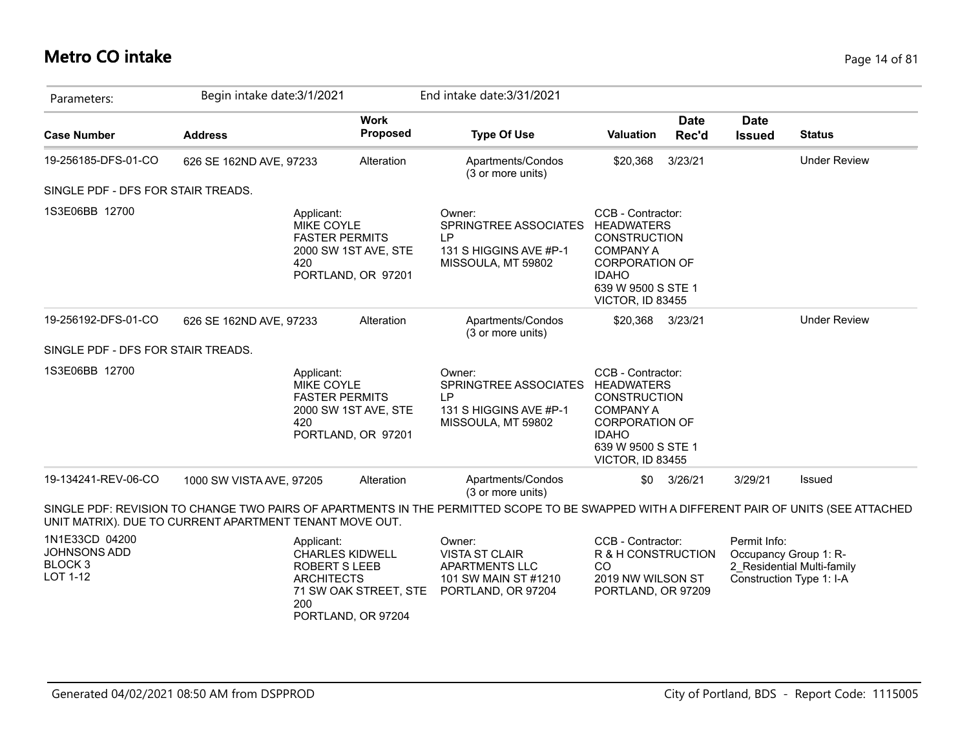#### **Metro CO intake** Page 14 of 81

| Parameters:                                                      | Begin intake date: 3/1/2021                             |                                                                                                            | End intake date: 3/31/2021                                                                                                               |                                                                                                                                                                      |                      |                              |                                                                                 |
|------------------------------------------------------------------|---------------------------------------------------------|------------------------------------------------------------------------------------------------------------|------------------------------------------------------------------------------------------------------------------------------------------|----------------------------------------------------------------------------------------------------------------------------------------------------------------------|----------------------|------------------------------|---------------------------------------------------------------------------------|
| <b>Case Number</b>                                               | <b>Address</b>                                          | <b>Work</b><br><b>Proposed</b>                                                                             | <b>Type Of Use</b>                                                                                                                       | <b>Valuation</b>                                                                                                                                                     | <b>Date</b><br>Rec'd | <b>Date</b><br><b>Issued</b> | <b>Status</b>                                                                   |
| 19-256185-DFS-01-CO                                              | 626 SE 162ND AVE, 97233                                 | Alteration                                                                                                 | Apartments/Condos<br>(3 or more units)                                                                                                   | \$20,368                                                                                                                                                             | 3/23/21              |                              | <b>Under Review</b>                                                             |
| SINGLE PDF - DFS FOR STAIR TREADS.                               |                                                         |                                                                                                            |                                                                                                                                          |                                                                                                                                                                      |                      |                              |                                                                                 |
| 1S3E06BB 12700                                                   | 420                                                     | Applicant:<br>MIKE COYLE<br><b>FASTER PERMITS</b><br>2000 SW 1ST AVE, STE<br>PORTLAND, OR 97201            | Owner:<br>SPRINGTREE ASSOCIATES<br><b>LP</b><br>131 S HIGGINS AVE #P-1<br>MISSOULA, MT 59802                                             | CCB - Contractor:<br><b>HEADWATERS</b><br><b>CONSTRUCTION</b><br><b>COMPANY A</b><br><b>CORPORATION OF</b><br><b>IDAHO</b><br>639 W 9500 S STE 1<br>VICTOR, ID 83455 |                      |                              |                                                                                 |
| 19-256192-DFS-01-CO                                              | 626 SE 162ND AVE, 97233                                 | Alteration                                                                                                 | Apartments/Condos<br>(3 or more units)                                                                                                   | \$20,368                                                                                                                                                             | 3/23/21              |                              | <b>Under Review</b>                                                             |
| SINGLE PDF - DFS FOR STAIR TREADS.                               |                                                         |                                                                                                            |                                                                                                                                          |                                                                                                                                                                      |                      |                              |                                                                                 |
| 1S3E06BB 12700                                                   | 420                                                     | Applicant:<br><b>MIKE COYLE</b><br><b>FASTER PERMITS</b><br>2000 SW 1ST AVE, STE<br>PORTLAND, OR 97201     | Owner:<br>SPRINGTREE ASSOCIATES<br>I P<br>131 S HIGGINS AVE #P-1<br>MISSOULA, MT 59802                                                   | CCB - Contractor:<br>HEADWATERS<br><b>CONSTRUCTION</b><br><b>COMPANY A</b><br><b>CORPORATION OF</b><br><b>IDAHO</b><br>639 W 9500 S STE 1<br>VICTOR, ID 83455        |                      |                              |                                                                                 |
| 19-134241-REV-06-CO                                              | 1000 SW VISTA AVE, 97205                                | Alteration                                                                                                 | Apartments/Condos<br>(3 or more units)                                                                                                   | \$0                                                                                                                                                                  | 3/26/21              | 3/29/21                      | Issued                                                                          |
|                                                                  | UNIT MATRIX). DUE TO CURRENT APARTMENT TENANT MOVE OUT. |                                                                                                            | SINGLE PDF: REVISION TO CHANGE TWO PAIRS OF APARTMENTS IN THE PERMITTED SCOPE TO BE SWAPPED WITH A DIFFERENT PAIR OF UNITS (SEE ATTACHED |                                                                                                                                                                      |                      |                              |                                                                                 |
| 1N1E33CD 04200<br>JOHNSONS ADD<br>BLOCK <sub>3</sub><br>LOT 1-12 | 200                                                     | Applicant:<br><b>CHARLES KIDWELL</b><br><b>ROBERT S LEEB</b><br><b>ARCHITECTS</b><br>71 SW OAK STREET, STE | Owner:<br><b>VISTA ST CLAIR</b><br><b>APARTMENTS LLC</b><br>101 SW MAIN ST #1210<br>PORTLAND, OR 97204                                   | CCB - Contractor:<br>R & H CONSTRUCTION<br>CO<br>2019 NW WILSON ST<br>PORTLAND, OR 97209                                                                             |                      | Permit Info:                 | Occupancy Group 1: R-<br>2 Residential Multi-family<br>Construction Type 1: I-A |

PORTLAND, OR 97204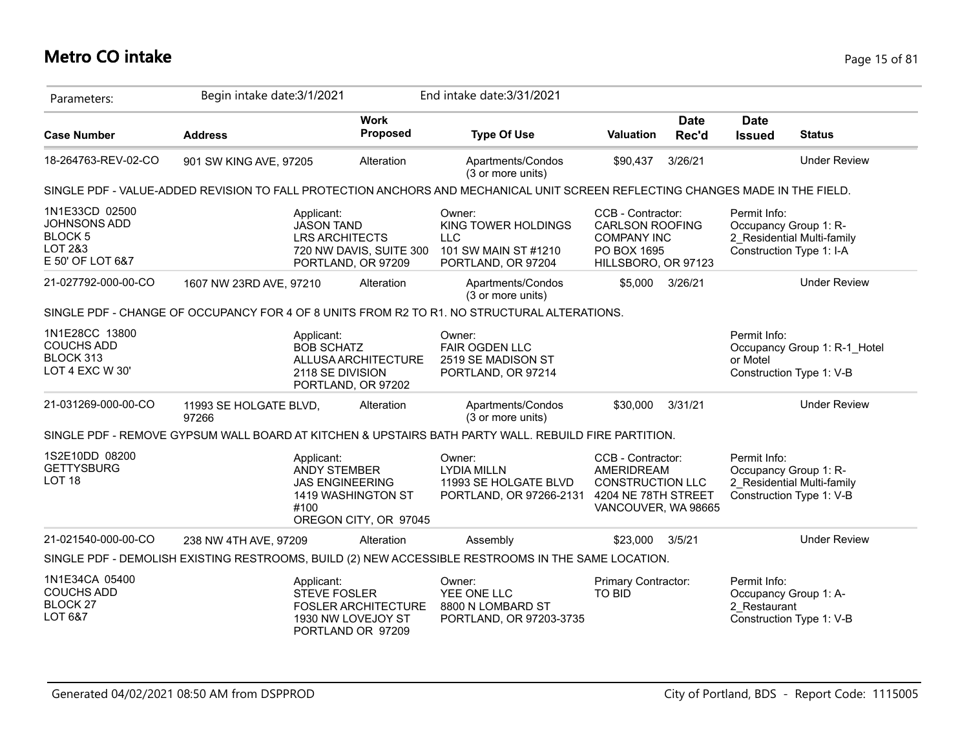| Parameters:                                                                     | Begin intake date: 3/1/2021                                                                                                   |                                                                        | End intake date: 3/31/2021                                                                           |                                                                                                         |                      |                                                                   |                                                          |
|---------------------------------------------------------------------------------|-------------------------------------------------------------------------------------------------------------------------------|------------------------------------------------------------------------|------------------------------------------------------------------------------------------------------|---------------------------------------------------------------------------------------------------------|----------------------|-------------------------------------------------------------------|----------------------------------------------------------|
| <b>Case Number</b>                                                              | <b>Address</b>                                                                                                                | <b>Work</b><br><b>Proposed</b>                                         | <b>Type Of Use</b>                                                                                   | <b>Valuation</b>                                                                                        | <b>Date</b><br>Rec'd | <b>Date</b><br><b>Issued</b>                                      | <b>Status</b>                                            |
| 18-264763-REV-02-CO                                                             | 901 SW KING AVE, 97205                                                                                                        | Alteration                                                             | Apartments/Condos<br>(3 or more units)                                                               | \$90,437                                                                                                | 3/26/21              |                                                                   | <b>Under Review</b>                                      |
|                                                                                 | SINGLE PDF - VALUE-ADDED REVISION TO FALL PROTECTION ANCHORS AND MECHANICAL UNIT SCREEN REFLECTING CHANGES MADE IN THE FIELD. |                                                                        |                                                                                                      |                                                                                                         |                      |                                                                   |                                                          |
| 1N1E33CD 02500<br>JOHNSONS ADD<br><b>BLOCK 5</b><br>LOT 2&3<br>E 50' OF LOT 6&7 | Applicant:<br><b>JASON TAND</b>                                                                                               | <b>LRS ARCHITECTS</b><br>720 NW DAVIS, SUITE 300<br>PORTLAND, OR 97209 | Owner:<br>KING TOWER HOLDINGS<br><b>LLC</b><br>101 SW MAIN ST #1210<br>PORTLAND, OR 97204            | CCB - Contractor:<br><b>CARLSON ROOFING</b><br><b>COMPANY INC</b><br>PO BOX 1695<br>HILLSBORO, OR 97123 |                      | Permit Info:<br>Occupancy Group 1: R-<br>Construction Type 1: I-A | 2 Residential Multi-family                               |
| 21-027792-000-00-CO                                                             | 1607 NW 23RD AVE, 97210                                                                                                       | Alteration                                                             | Apartments/Condos<br>(3 or more units)                                                               | \$5,000                                                                                                 | 3/26/21              |                                                                   | <b>Under Review</b>                                      |
|                                                                                 | SINGLE PDF - CHANGE OF OCCUPANCY FOR 4 OF 8 UNITS FROM R2 TO R1. NO STRUCTURAL ALTERATIONS.                                   |                                                                        |                                                                                                      |                                                                                                         |                      |                                                                   |                                                          |
| 1N1E28CC 13800<br><b>COUCHS ADD</b><br>BLOCK 313<br>LOT 4 EXC W 30'             | Applicant:<br><b>BOB SCHATZ</b><br>2118 SE DIVISION                                                                           | ALLUSA ARCHITECTURE<br>PORTLAND, OR 97202                              | Owner:<br>FAIR OGDEN LLC<br>2519 SE MADISON ST<br>PORTLAND, OR 97214                                 |                                                                                                         |                      | Permit Info:<br>or Motel                                          | Occupancy Group 1: R-1 Hotel<br>Construction Type 1: V-B |
| 21-031269-000-00-CO                                                             | 11993 SE HOLGATE BLVD,<br>97266                                                                                               | Alteration                                                             | Apartments/Condos<br>(3 or more units)                                                               | \$30,000                                                                                                | 3/31/21              |                                                                   | <b>Under Review</b>                                      |
|                                                                                 | SINGLE PDF - REMOVE GYPSUM WALL BOARD AT KITCHEN & UPSTAIRS BATH PARTY WALL. REBUILD FIRE PARTITION.                          |                                                                        |                                                                                                      |                                                                                                         |                      |                                                                   |                                                          |
| 1S2E10DD 08200<br><b>GETTYSBURG</b><br>LOT <sub>18</sub>                        | Applicant:<br>ANDY STEMBER<br>#100                                                                                            | <b>JAS ENGINEERING</b><br>1419 WASHINGTON ST<br>OREGON CITY, OR 97045  | Owner:<br><b>LYDIA MILLN</b><br>11993 SE HOLGATE BLVD<br>PORTLAND, OR 97266-2131 4204 NE 78TH STREET | CCB - Contractor:<br>AMERIDREAM<br><b>CONSTRUCTION LLC</b><br>VANCOUVER, WA 98665                       |                      | Permit Info:<br>Occupancy Group 1: R-                             | 2 Residential Multi-family<br>Construction Type 1: V-B   |
| 21-021540-000-00-CO                                                             | 238 NW 4TH AVE, 97209                                                                                                         | Alteration                                                             | Assembly                                                                                             | \$23,000                                                                                                | 3/5/21               |                                                                   | <b>Under Review</b>                                      |
|                                                                                 | SINGLE PDF - DEMOLISH EXISTING RESTROOMS, BUILD (2) NEW ACCESSIBLE RESTROOMS IN THE SAME LOCATION.                            |                                                                        |                                                                                                      |                                                                                                         |                      |                                                                   |                                                          |
| 1N1E34CA 05400<br><b>COUCHS ADD</b><br>BLOCK <sub>27</sub><br>LOT 6&7           | Applicant:<br><b>STEVE FOSLER</b>                                                                                             | <b>FOSLER ARCHITECTURE</b><br>1930 NW LOVEJOY ST<br>PORTLAND OR 97209  | Owner:<br>YEE ONE LLC<br>8800 N LOMBARD ST<br>PORTLAND, OR 97203-3735                                | Primary Contractor:<br>TO BID                                                                           |                      | Permit Info:<br>Occupancy Group 1: A-<br>2 Restaurant             | Construction Type 1: V-B                                 |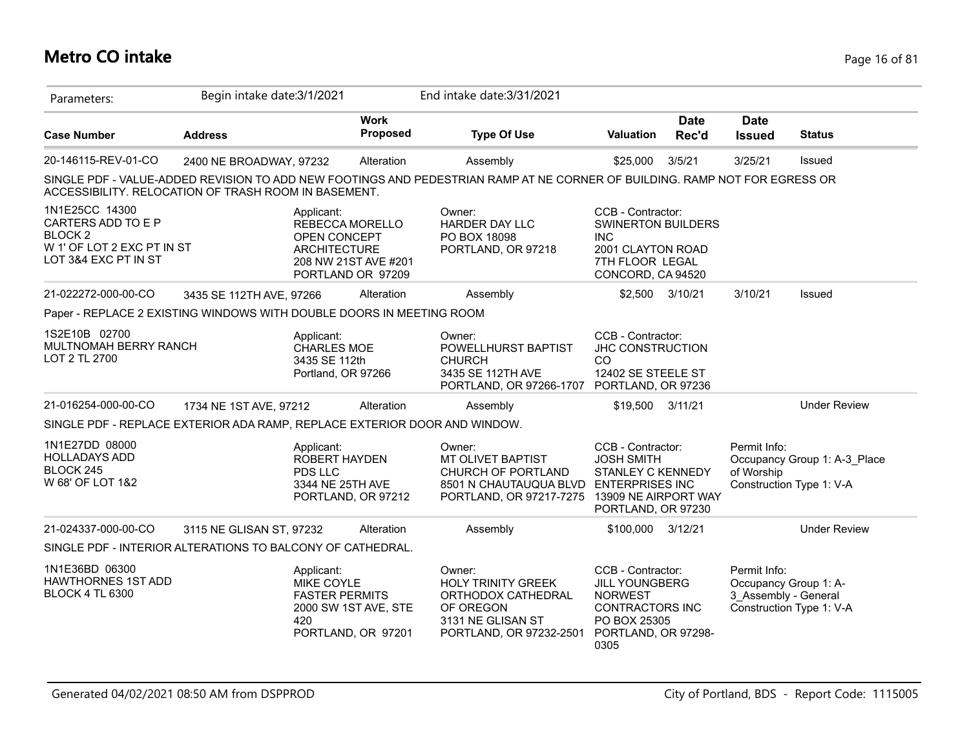## **Metro CO intake** Page 16 of 81

| Parameters:                                                                                                      | Begin intake date: 3/1/2021 |                                                                         |                                            | End intake date: 3/31/2021                                                                                                                  |                                                                                                                                |                      |                                                               |                                                          |
|------------------------------------------------------------------------------------------------------------------|-----------------------------|-------------------------------------------------------------------------|--------------------------------------------|---------------------------------------------------------------------------------------------------------------------------------------------|--------------------------------------------------------------------------------------------------------------------------------|----------------------|---------------------------------------------------------------|----------------------------------------------------------|
| <b>Case Number</b>                                                                                               | <b>Address</b>              |                                                                         | <b>Work</b><br>Proposed                    | <b>Type Of Use</b>                                                                                                                          | <b>Valuation</b>                                                                                                               | <b>Date</b><br>Rec'd | <b>Date</b><br><b>Issued</b>                                  | <b>Status</b>                                            |
| 20-146115-REV-01-CO                                                                                              | 2400 NE BROADWAY, 97232     |                                                                         | Alteration                                 | Assembly                                                                                                                                    | \$25,000                                                                                                                       | 3/5/21               | 3/25/21                                                       | Issued                                                   |
| ACCESSIBILITY. RELOCATION OF TRASH ROOM IN BASEMENT.                                                             |                             |                                                                         |                                            | SINGLE PDF - VALUE-ADDED REVISION TO ADD NEW FOOTINGS AND PEDESTRIAN RAMP AT NE CORNER OF BUILDING. RAMP NOT FOR EGRESS OR                  |                                                                                                                                |                      |                                                               |                                                          |
| 1N1E25CC 14300<br>CARTERS ADD TO E P<br>BLOCK <sub>2</sub><br>W 1' OF LOT 2 EXC PT IN ST<br>LOT 3&4 EXC PT IN ST |                             | Applicant:<br>REBECCA MORELLO<br>OPEN CONCEPT<br><b>ARCHITECTURE</b>    | 208 NW 21ST AVE #201<br>PORTLAND OR 97209  | Owner:<br>HARDER DAY LLC<br>PO BOX 18098<br>PORTLAND, OR 97218                                                                              | CCB - Contractor:<br><b>SWINERTON BUILDERS</b><br><b>INC</b><br>2001 CLAYTON ROAD<br>7TH FLOOR LEGAL<br>CONCORD, CA 94520      |                      |                                                               |                                                          |
| 21-022272-000-00-CO                                                                                              | 3435 SE 112TH AVE, 97266    |                                                                         | Alteration                                 | Assembly                                                                                                                                    |                                                                                                                                | \$2,500 3/10/21      | 3/10/21                                                       | Issued                                                   |
| Paper - REPLACE 2 EXISTING WINDOWS WITH DOUBLE DOORS IN MEETING ROOM                                             |                             |                                                                         |                                            |                                                                                                                                             |                                                                                                                                |                      |                                                               |                                                          |
| 1S2E10B 02700<br>MULTNOMAH BERRY RANCH<br>LOT 2 TL 2700                                                          |                             | Applicant:<br><b>CHARLES MOE</b><br>3435 SE 112th<br>Portland, OR 97266 |                                            | Owner:<br>POWELLHURST BAPTIST<br><b>CHURCH</b><br>3435 SE 112TH AVE<br>PORTLAND, OR 97266-1707                                              | CCB - Contractor:<br><b>JHC CONSTRUCTION</b><br><sub>CO</sub><br>12402 SE STEELE ST<br>PORTLAND, OR 97236                      |                      |                                                               |                                                          |
| 21-016254-000-00-CO                                                                                              | 1734 NE 1ST AVE, 97212      |                                                                         | Alteration                                 | Assembly                                                                                                                                    | \$19,500                                                                                                                       | 3/11/21              |                                                               | <b>Under Review</b>                                      |
| SINGLE PDF - REPLACE EXTERIOR ADA RAMP, REPLACE EXTERIOR DOOR AND WINDOW.                                        |                             |                                                                         |                                            |                                                                                                                                             |                                                                                                                                |                      |                                                               |                                                          |
| 1N1E27DD 08000<br><b>HOLLADAYS ADD</b><br>BLOCK 245<br>W 68' OF LOT 1&2                                          |                             | Applicant:<br><b>ROBERT HAYDEN</b><br>PDS LLC<br>3344 NE 25TH AVE       | PORTLAND, OR 97212                         | Owner:<br>MT OLIVET BAPTIST<br>CHURCH OF PORTLAND<br>8501 N CHAUTAUQUA BLVD ENTERPRISES INC<br>PORTLAND, OR 97217-7275 13909 NE AIRPORT WAY | CCB - Contractor:<br><b>JOSH SMITH</b><br><b>STANLEY C KENNEDY</b><br>PORTLAND, OR 97230                                       |                      | Permit Info:<br>of Worship                                    | Occupancy Group 1: A-3 Place<br>Construction Type 1: V-A |
| 21-024337-000-00-CO                                                                                              | 3115 NE GLISAN ST, 97232    |                                                                         | Alteration                                 | Assembly                                                                                                                                    | \$100,000                                                                                                                      | 3/12/21              |                                                               | <b>Under Review</b>                                      |
| SINGLE PDF - INTERIOR ALTERATIONS TO BALCONY OF CATHEDRAL.                                                       |                             |                                                                         |                                            |                                                                                                                                             |                                                                                                                                |                      |                                                               |                                                          |
| 1N1E36BD 06300<br><b>HAWTHORNES 1ST ADD</b><br><b>BLOCK 4 TL 6300</b>                                            |                             | Applicant:<br><b>MIKE COYLE</b><br><b>FASTER PERMITS</b><br>420         | 2000 SW 1ST AVE, STE<br>PORTLAND, OR 97201 | Owner:<br><b>HOLY TRINITY GREEK</b><br>ORTHODOX CATHEDRAL<br>OF OREGON<br>3131 NE GLISAN ST<br>PORTLAND, OR 97232-2501                      | CCB - Contractor:<br><b>JILL YOUNGBERG</b><br><b>NORWEST</b><br>CONTRACTORS INC<br>PO BOX 25305<br>PORTLAND, OR 97298-<br>0305 |                      | Permit Info:<br>Occupancy Group 1: A-<br>3 Assembly - General | Construction Type 1: V-A                                 |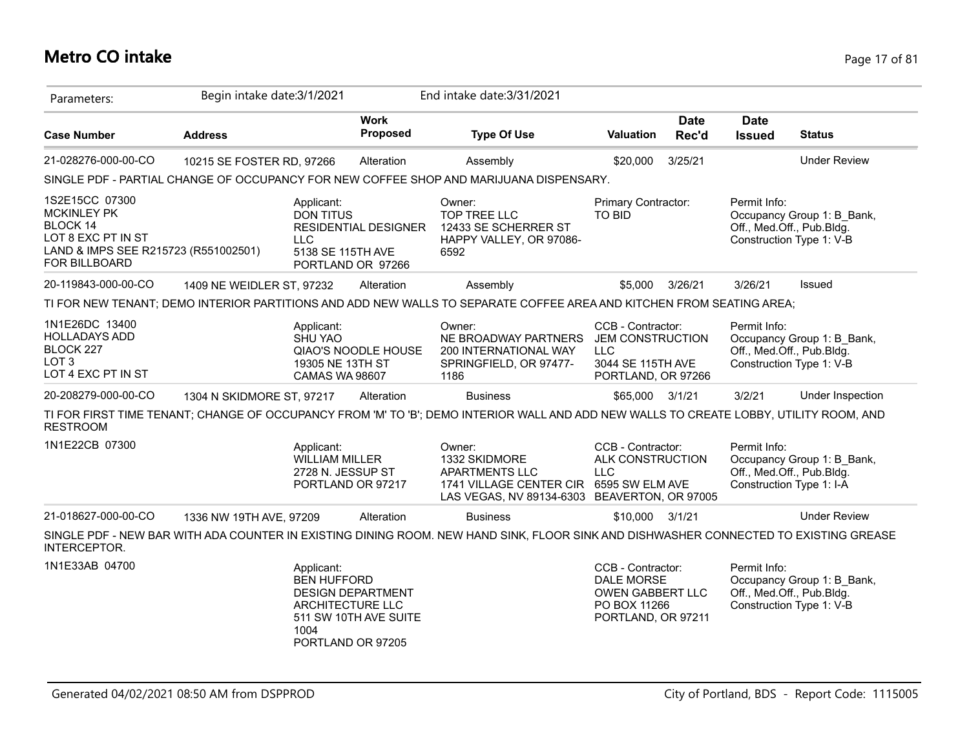#### **Metro CO intake** Page 17 of 81

| Parameters:                                                                                                                                   | Begin intake date: 3/1/2021 |                                                                                   |                                                   | End intake date: 3/31/2021                                                                                                             |                                                                                                         |                      |                              |                                                                                     |
|-----------------------------------------------------------------------------------------------------------------------------------------------|-----------------------------|-----------------------------------------------------------------------------------|---------------------------------------------------|----------------------------------------------------------------------------------------------------------------------------------------|---------------------------------------------------------------------------------------------------------|----------------------|------------------------------|-------------------------------------------------------------------------------------|
| <b>Case Number</b>                                                                                                                            | <b>Address</b>              |                                                                                   | <b>Work</b><br><b>Proposed</b>                    | <b>Type Of Use</b>                                                                                                                     | <b>Valuation</b>                                                                                        | <b>Date</b><br>Rec'd | <b>Date</b><br><b>Issued</b> | <b>Status</b>                                                                       |
| 21-028276-000-00-CO                                                                                                                           | 10215 SE FOSTER RD, 97266   |                                                                                   | Alteration                                        | Assembly                                                                                                                               | \$20,000                                                                                                | 3/25/21              |                              | <b>Under Review</b>                                                                 |
|                                                                                                                                               |                             |                                                                                   |                                                   | SINGLE PDF - PARTIAL CHANGE OF OCCUPANCY FOR NEW COFFEE SHOP AND MARIJUANA DISPENSARY.                                                 |                                                                                                         |                      |                              |                                                                                     |
| 1S2E15CC 07300<br><b>MCKINLEY PK</b><br><b>BLOCK 14</b><br>LOT 8 EXC PT IN ST<br>LAND & IMPS SEE R215723 (R551002501)<br><b>FOR BILLBOARD</b> |                             | Applicant:<br><b>DON TITUS</b><br><b>LLC</b><br>5138 SE 115TH AVE                 | RESIDENTIAL DESIGNER<br>PORTLAND OR 97266         | Owner:<br>TOP TREE LLC<br>12433 SE SCHERRER ST<br>HAPPY VALLEY, OR 97086-<br>6592                                                      | Primary Contractor:<br><b>TO BID</b>                                                                    |                      | Permit Info:                 | Occupancy Group 1: B Bank,<br>Off., Med.Off., Pub.Bldg.<br>Construction Type 1: V-B |
| 20-119843-000-00-CO                                                                                                                           | 1409 NE WEIDLER ST, 97232   |                                                                                   | Alteration                                        | Assembly                                                                                                                               | \$5,000                                                                                                 | 3/26/21              | 3/26/21                      | Issued                                                                              |
|                                                                                                                                               |                             |                                                                                   |                                                   | TI FOR NEW TENANT; DEMO INTERIOR PARTITIONS AND ADD NEW WALLS TO SEPARATE COFFEE AREA AND KITCHEN FROM SEATING AREA;                   |                                                                                                         |                      |                              |                                                                                     |
| 1N1E26DC 13400<br><b>HOLLADAYS ADD</b><br>BLOCK 227<br>LOT <sub>3</sub><br>LOT 4 EXC PT IN ST                                                 |                             | Applicant:<br><b>SHU YAO</b><br>19305 NE 13TH ST<br>CAMAS WA 98607                | QIAO'S NOODLE HOUSE                               | Owner:<br>NE BROADWAY PARTNERS<br>200 INTERNATIONAL WAY<br>SPRINGFIELD, OR 97477-<br>1186                                              | CCB - Contractor:<br><b>JEM CONSTRUCTION</b><br><b>LLC</b><br>3044 SE 115TH AVE<br>PORTLAND, OR 97266   |                      | Permit Info:                 | Occupancy Group 1: B_Bank,<br>Off., Med.Off., Pub.Bldg.<br>Construction Type 1: V-B |
| 20-208279-000-00-CO                                                                                                                           | 1304 N SKIDMORE ST, 97217   |                                                                                   | Alteration                                        | <b>Business</b>                                                                                                                        | \$65,000 3/1/21                                                                                         |                      | 3/2/21                       | Under Inspection                                                                    |
| <b>RESTROOM</b>                                                                                                                               |                             |                                                                                   |                                                   | TI FOR FIRST TIME TENANT; CHANGE OF OCCUPANCY FROM 'M' TO 'B'; DEMO INTERIOR WALL AND ADD NEW WALLS TO CREATE LOBBY, UTILITY ROOM, AND |                                                                                                         |                      |                              |                                                                                     |
| 1N1E22CB 07300                                                                                                                                |                             | Applicant:<br><b>WILLIAM MILLER</b><br>2728 N. JESSUP ST<br>PORTLAND OR 97217     |                                                   | Owner:<br>1332 SKIDMORE<br>APARTMENTS LLC<br>1741 VILLAGE CENTER CIR<br>LAS VEGAS, NV 89134-6303 BEAVERTON, OR 97005                   | CCB - Contractor:<br>ALK CONSTRUCTION<br><b>LLC</b><br>6595 SW ELM AVE                                  |                      | Permit Info:                 | Occupancy Group 1: B_Bank,<br>Off., Med.Off., Pub.Bldg.<br>Construction Type 1: I-A |
| 21-018627-000-00-CO                                                                                                                           | 1336 NW 19TH AVE, 97209     |                                                                                   | Alteration                                        | <b>Business</b>                                                                                                                        | \$10,000 3/1/21                                                                                         |                      |                              | <b>Under Review</b>                                                                 |
| INTERCEPTOR.                                                                                                                                  |                             |                                                                                   |                                                   | SINGLE PDF - NEW BAR WITH ADA COUNTER IN EXISTING DINING ROOM. NEW HAND SINK, FLOOR SINK AND DISHWASHER CONNECTED TO EXISTING GREASE   |                                                                                                         |                      |                              |                                                                                     |
| 1N1E33AB 04700                                                                                                                                |                             | Applicant:<br><b>BEN HUFFORD</b><br>ARCHITECTURE LLC<br>1004<br>PORTLAND OR 97205 | <b>DESIGN DEPARTMENT</b><br>511 SW 10TH AVE SUITE |                                                                                                                                        | CCB - Contractor:<br><b>DALE MORSE</b><br><b>OWEN GABBERT LLC</b><br>PO BOX 11266<br>PORTLAND, OR 97211 |                      | Permit Info:                 | Occupancy Group 1: B_Bank,<br>Off., Med.Off., Pub.Bldg.<br>Construction Type 1: V-B |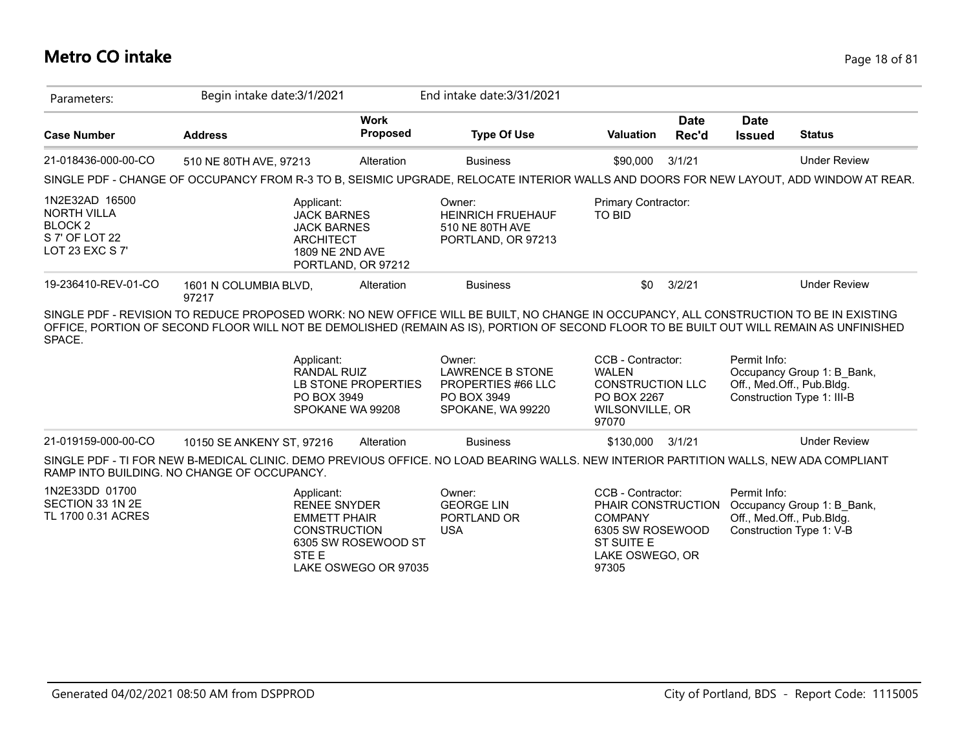#### **Metro CO intake** Page 18 of 81

| Parameters:                                                                                     | Begin intake date: 3/1/2021                                                                                                                                                                                                                                                                                                                               |                                             | End intake date: 3/31/2021                                                                  |                                                                                                                         |                      |                              |                                                                                       |
|-------------------------------------------------------------------------------------------------|-----------------------------------------------------------------------------------------------------------------------------------------------------------------------------------------------------------------------------------------------------------------------------------------------------------------------------------------------------------|---------------------------------------------|---------------------------------------------------------------------------------------------|-------------------------------------------------------------------------------------------------------------------------|----------------------|------------------------------|---------------------------------------------------------------------------------------|
| <b>Case Number</b>                                                                              | <b>Address</b>                                                                                                                                                                                                                                                                                                                                            | <b>Work</b><br>Proposed                     | <b>Type Of Use</b>                                                                          | <b>Valuation</b>                                                                                                        | <b>Date</b><br>Rec'd | <b>Date</b><br><b>Issued</b> | <b>Status</b>                                                                         |
| 21-018436-000-00-CO                                                                             | 510 NE 80TH AVE, 97213                                                                                                                                                                                                                                                                                                                                    | Alteration                                  | <b>Business</b>                                                                             | \$90,000                                                                                                                | 3/1/21               |                              | <b>Under Review</b>                                                                   |
|                                                                                                 | SINGLE PDF - CHANGE OF OCCUPANCY FROM R-3 TO B, SEISMIC UPGRADE, RELOCATE INTERIOR WALLS AND DOORS FOR NEW LAYOUT, ADD WINDOW AT REAR.                                                                                                                                                                                                                    |                                             |                                                                                             |                                                                                                                         |                      |                              |                                                                                       |
| 1N2E32AD 16500<br><b>NORTH VILLA</b><br>BLOCK <sub>2</sub><br>S 7' OF LOT 22<br>LOT 23 EXC S 7' | Applicant:<br><b>JACK BARNES</b><br><b>JACK BARNES</b><br><b>ARCHITECT</b><br>1809 NE 2ND AVE                                                                                                                                                                                                                                                             | PORTLAND, OR 97212                          | Owner:<br><b>HEINRICH FRUEHAUF</b><br>510 NE 80TH AVE<br>PORTLAND, OR 97213                 | Primary Contractor:<br><b>TO BID</b>                                                                                    |                      |                              |                                                                                       |
| 19-236410-REV-01-CO                                                                             | 1601 N COLUMBIA BLVD,<br>97217                                                                                                                                                                                                                                                                                                                            | Alteration                                  | <b>Business</b>                                                                             | \$0                                                                                                                     | 3/2/21               |                              | <b>Under Review</b>                                                                   |
| SPACE.                                                                                          | SINGLE PDF - REVISION TO REDUCE PROPOSED WORK: NO NEW OFFICE WILL BE BUILT, NO CHANGE IN OCCUPANCY, ALL CONSTRUCTION TO BE IN EXISTING<br>OFFICE, PORTION OF SECOND FLOOR WILL NOT BE DEMOLISHED (REMAIN AS IS), PORTION OF SECOND FLOOR TO BE BUILT OUT WILL REMAIN AS UNFINISHED<br>Applicant:<br><b>RANDAL RUIZ</b><br>PO BOX 3949<br>SPOKANE WA 99208 | LB STONE PROPERTIES                         | Owner:<br><b>LAWRENCE B STONE</b><br>PROPERTIES #66 LLC<br>PO BOX 3949<br>SPOKANE, WA 99220 | CCB - Contractor:<br><b>WALEN</b><br><b>CONSTRUCTION LLC</b><br>PO BOX 2267<br>WILSONVILLE, OR<br>97070                 |                      | Permit Info:                 | Occupancy Group 1: B Bank,<br>Off., Med.Off., Pub.Bldg.<br>Construction Type 1: III-B |
| 21-019159-000-00-CO                                                                             | 10150 SE ANKENY ST, 97216                                                                                                                                                                                                                                                                                                                                 | Alteration                                  | <b>Business</b>                                                                             | \$130,000                                                                                                               | 3/1/21               |                              | <b>Under Review</b>                                                                   |
|                                                                                                 | SINGLE PDF - TI FOR NEW B-MEDICAL CLINIC. DEMO PREVIOUS OFFICE. NO LOAD BEARING WALLS. NEW INTERIOR PARTITION WALLS, NEW ADA COMPLIANT<br>RAMP INTO BUILDING. NO CHANGE OF OCCUPANCY.                                                                                                                                                                     |                                             |                                                                                             |                                                                                                                         |                      |                              |                                                                                       |
| 1N2E33DD 01700<br>SECTION 33 1N 2E<br>TL 1700 0.31 ACRES                                        | Applicant:<br><b>RENEE SNYDER</b><br><b>EMMETT PHAIR</b><br><b>CONSTRUCTION</b><br>STE E                                                                                                                                                                                                                                                                  | 6305 SW ROSEWOOD ST<br>LAKE OSWEGO OR 97035 | Owner:<br><b>GEORGE LIN</b><br>PORTLAND OR<br><b>USA</b>                                    | CCB - Contractor:<br>PHAIR CONSTRUCTION<br><b>COMPANY</b><br>6305 SW ROSEWOOD<br>ST SUITE E<br>LAKE OSWEGO, OR<br>97305 |                      | Permit Info:                 | Occupancy Group 1: B Bank,<br>Off., Med.Off., Pub.Bldg.<br>Construction Type 1: V-B   |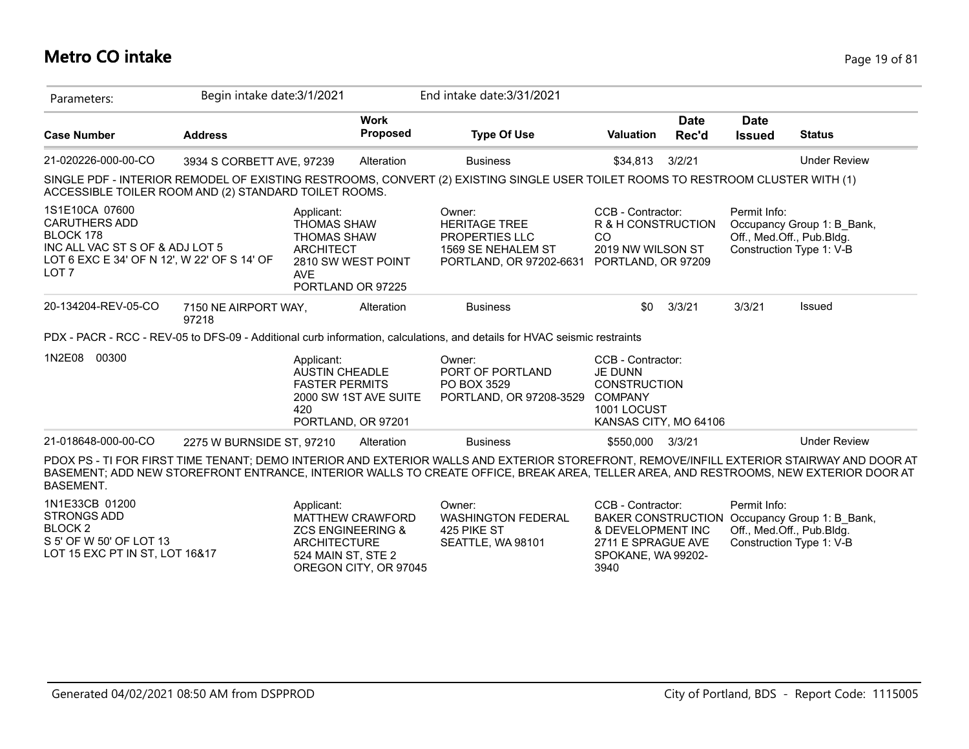#### **Metro CO intake** Page 19 of 81

| Parameters:                                                                                                                                               | Begin intake date: 3/1/2021   |                                                                                                                                     |                                                  | End intake date: 3/31/2021                                                                                                                                                                                                                                                        |                                                                                                                      |                      |                              |                                                                                                        |
|-----------------------------------------------------------------------------------------------------------------------------------------------------------|-------------------------------|-------------------------------------------------------------------------------------------------------------------------------------|--------------------------------------------------|-----------------------------------------------------------------------------------------------------------------------------------------------------------------------------------------------------------------------------------------------------------------------------------|----------------------------------------------------------------------------------------------------------------------|----------------------|------------------------------|--------------------------------------------------------------------------------------------------------|
| <b>Case Number</b>                                                                                                                                        | <b>Address</b>                |                                                                                                                                     | <b>Work</b><br>Proposed                          | <b>Type Of Use</b>                                                                                                                                                                                                                                                                | <b>Valuation</b>                                                                                                     | <b>Date</b><br>Rec'd | <b>Date</b><br><b>Issued</b> | <b>Status</b>                                                                                          |
| 21-020226-000-00-CO                                                                                                                                       | 3934 S CORBETT AVE, 97239     |                                                                                                                                     | Alteration                                       | <b>Business</b>                                                                                                                                                                                                                                                                   | \$34,813                                                                                                             | 3/2/21               |                              | <b>Under Review</b>                                                                                    |
| ACCESSIBLE TOILER ROOM AND (2) STANDARD TOILET ROOMS.                                                                                                     |                               |                                                                                                                                     |                                                  | SINGLE PDF - INTERIOR REMODEL OF EXISTING RESTROOMS, CONVERT (2) EXISTING SINGLE USER TOILET ROOMS TO RESTROOM CLUSTER WITH (1)                                                                                                                                                   |                                                                                                                      |                      |                              |                                                                                                        |
| 1S1E10CA 07600<br><b>CARUTHERS ADD</b><br>BLOCK 178<br>INC ALL VAC ST S OF & ADJ LOT 5<br>LOT 6 EXC E 34' OF N 12', W 22' OF S 14' OF<br>LOT <sub>7</sub> |                               | Applicant:<br><b>THOMAS SHAW</b><br><b>THOMAS SHAW</b><br><b>ARCHITECT</b><br>2810 SW WEST POINT<br><b>AVE</b><br>PORTLAND OR 97225 |                                                  | Owner:<br><b>HERITAGE TREE</b><br>PROPERTIES LLC<br>1569 SE NEHALEM ST<br>PORTLAND, OR 97202-6631                                                                                                                                                                                 | CCB - Contractor:<br>R & H CONSTRUCTION<br>CO<br>2019 NW WILSON ST<br>PORTLAND, OR 97209                             |                      | Permit Info:                 | Occupancy Group 1: B Bank,<br>Off., Med.Off., Pub.Bldg.<br>Construction Type 1: V-B                    |
| 20-134204-REV-05-CO                                                                                                                                       | 7150 NE AIRPORT WAY,<br>97218 |                                                                                                                                     | Alteration                                       | <b>Business</b>                                                                                                                                                                                                                                                                   | \$0                                                                                                                  | 3/3/21               | 3/3/21                       | Issued                                                                                                 |
|                                                                                                                                                           |                               |                                                                                                                                     |                                                  | PDX - PACR - RCC - REV-05 to DFS-09 - Additional curb information, calculations, and details for HVAC seismic restraints                                                                                                                                                          |                                                                                                                      |                      |                              |                                                                                                        |
| 1N2E08 00300                                                                                                                                              |                               | Applicant:<br><b>AUSTIN CHEADLE</b><br><b>FASTER PERMITS</b><br>420<br>PORTLAND, OR 97201                                           | 2000 SW 1ST AVE SUITE                            | Owner:<br>PORT OF PORTLAND<br>PO BOX 3529<br>PORTLAND, OR 97208-3529                                                                                                                                                                                                              | CCB - Contractor:<br><b>JE DUNN</b><br><b>CONSTRUCTION</b><br><b>COMPANY</b><br>1001 LOCUST<br>KANSAS CITY, MO 64106 |                      |                              |                                                                                                        |
| 21-018648-000-00-CO                                                                                                                                       | 2275 W BURNSIDE ST, 97210     |                                                                                                                                     | Alteration                                       | <b>Business</b>                                                                                                                                                                                                                                                                   | \$550,000                                                                                                            | 3/3/21               |                              | <b>Under Review</b>                                                                                    |
| <b>BASEMENT.</b>                                                                                                                                          |                               |                                                                                                                                     |                                                  | PDOX PS - TI FOR FIRST TIME TENANT; DEMO INTERIOR AND EXTERIOR WALLS AND EXTERIOR STOREFRONT, REMOVE/INFILL EXTERIOR STAIRWAY AND DOOR AT<br>BASEMENT; ADD NEW STOREFRONT ENTRANCE, INTERIOR WALLS TO CREATE OFFICE, BREAK AREA, TELLER AREA, AND RESTROOMS, NEW EXTERIOR DOOR AT |                                                                                                                      |                      |                              |                                                                                                        |
| 1N1E33CB 01200<br><b>STRONGS ADD</b><br>BLOCK <sub>2</sub><br>S 5' OF W 50' OF LOT 13<br>LOT 15 EXC PT IN ST, LOT 16&17                                   |                               | Applicant:<br><b>ZCS ENGINEERING &amp;</b><br><b>ARCHITECTURE</b><br>524 MAIN ST, STE 2                                             | <b>MATTHEW CRAWFORD</b><br>OREGON CITY, OR 97045 | Owner:<br><b>WASHINGTON FEDERAL</b><br>425 PIKE ST<br>SEATTLE, WA 98101                                                                                                                                                                                                           | CCB - Contractor:<br>& DEVELOPMENT INC<br>2711 E SPRAGUE AVE<br>SPOKANE, WA 99202-<br>3940                           |                      | Permit Info:                 | BAKER CONSTRUCTION Occupancy Group 1: B Bank,<br>Off., Med.Off., Pub.Bldg.<br>Construction Type 1: V-B |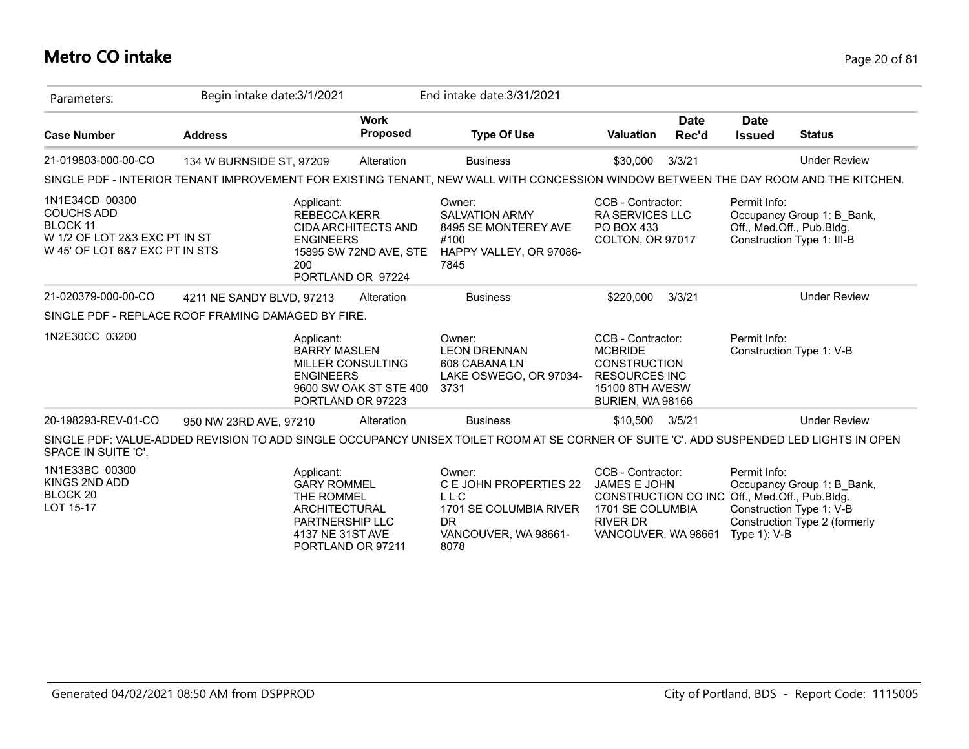# **Metro CO intake** Page 20 of 81

| Parameters:                                                                                                               | Begin intake date: 3/1/2021 |                                                                                                                      |                                                                           | End intake date: 3/31/2021                                                                                                              |                                                                                                                                                  |                      |                                 |                                                                                         |
|---------------------------------------------------------------------------------------------------------------------------|-----------------------------|----------------------------------------------------------------------------------------------------------------------|---------------------------------------------------------------------------|-----------------------------------------------------------------------------------------------------------------------------------------|--------------------------------------------------------------------------------------------------------------------------------------------------|----------------------|---------------------------------|-----------------------------------------------------------------------------------------|
| <b>Case Number</b>                                                                                                        | <b>Address</b>              |                                                                                                                      | <b>Work</b><br><b>Proposed</b>                                            | <b>Type Of Use</b>                                                                                                                      | <b>Valuation</b>                                                                                                                                 | <b>Date</b><br>Rec'd | <b>Date</b><br><b>Issued</b>    | <b>Status</b>                                                                           |
| 21-019803-000-00-CO                                                                                                       | 134 W BURNSIDE ST, 97209    |                                                                                                                      | Alteration                                                                | <b>Business</b>                                                                                                                         | \$30,000                                                                                                                                         | 3/3/21               |                                 | <b>Under Review</b>                                                                     |
|                                                                                                                           |                             |                                                                                                                      |                                                                           | SINGLE PDF - INTERIOR TENANT IMPROVEMENT FOR EXISTING TENANT, NEW WALL WITH CONCESSION WINDOW BETWEEN THE DAY ROOM AND THE KITCHEN.     |                                                                                                                                                  |                      |                                 |                                                                                         |
| 1N1E34CD 00300<br><b>COUCHS ADD</b><br><b>BLOCK 11</b><br>W 1/2 OF LOT 2&3 EXC PT IN ST<br>W 45' OF LOT 6&7 EXC PT IN STS |                             | Applicant:<br>REBECCA KERR<br><b>ENGINEERS</b><br>200                                                                | <b>CIDA ARCHITECTS AND</b><br>15895 SW 72ND AVE, STE<br>PORTLAND OR 97224 | Owner:<br><b>SALVATION ARMY</b><br>8495 SE MONTEREY AVE<br>#100<br>HAPPY VALLEY, OR 97086-<br>7845                                      | CCB - Contractor:<br><b>RA SERVICES LLC</b><br>PO BOX 433<br>COLTON, OR 97017                                                                    |                      | Permit Info:                    | Occupancy Group 1: B_Bank,<br>Off., Med.Off., Pub.Bldg.<br>Construction Type 1: III-B   |
| 21-020379-000-00-CO                                                                                                       | 4211 NE SANDY BLVD, 97213   |                                                                                                                      | Alteration                                                                | <b>Business</b>                                                                                                                         | \$220,000                                                                                                                                        | 3/3/21               |                                 | <b>Under Review</b>                                                                     |
| SINGLE PDF - REPLACE ROOF FRAMING DAMAGED BY FIRE.                                                                        |                             |                                                                                                                      |                                                                           |                                                                                                                                         |                                                                                                                                                  |                      |                                 |                                                                                         |
| 1N2E30CC 03200                                                                                                            |                             | Applicant:<br><b>BARRY MASLEN</b><br><b>ENGINEERS</b>                                                                | MILLER CONSULTING<br>9600 SW OAK ST STE 400<br>PORTLAND OR 97223          | Owner:<br><b>LEON DRENNAN</b><br>608 CABANA LN<br>LAKE OSWEGO, OR 97034-<br>3731                                                        | CCB - Contractor:<br><b>MCBRIDE</b><br><b>CONSTRUCTION</b><br><b>RESOURCES INC</b><br>15100 8TH AVESW<br>BURIEN, WA 98166                        |                      | Permit Info:                    | Construction Type 1: V-B                                                                |
| 20-198293-REV-01-CO                                                                                                       | 950 NW 23RD AVE, 97210      |                                                                                                                      | Alteration                                                                | <b>Business</b>                                                                                                                         | \$10,500                                                                                                                                         | 3/5/21               |                                 | <b>Under Review</b>                                                                     |
| SPACE IN SUITE 'C'.                                                                                                       |                             |                                                                                                                      |                                                                           | SINGLE PDF: VALUE-ADDED REVISION TO ADD SINGLE OCCUPANCY UNISEX TOILET ROOM AT SE CORNER OF SUITE 'C'. ADD SUSPENDED LED LIGHTS IN OPEN |                                                                                                                                                  |                      |                                 |                                                                                         |
| 1N1E33BC 00300<br>KINGS 2ND ADD<br>BLOCK 20<br>LOT 15-17                                                                  |                             | Applicant:<br><b>GARY ROMMEL</b><br>THE ROMMEL<br><b>ARCHITECTURAL</b><br><b>PARTNERSHIP LLC</b><br>4137 NE 31ST AVE | PORTLAND OR 97211                                                         | Owner:<br>C E JOHN PROPERTIES 22<br><b>LLC</b><br>1701 SE COLUMBIA RIVER<br><b>DR</b><br>VANCOUVER, WA 98661-<br>8078                   | CCB - Contractor:<br>JAMES E JOHN<br>CONSTRUCTION CO INC Off., Med.Off., Pub.Bldg.<br>1701 SE COLUMBIA<br><b>RIVER DR</b><br>VANCOUVER, WA 98661 |                      | Permit Info:<br>Type $1$ ): V-B | Occupancy Group 1: B_Bank,<br>Construction Type 1: V-B<br>Construction Type 2 (formerly |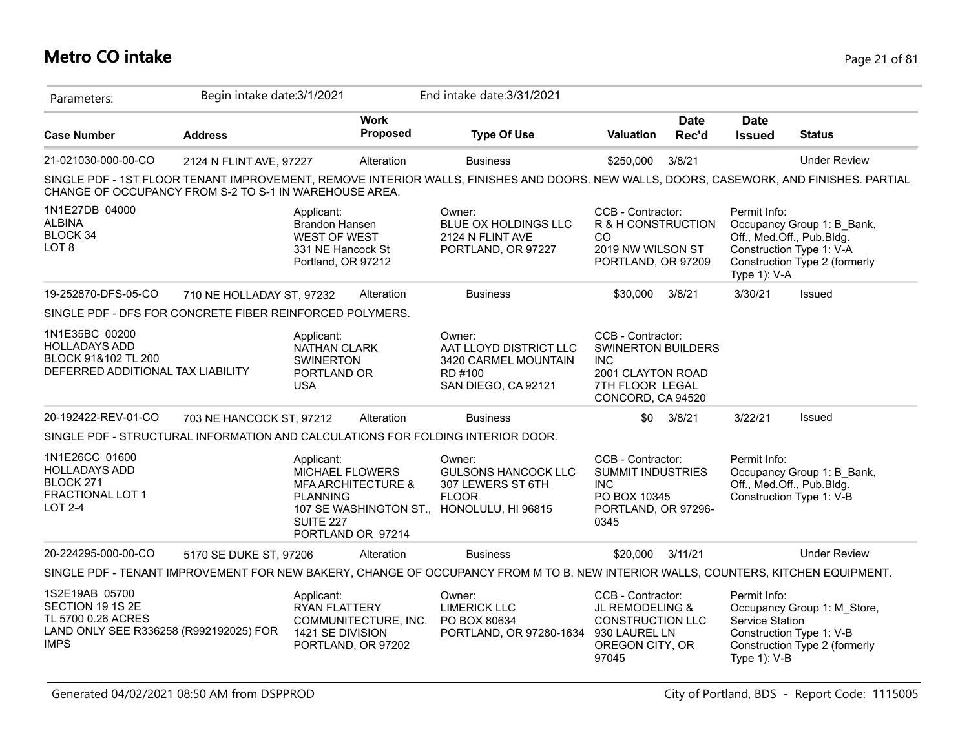## **Metro CO intake** Page 21 of 81

| Parameters:                                                                                                       | Begin intake date: 3/1/2021 |                                                                                                |                                                    | End intake date: 3/31/2021                                                                                                              |                                                                                                                           |                      |                                                           |                                                                                          |
|-------------------------------------------------------------------------------------------------------------------|-----------------------------|------------------------------------------------------------------------------------------------|----------------------------------------------------|-----------------------------------------------------------------------------------------------------------------------------------------|---------------------------------------------------------------------------------------------------------------------------|----------------------|-----------------------------------------------------------|------------------------------------------------------------------------------------------|
| <b>Case Number</b>                                                                                                | <b>Address</b>              |                                                                                                | <b>Work</b><br>Proposed                            | <b>Type Of Use</b>                                                                                                                      | <b>Valuation</b>                                                                                                          | <b>Date</b><br>Rec'd | <b>Date</b><br><b>Issued</b>                              | <b>Status</b>                                                                            |
| 21-021030-000-00-CO                                                                                               | 2124 N FLINT AVE, 97227     |                                                                                                | Alteration                                         | <b>Business</b>                                                                                                                         | \$250,000                                                                                                                 | 3/8/21               |                                                           | <b>Under Review</b>                                                                      |
| CHANGE OF OCCUPANCY FROM S-2 TO S-1 IN WAREHOUSE AREA.                                                            |                             |                                                                                                |                                                    | SINGLE PDF - 1ST FLOOR TENANT IMPROVEMENT, REMOVE INTERIOR WALLS, FINISHES AND DOORS. NEW WALLS, DOORS, CASEWORK, AND FINISHES. PARTIAL |                                                                                                                           |                      |                                                           |                                                                                          |
| 1N1E27DB 04000<br><b>ALBINA</b><br>BLOCK 34<br>LOT <sub>8</sub>                                                   |                             | Applicant:<br>Brandon Hansen<br><b>WEST OF WEST</b><br>331 NE Hancock St<br>Portland, OR 97212 |                                                    | Owner:<br>BLUE OX HOLDINGS LLC<br>2124 N FLINT AVE<br>PORTLAND, OR 97227                                                                | CCB - Contractor:<br>R & H CONSTRUCTION<br>CO<br>2019 NW WILSON ST<br>PORTLAND, OR 97209                                  |                      | Permit Info:<br>Off., Med.Off., Pub.Bldg.<br>Type 1): V-A | Occupancy Group 1: B_Bank,<br>Construction Type 1: V-A<br>Construction Type 2 (formerly  |
| 19-252870-DFS-05-CO                                                                                               | 710 NE HOLLADAY ST, 97232   |                                                                                                | Alteration                                         | <b>Business</b>                                                                                                                         | \$30,000                                                                                                                  | 3/8/21               | 3/30/21                                                   | Issued                                                                                   |
| SINGLE PDF - DFS FOR CONCRETE FIBER REINFORCED POLYMERS.                                                          |                             |                                                                                                |                                                    |                                                                                                                                         |                                                                                                                           |                      |                                                           |                                                                                          |
| 1N1E35BC 00200<br><b>HOLLADAYS ADD</b><br>BLOCK 91&102 TL 200<br>DEFERRED ADDITIONAL TAX LIABILITY                |                             | Applicant:<br><b>NATHAN CLARK</b><br><b>SWINERTON</b><br>PORTLAND OR<br><b>USA</b>             |                                                    | Owner:<br>AAT LLOYD DISTRICT LLC<br>3420 CARMEL MOUNTAIN<br>RD #100<br>SAN DIEGO, CA 92121                                              | CCB - Contractor:<br><b>SWINERTON BUILDERS</b><br><b>INC</b><br>2001 CLAYTON ROAD<br>7TH FLOOR LEGAL<br>CONCORD, CA 94520 |                      |                                                           |                                                                                          |
| 20-192422-REV-01-CO                                                                                               | 703 NE HANCOCK ST, 97212    |                                                                                                | Alteration                                         | <b>Business</b>                                                                                                                         | \$0                                                                                                                       | 3/8/21               | 3/22/21                                                   | Issued                                                                                   |
| SINGLE PDF - STRUCTURAL INFORMATION AND CALCULATIONS FOR FOLDING INTERIOR DOOR.                                   |                             |                                                                                                |                                                    |                                                                                                                                         |                                                                                                                           |                      |                                                           |                                                                                          |
| 1N1E26CC 01600<br><b>HOLLADAYS ADD</b><br>BLOCK 271<br>FRACTIONAL LOT 1<br><b>LOT 2-4</b>                         |                             | Applicant:<br><b>MICHAEL FLOWERS</b><br><b>PLANNING</b><br>SUITE 227                           | <b>MFA ARCHITECTURE &amp;</b><br>PORTLAND OR 97214 | Owner:<br><b>GULSONS HANCOCK LLC</b><br>307 LEWERS ST 6TH<br><b>FLOOR</b><br>107 SE WASHINGTON ST., HONOLULU, HI 96815                  | CCB - Contractor:<br><b>SUMMIT INDUSTRIES</b><br><b>INC</b><br>PO BOX 10345<br>PORTLAND, OR 97296-<br>0345                |                      | Permit Info:<br>Off., Med.Off., Pub.Bldg.                 | Occupancy Group 1: B_Bank,<br>Construction Type 1: V-B                                   |
| 20-224295-000-00-CO                                                                                               | 5170 SE DUKE ST, 97206      |                                                                                                | Alteration                                         | <b>Business</b>                                                                                                                         | \$20,000                                                                                                                  | 3/11/21              |                                                           | <b>Under Review</b>                                                                      |
|                                                                                                                   |                             |                                                                                                |                                                    | SINGLE PDF - TENANT IMPROVEMENT FOR NEW BAKERY, CHANGE OF OCCUPANCY FROM M TO B. NEW INTERIOR WALLS, COUNTERS, KITCHEN EQUIPMENT.       |                                                                                                                           |                      |                                                           |                                                                                          |
| 1S2E19AB 05700<br>SECTION 19 1S 2E<br>TL 5700 0.26 ACRES<br>LAND ONLY SEE R336258 (R992192025) FOR<br><b>IMPS</b> |                             | Applicant:<br>RYAN FLATTERY<br>1421 SE DIVISION                                                | COMMUNITECTURE, INC.<br>PORTLAND, OR 97202         | Owner:<br><b>LIMERICK LLC</b><br>PO BOX 80634<br>PORTLAND, OR 97280-1634 930 LAUREL LN                                                  | CCB - Contractor:<br>JL REMODELING &<br><b>CONSTRUCTION LLC</b><br>OREGON CITY, OR<br>97045                               |                      | Permit Info:<br>Service Station<br>Type 1): V-B           | Occupancy Group 1: M_Store,<br>Construction Type 1: V-B<br>Construction Type 2 (formerly |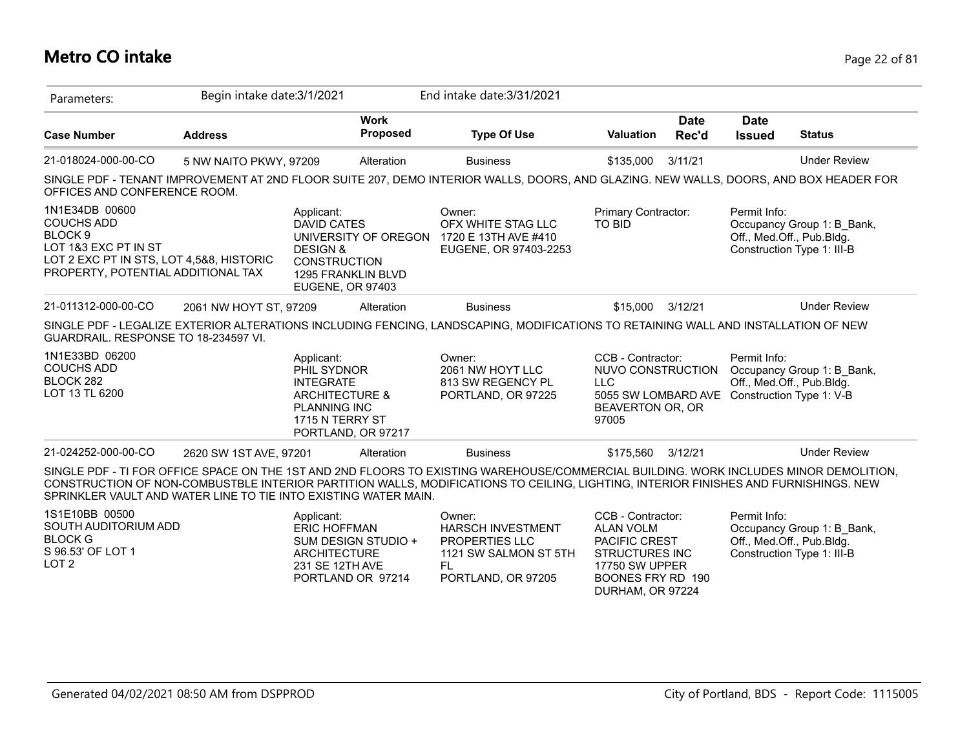## **Metro CO intake** Page 22 of 81

| Parameters:                                                                                                                                                         | Begin intake date: 3/1/2021 |                                                                                                                                            |                                | End intake date: 3/31/2021                                                                                                                                                                                                                                                   |                                                                                                                                                   |                      |                              |                                                                                       |
|---------------------------------------------------------------------------------------------------------------------------------------------------------------------|-----------------------------|--------------------------------------------------------------------------------------------------------------------------------------------|--------------------------------|------------------------------------------------------------------------------------------------------------------------------------------------------------------------------------------------------------------------------------------------------------------------------|---------------------------------------------------------------------------------------------------------------------------------------------------|----------------------|------------------------------|---------------------------------------------------------------------------------------|
| <b>Case Number</b>                                                                                                                                                  | <b>Address</b>              |                                                                                                                                            | <b>Work</b><br><b>Proposed</b> | <b>Type Of Use</b>                                                                                                                                                                                                                                                           | <b>Valuation</b>                                                                                                                                  | <b>Date</b><br>Rec'd | <b>Date</b><br><b>Issued</b> | <b>Status</b>                                                                         |
| 21-018024-000-00-CO                                                                                                                                                 | 5 NW NAITO PKWY, 97209      |                                                                                                                                            | Alteration                     | <b>Business</b>                                                                                                                                                                                                                                                              | \$135,000                                                                                                                                         | 3/11/21              |                              | <b>Under Review</b>                                                                   |
| OFFICES AND CONFERENCE ROOM.                                                                                                                                        |                             |                                                                                                                                            |                                | SINGLE PDF - TENANT IMPROVEMENT AT 2ND FLOOR SUITE 207, DEMO INTERIOR WALLS, DOORS, AND GLAZING. NEW WALLS, DOORS, AND BOX HEADER FOR                                                                                                                                        |                                                                                                                                                   |                      |                              |                                                                                       |
| 1N1E34DB 00600<br><b>COUCHS ADD</b><br>BLOCK <sub>9</sub><br>LOT 1&3 EXC PT IN ST<br>LOT 2 EXC PT IN STS, LOT 4,5&8, HISTORIC<br>PROPERTY, POTENTIAL ADDITIONAL TAX |                             | Applicant:<br><b>DAVID CATES</b><br><b>DESIGN &amp;</b><br><b>CONSTRUCTION</b><br><b>1295 FRANKLIN BLVD</b><br>EUGENE, OR 97403            | UNIVERSITY OF OREGON           | Owner:<br>OFX WHITE STAG LLC<br>1720 E 13TH AVE #410<br>EUGENE, OR 97403-2253                                                                                                                                                                                                | Primary Contractor:<br>TO BID                                                                                                                     |                      | Permit Info:                 | Occupancy Group 1: B Bank,<br>Off., Med.Off., Pub.Bldg.<br>Construction Type 1: III-B |
| 21-011312-000-00-CO                                                                                                                                                 | 2061 NW HOYT ST, 97209      |                                                                                                                                            | Alteration                     | <b>Business</b>                                                                                                                                                                                                                                                              | \$15,000                                                                                                                                          | 3/12/21              |                              | <b>Under Review</b>                                                                   |
| GUARDRAIL. RESPONSE TO 18-234597 VI.                                                                                                                                |                             |                                                                                                                                            |                                | SINGLE PDF - LEGALIZE EXTERIOR ALTERATIONS INCLUDING FENCING, LANDSCAPING, MODIFICATIONS TO RETAINING WALL AND INSTALLATION OF NEW                                                                                                                                           |                                                                                                                                                   |                      |                              |                                                                                       |
| 1N1E33BD 06200<br><b>COUCHS ADD</b><br>BLOCK 282<br>LOT 13 TL 6200                                                                                                  |                             | Applicant:<br>PHIL SYDNOR<br><b>INTEGRATE</b><br><b>ARCHITECTURE &amp;</b><br><b>PLANNING INC</b><br>1715 N TERRY ST<br>PORTLAND, OR 97217 |                                | Owner:<br>2061 NW HOYT LLC<br>813 SW REGENCY PL<br>PORTLAND, OR 97225                                                                                                                                                                                                        | CCB - Contractor:<br>NUVO CONSTRUCTION<br><b>LLC</b><br>5055 SW LOMBARD AVE Construction Type 1: V-B<br>BEAVERTON OR, OR<br>97005                 |                      | Permit Info:                 | Occupancy Group 1: B_Bank,<br>Off., Med.Off., Pub.Bldg.                               |
| 21-024252-000-00-CO                                                                                                                                                 | 2620 SW 1ST AVE, 97201      |                                                                                                                                            | Alteration                     | <b>Business</b>                                                                                                                                                                                                                                                              | \$175,560                                                                                                                                         | 3/12/21              |                              | <b>Under Review</b>                                                                   |
| SPRINKLER VAULT AND WATER LINE TO TIE INTO EXISTING WATER MAIN.                                                                                                     |                             |                                                                                                                                            |                                | SINGLE PDF - TI FOR OFFICE SPACE ON THE 1ST AND 2ND FLOORS TO EXISTING WAREHOUSE/COMMERCIAL BUILDING. WORK INCLUDES MINOR DEMOLITION,<br>CONSTRUCTION OF NON-COMBUSTBLE INTERIOR PARTITION WALLS, MODIFICATIONS TO CEILING, LIGHTING, INTERIOR FINISHES AND FURNISHINGS. NEW |                                                                                                                                                   |                      |                              |                                                                                       |
| 1S1E10BB 00500<br>SOUTH AUDITORIUM ADD<br><b>BLOCK G</b><br>S 96.53' OF LOT 1<br>LOT <sub>2</sub>                                                                   |                             | Applicant:<br><b>ERIC HOFFMAN</b><br><b>ARCHITECTURE</b><br>231 SE 12TH AVE<br>PORTLAND OR 97214                                           | SUM DESIGN STUDIO +            | Owner:<br><b>HARSCH INVESTMENT</b><br>PROPERTIES LLC<br>1121 SW SALMON ST 5TH<br>FL.<br>PORTLAND, OR 97205                                                                                                                                                                   | CCB - Contractor:<br><b>ALAN VOLM</b><br>PACIFIC CREST<br><b>STRUCTURES INC</b><br><b>17750 SW UPPER</b><br>BOONES FRY RD 190<br>DURHAM, OR 97224 |                      | Permit Info:                 | Occupancy Group 1: B_Bank,<br>Off., Med.Off., Pub.Bldg.<br>Construction Type 1: III-B |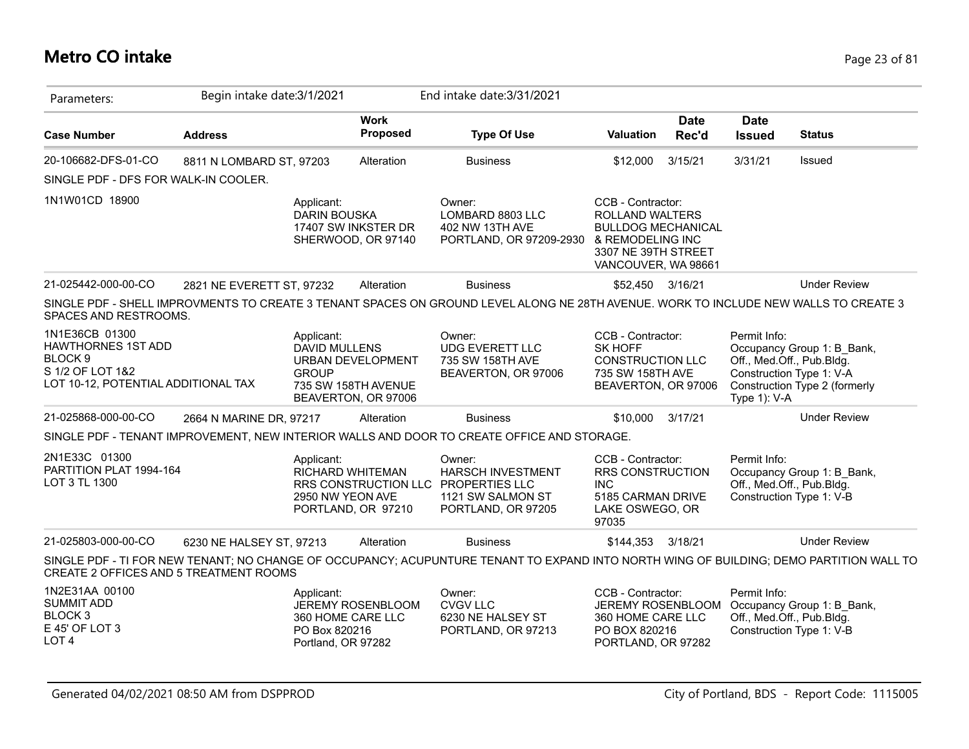#### **Metro CO intake** Page 23 of 81

| Parameters:                                                                                                                  | Begin intake date: 3/1/2021 |                                                                        |                                                                        | End intake date: 3/31/2021                                                                                                              |                                                                                                                        |                      |                              |                                                                                                                      |
|------------------------------------------------------------------------------------------------------------------------------|-----------------------------|------------------------------------------------------------------------|------------------------------------------------------------------------|-----------------------------------------------------------------------------------------------------------------------------------------|------------------------------------------------------------------------------------------------------------------------|----------------------|------------------------------|----------------------------------------------------------------------------------------------------------------------|
| <b>Case Number</b>                                                                                                           | <b>Address</b>              |                                                                        | <b>Work</b><br><b>Proposed</b>                                         | <b>Type Of Use</b>                                                                                                                      | <b>Valuation</b>                                                                                                       | <b>Date</b><br>Rec'd | <b>Date</b><br><b>Issued</b> | <b>Status</b>                                                                                                        |
| 20-106682-DFS-01-CO                                                                                                          | 8811 N LOMBARD ST, 97203    |                                                                        | Alteration                                                             | <b>Business</b>                                                                                                                         | \$12,000                                                                                                               | 3/15/21              | 3/31/21                      | Issued                                                                                                               |
| SINGLE PDF - DFS FOR WALK-IN COOLER.                                                                                         |                             |                                                                        |                                                                        |                                                                                                                                         |                                                                                                                        |                      |                              |                                                                                                                      |
| 1N1W01CD 18900                                                                                                               |                             | Applicant:<br><b>DARIN BOUSKA</b>                                      | 17407 SW INKSTER DR<br>SHERWOOD, OR 97140                              | Owner:<br>LOMBARD 8803 LLC<br>402 NW 13TH AVE<br>PORTLAND, OR 97209-2930 & REMODELING INC                                               | CCB - Contractor:<br><b>ROLLAND WALTERS</b><br><b>BULLDOG MECHANICAL</b><br>3307 NE 39TH STREET<br>VANCOUVER, WA 98661 |                      |                              |                                                                                                                      |
| 21-025442-000-00-CO                                                                                                          | 2821 NE EVERETT ST, 97232   |                                                                        | Alteration                                                             | <b>Business</b>                                                                                                                         | \$52,450 3/16/21                                                                                                       |                      |                              | <b>Under Review</b>                                                                                                  |
| SPACES AND RESTROOMS.                                                                                                        |                             |                                                                        |                                                                        | SINGLE PDF - SHELL IMPROVMENTS TO CREATE 3 TENANT SPACES ON GROUND LEVEL ALONG NE 28TH AVENUE. WORK TO INCLUDE NEW WALLS TO CREATE 3    |                                                                                                                        |                      |                              |                                                                                                                      |
| 1N1E36CB 01300<br><b>HAWTHORNES 1ST ADD</b><br>BLOCK <sub>9</sub><br>S 1/2 OF LOT 1&2<br>LOT 10-12, POTENTIAL ADDITIONAL TAX |                             | Applicant:<br>DAVID MULLENS<br><b>GROUP</b>                            | <b>URBAN DEVELOPMENT</b><br>735 SW 158TH AVENUE<br>BEAVERTON, OR 97006 | Owner:<br><b>UDG EVERETT LLC</b><br>735 SW 158TH AVE<br>BEAVERTON, OR 97006                                                             | CCB - Contractor:<br>SK HOFF<br><b>CONSTRUCTION LLC</b><br>735 SW 158TH AVE<br>BEAVERTON, OR 97006                     |                      | Permit Info:<br>Type 1): V-A | Occupancy Group 1: B_Bank,<br>Off., Med.Off., Pub.Bldg.<br>Construction Type 1: V-A<br>Construction Type 2 (formerly |
| 21-025868-000-00-CO                                                                                                          | 2664 N MARINE DR, 97217     |                                                                        | Alteration                                                             | <b>Business</b>                                                                                                                         | \$10,000                                                                                                               | 3/17/21              |                              | <b>Under Review</b>                                                                                                  |
|                                                                                                                              |                             |                                                                        |                                                                        | SINGLE PDF - TENANT IMPROVEMENT, NEW INTERIOR WALLS AND DOOR TO CREATE OFFICE AND STORAGE.                                              |                                                                                                                        |                      |                              |                                                                                                                      |
| 2N1E33C 01300<br>PARTITION PLAT 1994-164<br>LOT 3 TL 1300                                                                    |                             | Applicant:<br>RICHARD WHITEMAN<br>2950 NW YEON AVE                     | RRS CONSTRUCTION LLC<br>PORTLAND, OR 97210                             | Owner:<br><b>HARSCH INVESTMENT</b><br><b>PROPERTIES LLC</b><br>1121 SW SALMON ST<br>PORTLAND, OR 97205                                  | CCB - Contractor:<br><b>RRS CONSTRUCTION</b><br><b>INC</b><br>5185 CARMAN DRIVE<br>LAKE OSWEGO, OR<br>97035            |                      | Permit Info:                 | Occupancy Group 1: B Bank,<br>Off., Med.Off., Pub.Bldg.<br>Construction Type 1: V-B                                  |
| 21-025803-000-00-CO                                                                                                          | 6230 NE HALSEY ST, 97213    |                                                                        | Alteration                                                             | <b>Business</b>                                                                                                                         | \$144,353 3/18/21                                                                                                      |                      |                              | <b>Under Review</b>                                                                                                  |
| CREATE 2 OFFICES AND 5 TREATMENT ROOMS                                                                                       |                             |                                                                        |                                                                        | SINGLE PDF - TI FOR NEW TENANT; NO CHANGE OF OCCUPANCY; ACUPUNTURE TENANT TO EXPAND INTO NORTH WING OF BUILDING; DEMO PARTITION WALL TO |                                                                                                                        |                      |                              |                                                                                                                      |
| 1N2E31AA 00100<br><b>SUMMIT ADD</b><br>BLOCK <sub>3</sub><br>E 45' OF LOT 3<br>LOT <sub>4</sub>                              |                             | Applicant:<br>360 HOME CARE LLC<br>PO Box 820216<br>Portland, OR 97282 | JEREMY ROSENBLOOM                                                      | Owner:<br><b>CVGV LLC</b><br>6230 NE HALSEY ST<br>PORTLAND, OR 97213                                                                    | CCB - Contractor:<br>JEREMY ROSENBLOOM<br>360 HOME CARE LLC<br>PO BOX 820216<br>PORTLAND, OR 97282                     |                      | Permit Info:                 | Occupancy Group 1: B_Bank,<br>Off., Med.Off., Pub.Bldg.<br>Construction Type 1: V-B                                  |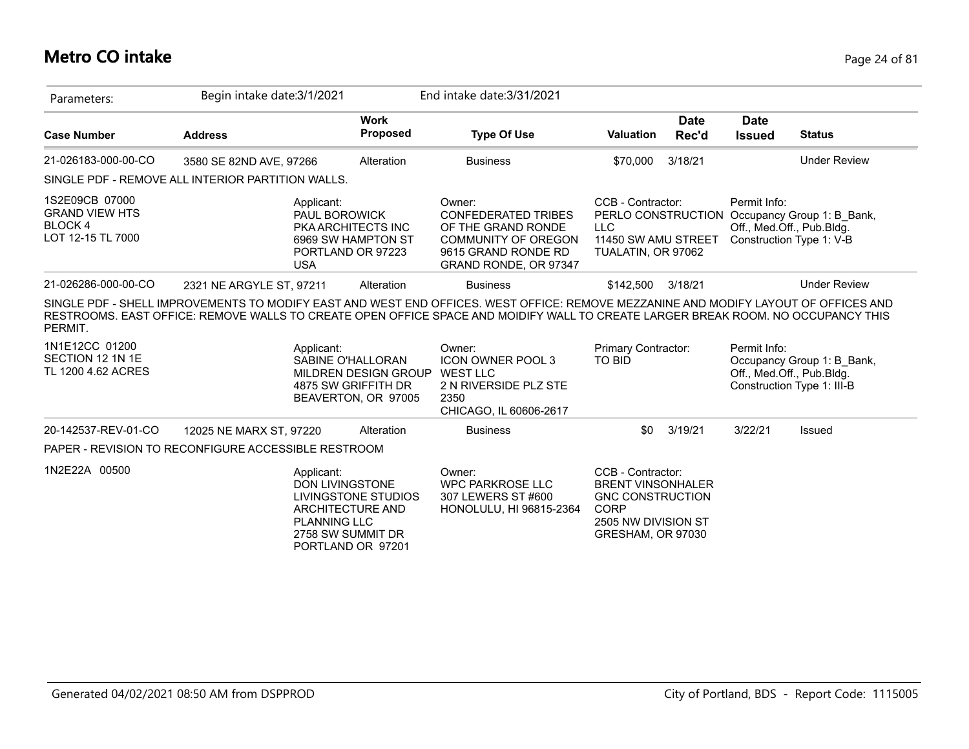## **Metro CO intake** Page 24 of 81

| Parameters:                                                                   | Begin intake date: 3/1/2021                                                                                                                                                                                                                                             |                                                                                                                             | End intake date: 3/31/2021                                                                                                        |                                                                                                                                     |                      |                              |                                                                                                        |
|-------------------------------------------------------------------------------|-------------------------------------------------------------------------------------------------------------------------------------------------------------------------------------------------------------------------------------------------------------------------|-----------------------------------------------------------------------------------------------------------------------------|-----------------------------------------------------------------------------------------------------------------------------------|-------------------------------------------------------------------------------------------------------------------------------------|----------------------|------------------------------|--------------------------------------------------------------------------------------------------------|
| <b>Case Number</b>                                                            | <b>Address</b>                                                                                                                                                                                                                                                          | <b>Work</b><br><b>Proposed</b>                                                                                              | <b>Type Of Use</b>                                                                                                                | <b>Valuation</b>                                                                                                                    | <b>Date</b><br>Rec'd | <b>Date</b><br><b>Issued</b> | <b>Status</b>                                                                                          |
| 21-026183-000-00-CO                                                           | 3580 SE 82ND AVE, 97266                                                                                                                                                                                                                                                 | Alteration                                                                                                                  | <b>Business</b>                                                                                                                   | \$70,000                                                                                                                            | 3/18/21              |                              | <b>Under Review</b>                                                                                    |
|                                                                               | SINGLE PDF - REMOVE ALL INTERIOR PARTITION WALLS.                                                                                                                                                                                                                       |                                                                                                                             |                                                                                                                                   |                                                                                                                                     |                      |                              |                                                                                                        |
| 1S2E09CB 07000<br><b>GRAND VIEW HTS</b><br><b>BLOCK4</b><br>LOT 12-15 TL 7000 | Applicant:<br><b>USA</b>                                                                                                                                                                                                                                                | PAUL BOROWICK<br><b>PKA ARCHITECTS INC</b><br>6969 SW HAMPTON ST<br>PORTLAND OR 97223                                       | Owner:<br><b>CONFEDERATED TRIBES</b><br>OF THE GRAND RONDE<br>COMMUNITY OF OREGON<br>9615 GRAND RONDE RD<br>GRAND RONDE, OR 97347 | CCB - Contractor:<br><b>LLC</b><br>11450 SW AMU STREET<br>TUALATIN, OR 97062                                                        |                      | Permit Info:                 | PERLO CONSTRUCTION Occupancy Group 1: B_Bank,<br>Off., Med.Off., Pub.Bldg.<br>Construction Type 1: V-B |
| 21-026286-000-00-CO                                                           | 2321 NE ARGYLE ST, 97211                                                                                                                                                                                                                                                | Alteration                                                                                                                  | <b>Business</b>                                                                                                                   | \$142.500                                                                                                                           | 3/18/21              |                              | <b>Under Review</b>                                                                                    |
| PERMIT.                                                                       | SINGLE PDF - SHELL IMPROVEMENTS TO MODIFY EAST AND WEST END OFFICES. WEST OFFICE: REMOVE MEZZANINE AND MODIFY LAYOUT OF OFFICES AND<br>RESTROOMS. EAST OFFICE: REMOVE WALLS TO CREATE OPEN OFFICE SPACE AND MOIDIFY WALL TO CREATE LARGER BREAK ROOM. NO OCCUPANCY THIS |                                                                                                                             |                                                                                                                                   |                                                                                                                                     |                      |                              |                                                                                                        |
| 1N1E12CC 01200<br>SECTION 12 1N 1E<br>TL 1200 4.62 ACRES                      | Applicant:                                                                                                                                                                                                                                                              | SABINE O'HALLORAN<br>MILDREN DESIGN GROUP<br>4875 SW GRIFFITH DR<br>BEAVERTON, OR 97005                                     | Owner:<br><b>ICON OWNER POOL 3</b><br><b>WEST LLC</b><br>2 N RIVERSIDE PLZ STE<br>2350<br>CHICAGO, IL 60606-2617                  | <b>Primary Contractor:</b><br><b>TO BID</b>                                                                                         |                      | Permit Info:                 | Occupancy Group 1: B Bank,<br>Off., Med.Off., Pub.Bldg.<br>Construction Type 1: III-B                  |
| 20-142537-REV-01-CO                                                           | 12025 NE MARX ST, 97220                                                                                                                                                                                                                                                 | Alteration                                                                                                                  | <b>Business</b>                                                                                                                   | \$0                                                                                                                                 | 3/19/21              | 3/22/21                      | Issued                                                                                                 |
|                                                                               | PAPER - REVISION TO RECONFIGURE ACCESSIBLE RESTROOM                                                                                                                                                                                                                     |                                                                                                                             |                                                                                                                                   |                                                                                                                                     |                      |                              |                                                                                                        |
| 1N2E22A 00500                                                                 | Applicant:                                                                                                                                                                                                                                                              | DON LIVINGSTONE<br>LIVINGSTONE STUDIOS<br>ARCHITECTURE AND<br><b>PLANNING LLC</b><br>2758 SW SUMMIT DR<br>PORTLAND OR 97201 | Owner:<br><b>WPC PARKROSE LLC</b><br>307 LEWERS ST #600<br>HONOLULU, HI 96815-2364                                                | CCB - Contractor:<br><b>BRENT VINSONHALER</b><br><b>GNC CONSTRUCTION</b><br><b>CORP</b><br>2505 NW DIVISION ST<br>GRESHAM, OR 97030 |                      |                              |                                                                                                        |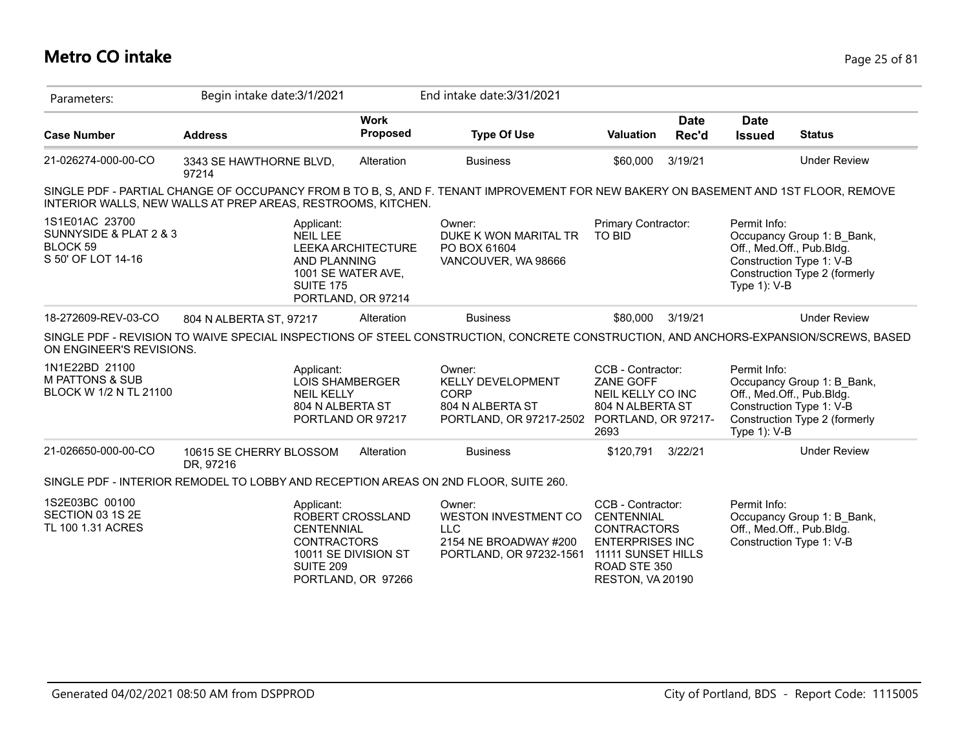## **Metro CO intake** Page 25 of 81

| Parameters:                                                                       | Begin intake date: 3/1/2021                                                                                                                                                                         |                                                                | End intake date: 3/31/2021                                                                       |                                                                                                                                           |               |                                 |                                                                                                                      |
|-----------------------------------------------------------------------------------|-----------------------------------------------------------------------------------------------------------------------------------------------------------------------------------------------------|----------------------------------------------------------------|--------------------------------------------------------------------------------------------------|-------------------------------------------------------------------------------------------------------------------------------------------|---------------|---------------------------------|----------------------------------------------------------------------------------------------------------------------|
| <b>Case Number</b>                                                                | <b>Address</b>                                                                                                                                                                                      | <b>Work</b><br>Proposed                                        | <b>Type Of Use</b>                                                                               | <b>Valuation</b>                                                                                                                          | Date<br>Rec'd | <b>Date</b><br><b>Issued</b>    | <b>Status</b>                                                                                                        |
| 21-026274-000-00-CO                                                               | 3343 SE HAWTHORNE BLVD,<br>97214                                                                                                                                                                    | Alteration                                                     | <b>Business</b>                                                                                  | \$60,000                                                                                                                                  | 3/19/21       |                                 | <b>Under Review</b>                                                                                                  |
|                                                                                   | SINGLE PDF - PARTIAL CHANGE OF OCCUPANCY FROM B TO B, S, AND F. TENANT IMPROVEMENT FOR NEW BAKERY ON BASEMENT AND 1ST FLOOR, REMOVE<br>INTERIOR WALLS, NEW WALLS AT PREP AREAS, RESTROOMS, KITCHEN. |                                                                |                                                                                                  |                                                                                                                                           |               |                                 |                                                                                                                      |
| 1S1E01AC 23700<br>SUNNYSIDE & PLAT 2 & 3<br><b>BLOCK 59</b><br>S 50' OF LOT 14-16 | Applicant:<br><b>NEIL LEE</b><br><b>AND PLANNING</b><br><b>SUITE 175</b>                                                                                                                            | LEEKA ARCHITECTURE<br>1001 SE WATER AVE,<br>PORTLAND, OR 97214 | Owner:<br>DUKE K WON MARITAL TR<br>PO BOX 61604<br>VANCOUVER, WA 98666                           | Primary Contractor:<br><b>TO BID</b>                                                                                                      |               | Permit Info:<br>Type 1): V-B    | Occupancy Group 1: B_Bank,<br>Off., Med.Off., Pub.Bldg.<br>Construction Type 1: V-B<br>Construction Type 2 (formerly |
| 18-272609-REV-03-CO                                                               | 804 N ALBERTA ST. 97217                                                                                                                                                                             | Alteration                                                     | <b>Business</b>                                                                                  | \$80,000                                                                                                                                  | 3/19/21       |                                 | <b>Under Review</b>                                                                                                  |
| ON ENGINEER'S REVISIONS.                                                          | SINGLE PDF - REVISION TO WAIVE SPECIAL INSPECTIONS OF STEEL CONSTRUCTION, CONCRETE CONSTRUCTION, AND ANCHORS-EXPANSION/SCREWS, BASED                                                                |                                                                |                                                                                                  |                                                                                                                                           |               |                                 |                                                                                                                      |
| 1N1E22BD 21100<br><b>M PATTONS &amp; SUB</b><br>BLOCK W 1/2 N TL 21100            | Applicant:<br><b>LOIS SHAMBERGER</b><br><b>NEIL KELLY</b><br>804 N ALBERTA ST                                                                                                                       | PORTLAND OR 97217                                              | Owner:<br><b>KELLY DEVELOPMENT</b><br><b>CORP</b><br>804 N ALBERTA ST<br>PORTLAND, OR 97217-2502 | CCB - Contractor:<br>ZANE GOFF<br>NEIL KELLY CO INC<br>804 N ALBERTA ST<br>PORTLAND, OR 97217-<br>2693                                    |               | Permit Info:<br>Type $1$ ): V-B | Occupancy Group 1: B Bank,<br>Off., Med.Off., Pub.Bldg.<br>Construction Type 1: V-B<br>Construction Type 2 (formerly |
| 21-026650-000-00-CO                                                               | 10615 SE CHERRY BLOSSOM<br>DR, 97216                                                                                                                                                                | Alteration                                                     | <b>Business</b>                                                                                  | \$120,791                                                                                                                                 | 3/22/21       |                                 | <b>Under Review</b>                                                                                                  |
|                                                                                   | SINGLE PDF - INTERIOR REMODEL TO LOBBY AND RECEPTION AREAS ON 2ND FLOOR, SUITE 260.                                                                                                                 |                                                                |                                                                                                  |                                                                                                                                           |               |                                 |                                                                                                                      |
| 1S2E03BC 00100<br>SECTION 03 1S 2E<br>TL 100 1.31 ACRES                           | Applicant:<br><b>CENTENNIAL</b><br><b>CONTRACTORS</b><br><b>SUITE 209</b>                                                                                                                           | ROBERT CROSSLAND<br>10011 SE DIVISION ST<br>PORTLAND, OR 97266 | Owner:<br>WESTON INVESTMENT CO<br><b>LLC</b><br>2154 NE BROADWAY #200<br>PORTLAND, OR 97232-1561 | CCB - Contractor:<br>CENTENNIAL<br><b>CONTRACTORS</b><br><b>ENTERPRISES INC</b><br>11111 SUNSET HILLS<br>ROAD STE 350<br>RESTON, VA 20190 |               | Permit Info:                    | Occupancy Group 1: B Bank,<br>Off., Med.Off., Pub.Bldg.<br>Construction Type 1: V-B                                  |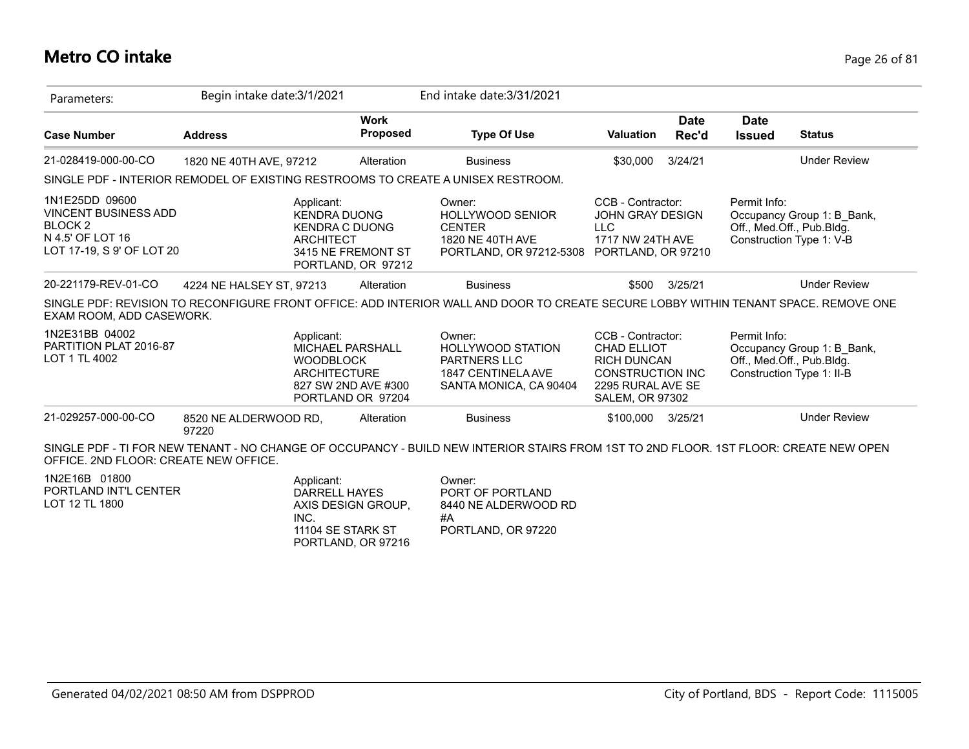#### **Metro CO intake** Page 26 of 81

| Parameters:                                                                                                          | Begin intake date: 3/1/2021    |                                                                                                |                                          | End intake date: 3/31/2021                                                                                                            |                                                                                                                           |                      |                              |                                                                                      |
|----------------------------------------------------------------------------------------------------------------------|--------------------------------|------------------------------------------------------------------------------------------------|------------------------------------------|---------------------------------------------------------------------------------------------------------------------------------------|---------------------------------------------------------------------------------------------------------------------------|----------------------|------------------------------|--------------------------------------------------------------------------------------|
| <b>Case Number</b>                                                                                                   | <b>Address</b>                 |                                                                                                | <b>Work</b><br><b>Proposed</b>           | <b>Type Of Use</b>                                                                                                                    | <b>Valuation</b>                                                                                                          | <b>Date</b><br>Rec'd | <b>Date</b><br><b>Issued</b> | <b>Status</b>                                                                        |
| 21-028419-000-00-CO                                                                                                  | 1820 NE 40TH AVE, 97212        |                                                                                                | Alteration                               | <b>Business</b>                                                                                                                       | \$30,000                                                                                                                  | 3/24/21              |                              | <b>Under Review</b>                                                                  |
|                                                                                                                      |                                |                                                                                                |                                          | SINGLE PDF - INTERIOR REMODEL OF EXISTING RESTROOMS TO CREATE A UNISEX RESTROOM.                                                      |                                                                                                                           |                      |                              |                                                                                      |
| 1N1E25DD 09600<br><b>VINCENT BUSINESS ADD</b><br>BLOCK <sub>2</sub><br>N 4.5' OF LOT 16<br>LOT 17-19, S 9' OF LOT 20 |                                | Applicant:<br><b>KENDRA DUONG</b><br><b>KENDRA C DUONG</b><br><b>ARCHITECT</b>                 | 3415 NE FREMONT ST<br>PORTLAND, OR 97212 | Owner:<br><b>HOLLYWOOD SENIOR</b><br><b>CENTER</b><br>1820 NE 40TH AVE<br>PORTLAND, OR 97212-5308                                     | CCB - Contractor:<br><b>JOHN GRAY DESIGN</b><br><b>LLC</b><br>1717 NW 24TH AVE<br>PORTLAND, OR 97210                      |                      | Permit Info:                 | Occupancy Group 1: B_Bank,<br>Off., Med.Off., Pub.Bldg.<br>Construction Type 1: V-B  |
| 20-221179-REV-01-CO                                                                                                  | 4224 NE HALSEY ST, 97213       |                                                                                                | Alteration                               | <b>Business</b>                                                                                                                       |                                                                                                                           | \$500 3/25/21        |                              | <b>Under Review</b>                                                                  |
| EXAM ROOM, ADD CASEWORK.                                                                                             |                                |                                                                                                |                                          | SINGLE PDF: REVISION TO RECONFIGURE FRONT OFFICE: ADD INTERIOR WALL AND DOOR TO CREATE SECURE LOBBY WITHIN TENANT SPACE. REMOVE ONE   |                                                                                                                           |                      |                              |                                                                                      |
| 1N2E31BB 04002<br>PARTITION PLAT 2016-87<br>LOT 1 TL 4002                                                            |                                | Applicant:<br>MICHAEL PARSHALL<br><b>WOODBLOCK</b><br><b>ARCHITECTURE</b><br>PORTLAND OR 97204 | 827 SW 2ND AVE #300                      | Owner:<br><b>HOLLYWOOD STATION</b><br><b>PARTNERS LLC</b><br>1847 CENTINELA AVE<br>SANTA MONICA, CA 90404                             | CCB - Contractor:<br>CHAD ELLIOT<br><b>RICH DUNCAN</b><br>CONSTRUCTION INC<br>2295 RURAL AVE SE<br><b>SALEM, OR 97302</b> |                      | Permit Info:                 | Occupancy Group 1: B_Bank,<br>Off., Med.Off., Pub.Bldg.<br>Construction Type 1: II-B |
| 21-029257-000-00-CO                                                                                                  | 8520 NE ALDERWOOD RD,<br>97220 |                                                                                                | Alteration                               | <b>Business</b>                                                                                                                       | \$100,000 3/25/21                                                                                                         |                      |                              | <b>Under Review</b>                                                                  |
| OFFICE, 2ND FLOOR: CREATE NEW OFFICE.                                                                                |                                |                                                                                                |                                          | SINGLE PDF - TI FOR NEW TENANT - NO CHANGE OF OCCUPANCY - BUILD NEW INTERIOR STAIRS FROM 1ST TO 2ND FLOOR. 1ST FLOOR: CREATE NEW OPEN |                                                                                                                           |                      |                              |                                                                                      |
| 1N2E16B 01800<br>PORTLAND INT'L CENTER<br>LOT 12 TL 1800                                                             |                                | Applicant:<br><b>DARRELL HAYES</b><br>INC.<br>11104 SE STARK ST                                | AXIS DESIGN GROUP,                       | Owner:<br>PORT OF PORTLAND<br>8440 NE ALDERWOOD RD<br>#A<br>PORTLAND, OR 97220                                                        |                                                                                                                           |                      |                              |                                                                                      |

PORTLAND, OR 97216

PORTLAND, OR 97220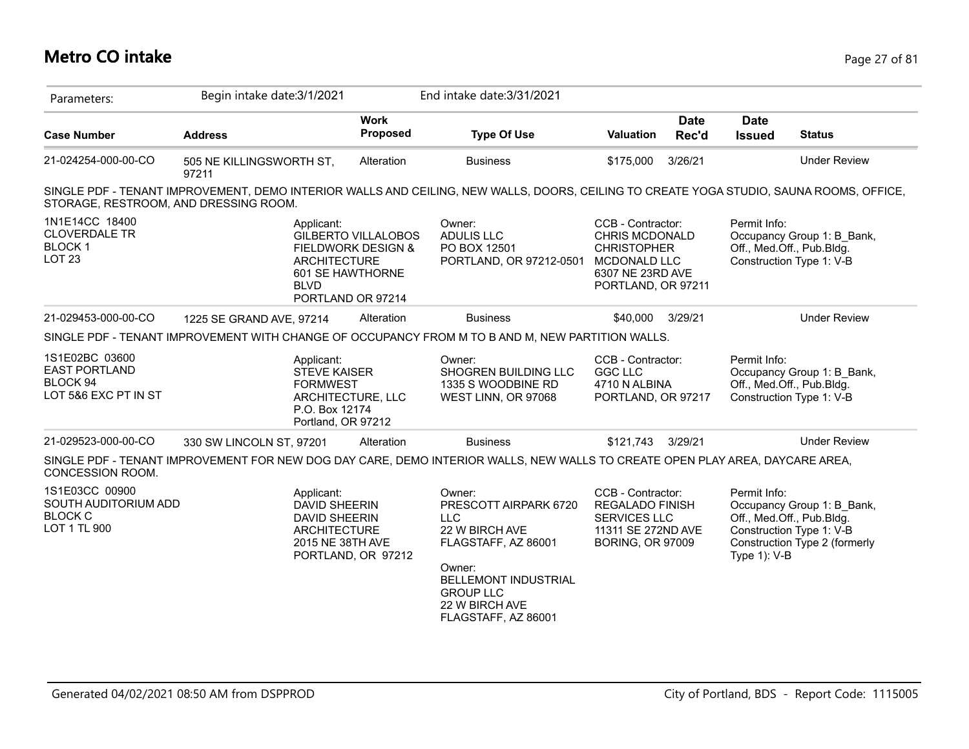## **Metro CO intake** Page 27 of 81

| Parameters:                                                                | Begin intake date: 3/1/2021                                                                                                             |                                                                                                      | End intake date: 3/31/2021                                                                                                                                                                   |                                                                                                                            |                      |                              |                                                                                                                      |
|----------------------------------------------------------------------------|-----------------------------------------------------------------------------------------------------------------------------------------|------------------------------------------------------------------------------------------------------|----------------------------------------------------------------------------------------------------------------------------------------------------------------------------------------------|----------------------------------------------------------------------------------------------------------------------------|----------------------|------------------------------|----------------------------------------------------------------------------------------------------------------------|
| <b>Case Number</b>                                                         | <b>Address</b>                                                                                                                          | <b>Work</b><br><b>Proposed</b>                                                                       | <b>Type Of Use</b>                                                                                                                                                                           | <b>Valuation</b>                                                                                                           | <b>Date</b><br>Rec'd | <b>Date</b><br><b>Issued</b> | <b>Status</b>                                                                                                        |
| 21-024254-000-00-CO                                                        | 505 NE KILLINGSWORTH ST,<br>97211                                                                                                       | Alteration                                                                                           | <b>Business</b>                                                                                                                                                                              | \$175,000                                                                                                                  | 3/26/21              |                              | <b>Under Review</b>                                                                                                  |
| STORAGE, RESTROOM, AND DRESSING ROOM.                                      | SINGLE PDF - TENANT IMPROVEMENT, DEMO INTERIOR WALLS AND CEILING, NEW WALLS, DOORS, CEILING TO CREATE YOGA STUDIO, SAUNA ROOMS, OFFICE, |                                                                                                      |                                                                                                                                                                                              |                                                                                                                            |                      |                              |                                                                                                                      |
| 1N1E14CC 18400<br><b>CLOVERDALE TR</b><br><b>BLOCK1</b><br><b>LOT 23</b>   | Applicant:<br><b>ARCHITECTURE</b><br><b>BLVD</b>                                                                                        | <b>GILBERTO VILLALOBOS</b><br><b>FIELDWORK DESIGN &amp;</b><br>601 SE HAWTHORNE<br>PORTLAND OR 97214 | Owner:<br><b>ADULIS LLC</b><br>PO BOX 12501<br>PORTLAND, OR 97212-0501                                                                                                                       | CCB - Contractor:<br><b>CHRIS MCDONALD</b><br><b>CHRISTOPHER</b><br>MCDONALD LLC<br>6307 NE 23RD AVE<br>PORTLAND, OR 97211 |                      | Permit Info:                 | Occupancy Group 1: B Bank,<br>Off., Med.Off., Pub.Bldg.<br>Construction Type 1: V-B                                  |
| 21-029453-000-00-CO                                                        | 1225 SE GRAND AVE, 97214                                                                                                                | Alteration                                                                                           | <b>Business</b>                                                                                                                                                                              | \$40,000                                                                                                                   | 3/29/21              |                              | <b>Under Review</b>                                                                                                  |
|                                                                            | SINGLE PDF - TENANT IMPROVEMENT WITH CHANGE OF OCCUPANCY FROM M TO B AND M, NEW PARTITION WALLS.                                        |                                                                                                      |                                                                                                                                                                                              |                                                                                                                            |                      |                              |                                                                                                                      |
| 1S1E02BC 03600<br><b>EAST PORTLAND</b><br>BLOCK 94<br>LOT 5&6 EXC PT IN ST | Applicant:<br><b>STEVE KAISER</b><br><b>FORMWEST</b><br>P.O. Box 12174<br>Portland, OR 97212                                            | ARCHITECTURE, LLC                                                                                    | Owner:<br>SHOGREN BUILDING LLC<br>1335 S WOODBINE RD<br>WEST LINN, OR 97068                                                                                                                  | CCB - Contractor:<br><b>GGC LLC</b><br>4710 N ALBINA<br>PORTLAND, OR 97217                                                 |                      | Permit Info:                 | Occupancy Group 1: B Bank,<br>Off., Med.Off., Pub.Bldg.<br>Construction Type 1: V-B                                  |
| 21-029523-000-00-CO                                                        | 330 SW LINCOLN ST, 97201                                                                                                                | Alteration                                                                                           | <b>Business</b>                                                                                                                                                                              | \$121,743                                                                                                                  | 3/29/21              |                              | <b>Under Review</b>                                                                                                  |
| CONCESSION ROOM.                                                           | SINGLE PDF - TENANT IMPROVEMENT FOR NEW DOG DAY CARE, DEMO INTERIOR WALLS, NEW WALLS TO CREATE OPEN PLAY AREA, DAYCARE AREA,            |                                                                                                      |                                                                                                                                                                                              |                                                                                                                            |                      |                              |                                                                                                                      |
| 1S1E03CC 00900<br>SOUTH AUDITORIUM ADD<br><b>BLOCK C</b><br>LOT 1 TL 900   | Applicant:<br><b>DAVID SHEERIN</b><br>DAVID SHEERIN<br>ARCHITECTURE<br>2015 NE 38TH AVE                                                 | PORTLAND, OR 97212                                                                                   | Owner:<br>PRESCOTT AIRPARK 6720<br><b>LLC</b><br>22 W BIRCH AVE<br>FLAGSTAFF, AZ 86001<br>Owner:<br><b>BELLEMONT INDUSTRIAL</b><br><b>GROUP LLC</b><br>22 W BIRCH AVE<br>FLAGSTAFF, AZ 86001 | CCB - Contractor:<br><b>REGALADO FINISH</b><br><b>SERVICES LLC</b><br>11311 SE 272ND AVE<br><b>BORING, OR 97009</b>        |                      | Permit Info:<br>Type 1): V-B | Occupancy Group 1: B Bank,<br>Off., Med.Off., Pub.Bldg.<br>Construction Type 1: V-B<br>Construction Type 2 (formerly |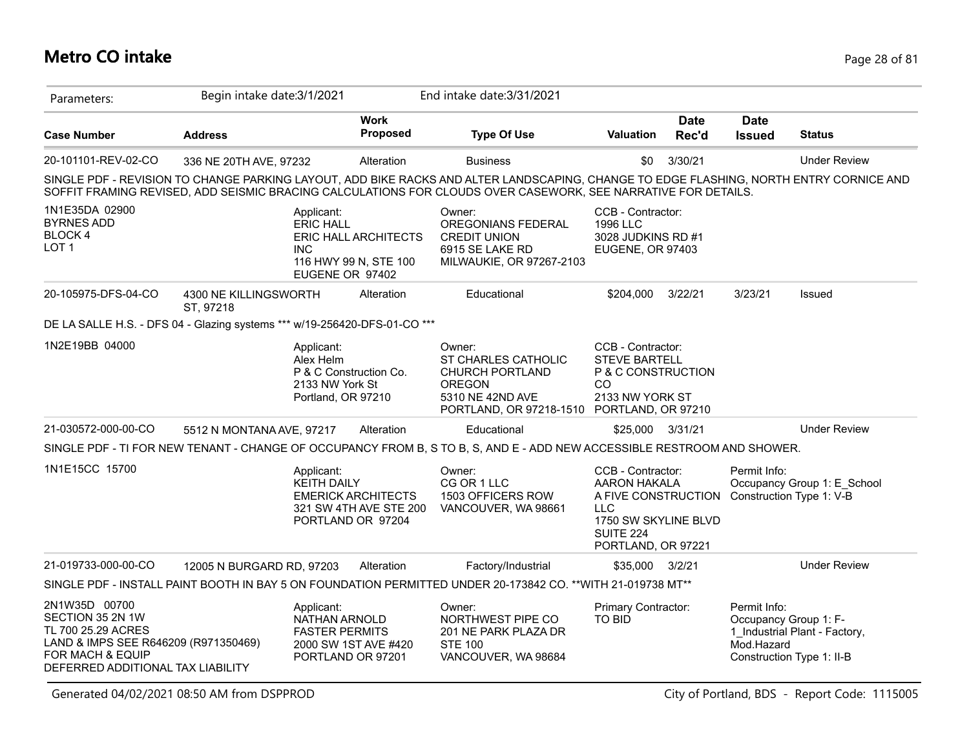## **Metro CO intake** Page 28 of 81

| Parameters:                                                                                                                                              | Begin intake date: 3/1/2021        |                                                                                            |                                                                          | End intake date: 3/31/2021                                                                                                                                                                                                                              |                                                                                                                                           |                      |                              |                                                                                     |
|----------------------------------------------------------------------------------------------------------------------------------------------------------|------------------------------------|--------------------------------------------------------------------------------------------|--------------------------------------------------------------------------|---------------------------------------------------------------------------------------------------------------------------------------------------------------------------------------------------------------------------------------------------------|-------------------------------------------------------------------------------------------------------------------------------------------|----------------------|------------------------------|-------------------------------------------------------------------------------------|
| <b>Case Number</b>                                                                                                                                       | <b>Address</b>                     |                                                                                            | <b>Work</b><br>Proposed                                                  | <b>Type Of Use</b>                                                                                                                                                                                                                                      | <b>Valuation</b>                                                                                                                          | <b>Date</b><br>Rec'd | <b>Date</b><br><b>Issued</b> | <b>Status</b>                                                                       |
| 20-101101-REV-02-CO                                                                                                                                      | 336 NE 20TH AVE, 97232             |                                                                                            | Alteration                                                               | <b>Business</b>                                                                                                                                                                                                                                         | \$0                                                                                                                                       | 3/30/21              |                              | <b>Under Review</b>                                                                 |
|                                                                                                                                                          |                                    |                                                                                            |                                                                          | SINGLE PDF - REVISION TO CHANGE PARKING LAYOUT, ADD BIKE RACKS AND ALTER LANDSCAPING, CHANGE TO EDGE FLASHING, NORTH ENTRY CORNICE AND<br>SOFFIT FRAMING REVISED, ADD SEISMIC BRACING CALCULATIONS FOR CLOUDS OVER CASEWORK, SEE NARRATIVE FOR DETAILS. |                                                                                                                                           |                      |                              |                                                                                     |
| 1N1E35DA 02900<br><b>BYRNES ADD</b><br>BLOCK 4<br>LOT <sub>1</sub>                                                                                       |                                    | Applicant:<br><b>ERIC HALL</b><br><b>INC</b><br>EUGENE OR 97402                            | ERIC HALL ARCHITECTS<br>116 HWY 99 N, STE 100                            | Owner:<br>OREGONIANS FEDERAL<br><b>CREDIT UNION</b><br>6915 SE LAKE RD<br>MILWAUKIE, OR 97267-2103                                                                                                                                                      | CCB - Contractor:<br>1996 LLC<br>3028 JUDKINS RD #1<br>EUGENE, OR 97403                                                                   |                      |                              |                                                                                     |
| 20-105975-DFS-04-CO                                                                                                                                      | 4300 NE KILLINGSWORTH<br>ST, 97218 |                                                                                            | Alteration                                                               | Educational                                                                                                                                                                                                                                             | \$204,000                                                                                                                                 | 3/22/21              | 3/23/21                      | Issued                                                                              |
| DE LA SALLE H.S. - DFS 04 - Glazing systems *** w/19-256420-DFS-01-CO ***                                                                                |                                    |                                                                                            |                                                                          |                                                                                                                                                                                                                                                         |                                                                                                                                           |                      |                              |                                                                                     |
| 1N2E19BB 04000                                                                                                                                           |                                    | Applicant:<br>Alex Helm<br>P & C Construction Co.<br>2133 NW York St<br>Portland, OR 97210 |                                                                          | Owner:<br>ST CHARLES CATHOLIC<br><b>CHURCH PORTLAND</b><br><b>OREGON</b><br>5310 NE 42ND AVE<br>PORTLAND, OR 97218-1510 PORTLAND, OR 97210                                                                                                              | CCB - Contractor:<br><b>STEVE BARTELL</b><br>P & C CONSTRUCTION<br>CO<br>2133 NW YORK ST                                                  |                      |                              |                                                                                     |
| 21-030572-000-00-CO                                                                                                                                      | 5512 N MONTANA AVE, 97217          |                                                                                            | Alteration                                                               | Educational                                                                                                                                                                                                                                             |                                                                                                                                           | \$25,000 3/31/21     |                              | <b>Under Review</b>                                                                 |
|                                                                                                                                                          |                                    |                                                                                            |                                                                          | SINGLE PDF - TI FOR NEW TENANT - CHANGE OF OCCUPANCY FROM B, S TO B, S, AND E - ADD NEW ACCESSIBLE RESTROOM AND SHOWER.                                                                                                                                 |                                                                                                                                           |                      |                              |                                                                                     |
| 1N1E15CC 15700                                                                                                                                           |                                    | Applicant:<br><b>KEITH DAILY</b>                                                           | <b>EMERICK ARCHITECTS</b><br>321 SW 4TH AVE STE 200<br>PORTLAND OR 97204 | Owner:<br>CG OR 1 LLC<br>1503 OFFICERS ROW<br>VANCOUVER, WA 98661                                                                                                                                                                                       | CCB - Contractor:<br><b>AARON HAKALA</b><br>A FIVE CONSTRUCTION<br>LLC.<br>1750 SW SKYLINE BLVD<br><b>SUITE 224</b><br>PORTLAND, OR 97221 |                      | Permit Info:                 | Occupancy Group 1: E_School<br>Construction Type 1: V-B                             |
| 21-019733-000-00-CO                                                                                                                                      | 12005 N BURGARD RD, 97203          |                                                                                            | Alteration                                                               | Factory/Industrial                                                                                                                                                                                                                                      | \$35,000                                                                                                                                  | 3/2/21               |                              | <b>Under Review</b>                                                                 |
|                                                                                                                                                          |                                    |                                                                                            |                                                                          | SINGLE PDF - INSTALL PAINT BOOTH IN BAY 5 ON FOUNDATION PERMITTED UNDER 20-173842 CO. ** WITH 21-019738 MT**                                                                                                                                            |                                                                                                                                           |                      |                              |                                                                                     |
| 2N1W35D 00700<br>SECTION 35 2N 1W<br>TL 700 25.29 ACRES<br>LAND & IMPS SEE R646209 (R971350469)<br>FOR MACH & EQUIP<br>DEFERRED ADDITIONAL TAX LIABILITY |                                    | Applicant:<br>NATHAN ARNOLD<br><b>FASTER PERMITS</b><br>PORTLAND OR 97201                  | 2000 SW 1ST AVE #420                                                     | Owner:<br>NORTHWEST PIPE CO<br>201 NE PARK PLAZA DR<br><b>STE 100</b><br>VANCOUVER, WA 98684                                                                                                                                                            | Primary Contractor:<br>TO BID                                                                                                             |                      | Permit Info:<br>Mod.Hazard   | Occupancy Group 1: F-<br>1 Industrial Plant - Factory,<br>Construction Type 1: II-B |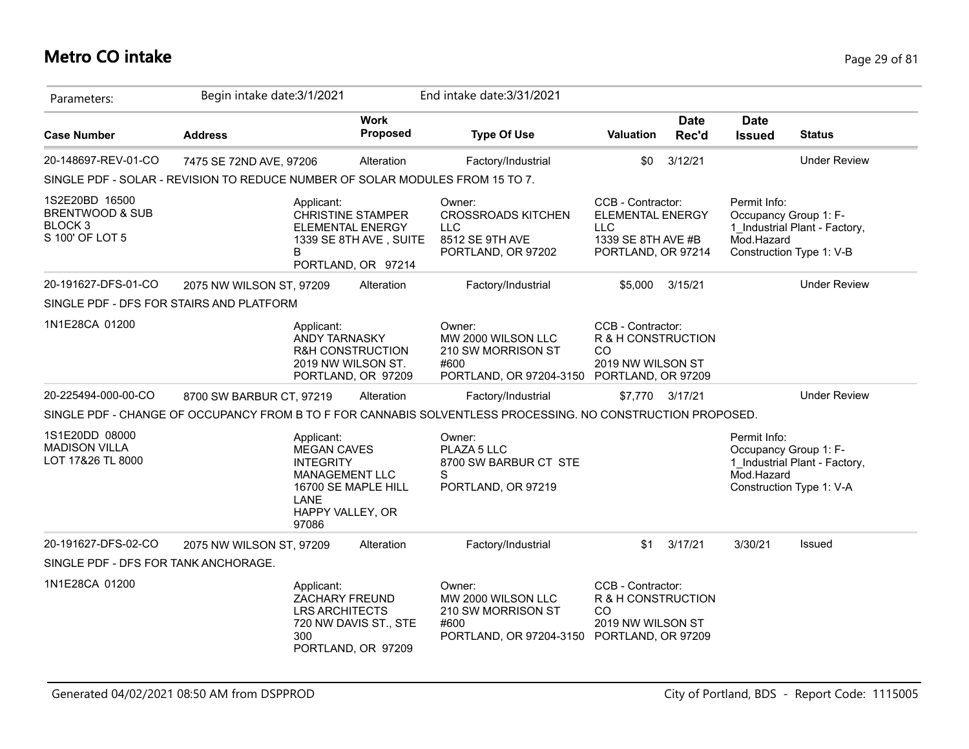## **Metro CO intake** Page 29 of 81

| Parameters:                                                                           | Begin intake date: 3/1/2021                                                   |                                                                                                                    |                                                                                                     | End intake date: 3/31/2021                                                                                  |                                                                                                        |                      |                                                     |                                                                                    |
|---------------------------------------------------------------------------------------|-------------------------------------------------------------------------------|--------------------------------------------------------------------------------------------------------------------|-----------------------------------------------------------------------------------------------------|-------------------------------------------------------------------------------------------------------------|--------------------------------------------------------------------------------------------------------|----------------------|-----------------------------------------------------|------------------------------------------------------------------------------------|
| <b>Case Number</b>                                                                    | <b>Address</b>                                                                |                                                                                                                    | <b>Work</b><br>Proposed                                                                             | <b>Type Of Use</b>                                                                                          | Valuation                                                                                              | <b>Date</b><br>Rec'd | <b>Date</b><br><b>Issued</b>                        | <b>Status</b>                                                                      |
| 20-148697-REV-01-CO                                                                   | 7475 SE 72ND AVE, 97206                                                       |                                                                                                                    | Alteration                                                                                          | Factory/Industrial                                                                                          | \$0                                                                                                    | 3/12/21              |                                                     | <b>Under Review</b>                                                                |
|                                                                                       | SINGLE PDF - SOLAR - REVISION TO REDUCE NUMBER OF SOLAR MODULES FROM 15 TO 7. |                                                                                                                    |                                                                                                     |                                                                                                             |                                                                                                        |                      |                                                     |                                                                                    |
| 1S2E20BD 16500<br><b>BRENTWOOD &amp; SUB</b><br>BLOCK <sub>3</sub><br>S 100' OF LOT 5 | В                                                                             | Applicant:                                                                                                         | <b>CHRISTINE STAMPER</b><br><b>ELEMENTAL ENERGY</b><br>1339 SE 8TH AVE, SUITE<br>PORTLAND, OR 97214 | Owner:<br><b>CROSSROADS KITCHEN</b><br><b>LLC</b><br>8512 SE 9TH AVE<br>PORTLAND, OR 97202                  | CCB - Contractor:<br><b>ELEMENTAL ENERGY</b><br><b>LLC</b><br>1339 SE 8TH AVE #B<br>PORTLAND, OR 97214 |                      | Permit Info:<br>Occupancy Group 1: F-<br>Mod.Hazard | 1_Industrial Plant - Factory,<br>Construction Type 1: V-B                          |
| 20-191627-DFS-01-CO                                                                   | 2075 NW WILSON ST, 97209                                                      |                                                                                                                    | Alteration                                                                                          | Factory/Industrial                                                                                          | \$5,000                                                                                                | 3/15/21              |                                                     | <b>Under Review</b>                                                                |
|                                                                                       | SINGLE PDF - DFS FOR STAIRS AND PLATFORM                                      |                                                                                                                    |                                                                                                     |                                                                                                             |                                                                                                        |                      |                                                     |                                                                                    |
| 1N1E28CA 01200                                                                        |                                                                               | Applicant:<br>ANDY TARNASKY                                                                                        | <b>R&amp;H CONSTRUCTION</b><br>2019 NW WILSON ST.<br>PORTLAND, OR 97209                             | Owner:<br>MW 2000 WILSON LLC<br>210 SW MORRISON ST<br>#600<br>PORTLAND, OR 97204-3150 PORTLAND, OR 97209    | CCB - Contractor:<br>R & H CONSTRUCTION<br>CO<br>2019 NW WILSON ST                                     |                      |                                                     |                                                                                    |
| 20-225494-000-00-CO                                                                   | 8700 SW BARBUR CT, 97219                                                      |                                                                                                                    | Alteration                                                                                          | Factory/Industrial                                                                                          |                                                                                                        | \$7,770 3/17/21      |                                                     | <b>Under Review</b>                                                                |
|                                                                                       |                                                                               |                                                                                                                    |                                                                                                     | SINGLE PDF - CHANGE OF OCCUPANCY FROM B TO F FOR CANNABIS SOLVENTLESS PROCESSING. NO CONSTRUCTION PROPOSED. |                                                                                                        |                      |                                                     |                                                                                    |
| 1S1E20DD 08000<br><b>MADISON VILLA</b><br>LOT 17&26 TL 8000                           |                                                                               | Applicant:<br><b>MEGAN CAVES</b><br><b>INTEGRITY</b><br><b>MANAGEMENT LLC</b><br>LANE<br>HAPPY VALLEY, OR<br>97086 | 16700 SE MAPLE HILL                                                                                 | Owner:<br>PLAZA 5 LLC<br>8700 SW BARBUR CT STE<br>S<br>PORTLAND, OR 97219                                   |                                                                                                        |                      | Permit Info:<br>Mod.Hazard                          | Occupancy Group 1: F-<br>1 Industrial Plant - Factory,<br>Construction Type 1: V-A |
| 20-191627-DFS-02-CO                                                                   | 2075 NW WILSON ST, 97209                                                      |                                                                                                                    | Alteration                                                                                          | Factory/Industrial                                                                                          | \$1                                                                                                    | 3/17/21              | 3/30/21                                             | Issued                                                                             |
| SINGLE PDF - DFS FOR TANK ANCHORAGE.                                                  |                                                                               |                                                                                                                    |                                                                                                     |                                                                                                             |                                                                                                        |                      |                                                     |                                                                                    |
| 1N1E28CA 01200                                                                        |                                                                               | Applicant:<br>ZACHARY FREUND<br><b>LRS ARCHITECTS</b><br>300                                                       | 720 NW DAVIS ST., STE<br>PORTLAND, OR 97209                                                         | Owner:<br>MW 2000 WILSON LLC<br>210 SW MORRISON ST<br>#600<br>PORTLAND, OR 97204-3150                       | CCB - Contractor:<br>R & H CONSTRUCTION<br><b>CO</b><br>2019 NW WILSON ST<br>PORTLAND, OR 97209        |                      |                                                     |                                                                                    |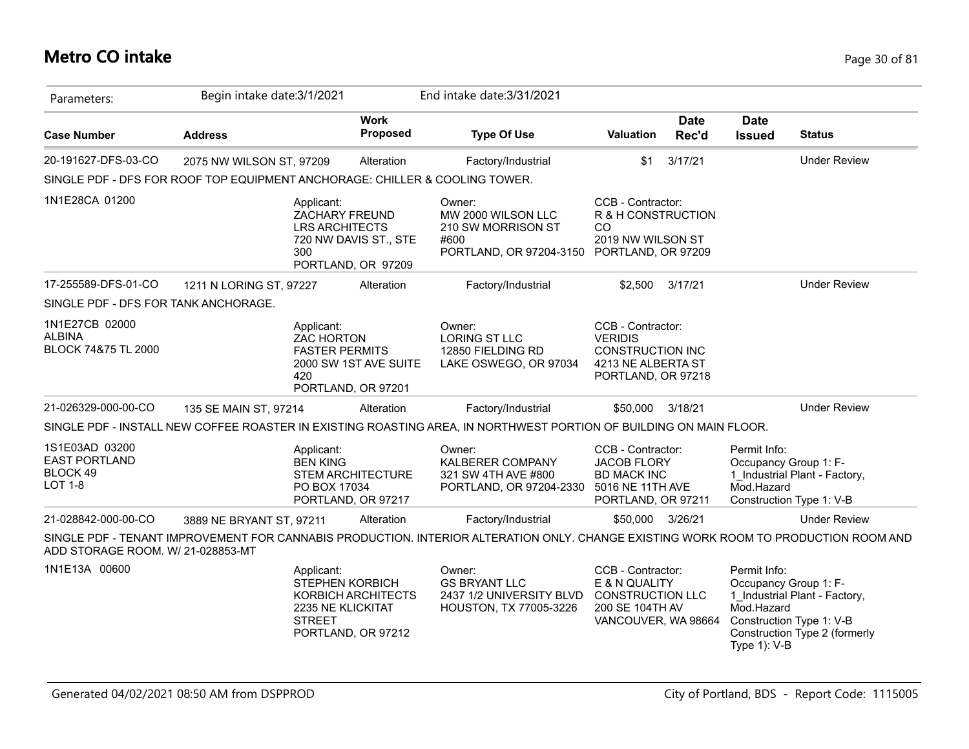## **Metro CO intake** Page 30 of 81

| Parameters:                                                          | Begin intake date: 3/1/2021 |                                                                                                                    | End intake date: 3/31/2021                                                                                                          |                                                                                                            |                      |                                                                                                 |                                                                |
|----------------------------------------------------------------------|-----------------------------|--------------------------------------------------------------------------------------------------------------------|-------------------------------------------------------------------------------------------------------------------------------------|------------------------------------------------------------------------------------------------------------|----------------------|-------------------------------------------------------------------------------------------------|----------------------------------------------------------------|
| <b>Case Number</b>                                                   | <b>Address</b>              | <b>Work</b><br>Proposed                                                                                            | <b>Type Of Use</b>                                                                                                                  | <b>Valuation</b>                                                                                           | <b>Date</b><br>Rec'd | <b>Date</b><br><b>Issued</b>                                                                    | <b>Status</b>                                                  |
| 20-191627-DFS-03-CO                                                  | 2075 NW WILSON ST, 97209    | Alteration                                                                                                         | Factory/Industrial                                                                                                                  | \$1                                                                                                        | 3/17/21              |                                                                                                 | <b>Under Review</b>                                            |
|                                                                      |                             |                                                                                                                    | SINGLE PDF - DFS FOR ROOF TOP EQUIPMENT ANCHORAGE: CHILLER & COOLING TOWER.                                                         |                                                                                                            |                      |                                                                                                 |                                                                |
| 1N1E28CA 01200                                                       |                             | Applicant:<br><b>ZACHARY FREUND</b><br><b>LRS ARCHITECTS</b><br>720 NW DAVIS ST., STE<br>300<br>PORTLAND, OR 97209 | Owner:<br>MW 2000 WILSON LLC<br>210 SW MORRISON ST<br>#600<br>PORTLAND, OR 97204-3150                                               | CCB - Contractor:<br>R & H CONSTRUCTION<br>CO<br>2019 NW WILSON ST<br>PORTLAND, OR 97209                   |                      |                                                                                                 |                                                                |
| 17-255589-DFS-01-CO                                                  | 1211 N LORING ST, 97227     | Alteration                                                                                                         | Factory/Industrial                                                                                                                  | \$2,500                                                                                                    | 3/17/21              |                                                                                                 | <b>Under Review</b>                                            |
| SINGLE PDF - DFS FOR TANK ANCHORAGE.                                 |                             |                                                                                                                    |                                                                                                                                     |                                                                                                            |                      |                                                                                                 |                                                                |
| 1N1E27CB 02000<br><b>ALBINA</b><br>BLOCK 74&75 TL 2000               |                             | Applicant:<br><b>ZAC HORTON</b><br><b>FASTER PERMITS</b><br>2000 SW 1ST AVE SUITE<br>420<br>PORTLAND, OR 97201     | Owner:<br>LORING ST LLC<br>12850 FIELDING RD<br>LAKE OSWEGO, OR 97034                                                               | CCB - Contractor:<br><b>VERIDIS</b><br><b>CONSTRUCTION INC</b><br>4213 NE ALBERTA ST<br>PORTLAND, OR 97218 |                      |                                                                                                 |                                                                |
| 21-026329-000-00-CO                                                  | 135 SE MAIN ST, 97214       | Alteration                                                                                                         | Factory/Industrial                                                                                                                  | \$50,000                                                                                                   | 3/18/21              |                                                                                                 | <b>Under Review</b>                                            |
|                                                                      |                             |                                                                                                                    | SINGLE PDF - INSTALL NEW COFFEE ROASTER IN EXISTING ROASTING AREA, IN NORTHWEST PORTION OF BUILDING ON MAIN FLOOR.                  |                                                                                                            |                      |                                                                                                 |                                                                |
| 1S1E03AD 03200<br><b>EAST PORTLAND</b><br>BLOCK 49<br><b>LOT 1-8</b> |                             | Applicant:<br><b>BEN KING</b><br><b>STEM ARCHITECTURE</b><br>PO BOX 17034<br>PORTLAND, OR 97217                    | Owner:<br>KALBERER COMPANY<br>321 SW 4TH AVE #800<br>PORTLAND, OR 97204-2330                                                        | CCB - Contractor:<br><b>JACOB FLORY</b><br><b>BD MACK INC</b><br>5016 NE 11TH AVE<br>PORTLAND, OR 97211    |                      | Permit Info:<br>Occupancy Group 1: F-<br>Mod.Hazard<br>Construction Type 1: V-B                 | 1 Industrial Plant - Factory,                                  |
| 21-028842-000-00-CO                                                  | 3889 NE BRYANT ST, 97211    | Alteration                                                                                                         | Factory/Industrial                                                                                                                  | \$50,000 3/26/21                                                                                           |                      |                                                                                                 | <b>Under Review</b>                                            |
| ADD STORAGE ROOM. W/ 21-028853-MT                                    |                             |                                                                                                                    | SINGLE PDF - TENANT IMPROVEMENT FOR CANNABIS PRODUCTION. INTERIOR ALTERATION ONLY. CHANGE EXISTING WORK ROOM TO PRODUCTION ROOM AND |                                                                                                            |                      |                                                                                                 |                                                                |
| 1N1E13A 00600                                                        |                             | Applicant:<br>STEPHEN KORBICH<br>KORBICH ARCHITECTS<br>2235 NE KLICKITAT<br><b>STREET</b><br>PORTLAND, OR 97212    | Owner:<br><b>GS BRYANT LLC</b><br>2437 1/2 UNIVERSITY BLVD<br>HOUSTON, TX 77005-3226                                                | CCB - Contractor:<br>E & N QUALITY<br><b>CONSTRUCTION LLC</b><br>200 SE 104TH AV<br>VANCOUVER, WA 98664    |                      | Permit Info:<br>Occupancy Group 1: F-<br>Mod.Hazard<br>Construction Type 1: V-B<br>Type 1): V-B | 1_Industrial Plant - Factory,<br>Construction Type 2 (formerly |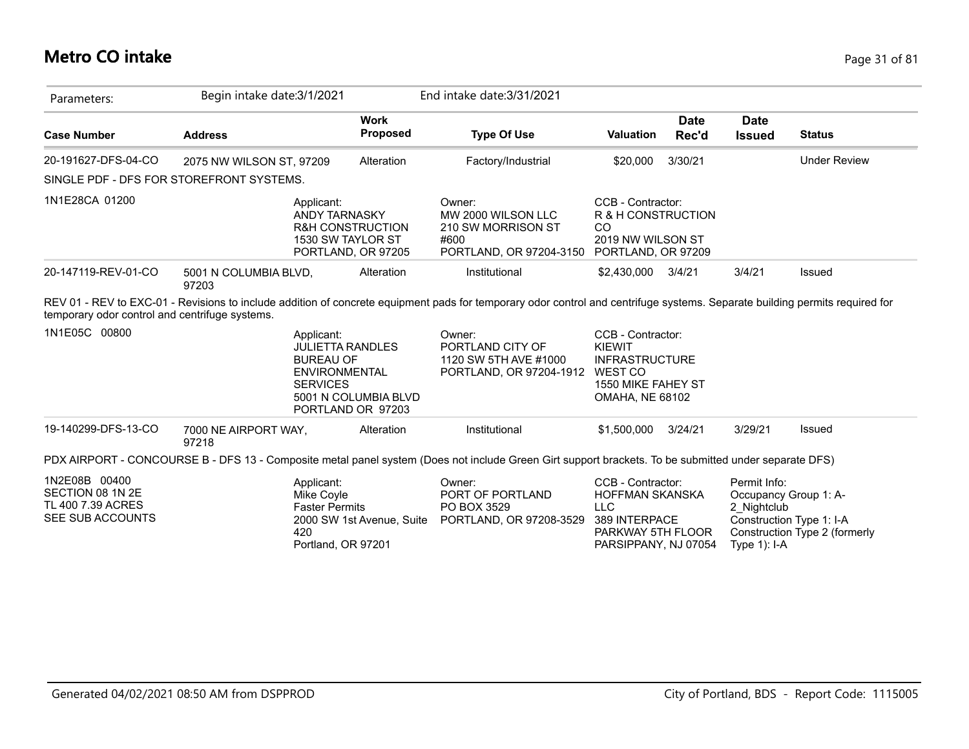## **Metro CO intake** Page 31 of 81

| Parameters:                                                                | Begin intake date: 3/1/2021              |                                                                                                                                                   | End intake date: 3/31/2021                                                                                                                                                  |                                                                                                                  |                      |                                               |                                                                                    |
|----------------------------------------------------------------------------|------------------------------------------|---------------------------------------------------------------------------------------------------------------------------------------------------|-----------------------------------------------------------------------------------------------------------------------------------------------------------------------------|------------------------------------------------------------------------------------------------------------------|----------------------|-----------------------------------------------|------------------------------------------------------------------------------------|
| <b>Case Number</b>                                                         | <b>Address</b>                           | <b>Work</b><br>Proposed                                                                                                                           | <b>Type Of Use</b>                                                                                                                                                          | <b>Valuation</b>                                                                                                 | <b>Date</b><br>Rec'd | <b>Date</b><br><b>Issued</b>                  | <b>Status</b>                                                                      |
| 20-191627-DFS-04-CO                                                        | 2075 NW WILSON ST, 97209                 | Alteration                                                                                                                                        | Factory/Industrial                                                                                                                                                          | \$20,000                                                                                                         | 3/30/21              |                                               | <b>Under Review</b>                                                                |
|                                                                            | SINGLE PDF - DFS FOR STOREFRONT SYSTEMS. |                                                                                                                                                   |                                                                                                                                                                             |                                                                                                                  |                      |                                               |                                                                                    |
| 1N1E28CA 01200                                                             |                                          | Applicant:<br><b>ANDY TARNASKY</b><br><b>R&amp;H CONSTRUCTION</b><br>1530 SW TAYLOR ST<br>PORTLAND, OR 97205                                      | Owner:<br>MW 2000 WILSON LLC<br>210 SW MORRISON ST<br>#600<br>PORTLAND, OR 97204-3150                                                                                       | CCB - Contractor:<br>R & H CONSTRUCTION<br><sub>CO</sub><br>2019 NW WILSON ST<br>PORTLAND, OR 97209              |                      |                                               |                                                                                    |
| 20-147119-REV-01-CO                                                        | 5001 N COLUMBIA BLVD,<br>97203           | Alteration                                                                                                                                        | Institutional                                                                                                                                                               | \$2,430,000                                                                                                      | 3/4/21               | 3/4/21                                        | <b>Issued</b>                                                                      |
| temporary odor control and centrifuge systems.                             |                                          |                                                                                                                                                   | REV 01 - REV to EXC-01 - Revisions to include addition of concrete equipment pads for temporary odor control and centrifuge systems. Separate building permits required for |                                                                                                                  |                      |                                               |                                                                                    |
| 1N1E05C 00800                                                              |                                          | Applicant:<br><b>JULIETTA RANDLES</b><br><b>BUREAU OF</b><br><b>ENVIRONMENTAL</b><br><b>SERVICES</b><br>5001 N COLUMBIA BLVD<br>PORTLAND OR 97203 | Owner:<br>PORTLAND CITY OF<br>1120 SW 5TH AVE #1000<br>PORTLAND, OR 97204-1912                                                                                              | CCB - Contractor:<br>KIEWIT<br><b>INFRASTRUCTURE</b><br>WEST CO<br>1550 MIKE FAHEY ST<br><b>OMAHA, NE 68102</b>  |                      |                                               |                                                                                    |
| 19-140299-DFS-13-CO                                                        | 7000 NE AIRPORT WAY,<br>97218            | Alteration                                                                                                                                        | Institutional                                                                                                                                                               | \$1,500,000                                                                                                      | 3/24/21              | 3/29/21                                       | Issued                                                                             |
|                                                                            |                                          |                                                                                                                                                   | PDX AIRPORT - CONCOURSE B - DFS 13 - Composite metal panel system (Does not include Green Girt support brackets. To be submitted under separate DFS)                        |                                                                                                                  |                      |                                               |                                                                                    |
| 1N2E08B 00400<br>SECTION 08 1N 2E<br>TL 400 7.39 ACRES<br>SEE SUB ACCOUNTS | 420                                      | Applicant:<br>Mike Coyle<br><b>Faster Permits</b><br>2000 SW 1st Avenue, Suite<br>Portland, OR 97201                                              | Owner:<br>PORT OF PORTLAND<br>PO BOX 3529<br>PORTLAND, OR 97208-3529                                                                                                        | CCB - Contractor:<br>HOFFMAN SKANSKA<br><b>LLC</b><br>389 INTERPACE<br>PARKWAY 5TH FLOOR<br>PARSIPPANY, NJ 07054 |                      | Permit Info:<br>2 Nightclub<br>Type $1$ : I-A | Occupancy Group 1: A-<br>Construction Type 1: I-A<br>Construction Type 2 (formerly |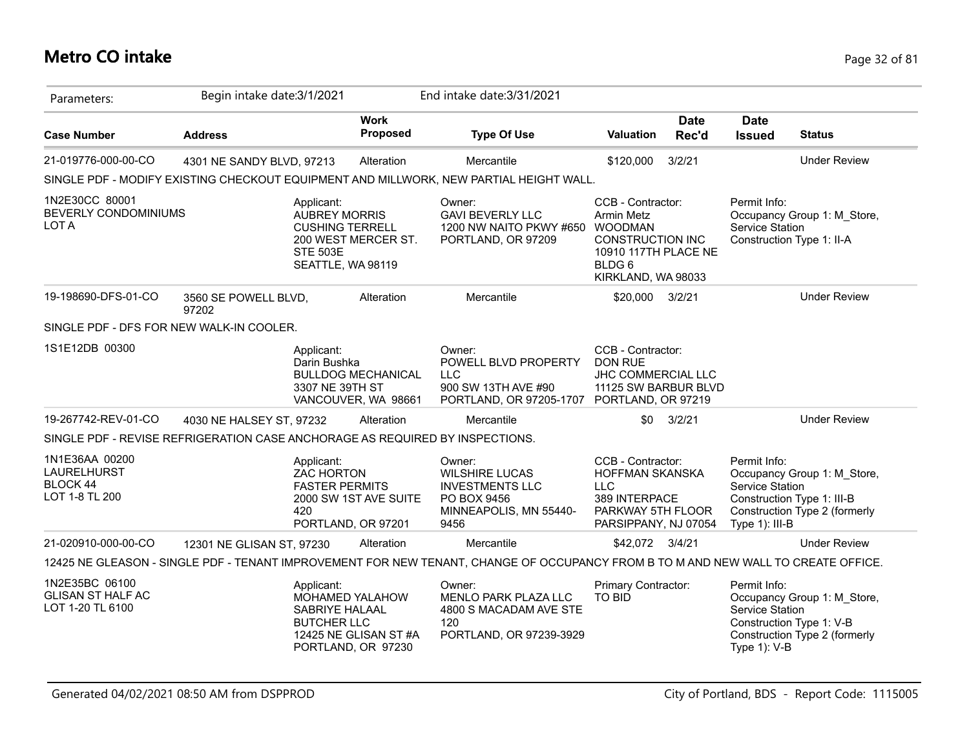## **Metro CO intake** Page 32 of 81

| Parameters:                                                                  | Begin intake date: 3/1/2021   |                                                                                 |                                                               | End intake date: 3/31/2021                                                                                                        |                                                                                                                                      |                      |                                                   |                                                                                            |
|------------------------------------------------------------------------------|-------------------------------|---------------------------------------------------------------------------------|---------------------------------------------------------------|-----------------------------------------------------------------------------------------------------------------------------------|--------------------------------------------------------------------------------------------------------------------------------------|----------------------|---------------------------------------------------|--------------------------------------------------------------------------------------------|
| <b>Case Number</b>                                                           | <b>Address</b>                |                                                                                 | <b>Work</b><br><b>Proposed</b>                                | <b>Type Of Use</b>                                                                                                                | Valuation                                                                                                                            | <b>Date</b><br>Rec'd | <b>Date</b><br><b>Issued</b>                      | <b>Status</b>                                                                              |
| 21-019776-000-00-CO                                                          | 4301 NE SANDY BLVD, 97213     |                                                                                 | Alteration                                                    | Mercantile                                                                                                                        | \$120,000                                                                                                                            | 3/2/21               |                                                   | <b>Under Review</b>                                                                        |
|                                                                              |                               |                                                                                 |                                                               | SINGLE PDF - MODIFY EXISTING CHECKOUT EQUIPMENT AND MILLWORK, NEW PARTIAL HEIGHT WALL.                                            |                                                                                                                                      |                      |                                                   |                                                                                            |
| 1N2E30CC 80001<br>BEVERLY CONDOMINIUMS<br>LOT A                              |                               | Applicant:<br><b>AUBREY MORRIS</b><br><b>CUSHING TERRELL</b><br><b>STE 503E</b> | 200 WEST MERCER ST.<br>SEATTLE, WA 98119                      | Owner:<br><b>GAVI BEVERLY LLC</b><br>1200 NW NAITO PKWY #650<br>PORTLAND, OR 97209                                                | CCB - Contractor:<br>Armin Metz<br><b>WOODMAN</b><br><b>CONSTRUCTION INC</b><br>10910 117TH PLACE NE<br>BLDG 6<br>KIRKLAND, WA 98033 |                      | Permit Info:<br><b>Service Station</b>            | Occupancy Group 1: M_Store,<br>Construction Type 1: II-A                                   |
| 19-198690-DFS-01-CO                                                          | 3560 SE POWELL BLVD,<br>97202 |                                                                                 | Alteration                                                    | Mercantile                                                                                                                        | \$20,000                                                                                                                             | 3/2/21               |                                                   | <b>Under Review</b>                                                                        |
| SINGLE PDF - DFS FOR NEW WALK-IN COOLER.                                     |                               |                                                                                 |                                                               |                                                                                                                                   |                                                                                                                                      |                      |                                                   |                                                                                            |
| 1S1E12DB 00300                                                               |                               | Applicant:<br>Darin Bushka<br>3307 NE 39TH ST                                   | <b>BULLDOG MECHANICAL</b><br>VANCOUVER, WA 98661              | Owner:<br>POWELL BLVD PROPERTY<br><b>LLC</b><br>900 SW 13TH AVE #90<br>PORTLAND, OR 97205-1707                                    | CCB - Contractor:<br><b>DON RUE</b><br>JHC COMMERCIAL LLC<br>11125 SW BARBUR BLVD<br>PORTLAND, OR 97219                              |                      |                                                   |                                                                                            |
| 19-267742-REV-01-CO                                                          | 4030 NE HALSEY ST, 97232      |                                                                                 | Alteration                                                    | Mercantile                                                                                                                        | \$0                                                                                                                                  | 3/2/21               |                                                   | <b>Under Review</b>                                                                        |
| SINGLE PDF - REVISE REFRIGERATION CASE ANCHORAGE AS REQUIRED BY INSPECTIONS. |                               |                                                                                 |                                                               |                                                                                                                                   |                                                                                                                                      |                      |                                                   |                                                                                            |
| 1N1E36AA 00200<br><b>LAURELHURST</b><br><b>BLOCK 44</b><br>LOT 1-8 TL 200    |                               | Applicant:<br>ZAC HORTON<br><b>FASTER PERMITS</b><br>420                        | 2000 SW 1ST AVE SUITE<br>PORTLAND, OR 97201                   | Owner:<br><b>WILSHIRE LUCAS</b><br><b>INVESTMENTS LLC</b><br>PO BOX 9456<br>MINNEAPOLIS, MN 55440-<br>9456                        | CCB - Contractor:<br>HOFFMAN SKANSKA<br>LLC.<br>389 INTERPACE<br>PARKWAY 5TH FLOOR<br>PARSIPPANY, NJ 07054                           |                      | Permit Info:<br>Service Station<br>Type 1): III-B | Occupancy Group 1: M_Store,<br>Construction Type 1: III-B<br>Construction Type 2 (formerly |
| 21-020910-000-00-CO                                                          | 12301 NE GLISAN ST, 97230     |                                                                                 | Alteration                                                    | Mercantile                                                                                                                        | \$42,072 3/4/21                                                                                                                      |                      |                                                   | <b>Under Review</b>                                                                        |
|                                                                              |                               |                                                                                 |                                                               | 12425 NE GLEASON - SINGLE PDF - TENANT IMPROVEMENT FOR NEW TENANT, CHANGE OF OCCUPANCY FROM B TO M AND NEW WALL TO CREATE OFFICE. |                                                                                                                                      |                      |                                                   |                                                                                            |
| 1N2E35BC 06100<br><b>GLISAN ST HALF AC</b><br>LOT 1-20 TL 6100               |                               | Applicant:<br>SABRIYE HALAAL<br><b>BUTCHER LLC</b>                              | MOHAMED YALAHOW<br>12425 NE GLISAN ST#A<br>PORTLAND, OR 97230 | Owner:<br><b>MENLO PARK PLAZA LLC</b><br>4800 S MACADAM AVE STE<br>120<br>PORTLAND, OR 97239-3929                                 | Primary Contractor:<br><b>TO BID</b>                                                                                                 |                      | Permit Info:<br>Service Station<br>Type 1): V-B   | Occupancy Group 1: M_Store,<br>Construction Type 1: V-B<br>Construction Type 2 (formerly   |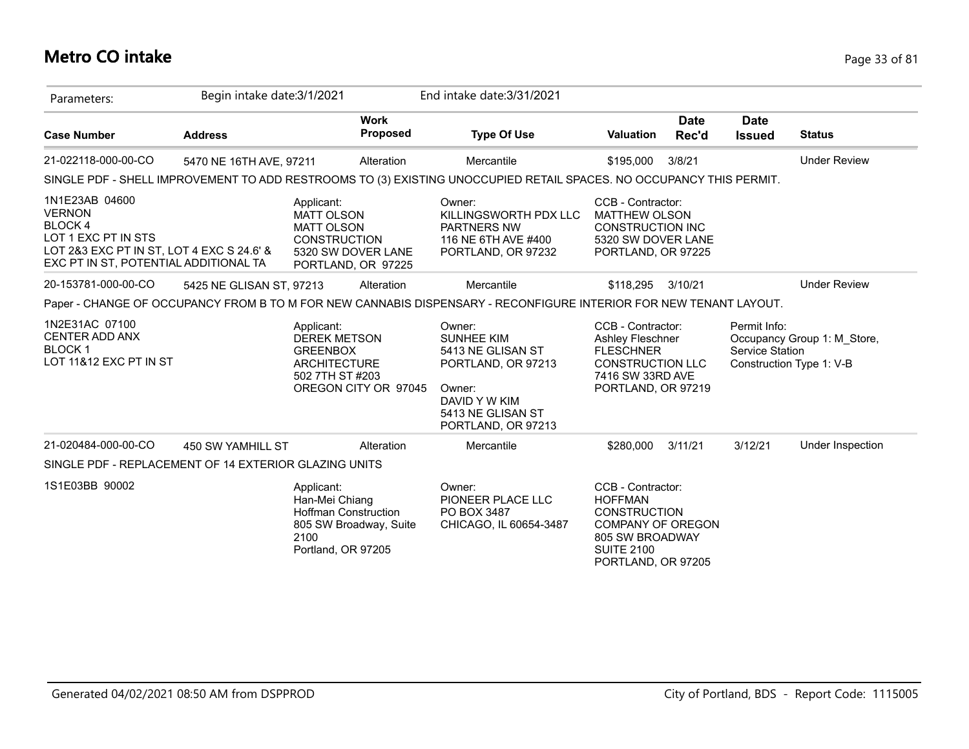## **Metro CO intake** Page 33 of 81

| Parameters:                                                                                                                                             | Begin intake date: 3/1/2021 |                                                                                                |                                          | End intake date: 3/31/2021                                                                                                                   |                                                                                                                                                      |                      |                                 |                                                         |
|---------------------------------------------------------------------------------------------------------------------------------------------------------|-----------------------------|------------------------------------------------------------------------------------------------|------------------------------------------|----------------------------------------------------------------------------------------------------------------------------------------------|------------------------------------------------------------------------------------------------------------------------------------------------------|----------------------|---------------------------------|---------------------------------------------------------|
| <b>Case Number</b>                                                                                                                                      | <b>Address</b>              |                                                                                                | <b>Work</b><br>Proposed                  | <b>Type Of Use</b>                                                                                                                           | <b>Valuation</b>                                                                                                                                     | <b>Date</b><br>Rec'd | Date<br><b>Issued</b>           | <b>Status</b>                                           |
| 21-022118-000-00-CO                                                                                                                                     | 5470 NE 16TH AVE, 97211     |                                                                                                | Alteration                               | Mercantile                                                                                                                                   | \$195,000                                                                                                                                            | 3/8/21               |                                 | <b>Under Review</b>                                     |
|                                                                                                                                                         |                             |                                                                                                |                                          | SINGLE PDF - SHELL IMPROVEMENT TO ADD RESTROOMS TO (3) EXISTING UNOCCUPIED RETAIL SPACES. NO OCCUPANCY THIS PERMIT.                          |                                                                                                                                                      |                      |                                 |                                                         |
| 1N1E23AB 04600<br><b>VERNON</b><br>BLOCK 4<br>LOT 1 EXC PT IN STS<br>LOT 2&3 EXC PT IN ST, LOT 4 EXC S 24.6' &<br>EXC PT IN ST, POTENTIAL ADDITIONAL TA |                             | Applicant:<br><b>MATT OLSON</b><br><b>MATT OLSON</b><br><b>CONSTRUCTION</b>                    | 5320 SW DOVER LANE<br>PORTLAND, OR 97225 | Owner:<br>KILLINGSWORTH PDX LLC<br>PARTNERS NW<br>116 NE 6TH AVE #400<br>PORTLAND, OR 97232                                                  | CCB - Contractor:<br><b>MATTHEW OLSON</b><br><b>CONSTRUCTION INC</b><br>5320 SW DOVER LANE<br>PORTLAND, OR 97225                                     |                      |                                 |                                                         |
| 20-153781-000-00-CO                                                                                                                                     | 5425 NE GLISAN ST, 97213    |                                                                                                | Alteration                               | Mercantile                                                                                                                                   | \$118,295                                                                                                                                            | 3/10/21              |                                 | <b>Under Review</b>                                     |
|                                                                                                                                                         |                             |                                                                                                |                                          | Paper - CHANGE OF OCCUPANCY FROM B TO M FOR NEW CANNABIS DISPENSARY - RECONFIGURE INTERIOR FOR NEW TENANT LAYOUT.                            |                                                                                                                                                      |                      |                                 |                                                         |
| 1N2E31AC 07100<br><b>CENTER ADD ANX</b><br><b>BLOCK1</b><br>LOT 11&12 EXC PT IN ST                                                                      |                             | Applicant:<br><b>DEREK METSON</b><br><b>GREENBOX</b><br><b>ARCHITECTURE</b><br>502 7TH ST #203 | OREGON CITY OR 97045                     | Owner:<br><b>SUNHEE KIM</b><br>5413 NE GLISAN ST<br>PORTLAND, OR 97213<br>Owner:<br>DAVID Y W KIM<br>5413 NE GLISAN ST<br>PORTLAND, OR 97213 | CCB - Contractor:<br><b>Ashley Fleschner</b><br><b>FLESCHNER</b><br><b>CONSTRUCTION LLC</b><br>7416 SW 33RD AVE<br>PORTLAND, OR 97219                |                      | Permit Info:<br>Service Station | Occupancy Group 1: M_Store,<br>Construction Type 1: V-B |
| 21-020484-000-00-CO                                                                                                                                     | 450 SW YAMHILL ST           |                                                                                                | Alteration                               | Mercantile                                                                                                                                   | \$280,000                                                                                                                                            | 3/11/21              | 3/12/21                         | Under Inspection                                        |
| SINGLE PDF - REPLACEMENT OF 14 EXTERIOR GLAZING UNITS                                                                                                   |                             |                                                                                                |                                          |                                                                                                                                              |                                                                                                                                                      |                      |                                 |                                                         |
| 1S1E03BB 90002                                                                                                                                          |                             | Applicant:<br>Han-Mei Chiang<br><b>Hoffman Construction</b><br>2100<br>Portland, OR 97205      | 805 SW Broadway, Suite                   | Owner:<br>PIONEER PLACE LLC<br>PO BOX 3487<br>CHICAGO, IL 60654-3487                                                                         | CCB - Contractor:<br><b>HOFFMAN</b><br><b>CONSTRUCTION</b><br><b>COMPANY OF OREGON</b><br>805 SW BROADWAY<br><b>SUITE 2100</b><br>PORTLAND, OR 97205 |                      |                                 |                                                         |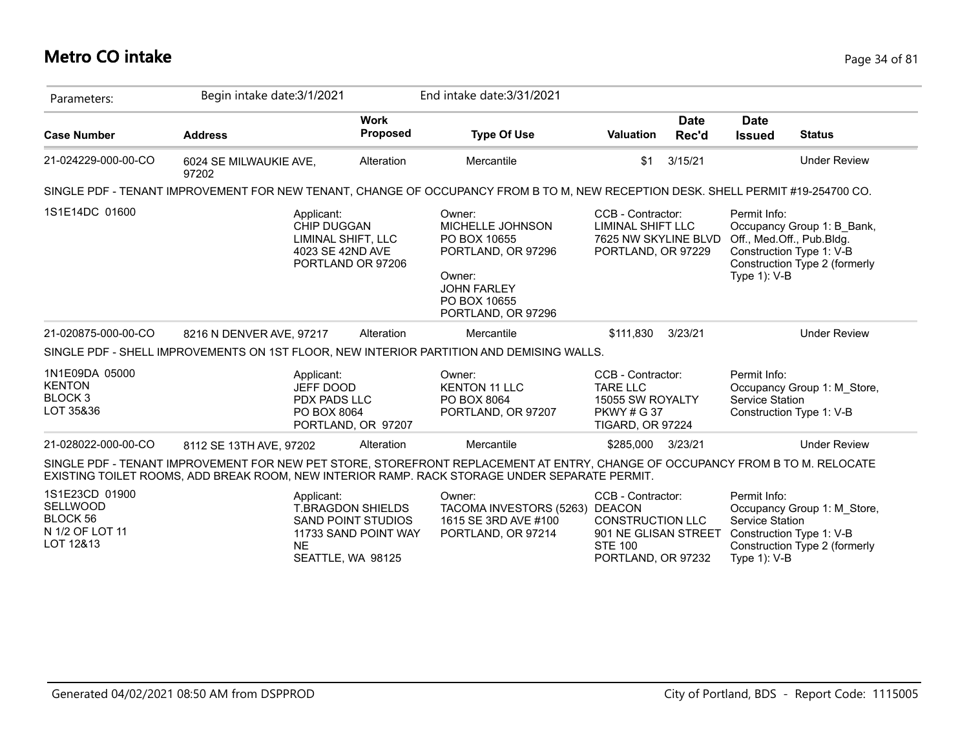# **Metro CO intake** Page 34 of 81

| Parameters:                                                            | Begin intake date: 3/1/2021                                                                                                                                                                                                    |                                                                        | End intake date: 3/31/2021                                                                                                             |                                                                                                              |               |                                                    |                                                                                                                      |
|------------------------------------------------------------------------|--------------------------------------------------------------------------------------------------------------------------------------------------------------------------------------------------------------------------------|------------------------------------------------------------------------|----------------------------------------------------------------------------------------------------------------------------------------|--------------------------------------------------------------------------------------------------------------|---------------|----------------------------------------------------|----------------------------------------------------------------------------------------------------------------------|
| <b>Case Number</b>                                                     | <b>Address</b>                                                                                                                                                                                                                 | <b>Work</b><br><b>Proposed</b>                                         | <b>Type Of Use</b>                                                                                                                     | <b>Valuation</b>                                                                                             | Date<br>Rec'd | Date<br><b>Issued</b>                              | <b>Status</b>                                                                                                        |
| 21-024229-000-00-CO                                                    | 6024 SE MILWAUKIE AVE,<br>97202                                                                                                                                                                                                | Alteration                                                             | Mercantile                                                                                                                             | \$1                                                                                                          | 3/15/21       |                                                    | <b>Under Review</b>                                                                                                  |
|                                                                        | SINGLE PDF - TENANT IMPROVEMENT FOR NEW TENANT, CHANGE OF OCCUPANCY FROM B TO M, NEW RECEPTION DESK. SHELL PERMIT #19-254700 CO.                                                                                               |                                                                        |                                                                                                                                        |                                                                                                              |               |                                                    |                                                                                                                      |
| 1S1E14DC 01600                                                         | Applicant:<br>CHIP DUGGAN<br>LIMINAL SHIFT, LLC<br>4023 SE 42ND AVE<br>PORTLAND OR 97206                                                                                                                                       |                                                                        | Owner:<br>MICHELLE JOHNSON<br>PO BOX 10655<br>PORTLAND, OR 97296<br>Owner:<br><b>JOHN FARLEY</b><br>PO BOX 10655<br>PORTLAND, OR 97296 | CCB - Contractor:<br>LIMINAL SHIFT LLC<br>7625 NW SKYLINE BLVD<br>PORTLAND, OR 97229                         |               | Permit Info:<br>Type 1): V-B                       | Occupancy Group 1: B Bank,<br>Off., Med.Off., Pub.Bldg.<br>Construction Type 1: V-B<br>Construction Type 2 (formerly |
| 21-020875-000-00-CO                                                    | 8216 N DENVER AVE, 97217                                                                                                                                                                                                       | Alteration                                                             | Mercantile                                                                                                                             | \$111,830                                                                                                    | 3/23/21       |                                                    | <b>Under Review</b>                                                                                                  |
|                                                                        | SINGLE PDF - SHELL IMPROVEMENTS ON 1ST FLOOR, NEW INTERIOR PARTITION AND DEMISING WALLS.                                                                                                                                       |                                                                        |                                                                                                                                        |                                                                                                              |               |                                                    |                                                                                                                      |
| 1N1E09DA 05000<br><b>KENTON</b><br>BLOCK <sub>3</sub><br>LOT 35&36     | Applicant:<br>JEFF DOOD<br><b>PDX PADS LLC</b><br>PO BOX 8064                                                                                                                                                                  | PORTLAND, OR 97207                                                     | Owner:<br><b>KENTON 11 LLC</b><br>PO BOX 8064<br>PORTLAND, OR 97207                                                                    | CCB - Contractor:<br><b>TARE LLC</b><br>15055 SW ROYALTY<br><b>PKWY # G 37</b><br><b>TIGARD, OR 97224</b>    |               | Permit Info:<br>Service Station                    | Occupancy Group 1: M Store,<br>Construction Type 1: V-B                                                              |
| 21-028022-000-00-CO                                                    | 8112 SE 13TH AVE, 97202                                                                                                                                                                                                        | Alteration                                                             | Mercantile                                                                                                                             | \$285,000                                                                                                    | 3/23/21       |                                                    | <b>Under Review</b>                                                                                                  |
|                                                                        | SINGLE PDF - TENANT IMPROVEMENT FOR NEW PET STORE, STOREFRONT REPLACEMENT AT ENTRY, CHANGE OF OCCUPANCY FROM B TO M. RELOCATE<br>EXISTING TOILET ROOMS, ADD BREAK ROOM, NEW INTERIOR RAMP. RACK STORAGE UNDER SEPARATE PERMIT. |                                                                        |                                                                                                                                        |                                                                                                              |               |                                                    |                                                                                                                      |
| 1S1E23CD 01900<br>SELLWOOD<br>BLOCK 56<br>N 1/2 OF LOT 11<br>LOT 12&13 | Applicant:<br><b>NE</b><br>SEATTLE, WA 98125                                                                                                                                                                                   | <b>T.BRAGDON SHIELDS</b><br>SAND POINT STUDIOS<br>11733 SAND POINT WAY | Owner:<br>TACOMA INVESTORS (5263) DEACON<br>1615 SE 3RD AVE #100<br>PORTLAND, OR 97214                                                 | CCB - Contractor:<br><b>CONSTRUCTION LLC</b><br>901 NE GLISAN STREET<br><b>STE 100</b><br>PORTLAND, OR 97232 |               | Permit Info:<br>Service Station<br>Type $1$ ): V-B | Occupancy Group 1: M_Store,<br>Construction Type 1: V-B<br>Construction Type 2 (formerly                             |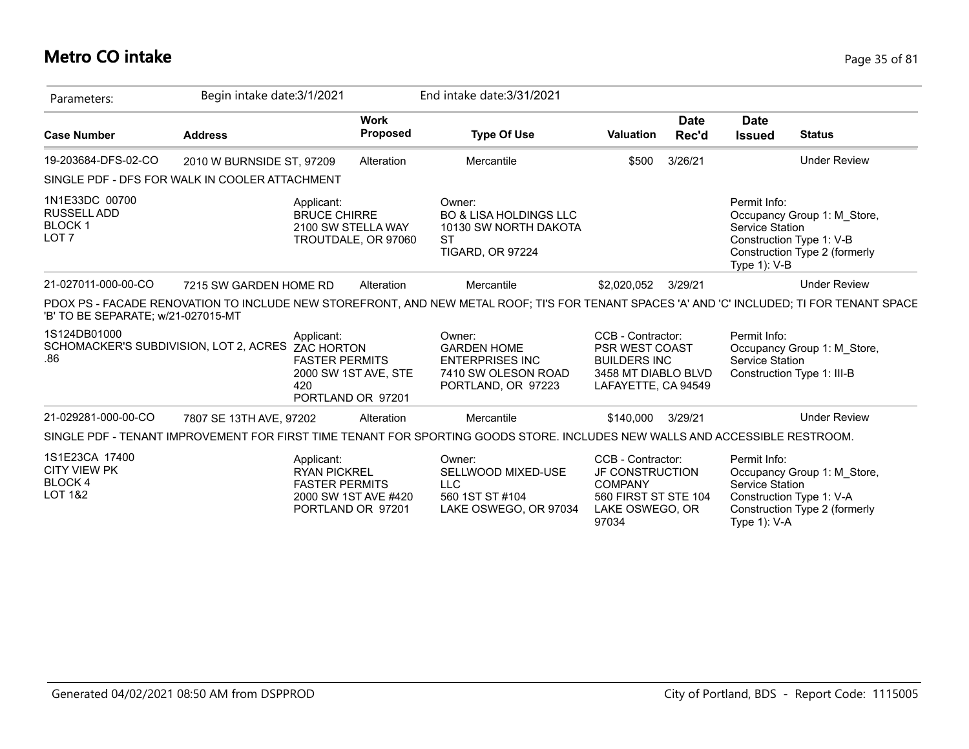## **Metro CO intake** Page 35 of 81

| Parameters:                                                               | Begin intake date: 3/1/2021 |                                                            |                                           | End intake date: 3/31/2021                                                                                                                  |                                                                                                                   |                      |                                                 |                                                                                          |
|---------------------------------------------------------------------------|-----------------------------|------------------------------------------------------------|-------------------------------------------|---------------------------------------------------------------------------------------------------------------------------------------------|-------------------------------------------------------------------------------------------------------------------|----------------------|-------------------------------------------------|------------------------------------------------------------------------------------------|
| <b>Case Number</b>                                                        | <b>Address</b>              |                                                            | <b>Work</b><br><b>Proposed</b>            | <b>Type Of Use</b>                                                                                                                          | <b>Valuation</b>                                                                                                  | <b>Date</b><br>Rec'd | <b>Date</b><br><b>Issued</b>                    | <b>Status</b>                                                                            |
| 19-203684-DFS-02-CO                                                       | 2010 W BURNSIDE ST. 97209   |                                                            | Alteration                                | Mercantile                                                                                                                                  | \$500                                                                                                             | 3/26/21              |                                                 | <b>Under Review</b>                                                                      |
| SINGLE PDF - DFS FOR WALK IN COOLER ATTACHMENT                            |                             |                                                            |                                           |                                                                                                                                             |                                                                                                                   |                      |                                                 |                                                                                          |
| 1N1E33DC 00700<br><b>RUSSELL ADD</b><br><b>BLOCK1</b><br>LOT <sub>7</sub> |                             | Applicant:<br><b>BRUCE CHIRRE</b>                          | 2100 SW STELLA WAY<br>TROUTDALE, OR 97060 | Owner:<br><b>BO &amp; LISA HOLDINGS LLC</b><br>10130 SW NORTH DAKOTA<br>ST<br><b>TIGARD, OR 97224</b>                                       |                                                                                                                   |                      | Permit Info:<br>Service Station<br>Type 1): V-B | Occupancy Group 1: M Store,<br>Construction Type 1: V-B<br>Construction Type 2 (formerly |
| 21-027011-000-00-CO                                                       | 7215 SW GARDEN HOME RD      |                                                            | Alteration                                | Mercantile                                                                                                                                  | \$2,020,052                                                                                                       | 3/29/21              |                                                 | <b>Under Review</b>                                                                      |
| 'B' TO BE SEPARATE; w/21-027015-MT                                        |                             |                                                            |                                           | PDOX PS - FACADE RENOVATION TO INCLUDE NEW STOREFRONT, AND NEW METAL ROOF; TI'S FOR TENANT SPACES 'A' AND 'C' INCLUDED; TI FOR TENANT SPACE |                                                                                                                   |                      |                                                 |                                                                                          |
| 1S124DB01000<br>SCHOMACKER'S SUBDIVISION, LOT 2, ACRES ZAC HORTON<br>.86  |                             | Applicant:<br><b>FASTER PERMITS</b><br>420                 | 2000 SW 1ST AVE, STE<br>PORTLAND OR 97201 | Owner:<br><b>GARDEN HOME</b><br><b>ENTERPRISES INC</b><br>7410 SW OLESON ROAD<br>PORTLAND, OR 97223                                         | CCB - Contractor:<br><b>PSR WEST COAST</b><br><b>BUILDERS INC</b><br>3458 MT DIABLO BLVD<br>LAFAYETTE, CA 94549   |                      | Permit Info:<br><b>Service Station</b>          | Occupancy Group 1: M Store,<br>Construction Type 1: III-B                                |
| 21-029281-000-00-CO                                                       | 7807 SE 13TH AVE, 97202     |                                                            | Alteration                                | Mercantile                                                                                                                                  | \$140,000                                                                                                         | 3/29/21              |                                                 | <b>Under Review</b>                                                                      |
|                                                                           |                             |                                                            |                                           | SINGLE PDF - TENANT IMPROVEMENT FOR FIRST TIME TENANT FOR SPORTING GOODS STORE. INCLUDES NEW WALLS AND ACCESSIBLE RESTROOM.                 |                                                                                                                   |                      |                                                 |                                                                                          |
| 1S1E23CA 17400<br><b>CITY VIEW PK</b><br>BLOCK 4<br><b>LOT 1&amp;2</b>    |                             | Applicant:<br><b>RYAN PICKREL</b><br><b>FASTER PERMITS</b> | 2000 SW 1ST AVE #420<br>PORTLAND OR 97201 | Owner:<br>SELLWOOD MIXED-USE<br><b>LLC</b><br>560 1ST ST #104<br>LAKE OSWEGO, OR 97034                                                      | CCB - Contractor:<br><b>JF CONSTRUCTION</b><br><b>COMPANY</b><br>560 FIRST ST STE 104<br>LAKE OSWEGO, OR<br>97034 |                      | Permit Info:<br>Service Station<br>Type 1): V-A | Occupancy Group 1: M Store,<br>Construction Type 1: V-A<br>Construction Type 2 (formerly |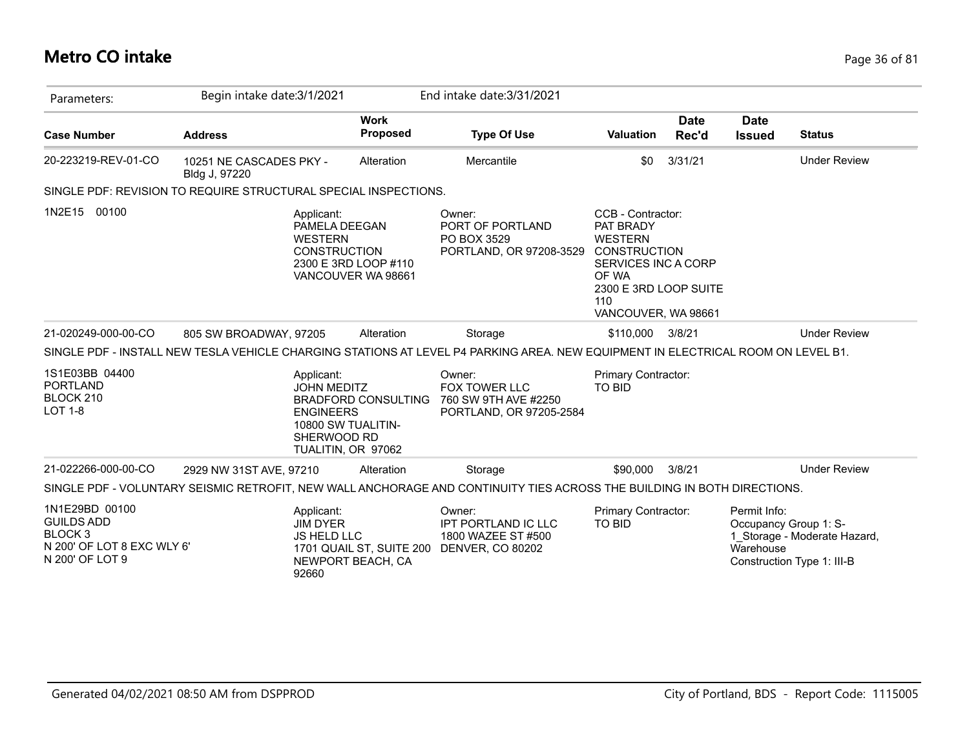## **Metro CO intake** Page 36 of 81

| Parameters:                                                                                                | Begin intake date: 3/1/2021              |                                                                                                                    |                                | End intake date: 3/31/2021                                                                                                       |                                                                                                                                                                |                      |                                                    |                                                            |
|------------------------------------------------------------------------------------------------------------|------------------------------------------|--------------------------------------------------------------------------------------------------------------------|--------------------------------|----------------------------------------------------------------------------------------------------------------------------------|----------------------------------------------------------------------------------------------------------------------------------------------------------------|----------------------|----------------------------------------------------|------------------------------------------------------------|
| <b>Case Number</b>                                                                                         | <b>Address</b>                           |                                                                                                                    | <b>Work</b><br><b>Proposed</b> | <b>Type Of Use</b>                                                                                                               | <b>Valuation</b>                                                                                                                                               | <b>Date</b><br>Rec'd | <b>Date</b><br><b>Issued</b>                       | <b>Status</b>                                              |
| 20-223219-REV-01-CO                                                                                        | 10251 NE CASCADES PKY -<br>Bldg J, 97220 |                                                                                                                    | Alteration                     | Mercantile                                                                                                                       | \$0                                                                                                                                                            | 3/31/21              |                                                    | <b>Under Review</b>                                        |
| SINGLE PDF: REVISION TO REQUIRE STRUCTURAL SPECIAL INSPECTIONS.                                            |                                          |                                                                                                                    |                                |                                                                                                                                  |                                                                                                                                                                |                      |                                                    |                                                            |
| 1N2E15<br>00100                                                                                            |                                          | Applicant:<br>PAMELA DEEGAN<br><b>WESTERN</b><br><b>CONSTRUCTION</b><br>2300 E 3RD LOOP #110<br>VANCOUVER WA 98661 |                                | Owner:<br>PORT OF PORTLAND<br>PO BOX 3529<br>PORTLAND, OR 97208-3529                                                             | CCB - Contractor:<br>PAT BRADY<br><b>WESTERN</b><br><b>CONSTRUCTION</b><br>SERVICES INC A CORP<br>OF WA<br>2300 E 3RD LOOP SUITE<br>110<br>VANCOUVER, WA 98661 |                      |                                                    |                                                            |
| 21-020249-000-00-CO                                                                                        | 805 SW BROADWAY, 97205                   |                                                                                                                    | Alteration                     | Storage                                                                                                                          | \$110,000                                                                                                                                                      | 3/8/21               |                                                    | <b>Under Review</b>                                        |
|                                                                                                            |                                          |                                                                                                                    |                                | SINGLE PDF - INSTALL NEW TESLA VEHICLE CHARGING STATIONS AT LEVEL P4 PARKING AREA. NEW EQUIPMENT IN ELECTRICAL ROOM ON LEVEL B1. |                                                                                                                                                                |                      |                                                    |                                                            |
| 1S1E03BB 04400<br><b>PORTLAND</b><br>BLOCK 210<br><b>LOT 1-8</b>                                           |                                          | Applicant:<br><b>JOHN MEDITZ</b><br><b>ENGINEERS</b><br>10800 SW TUALITIN-<br>SHERWOOD RD<br>TUALITIN, OR 97062    | <b>BRADFORD CONSULTING</b>     | Owner:<br><b>FOX TOWER LLC</b><br>760 SW 9TH AVE #2250<br>PORTLAND, OR 97205-2584                                                | <b>Primary Contractor:</b><br><b>TO BID</b>                                                                                                                    |                      |                                                    |                                                            |
| 21-022266-000-00-CO                                                                                        | 2929 NW 31ST AVE, 97210                  |                                                                                                                    | Alteration                     | Storage                                                                                                                          | \$90,000                                                                                                                                                       | 3/8/21               |                                                    | <b>Under Review</b>                                        |
|                                                                                                            |                                          |                                                                                                                    |                                | SINGLE PDF - VOLUNTARY SEISMIC RETROFIT, NEW WALL ANCHORAGE AND CONTINUITY TIES ACROSS THE BUILDING IN BOTH DIRECTIONS.          |                                                                                                                                                                |                      |                                                    |                                                            |
| 1N1E29BD 00100<br><b>GUILDS ADD</b><br>BLOCK <sub>3</sub><br>N 200' OF LOT 8 EXC WLY 6'<br>N 200' OF LOT 9 |                                          | Applicant:<br><b>JIM DYER</b><br><b>JS HELD LLC</b><br>NEWPORT BEACH, CA<br>92660                                  | 1701 QUAIL ST, SUITE 200       | Owner:<br>IPT PORTLAND IC LLC<br>1800 WAZEE ST #500<br><b>DENVER, CO 80202</b>                                                   | Primary Contractor:<br><b>TO BID</b>                                                                                                                           |                      | Permit Info:<br>Occupancy Group 1: S-<br>Warehouse | 1 Storage - Moderate Hazard,<br>Construction Type 1: III-B |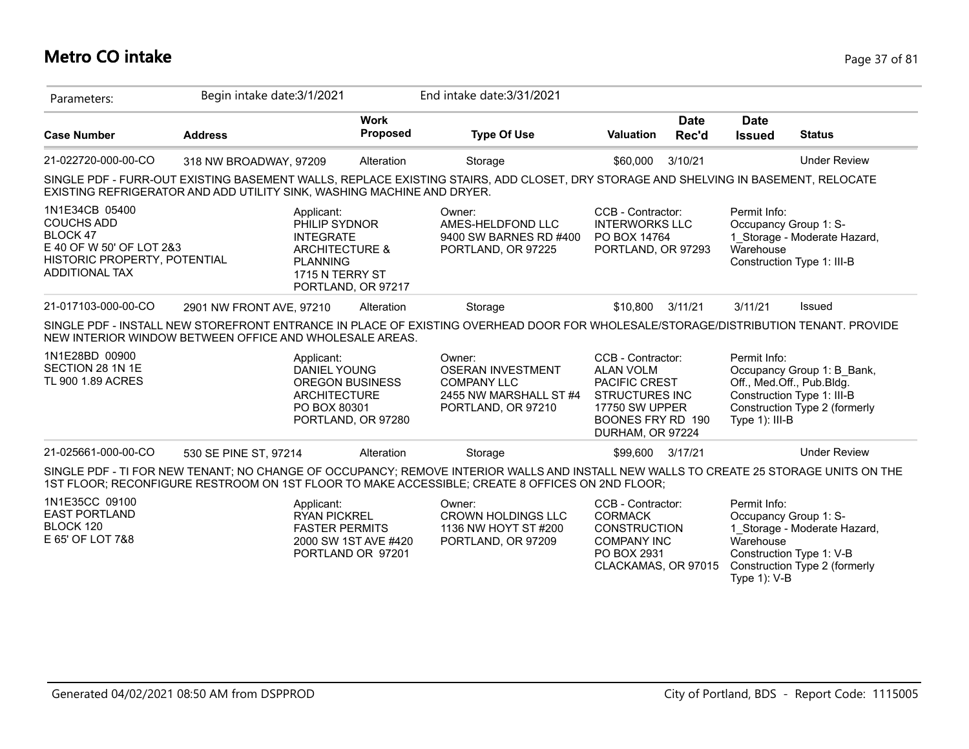### **Metro CO intake** Page 37 of 81

| Parameters:                                                                                                                                 | Begin intake date: 3/1/2021                                                                                                                                                                                                              |                                              | End intake date: 3/31/2021                                                                               |                                                                                                                                                   |                                              |                                                                                                                        |
|---------------------------------------------------------------------------------------------------------------------------------------------|------------------------------------------------------------------------------------------------------------------------------------------------------------------------------------------------------------------------------------------|----------------------------------------------|----------------------------------------------------------------------------------------------------------|---------------------------------------------------------------------------------------------------------------------------------------------------|----------------------------------------------|------------------------------------------------------------------------------------------------------------------------|
| <b>Case Number</b>                                                                                                                          | <b>Address</b>                                                                                                                                                                                                                           | <b>Work</b><br><b>Proposed</b>               | <b>Type Of Use</b>                                                                                       | <b>Date</b><br><b>Valuation</b><br>Rec'd                                                                                                          | <b>Date</b><br><b>Issued</b>                 | <b>Status</b>                                                                                                          |
| 21-022720-000-00-CO                                                                                                                         | 318 NW BROADWAY, 97209                                                                                                                                                                                                                   | Alteration                                   | Storage                                                                                                  | 3/10/21<br>\$60,000                                                                                                                               |                                              | <b>Under Review</b>                                                                                                    |
|                                                                                                                                             | SINGLE PDF - FURR-OUT EXISTING BASEMENT WALLS, REPLACE EXISTING STAIRS, ADD CLOSET, DRY STORAGE AND SHELVING IN BASEMENT, RELOCATE<br>EXISTING REFRIGERATOR AND ADD UTILITY SINK, WASHING MACHINE AND DRYER.                             |                                              |                                                                                                          |                                                                                                                                                   |                                              |                                                                                                                        |
| 1N1E34CB 05400<br><b>COUCHS ADD</b><br><b>BLOCK 47</b><br>E 40 OF W 50' OF LOT 2&3<br>HISTORIC PROPERTY, POTENTIAL<br><b>ADDITIONAL TAX</b> | Applicant:<br>PHILIP SYDNOR<br><b>INTEGRATE</b><br><b>ARCHITECTURE &amp;</b><br><b>PLANNING</b><br>1715 N TERRY ST                                                                                                                       | PORTLAND, OR 97217                           | Owner:<br>AMES-HELDFOND LLC<br>9400 SW BARNES RD #400<br>PORTLAND, OR 97225                              | CCB - Contractor:<br><b>INTERWORKS LLC</b><br>PO BOX 14764<br>PORTLAND, OR 97293                                                                  | Permit Info:<br>Warehouse                    | Occupancy Group 1: S-<br>1 Storage - Moderate Hazard,<br>Construction Type 1: III-B                                    |
| 21-017103-000-00-CO                                                                                                                         | 2901 NW FRONT AVE, 97210                                                                                                                                                                                                                 | Alteration                                   | Storage                                                                                                  | \$10,800<br>3/11/21                                                                                                                               | 3/11/21                                      | Issued                                                                                                                 |
|                                                                                                                                             | SINGLE PDF - INSTALL NEW STOREFRONT ENTRANCE IN PLACE OF EXISTING OVERHEAD DOOR FOR WHOLESALE/STORAGE/DISTRIBUTION TENANT. PROVIDE<br>NEW INTERIOR WINDOW BETWEEN OFFICE AND WHOLESALE AREAS.                                            |                                              |                                                                                                          |                                                                                                                                                   |                                              |                                                                                                                        |
| 1N1E28BD 00900<br>SECTION 28 1N 1E<br>TL 900 1.89 ACRES                                                                                     | Applicant:<br><b>DANIEL YOUNG</b><br><b>ARCHITECTURE</b><br>PO BOX 80301                                                                                                                                                                 | <b>OREGON BUSINESS</b><br>PORTLAND, OR 97280 | Owner:<br><b>OSERAN INVESTMENT</b><br><b>COMPANY LLC</b><br>2455 NW MARSHALL ST #4<br>PORTLAND, OR 97210 | CCB - Contractor:<br><b>ALAN VOLM</b><br>PACIFIC CREST<br><b>STRUCTURES INC</b><br><b>17750 SW UPPER</b><br>BOONES FRY RD 190<br>DURHAM, OR 97224 | Permit Info:<br>Type $1$ : III-B             | Occupancy Group 1: B Bank,<br>Off., Med.Off., Pub.Bldg.<br>Construction Type 1: III-B<br>Construction Type 2 (formerly |
| 21-025661-000-00-CO                                                                                                                         | 530 SE PINE ST, 97214                                                                                                                                                                                                                    | Alteration                                   | Storage                                                                                                  | \$99,600 3/17/21                                                                                                                                  |                                              | <b>Under Review</b>                                                                                                    |
|                                                                                                                                             | SINGLE PDF - TI FOR NEW TENANT; NO CHANGE OF OCCUPANCY; REMOVE INTERIOR WALLS AND INSTALL NEW WALLS TO CREATE 25 STORAGE UNITS ON THE<br>1ST FLOOR; RECONFIGURE RESTROOM ON 1ST FLOOR TO MAKE ACCESSIBLE; CREATE 8 OFFICES ON 2ND FLOOR; |                                              |                                                                                                          |                                                                                                                                                   |                                              |                                                                                                                        |
| 1N1E35CC 09100<br><b>EAST PORTLAND</b><br>BLOCK 120<br>E 65' OF LOT 7&8                                                                     | Applicant:<br><b>RYAN PICKREL</b><br><b>FASTER PERMITS</b>                                                                                                                                                                               | 2000 SW 1ST AVE #420<br>PORTLAND OR 97201    | Owner:<br><b>CROWN HOLDINGS LLC</b><br>1136 NW HOYT ST #200<br>PORTLAND, OR 97209                        | CCB - Contractor:<br><b>CORMACK</b><br><b>CONSTRUCTION</b><br><b>COMPANY INC</b><br>PO BOX 2931<br>CLACKAMAS, OR 97015                            | Permit Info:<br>Warehouse<br>Type $1$ ): V-B | Occupancy Group 1: S-<br>1 Storage - Moderate Hazard,<br>Construction Type 1: V-B<br>Construction Type 2 (formerly     |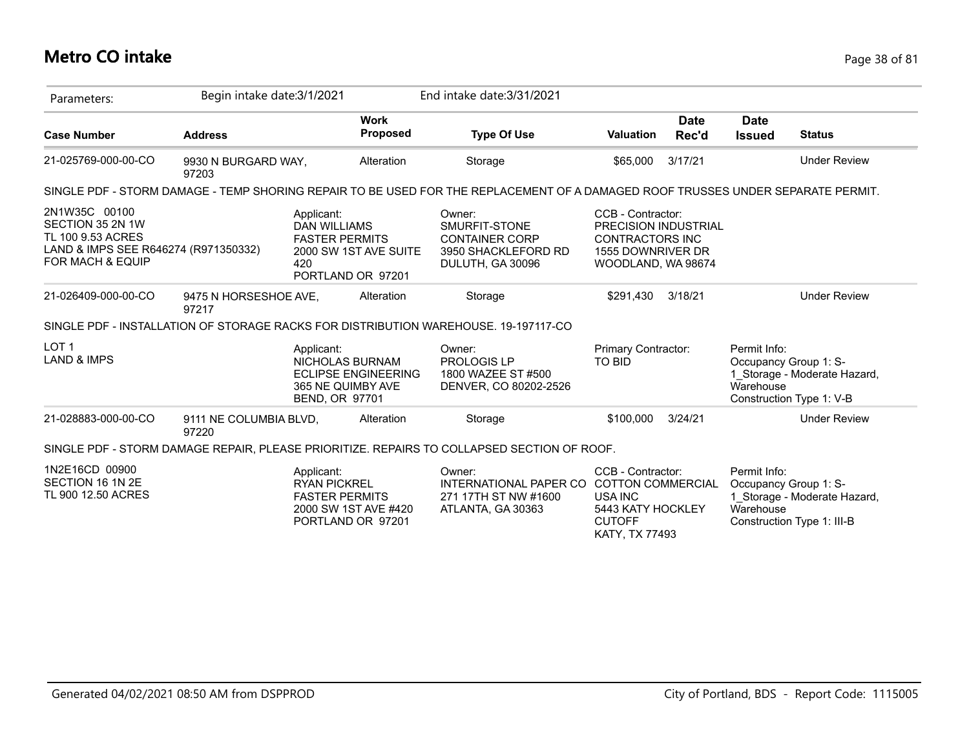### **Metro CO intake** Page 38 of 81

| Parameters:                                                                                                        | Begin intake date: 3/1/2021     |                                          |                                                                     | End intake date: 3/31/2021                                                                                                      |                                                                                                                         |                      |                                                    |                                                            |
|--------------------------------------------------------------------------------------------------------------------|---------------------------------|------------------------------------------|---------------------------------------------------------------------|---------------------------------------------------------------------------------------------------------------------------------|-------------------------------------------------------------------------------------------------------------------------|----------------------|----------------------------------------------------|------------------------------------------------------------|
| <b>Case Number</b>                                                                                                 | <b>Address</b>                  |                                          | <b>Work</b><br><b>Proposed</b>                                      | <b>Type Of Use</b>                                                                                                              | <b>Valuation</b>                                                                                                        | <b>Date</b><br>Rec'd | <b>Date</b><br><b>Issued</b>                       | <b>Status</b>                                              |
| 21-025769-000-00-CO                                                                                                | 9930 N BURGARD WAY,<br>97203    |                                          | Alteration                                                          | Storage                                                                                                                         | \$65,000                                                                                                                | 3/17/21              |                                                    | <b>Under Review</b>                                        |
|                                                                                                                    |                                 |                                          |                                                                     | SINGLE PDF - STORM DAMAGE - TEMP SHORING REPAIR TO BE USED FOR THE REPLACEMENT OF A DAMAGED ROOF TRUSSES UNDER SEPARATE PERMIT. |                                                                                                                         |                      |                                                    |                                                            |
| 2N1W35C 00100<br>SECTION 35 2N 1W<br>TL 100 9.53 ACRES<br>LAND & IMPS SEE R646274 (R971350332)<br>FOR MACH & EQUIP |                                 | Applicant:<br><b>DAN WILLIAMS</b><br>420 | <b>FASTER PERMITS</b><br>2000 SW 1ST AVE SUITE<br>PORTLAND OR 97201 | Owner:<br>SMURFIT-STONE<br><b>CONTAINER CORP</b><br>3950 SHACKLEFORD RD<br>DULUTH, GA 30096                                     | CCB - Contractor:<br>PRECISION INDUSTRIAL<br><b>CONTRACTORS INC</b><br>1555 DOWNRIVER DR<br>WOODLAND, WA 98674          |                      |                                                    |                                                            |
| 21-026409-000-00-CO                                                                                                | 9475 N HORSESHOE AVE,<br>97217  |                                          | Alteration                                                          | Storage                                                                                                                         | \$291.430                                                                                                               | 3/18/21              |                                                    | <b>Under Review</b>                                        |
|                                                                                                                    |                                 |                                          |                                                                     | SINGLE PDF - INSTALLATION OF STORAGE RACKS FOR DISTRIBUTION WAREHOUSE. 19-197117-CO                                             |                                                                                                                         |                      |                                                    |                                                            |
| LOT <sub>1</sub><br><b>LAND &amp; IMPS</b>                                                                         |                                 | Applicant:<br><b>BEND, OR 97701</b>      | NICHOLAS BURNAM<br><b>ECLIPSE ENGINEERING</b><br>365 NE QUIMBY AVE  | Owner:<br>PROLOGIS LP<br>1800 WAZEE ST #500<br>DENVER, CO 80202-2526                                                            | Primary Contractor:<br>TO BID                                                                                           |                      | Permit Info:<br>Occupancy Group 1: S-<br>Warehouse | 1 Storage - Moderate Hazard,<br>Construction Type 1: V-B   |
| 21-028883-000-00-CO                                                                                                | 9111 NE COLUMBIA BLVD,<br>97220 |                                          | Alteration                                                          | Storage                                                                                                                         | \$100,000                                                                                                               | 3/24/21              |                                                    | <b>Under Review</b>                                        |
|                                                                                                                    |                                 |                                          |                                                                     | SINGLE PDF - STORM DAMAGE REPAIR, PLEASE PRIORITIZE. REPAIRS TO COLLAPSED SECTION OF ROOF.                                      |                                                                                                                         |                      |                                                    |                                                            |
| 1N2E16CD 00900<br>SECTION 16 1N 2E<br>TL 900 12.50 ACRES                                                           |                                 | Applicant:<br><b>RYAN PICKREL</b>        | <b>FASTER PERMITS</b><br>2000 SW 1ST AVE #420<br>PORTLAND OR 97201  | Owner:<br>INTERNATIONAL PAPER CO<br>271 17TH ST NW #1600<br>ATLANTA, GA 30363                                                   | CCB - Contractor:<br><b>COTTON COMMERCIAL</b><br>USA INC<br>5443 KATY HOCKLEY<br><b>CUTOFF</b><br><b>KATY, TX 77493</b> |                      | Permit Info:<br>Occupancy Group 1: S-<br>Warehouse | 1 Storage - Moderate Hazard,<br>Construction Type 1: III-B |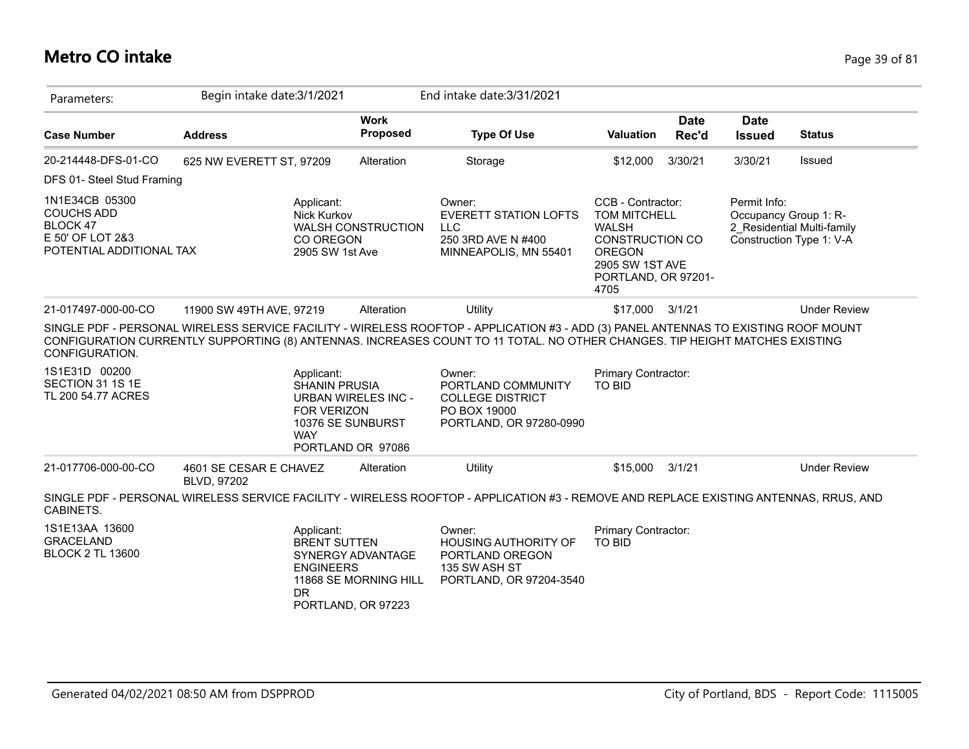### **Metro CO intake** Page 39 of 81

| Parameters:                                                                                     | Begin intake date: 3/1/2021           |                                                                                                                  |                                            | End intake date: 3/31/2021                                                                                                                                                                                                                                         |                                                                                                                                                |                      |                                       |                                                        |
|-------------------------------------------------------------------------------------------------|---------------------------------------|------------------------------------------------------------------------------------------------------------------|--------------------------------------------|--------------------------------------------------------------------------------------------------------------------------------------------------------------------------------------------------------------------------------------------------------------------|------------------------------------------------------------------------------------------------------------------------------------------------|----------------------|---------------------------------------|--------------------------------------------------------|
| <b>Case Number</b>                                                                              | <b>Address</b>                        |                                                                                                                  | <b>Work</b><br>Proposed                    | <b>Type Of Use</b>                                                                                                                                                                                                                                                 | Valuation                                                                                                                                      | <b>Date</b><br>Rec'd | <b>Date</b><br><b>Issued</b>          | <b>Status</b>                                          |
| 20-214448-DFS-01-CO                                                                             | 625 NW EVERETT ST, 97209              |                                                                                                                  | Alteration                                 | Storage                                                                                                                                                                                                                                                            | \$12,000                                                                                                                                       | 3/30/21              | 3/30/21                               | Issued                                                 |
| DFS 01- Steel Stud Framing                                                                      |                                       |                                                                                                                  |                                            |                                                                                                                                                                                                                                                                    |                                                                                                                                                |                      |                                       |                                                        |
| 1N1E34CB 05300<br><b>COUCHS ADD</b><br>BLOCK 47<br>E 50' OF LOT 2&3<br>POTENTIAL ADDITIONAL TAX |                                       | Applicant:<br><b>Nick Kurkov</b><br>CO OREGON<br>2905 SW 1st Ave                                                 | <b>WALSH CONSTRUCTION</b>                  | Owner:<br><b>EVERETT STATION LOFTS</b><br><b>LLC</b><br>250 3RD AVE N #400<br>MINNEAPOLIS, MN 55401                                                                                                                                                                | CCB - Contractor:<br>TOM MITCHELL<br><b>WALSH</b><br><b>CONSTRUCTION CO</b><br><b>OREGON</b><br>2905 SW 1ST AVE<br>PORTLAND, OR 97201-<br>4705 |                      | Permit Info:<br>Occupancy Group 1: R- | 2 Residential Multi-family<br>Construction Type 1: V-A |
| 21-017497-000-00-CO                                                                             | 11900 SW 49TH AVE, 97219              |                                                                                                                  | Alteration                                 | Utility                                                                                                                                                                                                                                                            | \$17,000                                                                                                                                       | 3/1/21               |                                       | <b>Under Review</b>                                    |
| CONFIGURATION.                                                                                  |                                       |                                                                                                                  |                                            | SINGLE PDF - PERSONAL WIRELESS SERVICE FACILITY - WIRELESS ROOFTOP - APPLICATION #3 - ADD (3) PANEL ANTENNAS TO EXISTING ROOF MOUNT<br>CONFIGURATION CURRENTLY SUPPORTING (8) ANTENNAS. INCREASES COUNT TO 11 TOTAL. NO OTHER CHANGES. TIP HEIGHT MATCHES EXISTING |                                                                                                                                                |                      |                                       |                                                        |
| 1S1E31D 00200<br>SECTION 31 1S 1E<br>TL 200 54.77 ACRES                                         |                                       | Applicant:<br><b>SHANIN PRUSIA</b><br><b>FOR VERIZON</b><br>10376 SE SUNBURST<br><b>WAY</b><br>PORTLAND OR 97086 | <b>URBAN WIRELES INC -</b>                 | Owner:<br>PORTLAND COMMUNITY<br><b>COLLEGE DISTRICT</b><br>PO BOX 19000<br>PORTLAND, OR 97280-0990                                                                                                                                                                 | Primary Contractor:<br><b>TO BID</b>                                                                                                           |                      |                                       |                                                        |
| 21-017706-000-00-CO                                                                             | 4601 SE CESAR E CHAVEZ<br>BLVD, 97202 |                                                                                                                  | Alteration                                 | Utility                                                                                                                                                                                                                                                            | \$15,000                                                                                                                                       | 3/1/21               |                                       | <b>Under Review</b>                                    |
| CABINETS.                                                                                       |                                       |                                                                                                                  |                                            | SINGLE PDF - PERSONAL WIRELESS SERVICE FACILITY - WIRELESS ROOFTOP - APPLICATION #3 - REMOVE AND REPLACE EXISTING ANTENNAS, RRUS, AND                                                                                                                              |                                                                                                                                                |                      |                                       |                                                        |
| 1S1E13AA 13600<br><b>GRACELAND</b><br><b>BLOCK 2 TL 13600</b>                                   |                                       | Applicant:<br><b>BRENT SUTTEN</b><br><b>ENGINEERS</b><br><b>DR</b><br>PORTLAND, OR 97223                         | SYNERGY ADVANTAGE<br>11868 SE MORNING HILL | Owner:<br><b>HOUSING AUTHORITY OF</b><br>PORTLAND OREGON<br>135 SW ASH ST<br>PORTLAND, OR 97204-3540                                                                                                                                                               | Primary Contractor:<br><b>TO BID</b>                                                                                                           |                      |                                       |                                                        |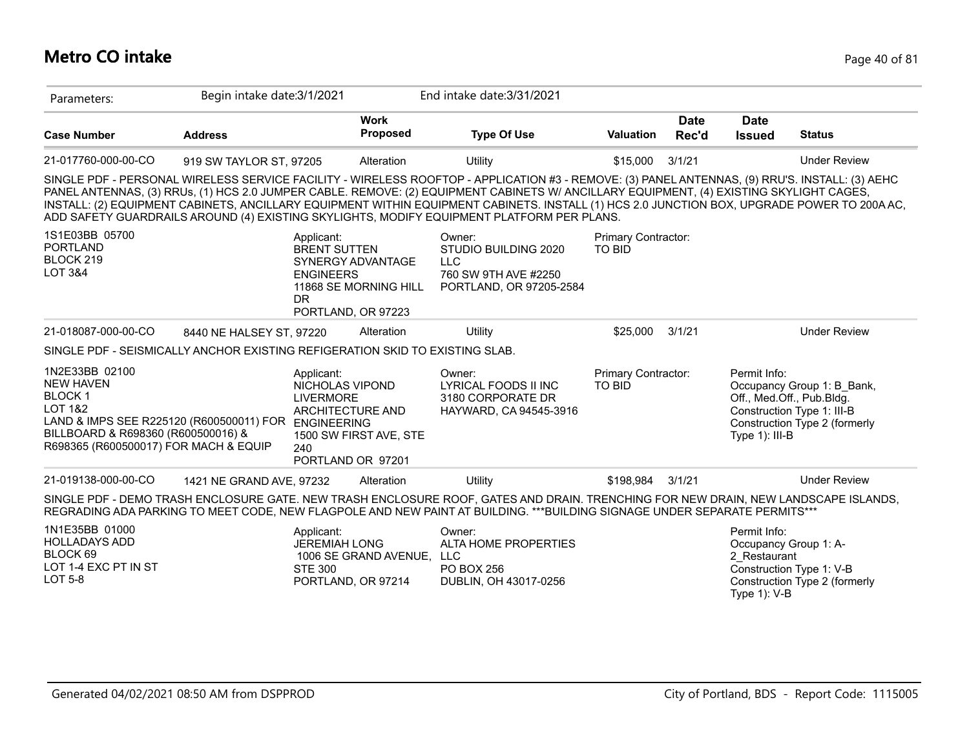#### **Metro CO intake** Page 40 of 81

| Parameters:                                                                                                                                                                                                      | Begin intake date: 3/1/2021 |                                                                                                          |                                            | End intake date: 3/31/2021                                                                                                                                                                                                                                                                                                                                                                                                                                                                                                            |                                      |                      |                                                                                           |                                                             |
|------------------------------------------------------------------------------------------------------------------------------------------------------------------------------------------------------------------|-----------------------------|----------------------------------------------------------------------------------------------------------|--------------------------------------------|---------------------------------------------------------------------------------------------------------------------------------------------------------------------------------------------------------------------------------------------------------------------------------------------------------------------------------------------------------------------------------------------------------------------------------------------------------------------------------------------------------------------------------------|--------------------------------------|----------------------|-------------------------------------------------------------------------------------------|-------------------------------------------------------------|
| <b>Case Number</b>                                                                                                                                                                                               | <b>Address</b>              |                                                                                                          | <b>Work</b><br><b>Proposed</b>             | <b>Type Of Use</b>                                                                                                                                                                                                                                                                                                                                                                                                                                                                                                                    | <b>Valuation</b>                     | <b>Date</b><br>Rec'd | <b>Date</b><br><b>Issued</b>                                                              | <b>Status</b>                                               |
| 21-017760-000-00-CO                                                                                                                                                                                              | 919 SW TAYLOR ST, 97205     |                                                                                                          | Alteration                                 | Utility                                                                                                                                                                                                                                                                                                                                                                                                                                                                                                                               | \$15,000                             | 3/1/21               |                                                                                           | <b>Under Review</b>                                         |
|                                                                                                                                                                                                                  |                             |                                                                                                          |                                            | SINGLE PDF - PERSONAL WIRELESS SERVICE FACILITY - WIRELESS ROOFTOP - APPLICATION #3 - REMOVE: (3) PANEL ANTENNAS, (9) RRU'S. INSTALL: (3) AEHC<br>PANEL ANTENNAS, (3) RRUs, (1) HCS 2.0 JUMPER CABLE. REMOVE: (2) EQUIPMENT CABINETS W/ ANCILLARY EQUIPMENT, (4) EXISTING SKYLIGHT CAGES,<br>INSTALL: (2) EQUIPMENT CABINETS, ANCILLARY EQUIPMENT WITHIN EQUIPMENT CABINETS. INSTALL (1) HCS 2.0 JUNCTION BOX, UPGRADE POWER TO 200A AC,<br>ADD SAFETY GUARDRAILS AROUND (4) EXISTING SKYLIGHTS, MODIFY EQUIPMENT PLATFORM PER PLANS. |                                      |                      |                                                                                           |                                                             |
| 1S1E03BB 05700<br><b>PORTLAND</b><br>BLOCK 219<br><b>LOT 3&amp;4</b>                                                                                                                                             |                             | Applicant:<br><b>BRENT SUTTEN</b><br><b>ENGINEERS</b><br><b>DR</b><br>PORTLAND, OR 97223                 | SYNERGY ADVANTAGE<br>11868 SE MORNING HILL | Owner:<br>STUDIO BUILDING 2020<br><b>LLC</b><br>760 SW 9TH AVE #2250<br>PORTLAND, OR 97205-2584                                                                                                                                                                                                                                                                                                                                                                                                                                       | Primary Contractor:<br><b>TO BID</b> |                      |                                                                                           |                                                             |
| 21-018087-000-00-CO                                                                                                                                                                                              | 8440 NE HALSEY ST, 97220    |                                                                                                          | Alteration                                 | Utility                                                                                                                                                                                                                                                                                                                                                                                                                                                                                                                               | \$25,000                             | 3/1/21               |                                                                                           | <b>Under Review</b>                                         |
| SINGLE PDF - SEISMICALLY ANCHOR EXISTING REFIGERATION SKID TO EXISTING SLAB.                                                                                                                                     |                             |                                                                                                          |                                            |                                                                                                                                                                                                                                                                                                                                                                                                                                                                                                                                       |                                      |                      |                                                                                           |                                                             |
| 1N2E33BB 02100<br><b>NEW HAVEN</b><br><b>BLOCK1</b><br><b>LOT 1&amp;2</b><br>LAND & IMPS SEE R225120 (R600500011) FOR ENGINEERING<br>BILLBOARD & R698360 (R600500016) &<br>R698365 (R600500017) FOR MACH & EQUIP |                             | Applicant:<br>NICHOLAS VIPOND<br><b>LIVERMORE</b><br><b>ARCHITECTURE AND</b><br>240<br>PORTLAND OR 97201 | 1500 SW FIRST AVE, STE                     | Owner:<br>LYRICAL FOODS II INC<br>3180 CORPORATE DR<br>HAYWARD, CA 94545-3916                                                                                                                                                                                                                                                                                                                                                                                                                                                         | Primary Contractor:<br><b>TO BID</b> |                      | Permit Info:<br>Off., Med.Off., Pub.Bldg.<br>Construction Type 1: III-B<br>Type 1): III-B | Occupancy Group 1: B Bank,<br>Construction Type 2 (formerly |
| 21-019138-000-00-CO                                                                                                                                                                                              | 1421 NE GRAND AVE, 97232    |                                                                                                          | Alteration                                 | Utility                                                                                                                                                                                                                                                                                                                                                                                                                                                                                                                               | \$198,984                            | 3/1/21               |                                                                                           | <b>Under Review</b>                                         |
|                                                                                                                                                                                                                  |                             |                                                                                                          |                                            | SINGLE PDF - DEMO TRASH ENCLOSURE GATE. NEW TRASH ENCLOSURE ROOF, GATES AND DRAIN. TRENCHING FOR NEW DRAIN, NEW LANDSCAPE ISLANDS,<br>REGRADING ADA PARKING TO MEET CODE, NEW FLAGPOLE AND NEW PAINT AT BUILDING. ***BUILDING SIGNAGE UNDER SEPARATE PERMITS***                                                                                                                                                                                                                                                                       |                                      |                      |                                                                                           |                                                             |
| 1N1E35BB 01000<br><b>HOLLADAYS ADD</b><br>BLOCK 69<br>$10T4$ $4TVA$ $DT$ $B10T$                                                                                                                                  |                             | Applicant:<br><b>JEREMIAH LONG</b>                                                                       | 1006 SE GRAND AVENUE, LLC                  | Owner:<br>ALTA HOME PROPERTIES                                                                                                                                                                                                                                                                                                                                                                                                                                                                                                        |                                      |                      | Permit Info:<br>Occupancy Group 1: A-<br>2 Restaurant                                     |                                                             |

LOT 1-4 EXC PT IN ST LOT 5-8

STE 300 PORTLAND, OR 97214

PO BOX 256 DUBLIN, OH 43017-0256

Construction Type 1: V-B Construction Type 2 (formerly Type 1): V-B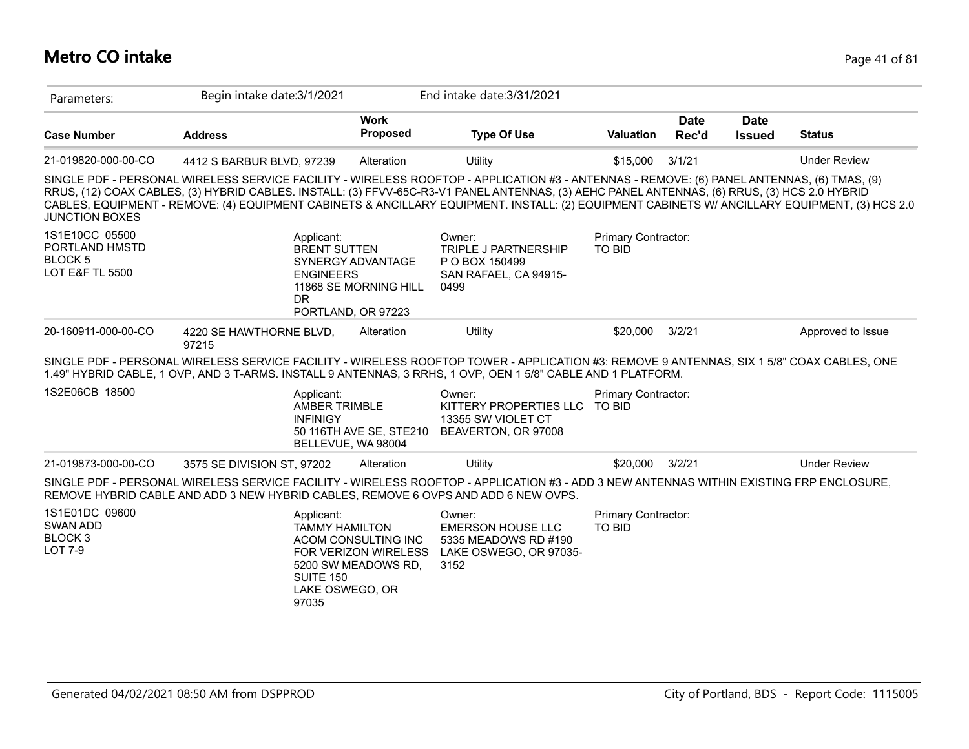#### **Metro CO intake** Page 41 of 81

| Parameters:                                                           | Begin intake date: 3/1/2021                                                                                                                                                                                                                                                                                                                                                                                                                 |                                                                    | End intake date: 3/31/2021                                                                   |                                      |                      |                              |                     |
|-----------------------------------------------------------------------|---------------------------------------------------------------------------------------------------------------------------------------------------------------------------------------------------------------------------------------------------------------------------------------------------------------------------------------------------------------------------------------------------------------------------------------------|--------------------------------------------------------------------|----------------------------------------------------------------------------------------------|--------------------------------------|----------------------|------------------------------|---------------------|
| <b>Case Number</b>                                                    | <b>Address</b>                                                                                                                                                                                                                                                                                                                                                                                                                              | <b>Work</b><br>Proposed                                            | <b>Type Of Use</b>                                                                           | <b>Valuation</b>                     | <b>Date</b><br>Rec'd | <b>Date</b><br><b>Issued</b> | <b>Status</b>       |
| 21-019820-000-00-CO                                                   | 4412 S BARBUR BLVD, 97239                                                                                                                                                                                                                                                                                                                                                                                                                   | Alteration                                                         | Utility                                                                                      | \$15,000                             | 3/1/21               |                              | <b>Under Review</b> |
| <b>JUNCTION BOXES</b>                                                 | SINGLE PDF - PERSONAL WIRELESS SERVICE FACILITY - WIRELESS ROOFTOP - APPLICATION #3 - ANTENNAS - REMOVE: (6) PANEL ANTENNAS, (6) TMAS, (9)<br>RRUS, (12) COAX CABLES, (3) HYBRID CABLES. INSTALL: (3) FFVV-65C-R3-V1 PANEL ANTENNAS, (3) AEHC PANEL ANTENNAS, (6) RRUS, (3) HCS 2.0 HYBRID<br>CABLES, EQUIPMENT - REMOVE: (4) EQUIPMENT CABINETS & ANCILLARY EQUIPMENT. INSTALL: (2) EQUIPMENT CABINETS W/ ANCILLARY EQUIPMENT, (3) HCS 2.0 |                                                                    |                                                                                              |                                      |                      |                              |                     |
| 1S1E10CC 05500<br>PORTLAND HMSTD<br><b>BLOCK 5</b><br>LOT E&F TL 5500 | Applicant:<br><b>BRENT SUTTEN</b><br><b>ENGINEERS</b><br><b>DR</b><br>PORTLAND, OR 97223                                                                                                                                                                                                                                                                                                                                                    | SYNERGY ADVANTAGE<br>11868 SE MORNING HILL                         | Owner:<br><b>TRIPLE J PARTNERSHIP</b><br>P O BOX 150499<br>SAN RAFAEL, CA 94915-<br>0499     | Primary Contractor:<br><b>TO BID</b> |                      |                              |                     |
| 20-160911-000-00-CO                                                   | 4220 SE HAWTHORNE BLVD,<br>97215                                                                                                                                                                                                                                                                                                                                                                                                            | Alteration                                                         | Utility                                                                                      | \$20,000                             | 3/2/21               |                              | Approved to Issue   |
|                                                                       | SINGLE PDF - PERSONAL WIRELESS SERVICE FACILITY - WIRELESS ROOFTOP TOWER - APPLICATION #3: REMOVE 9 ANTENNAS, SIX 1 5/8" COAX CABLES, ONE<br>1.49" HYBRID CABLE, 1 OVP, AND 3 T-ARMS. INSTALL 9 ANTENNAS, 3 RRHS, 1 OVP, OEN 1 5/8" CABLE AND 1 PLATFORM.                                                                                                                                                                                   |                                                                    |                                                                                              |                                      |                      |                              |                     |
| 1S2E06CB 18500                                                        | Applicant:<br>AMBER TRIMBLE<br><b>INFINIGY</b><br>BELLEVUE, WA 98004                                                                                                                                                                                                                                                                                                                                                                        | 50 116TH AVE SE, STE210                                            | Owner:<br>KITTERY PROPERTIES LLC<br>13355 SW VIOLET CT<br>BEAVERTON, OR 97008                | Primary Contractor:<br><b>TO BID</b> |                      |                              |                     |
| 21-019873-000-00-CO                                                   | 3575 SE DIVISION ST, 97202                                                                                                                                                                                                                                                                                                                                                                                                                  | Alteration                                                         | Utility                                                                                      | \$20,000                             | 3/2/21               |                              | <b>Under Review</b> |
|                                                                       | SINGLE PDF - PERSONAL WIRELESS SERVICE FACILITY - WIRELESS ROOFTOP - APPLICATION #3 - ADD 3 NEW ANTENNAS WITHIN EXISTING FRP ENCLOSURE,<br>REMOVE HYBRID CABLE AND ADD 3 NEW HYBRID CABLES, REMOVE 6 OVPS AND ADD 6 NEW OVPS.                                                                                                                                                                                                               |                                                                    |                                                                                              |                                      |                      |                              |                     |
| 1S1E01DC 09600<br>SWAN ADD<br>BLOCK <sub>3</sub><br><b>LOT 7-9</b>    | Applicant:<br><b>TAMMY HAMILTON</b><br><b>SUITE 150</b><br>LAKE OSWEGO, OR<br>97035                                                                                                                                                                                                                                                                                                                                                         | ACOM CONSULTING INC<br>FOR VERIZON WIRELESS<br>5200 SW MEADOWS RD, | Owner:<br><b>EMERSON HOUSE LLC</b><br>5335 MEADOWS RD #190<br>LAKE OSWEGO, OR 97035-<br>3152 | Primary Contractor:<br><b>TO BID</b> |                      |                              |                     |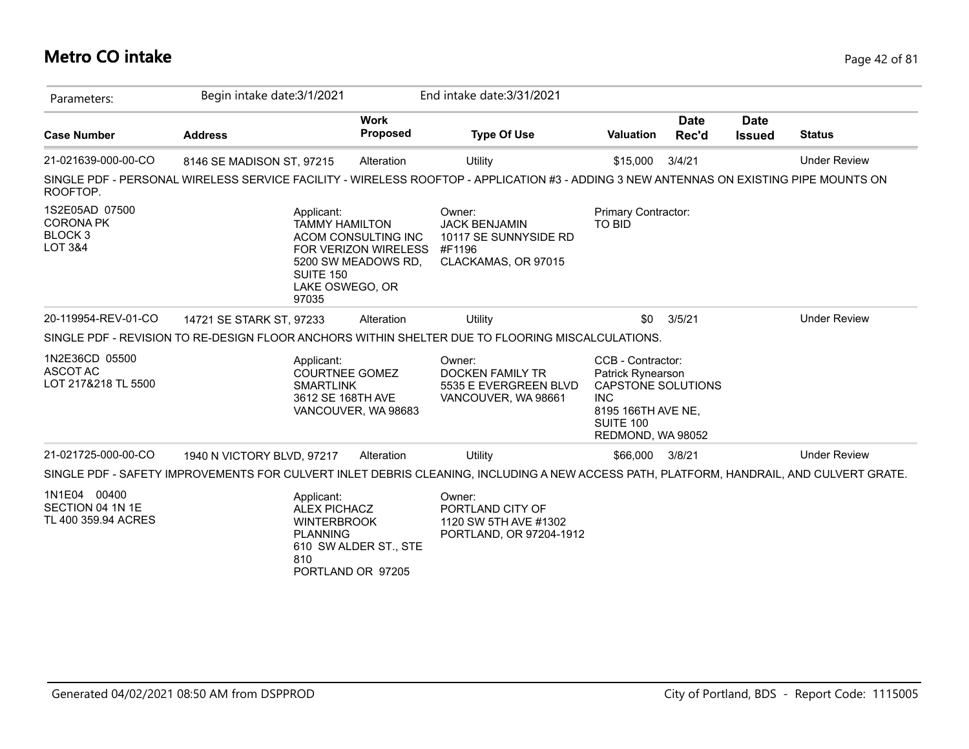### **Metro CO intake** Page 42 of 81

| Parameters:                                                                    | Begin intake date: 3/1/2021                                                                                                             |                                                                    | End intake date: 3/31/2021                                                               |                                                                                                                                                  |                      |                              |                     |
|--------------------------------------------------------------------------------|-----------------------------------------------------------------------------------------------------------------------------------------|--------------------------------------------------------------------|------------------------------------------------------------------------------------------|--------------------------------------------------------------------------------------------------------------------------------------------------|----------------------|------------------------------|---------------------|
| <b>Case Number</b>                                                             | <b>Address</b>                                                                                                                          | <b>Work</b><br><b>Proposed</b>                                     | <b>Type Of Use</b>                                                                       | <b>Valuation</b>                                                                                                                                 | <b>Date</b><br>Rec'd | <b>Date</b><br><b>Issued</b> | <b>Status</b>       |
| 21-021639-000-00-CO                                                            | 8146 SE MADISON ST, 97215                                                                                                               | Alteration                                                         | Utility                                                                                  | \$15,000                                                                                                                                         | 3/4/21               |                              | <b>Under Review</b> |
| ROOFTOP.                                                                       | SINGLE PDF - PERSONAL WIRELESS SERVICE FACILITY - WIRELESS ROOFTOP - APPLICATION #3 - ADDING 3 NEW ANTENNAS ON EXISTING PIPE MOUNTS ON  |                                                                    |                                                                                          |                                                                                                                                                  |                      |                              |                     |
| 1S2E05AD 07500<br><b>CORONA PK</b><br>BLOCK <sub>3</sub><br><b>LOT 3&amp;4</b> | Applicant:<br><b>TAMMY HAMILTON</b><br>SUITE 150<br>LAKE OSWEGO, OR<br>97035                                                            | ACOM CONSULTING INC<br>FOR VERIZON WIRELESS<br>5200 SW MEADOWS RD, | Owner:<br><b>JACK BENJAMIN</b><br>10117 SE SUNNYSIDE RD<br>#F1196<br>CLACKAMAS, OR 97015 | Primary Contractor:<br><b>TO BID</b>                                                                                                             |                      |                              |                     |
| 20-119954-REV-01-CO                                                            | 14721 SE STARK ST, 97233                                                                                                                | Alteration                                                         | Utility                                                                                  | \$0                                                                                                                                              | 3/5/21               |                              | <b>Under Review</b> |
|                                                                                | SINGLE PDF - REVISION TO RE-DESIGN FLOOR ANCHORS WITHIN SHELTER DUE TO FLOORING MISCALCULATIONS.                                        |                                                                    |                                                                                          |                                                                                                                                                  |                      |                              |                     |
| 1N2E36CD 05500<br>ASCOT AC<br>LOT 217&218 TL 5500                              | Applicant:<br><b>COURTNEE GOMEZ</b><br><b>SMARTLINK</b><br>3612 SE 168TH AVE                                                            | VANCOUVER, WA 98683                                                | Owner:<br><b>DOCKEN FAMILY TR</b><br>5535 E EVERGREEN BLVD<br>VANCOUVER, WA 98661        | CCB - Contractor:<br><b>Patrick Rynearson</b><br>CAPSTONE SOLUTIONS<br><b>INC</b><br>8195 166TH AVE NE.<br><b>SUITE 100</b><br>REDMOND, WA 98052 |                      |                              |                     |
| 21-021725-000-00-CO                                                            | 1940 N VICTORY BLVD, 97217                                                                                                              | Alteration                                                         | Utility                                                                                  | \$66,000                                                                                                                                         | 3/8/21               |                              | <b>Under Review</b> |
|                                                                                | SINGLE PDF - SAFETY IMPROVEMENTS FOR CULVERT INLET DEBRIS CLEANING, INCLUDING A NEW ACCESS PATH, PLATFORM, HANDRAIL, AND CULVERT GRATE. |                                                                    |                                                                                          |                                                                                                                                                  |                      |                              |                     |
| 1N1E04 00400<br>SECTION 04 1N 1E<br>TL 400 359.94 ACRES                        | Applicant:<br><b>ALEX PICHACZ</b><br><b>WINTERBROOK</b><br><b>PLANNING</b><br>810                                                       | 610 SW ALDER ST., STE<br>PORTLAND OR 97205                         | Owner:<br>PORTLAND CITY OF<br>1120 SW 5TH AVE #1302<br>PORTLAND, OR 97204-1912           |                                                                                                                                                  |                      |                              |                     |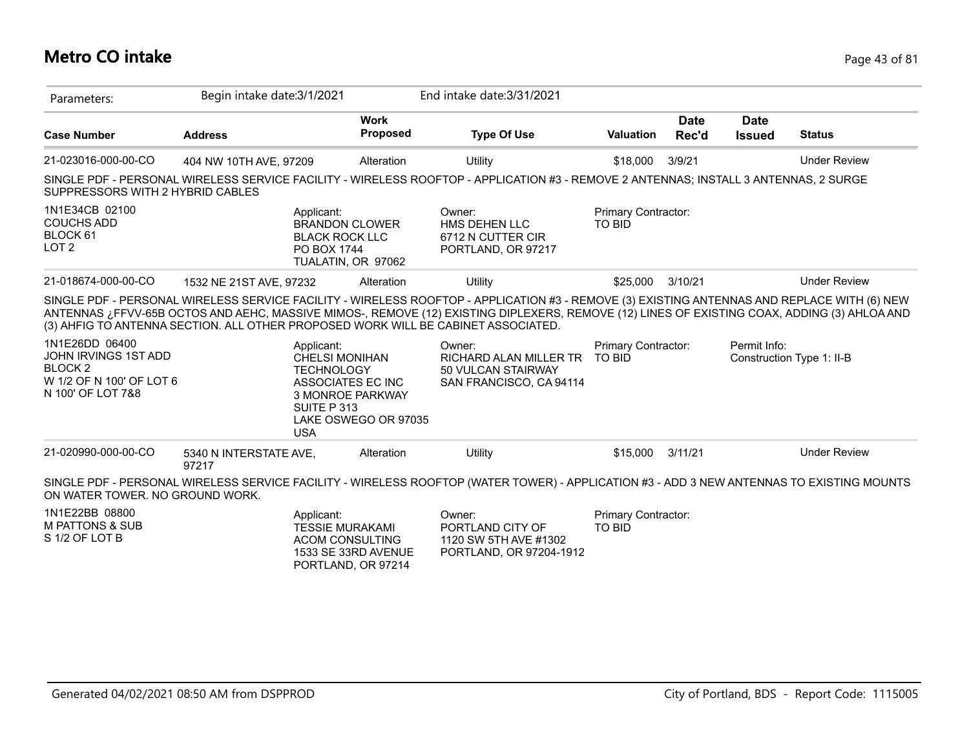### **Metro CO intake** Page 43 of 81

| Parameters:                                                                                                      | Begin intake date: 3/1/2021     |                                                                                                                                                 | End intake date: 3/31/2021                                                                                                                                                                                                                                                                                                                                                      |                                      |                      |                              |                           |
|------------------------------------------------------------------------------------------------------------------|---------------------------------|-------------------------------------------------------------------------------------------------------------------------------------------------|---------------------------------------------------------------------------------------------------------------------------------------------------------------------------------------------------------------------------------------------------------------------------------------------------------------------------------------------------------------------------------|--------------------------------------|----------------------|------------------------------|---------------------------|
| <b>Case Number</b>                                                                                               | <b>Address</b>                  | <b>Work</b><br>Proposed                                                                                                                         | <b>Type Of Use</b>                                                                                                                                                                                                                                                                                                                                                              | <b>Valuation</b>                     | <b>Date</b><br>Rec'd | <b>Date</b><br><b>Issued</b> | <b>Status</b>             |
| 21-023016-000-00-CO                                                                                              | 404 NW 10TH AVE, 97209          | Alteration                                                                                                                                      | Utility                                                                                                                                                                                                                                                                                                                                                                         | \$18,000                             | 3/9/21               |                              | <b>Under Review</b>       |
| SUPPRESSORS WITH 2 HYBRID CABLES                                                                                 |                                 |                                                                                                                                                 | SINGLE PDF - PERSONAL WIRELESS SERVICE FACILITY - WIRELESS ROOFTOP - APPLICATION #3 - REMOVE 2 ANTENNAS; INSTALL 3 ANTENNAS, 2 SURGE                                                                                                                                                                                                                                            |                                      |                      |                              |                           |
| 1N1E34CB 02100<br><b>COUCHS ADD</b><br>BLOCK 61<br>LOT <sub>2</sub>                                              |                                 | Applicant:<br><b>BRANDON CLOWER</b><br><b>BLACK ROCK LLC</b><br>PO BOX 1744<br>TUALATIN, OR 97062                                               | Owner:<br>HMS DEHEN LLC<br>6712 N CUTTER CIR<br>PORTLAND, OR 97217                                                                                                                                                                                                                                                                                                              | Primary Contractor:<br><b>TO BID</b> |                      |                              |                           |
| 21-018674-000-00-CO                                                                                              | 1532 NE 21ST AVE, 97232         | Alteration                                                                                                                                      | Utility                                                                                                                                                                                                                                                                                                                                                                         | \$25,000                             | 3/10/21              |                              | <b>Under Review</b>       |
|                                                                                                                  |                                 |                                                                                                                                                 | SINGLE PDF - PERSONAL WIRELESS SERVICE FACILITY - WIRELESS ROOFTOP - APPLICATION #3 - REMOVE (3) EXISTING ANTENNAS AND REPLACE WITH (6) NEW<br>ANTENNAS ¿FFVV-65B OCTOS AND AEHC, MASSIVE MIMOS-, REMOVE (12) EXISTING DIPLEXERS, REMOVE (12) LINES OF EXISTING COAX, ADDING (3) AHLOA AND<br>(3) AHFIG TO ANTENNA SECTION. ALL OTHER PROPOSED WORK WILL BE CABINET ASSOCIATED. |                                      |                      |                              |                           |
| 1N1E26DD 06400<br><b>JOHN IRVINGS 1ST ADD</b><br><b>BLOCK 2</b><br>W 1/2 OF N 100' OF LOT 6<br>N 100' OF LOT 7&8 | <b>USA</b>                      | Applicant:<br><b>CHELSI MONIHAN</b><br><b>TECHNOLOGY</b><br>ASSOCIATES EC INC<br><b>3 MONROE PARKWAY</b><br>SUITE P 313<br>LAKE OSWEGO OR 97035 | Owner:<br>RICHARD ALAN MILLER TR<br>50 VULCAN STAIRWAY<br>SAN FRANCISCO, CA 94114                                                                                                                                                                                                                                                                                               | Primary Contractor:<br><b>TO BID</b> |                      | Permit Info:                 | Construction Type 1: II-B |
| 21-020990-000-00-CO                                                                                              | 5340 N INTERSTATE AVE,<br>97217 | Alteration                                                                                                                                      | Utility                                                                                                                                                                                                                                                                                                                                                                         | \$15,000                             | 3/11/21              |                              | <b>Under Review</b>       |
| ON WATER TOWER. NO GROUND WORK.                                                                                  |                                 |                                                                                                                                                 | SINGLE PDF - PERSONAL WIRELESS SERVICE FACILITY - WIRELESS ROOFTOP (WATER TOWER) - APPLICATION #3 - ADD 3 NEW ANTENNAS TO EXISTING MOUNTS                                                                                                                                                                                                                                       |                                      |                      |                              |                           |
| 1N1E22BB 08800<br><b>M PATTONS &amp; SUB</b><br>S 1/2 OF LOT B                                                   |                                 | Applicant:<br><b>TESSIE MURAKAMI</b><br><b>ACOM CONSULTING</b><br>1533 SE 33RD AVENUE<br>PORTLAND, OR 97214                                     | Owner:<br>PORTLAND CITY OF<br>1120 SW 5TH AVE #1302<br>PORTLAND, OR 97204-1912                                                                                                                                                                                                                                                                                                  | Primary Contractor:<br><b>TO BID</b> |                      |                              |                           |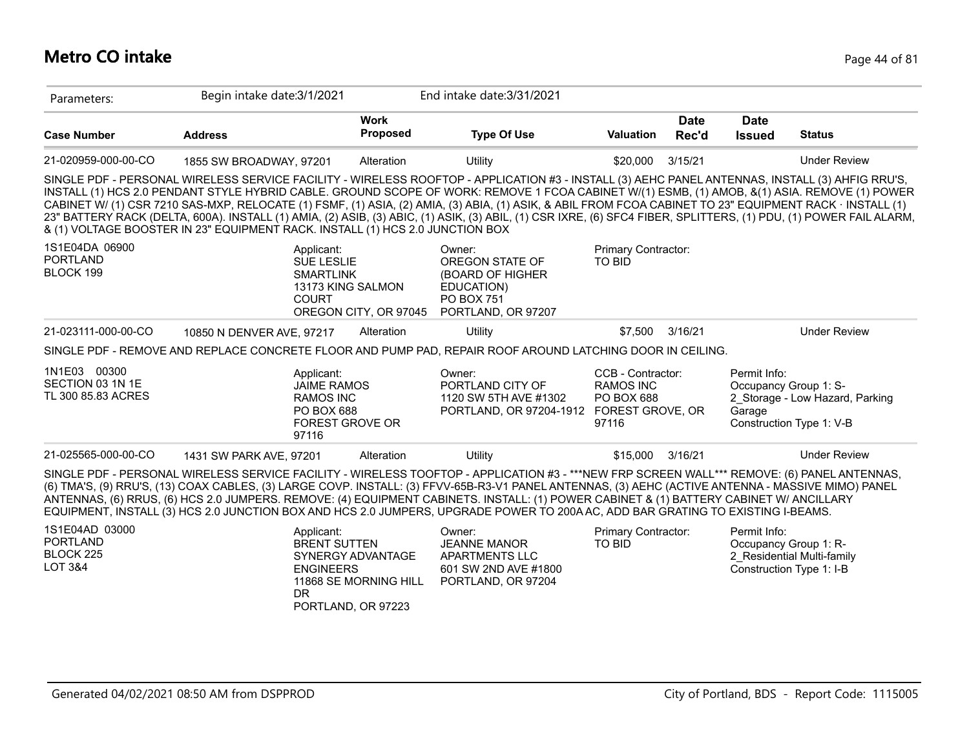### **Metro CO intake** Page 44 of 81

| Parameters:                                                          | Begin intake date: 3/1/2021                                                                                                                                                                                                                                                                                                                                                                                                                                                                                                                                                                                                                                                                                        |                                            | End intake date: 3/31/2021                                                                             |                                                                                         |                      |                              |                                                                                      |
|----------------------------------------------------------------------|--------------------------------------------------------------------------------------------------------------------------------------------------------------------------------------------------------------------------------------------------------------------------------------------------------------------------------------------------------------------------------------------------------------------------------------------------------------------------------------------------------------------------------------------------------------------------------------------------------------------------------------------------------------------------------------------------------------------|--------------------------------------------|--------------------------------------------------------------------------------------------------------|-----------------------------------------------------------------------------------------|----------------------|------------------------------|--------------------------------------------------------------------------------------|
| <b>Case Number</b>                                                   | <b>Address</b>                                                                                                                                                                                                                                                                                                                                                                                                                                                                                                                                                                                                                                                                                                     | <b>Work</b><br>Proposed                    | <b>Type Of Use</b>                                                                                     | <b>Valuation</b>                                                                        | <b>Date</b><br>Rec'd | <b>Date</b><br><b>Issued</b> | <b>Status</b>                                                                        |
| 21-020959-000-00-CO                                                  | 1855 SW BROADWAY, 97201                                                                                                                                                                                                                                                                                                                                                                                                                                                                                                                                                                                                                                                                                            | Alteration                                 | Utility                                                                                                | \$20,000                                                                                | 3/15/21              |                              | <b>Under Review</b>                                                                  |
|                                                                      | SINGLE PDF - PERSONAL WIRELESS SERVICE FACILITY - WIRELESS ROOFTOP - APPLICATION #3 - INSTALL (3) AEHC PANEL ANTENNAS, INSTALL (3) AHFIG RRU'S,<br>INSTALL (1) HCS 2.0 PENDANT STYLE HYBRID CABLE. GROUND SCOPE OF WORK: REMOVE 1 FCOA CABINET W/(1) ESMB, (1) AMOB, &(1) ASIA. REMOVE (1) POWER<br>CABINET W/ (1) CSR 7210 SAS-MXP, RELOCATE (1) FSMF, (1) ASIA, (2) AMIA, (3) ABIA, (1) ASIK, & ABIL FROM FCOA CABINET TO 23" EQUIPMENT RACK · INSTALL (1)<br>23" BATTERY RACK (DELTA, 600A). INSTALL (1) AMIA, (2) ASIB, (3) ABIC, (1) ASIK, (3) ABIL, (1) CSR IXRE, (6) SFC4 FIBER, SPLITTERS, (1) PDU, (1) POWER FAIL ALARM,<br>& (1) VOLTAGE BOOSTER IN 23" EQUIPMENT RACK. INSTALL (1) HCS 2.0 JUNCTION BOX |                                            |                                                                                                        |                                                                                         |                      |                              |                                                                                      |
| 1S1E04DA 06900<br><b>PORTLAND</b><br>BLOCK 199                       | Applicant:<br><b>SUE LESLIE</b><br><b>SMARTLINK</b><br>13173 KING SALMON<br><b>COURT</b>                                                                                                                                                                                                                                                                                                                                                                                                                                                                                                                                                                                                                           | OREGON CITY, OR 97045                      | Owner:<br>OREGON STATE OF<br>(BOARD OF HIGHER<br>EDUCATION)<br><b>PO BOX 751</b><br>PORTLAND, OR 97207 | Primary Contractor:<br><b>TO BID</b>                                                    |                      |                              |                                                                                      |
| 21-023111-000-00-CO                                                  | 10850 N DENVER AVE, 97217                                                                                                                                                                                                                                                                                                                                                                                                                                                                                                                                                                                                                                                                                          | Alteration                                 | Utility                                                                                                | \$7,500                                                                                 | 3/16/21              |                              | <b>Under Review</b>                                                                  |
|                                                                      | SINGLE PDF - REMOVE AND REPLACE CONCRETE FLOOR AND PUMP PAD, REPAIR ROOF AROUND LATCHING DOOR IN CEILING.                                                                                                                                                                                                                                                                                                                                                                                                                                                                                                                                                                                                          |                                            |                                                                                                        |                                                                                         |                      |                              |                                                                                      |
| 1N1E03 00300<br>SECTION 03 1N 1E<br>TL 300 85.83 ACRES               | Applicant:<br><b>JAIME RAMOS</b><br><b>RAMOS INC</b><br><b>PO BOX 688</b><br><b>FOREST GROVE OR</b><br>97116                                                                                                                                                                                                                                                                                                                                                                                                                                                                                                                                                                                                       |                                            | Owner:<br>PORTLAND CITY OF<br>1120 SW 5TH AVE #1302<br>PORTLAND, OR 97204-1912                         | CCB - Contractor:<br><b>RAMOS INC</b><br><b>PO BOX 688</b><br>FOREST GROVE, OR<br>97116 |                      | Permit Info:<br>Garage       | Occupancy Group 1: S-<br>2 Storage - Low Hazard, Parking<br>Construction Type 1: V-B |
| 21-025565-000-00-CO                                                  | 1431 SW PARK AVE, 97201                                                                                                                                                                                                                                                                                                                                                                                                                                                                                                                                                                                                                                                                                            | Alteration                                 | Utility                                                                                                | \$15,000                                                                                | 3/16/21              |                              | <b>Under Review</b>                                                                  |
|                                                                      | SINGLE PDF - PERSONAL WIRELESS SERVICE FACILITY - WIRELESS TOOFTOP - APPLICATION #3 - ***NEW FRP SCREEN WALL*** REMOVE: (6) PANEL ANTENNAS,<br>(6) TMA'S, (9) RRU'S, (13) COAX CABLES, (3) LARGE COVP. INSTALL: (3) FFVV-65B-R3-V1 PANEL ANTENNAS, (3) AEHC (ACTIVE ANTENNA - MASSIVE MIMO) PANEL<br>ANTENNAS, (6) RRUS, (6) HCS 2.0 JUMPERS. REMOVE: (4) EQUIPMENT CABINETS. INSTALL: (1) POWER CABINET & (1) BATTERY CABINET W/ ANCILLARY<br>EQUIPMENT, INSTALL (3) HCS 2.0 JUNCTION BOX AND HCS 2.0 JUMPERS, UPGRADE POWER TO 200A AC, ADD BAR GRATING TO EXISTING I-BEAMS.                                                                                                                                     |                                            |                                                                                                        |                                                                                         |                      |                              |                                                                                      |
| 1S1E04AD 03000<br><b>PORTLAND</b><br>BLOCK 225<br><b>LOT 3&amp;4</b> | Applicant:<br><b>BRENT SUTTEN</b><br><b>ENGINEERS</b><br><b>DR</b><br>PORTLAND, OR 97223                                                                                                                                                                                                                                                                                                                                                                                                                                                                                                                                                                                                                           | SYNERGY ADVANTAGE<br>11868 SE MORNING HILL | Owner:<br><b>JEANNE MANOR</b><br><b>APARTMENTS LLC</b><br>601 SW 2ND AVE #1800<br>PORTLAND, OR 97204   | Primary Contractor:<br><b>TO BID</b>                                                    |                      | Permit Info:                 | Occupancy Group 1: R-<br>2 Residential Multi-family<br>Construction Type 1: I-B      |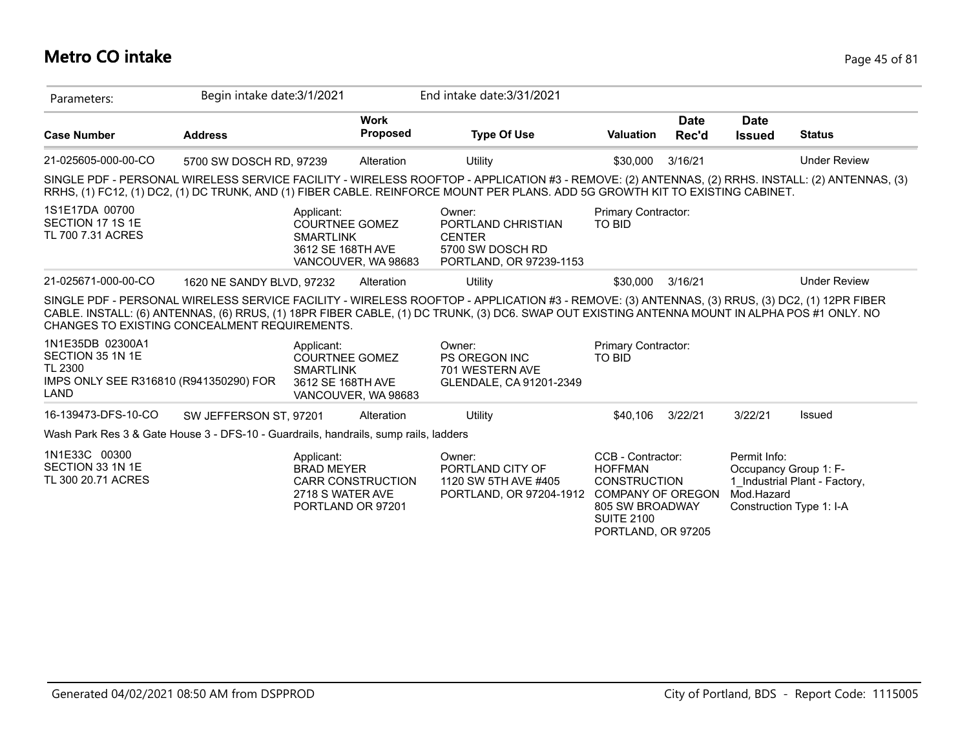### **Metro CO intake** Page 45 of 81

| Parameters:                                                                                       | Begin intake date: 3/1/2021 |                                                     |                                               | End intake date: 3/31/2021                                                                                                                                                                                                                                                                     |                                                                                                                                                      |                      |                              |                                                                                    |
|---------------------------------------------------------------------------------------------------|-----------------------------|-----------------------------------------------------|-----------------------------------------------|------------------------------------------------------------------------------------------------------------------------------------------------------------------------------------------------------------------------------------------------------------------------------------------------|------------------------------------------------------------------------------------------------------------------------------------------------------|----------------------|------------------------------|------------------------------------------------------------------------------------|
| <b>Case Number</b>                                                                                | <b>Address</b>              |                                                     | <b>Work</b><br><b>Proposed</b>                | <b>Type Of Use</b>                                                                                                                                                                                                                                                                             | <b>Valuation</b>                                                                                                                                     | <b>Date</b><br>Rec'd | <b>Date</b><br><b>Issued</b> | <b>Status</b>                                                                      |
| 21-025605-000-00-CO                                                                               | 5700 SW DOSCH RD, 97239     |                                                     | Alteration                                    | Utility                                                                                                                                                                                                                                                                                        | \$30,000                                                                                                                                             | 3/16/21              |                              | <b>Under Review</b>                                                                |
|                                                                                                   |                             |                                                     |                                               | SINGLE PDF - PERSONAL WIRELESS SERVICE FACILITY - WIRELESS ROOFTOP - APPLICATION #3 - REMOVE: (2) ANTENNAS, (2) RRHS. INSTALL: (2) ANTENNAS, (3)<br>RRHS, (1) FC12, (1) DC2, (1) DC TRUNK, AND (1) FIBER CABLE. REINFORCE MOUNT PER PLANS. ADD 5G GROWTH KIT TO EXISTING CABINET.              |                                                                                                                                                      |                      |                              |                                                                                    |
| 1S1E17DA 00700<br>SECTION 17 1S 1E<br>TL 700 7.31 ACRES                                           |                             | Applicant:<br><b>SMARTLINK</b><br>3612 SE 168TH AVE | COURTNEE GOMEZ<br>VANCOUVER, WA 98683         | Owner:<br>PORTLAND CHRISTIAN<br><b>CENTER</b><br>5700 SW DOSCH RD<br>PORTLAND, OR 97239-1153                                                                                                                                                                                                   | Primary Contractor:<br>TO BID                                                                                                                        |                      |                              |                                                                                    |
| 21-025671-000-00-CO                                                                               | 1620 NE SANDY BLVD, 97232   |                                                     | Alteration                                    | Utility                                                                                                                                                                                                                                                                                        | \$30,000                                                                                                                                             | 3/16/21              |                              | <b>Under Review</b>                                                                |
| CHANGES TO EXISTING CONCEALMENT REQUIREMENTS.                                                     |                             |                                                     |                                               | SINGLE PDF - PERSONAL WIRELESS SERVICE FACILITY - WIRELESS ROOFTOP - APPLICATION #3 - REMOVE: (3) ANTENNAS, (3) RRUS, (3) DC2, (1) 12PR FIBER<br>CABLE. INSTALL: (6) ANTENNAS, (6) RRUS, (1) 18PR FIBER CABLE, (1) DC TRUNK, (3) DC6. SWAP OUT EXISTING ANTENNA MOUNT IN ALPHA POS #1 ONLY. NO |                                                                                                                                                      |                      |                              |                                                                                    |
| 1N1E35DB 02300A1<br>SECTION 35 1N 1E<br>TL 2300<br>IMPS ONLY SEE R316810 (R941350290) FOR<br>LAND |                             | Applicant:<br><b>SMARTLINK</b><br>3612 SE 168TH AVE | <b>COURTNEE GOMEZ</b><br>VANCOUVER, WA 98683  | Owner:<br><b>PS OREGON INC</b><br>701 WESTERN AVE<br>GLENDALE, CA 91201-2349                                                                                                                                                                                                                   | Primary Contractor:<br>TO BID                                                                                                                        |                      |                              |                                                                                    |
| 16-139473-DFS-10-CO                                                                               | SW JEFFERSON ST, 97201      |                                                     | Alteration                                    | Utility                                                                                                                                                                                                                                                                                        | \$40,106                                                                                                                                             | 3/22/21              | 3/22/21                      | Issued                                                                             |
| Wash Park Res 3 & Gate House 3 - DFS-10 - Guardrails, handrails, sump rails, ladders              |                             |                                                     |                                               |                                                                                                                                                                                                                                                                                                |                                                                                                                                                      |                      |                              |                                                                                    |
| 1N1E33C 00300<br>SECTION 33 1N 1E<br>TL 300 20.71 ACRES                                           |                             | Applicant:<br><b>BRAD MEYER</b><br>2718 S WATER AVE | <b>CARR CONSTRUCTION</b><br>PORTLAND OR 97201 | Owner:<br>PORTLAND CITY OF<br>1120 SW 5TH AVE #405<br>PORTLAND, OR 97204-1912                                                                                                                                                                                                                  | CCB - Contractor:<br><b>HOFFMAN</b><br><b>CONSTRUCTION</b><br><b>COMPANY OF OREGON</b><br>805 SW BROADWAY<br><b>SUITE 2100</b><br>PORTLAND, OR 97205 |                      | Permit Info:<br>Mod.Hazard   | Occupancy Group 1: F-<br>1 Industrial Plant - Factory,<br>Construction Type 1: I-A |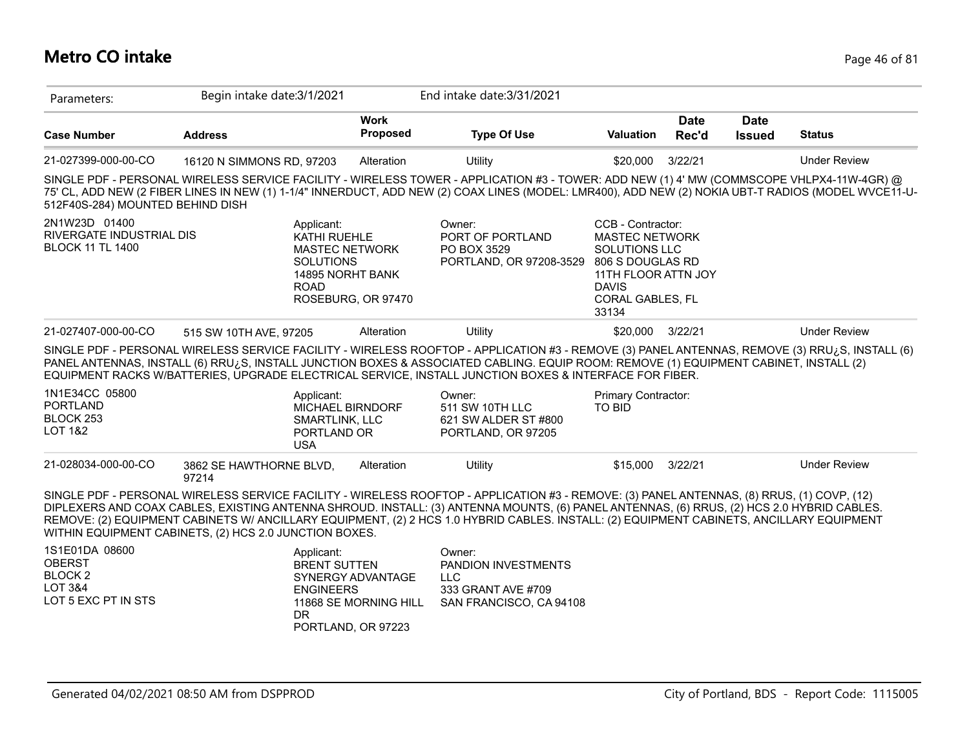#### **Metro CO intake** Page 46 of 81

| Parameters:                                                                                   | Begin intake date: 3/1/2021                            |                                                                                         | End intake date: 3/31/2021                                                                                                                                                                                                                                                                                                                                                                                                          |                                                                                                                                                            |                      |                              |                     |
|-----------------------------------------------------------------------------------------------|--------------------------------------------------------|-----------------------------------------------------------------------------------------|-------------------------------------------------------------------------------------------------------------------------------------------------------------------------------------------------------------------------------------------------------------------------------------------------------------------------------------------------------------------------------------------------------------------------------------|------------------------------------------------------------------------------------------------------------------------------------------------------------|----------------------|------------------------------|---------------------|
| <b>Case Number</b>                                                                            | <b>Address</b>                                         | <b>Work</b><br>Proposed                                                                 | <b>Type Of Use</b>                                                                                                                                                                                                                                                                                                                                                                                                                  | Valuation                                                                                                                                                  | <b>Date</b><br>Rec'd | <b>Date</b><br><b>Issued</b> | <b>Status</b>       |
| 21-027399-000-00-CO                                                                           | 16120 N SIMMONS RD, 97203                              | Alteration                                                                              | Utility                                                                                                                                                                                                                                                                                                                                                                                                                             | \$20,000                                                                                                                                                   | 3/22/21              |                              | <b>Under Review</b> |
| 512F40S-284) MOUNTED BEHIND DISH                                                              |                                                        |                                                                                         | SINGLE PDF - PERSONAL WIRELESS SERVICE FACILITY - WIRELESS TOWER - APPLICATION #3 - TOWER: ADD NEW (1) 4' MW (COMMSCOPE VHLPX4-11W-4GR) @<br>75' CL, ADD NEW (2 FIBER LINES IN NEW (1) 1-1/4" INNERDUCT, ADD NEW (2) COAX LINES (MODEL: LMR400), ADD NEW (2) NOKIA UBT-T RADIOS (MODEL WVCE11-U-                                                                                                                                    |                                                                                                                                                            |                      |                              |                     |
| 2N1W23D 01400<br>RIVERGATE INDUSTRIAL DIS<br><b>BLOCK 11 TL 1400</b>                          | Applicant:<br><b>SOLUTIONS</b><br><b>ROAD</b>          | KATHI RUEHLE<br><b>MASTEC NETWORK</b><br>14895 NORHT BANK<br>ROSEBURG, OR 97470         | Owner:<br>PORT OF PORTLAND<br>PO BOX 3529<br>PORTLAND, OR 97208-3529                                                                                                                                                                                                                                                                                                                                                                | CCB - Contractor:<br><b>MASTEC NETWORK</b><br><b>SOLUTIONS LLC</b><br>806 S DOUGLAS RD<br>11TH FLOOR ATTN JOY<br><b>DAVIS</b><br>CORAL GABLES, FL<br>33134 |                      |                              |                     |
| 21-027407-000-00-CO                                                                           | 515 SW 10TH AVE, 97205                                 | Alteration                                                                              | Utility                                                                                                                                                                                                                                                                                                                                                                                                                             | \$20,000                                                                                                                                                   | 3/22/21              |                              | <b>Under Review</b> |
|                                                                                               |                                                        |                                                                                         | SINGLE PDF - PERSONAL WIRELESS SERVICE FACILITY - WIRELESS ROOFTOP - APPLICATION #3 - REMOVE (3) PANEL ANTENNAS, REMOVE (3) RRU¿S, INSTALL (6)<br>PANEL ANTENNAS, INSTALL (6) RRU¿S, INSTALL JUNCTION BOXES & ASSOCIATED CABLING. EQUIP ROOM: REMOVE (1) EQUIPMENT CABINET, INSTALL (2)<br>EQUIPMENT RACKS W/BATTERIES, UPGRADE ELECTRICAL SERVICE, INSTALL JUNCTION BOXES & INTERFACE FOR FIBER.                                   |                                                                                                                                                            |                      |                              |                     |
| 1N1E34CC 05800<br><b>PORTLAND</b><br>BLOCK 253<br><b>LOT 1&amp;2</b>                          | Applicant:<br><b>USA</b>                               | MICHAEL BIRNDORF<br><b>SMARTLINK, LLC</b><br>PORTLAND OR                                | Owner:<br>511 SW 10TH LLC<br>621 SW ALDER ST #800<br>PORTLAND, OR 97205                                                                                                                                                                                                                                                                                                                                                             | <b>Primary Contractor:</b><br><b>TO BID</b>                                                                                                                |                      |                              |                     |
| 21-028034-000-00-CO                                                                           | 3862 SE HAWTHORNE BLVD,<br>97214                       | Alteration                                                                              | Utility                                                                                                                                                                                                                                                                                                                                                                                                                             | \$15,000                                                                                                                                                   | 3/22/21              |                              | <b>Under Review</b> |
|                                                                                               | WITHIN EQUIPMENT CABINETS, (2) HCS 2.0 JUNCTION BOXES. |                                                                                         | SINGLE PDF - PERSONAL WIRELESS SERVICE FACILITY - WIRELESS ROOFTOP - APPLICATION #3 - REMOVE: (3) PANEL ANTENNAS, (8) RRUS, (1) COVP, (12)<br>DIPLEXERS AND COAX CABLES, EXISTING ANTENNA SHROUD. INSTALL: (3) ANTENNA MOUNTS, (6) PANEL ANTENNAS, (6) RRUS, (2) HCS 2.0 HYBRID CABLES.<br>REMOVE: (2) EQUIPMENT CABINETS W/ ANCILLARY EQUIPMENT, (2) 2 HCS 1.0 HYBRID CABLES. INSTALL: (2) EQUIPMENT CABINETS, ANCILLARY EQUIPMENT |                                                                                                                                                            |                      |                              |                     |
| 1S1E01DA 08600<br><b>OBERST</b><br><b>BLOCK2</b><br><b>LOT 3&amp;4</b><br>LOT 5 EXC PT IN STS | Applicant:<br><b>ENGINEERS</b><br>DR.                  | <b>BRENT SUTTEN</b><br>SYNERGY ADVANTAGE<br>11868 SE MORNING HILL<br>PORTLAND, OR 97223 | Owner:<br>PANDION INVESTMENTS<br><b>LLC</b><br>333 GRANT AVE #709<br>SAN FRANCISCO, CA 94108                                                                                                                                                                                                                                                                                                                                        |                                                                                                                                                            |                      |                              |                     |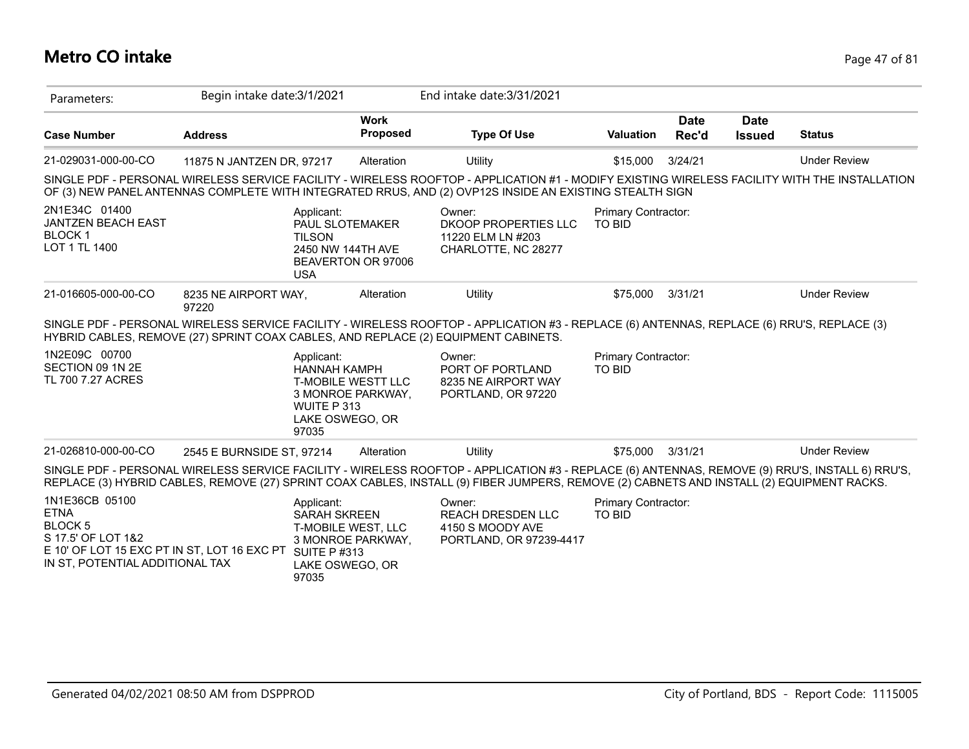#### **Metro CO intake** Page 47 of 81

| Parameters:                                                                                                                                      | Begin intake date: 3/1/2021   |                                                                                     |                                                | End intake date: 3/31/2021                                                                                                                                                                                                                                                                   |                                      |                      |                              |                     |
|--------------------------------------------------------------------------------------------------------------------------------------------------|-------------------------------|-------------------------------------------------------------------------------------|------------------------------------------------|----------------------------------------------------------------------------------------------------------------------------------------------------------------------------------------------------------------------------------------------------------------------------------------------|--------------------------------------|----------------------|------------------------------|---------------------|
| <b>Case Number</b>                                                                                                                               | <b>Address</b>                |                                                                                     | <b>Work</b><br><b>Proposed</b>                 | <b>Type Of Use</b>                                                                                                                                                                                                                                                                           | Valuation                            | <b>Date</b><br>Rec'd | <b>Date</b><br><b>Issued</b> | <b>Status</b>       |
| 21-029031-000-00-CO                                                                                                                              | 11875 N JANTZEN DR, 97217     |                                                                                     | Alteration                                     | Utility                                                                                                                                                                                                                                                                                      | \$15,000                             | 3/24/21              |                              | <b>Under Review</b> |
|                                                                                                                                                  |                               |                                                                                     |                                                | SINGLE PDF - PERSONAL WIRELESS SERVICE FACILITY - WIRELESS ROOFTOP - APPLICATION #1 - MODIFY EXISTING WIRELESS FACILITY WITH THE INSTALLATION<br>OF (3) NEW PANEL ANTENNAS COMPLETE WITH INTEGRATED RRUS, AND (2) OVP12S INSIDE AN EXISTING STEALTH SIGN                                     |                                      |                      |                              |                     |
| 2N1E34C 01400<br><b>JANTZEN BEACH EAST</b><br><b>BLOCK1</b><br>LOT 1 TL 1400                                                                     |                               | Applicant:<br>PAUL SLOTEMAKER<br><b>TILSON</b><br>2450 NW 144TH AVE<br><b>USA</b>   | BEAVERTON OR 97006                             | Owner:<br>DKOOP PROPERTIES LLC<br>11220 ELM LN #203<br>CHARLOTTE, NC 28277                                                                                                                                                                                                                   | Primary Contractor:<br><b>TO BID</b> |                      |                              |                     |
| 21-016605-000-00-CO                                                                                                                              | 8235 NE AIRPORT WAY,<br>97220 |                                                                                     | Alteration                                     | Utility                                                                                                                                                                                                                                                                                      | \$75.000                             | 3/31/21              |                              | <b>Under Review</b> |
|                                                                                                                                                  |                               |                                                                                     |                                                | SINGLE PDF - PERSONAL WIRELESS SERVICE FACILITY - WIRELESS ROOFTOP - APPLICATION #3 - REPLACE (6) ANTENNAS, REPLACE (6) RRU'S, REPLACE (3)<br>HYBRID CABLES, REMOVE (27) SPRINT COAX CABLES, AND REPLACE (2) EQUIPMENT CABINETS.                                                             |                                      |                      |                              |                     |
| 1N2E09C 00700<br>SECTION 09 1N 2E<br>TL 700 7.27 ACRES                                                                                           |                               | Applicant:<br><b>HANNAH KAMPH</b><br>WUITE P 313<br>LAKE OSWEGO, OR<br>97035        | <b>T-MOBILE WESTT LLC</b><br>3 MONROE PARKWAY, | Owner:<br>PORT OF PORTLAND<br>8235 NE AIRPORT WAY<br>PORTLAND, OR 97220                                                                                                                                                                                                                      | Primary Contractor:<br><b>TO BID</b> |                      |                              |                     |
| 21-026810-000-00-CO                                                                                                                              | 2545 E BURNSIDE ST, 97214     |                                                                                     | Alteration                                     | Utility                                                                                                                                                                                                                                                                                      | \$75,000                             | 3/31/21              |                              | <b>Under Review</b> |
|                                                                                                                                                  |                               |                                                                                     |                                                | SINGLE PDF - PERSONAL WIRELESS SERVICE FACILITY - WIRELESS ROOFTOP - APPLICATION #3 - REPLACE (6) ANTENNAS, REMOVE (9) RRU'S, INSTALL 6) RRU'S,<br>REPLACE (3) HYBRID CABLES, REMOVE (27) SPRINT COAX CABLES, INSTALL (9) FIBER JUMPERS, REMOVE (2) CABNETS AND INSTALL (2) EQUIPMENT RACKS. |                                      |                      |                              |                     |
| 1N1E36CB 05100<br><b>ETNA</b><br>BLOCK 5<br>S 17.5' OF LOT 1&2<br>E 10' OF LOT 15 EXC PT IN ST, LOT 16 EXC PT<br>IN ST, POTENTIAL ADDITIONAL TAX |                               | Applicant:<br><b>SARAH SKREEN</b><br><b>SUITE P#313</b><br>LAKE OSWEGO, OR<br>97035 | T-MOBILE WEST, LLC<br>3 MONROE PARKWAY,        | Owner:<br><b>REACH DRESDEN LLC</b><br>4150 S MOODY AVE<br>PORTLAND, OR 97239-4417                                                                                                                                                                                                            | Primary Contractor:<br><b>TO BID</b> |                      |                              |                     |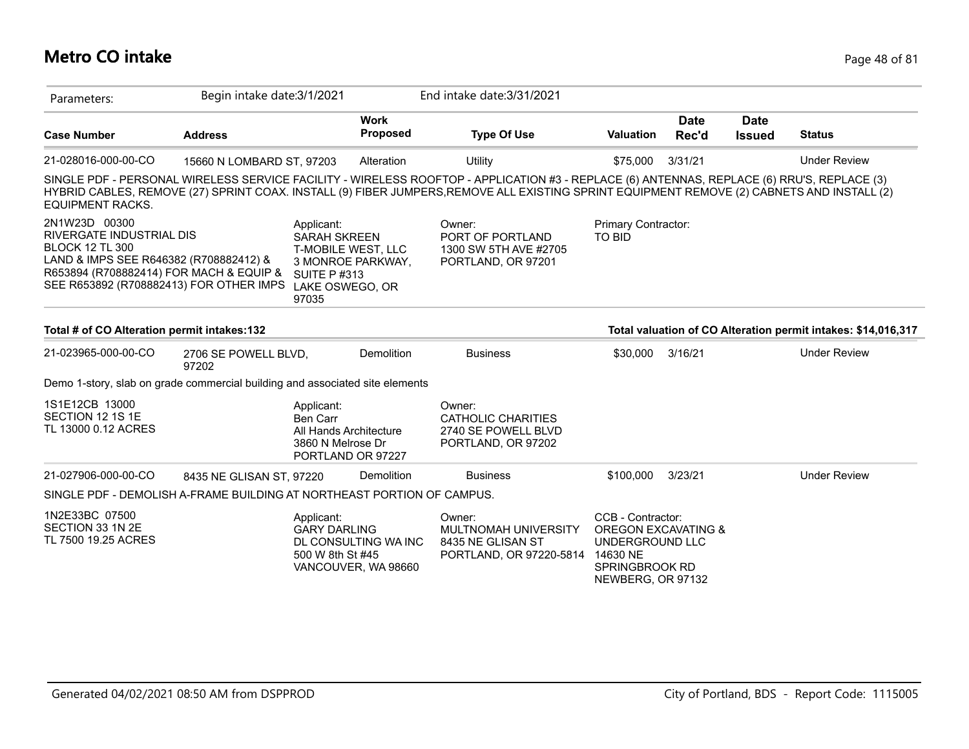### **Metro CO intake** Page 48 of 81

| Parameters:                                                                                                                                                                                         | Begin intake date: 3/1/2021   |                                                                                                    |                                             | End intake date: 3/31/2021                                                                                                                                                                                                                                                              |                                                                                                                       |                      |                              |                                                               |
|-----------------------------------------------------------------------------------------------------------------------------------------------------------------------------------------------------|-------------------------------|----------------------------------------------------------------------------------------------------|---------------------------------------------|-----------------------------------------------------------------------------------------------------------------------------------------------------------------------------------------------------------------------------------------------------------------------------------------|-----------------------------------------------------------------------------------------------------------------------|----------------------|------------------------------|---------------------------------------------------------------|
| <b>Case Number</b>                                                                                                                                                                                  | <b>Address</b>                |                                                                                                    | <b>Work</b><br><b>Proposed</b>              | <b>Type Of Use</b>                                                                                                                                                                                                                                                                      | <b>Valuation</b>                                                                                                      | <b>Date</b><br>Rec'd | <b>Date</b><br><b>Issued</b> | <b>Status</b>                                                 |
| 21-028016-000-00-CO                                                                                                                                                                                 | 15660 N LOMBARD ST, 97203     |                                                                                                    | Alteration                                  | Utility                                                                                                                                                                                                                                                                                 | \$75,000                                                                                                              | 3/31/21              |                              | <b>Under Review</b>                                           |
| <b>EQUIPMENT RACKS.</b>                                                                                                                                                                             |                               |                                                                                                    |                                             | SINGLE PDF - PERSONAL WIRELESS SERVICE FACILITY - WIRELESS ROOFTOP - APPLICATION #3 - REPLACE (6) ANTENNAS, REPLACE (6) RRU'S, REPLACE (3)<br>HYBRID CABLES, REMOVE (27) SPRINT COAX. INSTALL (9) FIBER JUMPERS,REMOVE ALL EXISTING SPRINT EQUIPMENT REMOVE (2) CABNETS AND INSTALL (2) |                                                                                                                       |                      |                              |                                                               |
| 2N1W23D 00300<br>RIVERGATE INDUSTRIAL DIS<br><b>BLOCK 12 TL 300</b><br>LAND & IMPS SEE R646382 (R708882412) &<br>R653894 (R708882414) FOR MACH & EQUIP &<br>SEE R653892 (R708882413) FOR OTHER IMPS |                               | Applicant:<br>SARAH SKREEN<br>T-MOBILE WEST, LLC<br><b>SUITE P#313</b><br>LAKE OSWEGO, OR<br>97035 | 3 MONROE PARKWAY,                           | Owner:<br>PORT OF PORTLAND<br>1300 SW 5TH AVE #2705<br>PORTLAND, OR 97201                                                                                                                                                                                                               | Primary Contractor:<br>TO BID                                                                                         |                      |                              |                                                               |
| Total # of CO Alteration permit intakes:132                                                                                                                                                         |                               |                                                                                                    |                                             |                                                                                                                                                                                                                                                                                         |                                                                                                                       |                      |                              | Total valuation of CO Alteration permit intakes: \$14,016,317 |
| 21-023965-000-00-CO                                                                                                                                                                                 | 2706 SE POWELL BLVD,<br>97202 |                                                                                                    | Demolition                                  | <b>Business</b>                                                                                                                                                                                                                                                                         | \$30,000                                                                                                              | 3/16/21              |                              | <b>Under Review</b>                                           |
| Demo 1-story, slab on grade commercial building and associated site elements                                                                                                                        |                               |                                                                                                    |                                             |                                                                                                                                                                                                                                                                                         |                                                                                                                       |                      |                              |                                                               |
| 1S1E12CB 13000<br>SECTION 12 1S 1E<br>TL 13000 0.12 ACRES                                                                                                                                           |                               | Applicant:<br>Ben Carr<br>All Hands Architecture<br>3860 N Melrose Dr<br>PORTLAND OR 97227         |                                             | Owner:<br>CATHOLIC CHARITIES<br>2740 SE POWELL BLVD<br>PORTLAND, OR 97202                                                                                                                                                                                                               |                                                                                                                       |                      |                              |                                                               |
| 21-027906-000-00-CO                                                                                                                                                                                 | 8435 NE GLISAN ST, 97220      |                                                                                                    | <b>Demolition</b>                           | <b>Business</b>                                                                                                                                                                                                                                                                         | \$100,000                                                                                                             | 3/23/21              |                              | <b>Under Review</b>                                           |
| SINGLE PDF - DEMOLISH A-FRAME BUILDING AT NORTHEAST PORTION OF CAMPUS.                                                                                                                              |                               |                                                                                                    |                                             |                                                                                                                                                                                                                                                                                         |                                                                                                                       |                      |                              |                                                               |
| 1N2E33BC 07500<br>SECTION 33 1N 2E<br>TL 7500 19.25 ACRES                                                                                                                                           |                               | Applicant:<br><b>GARY DARLING</b><br>500 W 8th St #45                                              | DL CONSULTING WA INC<br>VANCOUVER, WA 98660 | Owner:<br>MULTNOMAH UNIVERSITY<br>8435 NE GLISAN ST<br>PORTLAND, OR 97220-5814                                                                                                                                                                                                          | CCB - Contractor:<br>OREGON EXCAVATING &<br>UNDERGROUND LLC<br>14630 NE<br><b>SPRINGBROOK RD</b><br>NEWBERG, OR 97132 |                      |                              |                                                               |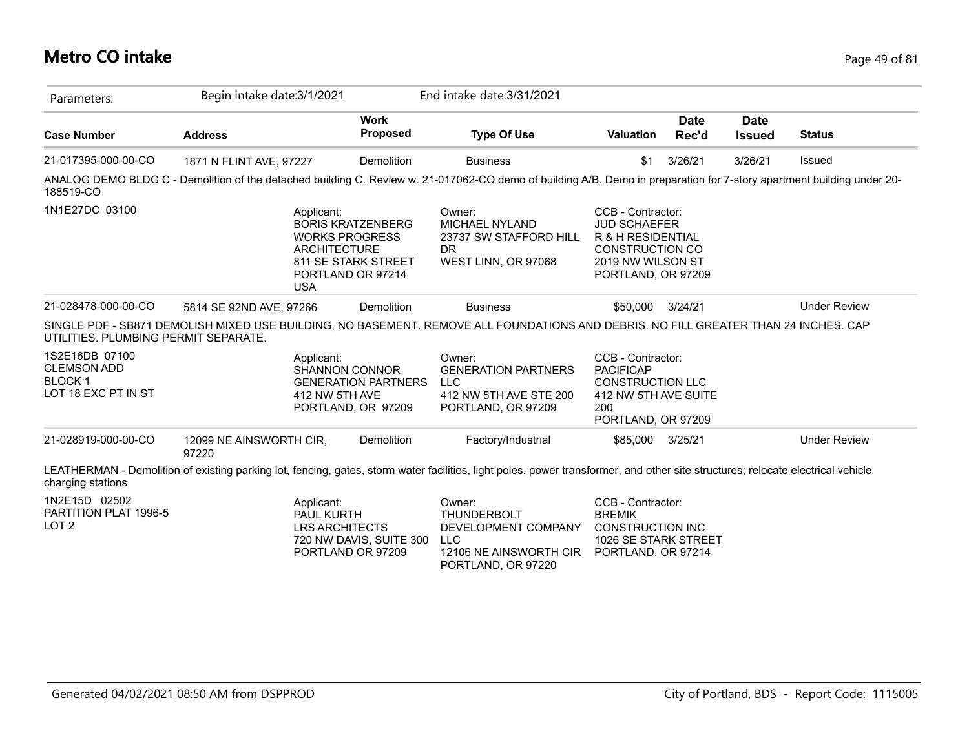#### **Metro CO intake** Page 49 of 81

| Parameters:                                                                  | Begin intake date: 3/1/2021                                                                                                                                                     |                                                                                                                      | End intake date: 3/31/2021                                                                                        |                                                                                                                                    |                      |                              |                     |
|------------------------------------------------------------------------------|---------------------------------------------------------------------------------------------------------------------------------------------------------------------------------|----------------------------------------------------------------------------------------------------------------------|-------------------------------------------------------------------------------------------------------------------|------------------------------------------------------------------------------------------------------------------------------------|----------------------|------------------------------|---------------------|
| <b>Case Number</b>                                                           | <b>Address</b>                                                                                                                                                                  | <b>Work</b><br><b>Proposed</b>                                                                                       | <b>Type Of Use</b>                                                                                                | <b>Valuation</b>                                                                                                                   | <b>Date</b><br>Rec'd | <b>Date</b><br><b>Issued</b> | <b>Status</b>       |
| 21-017395-000-00-CO                                                          | 1871 N FLINT AVE, 97227                                                                                                                                                         | Demolition                                                                                                           | <b>Business</b>                                                                                                   | \$1                                                                                                                                | 3/26/21              | 3/26/21                      | Issued              |
| 188519-CO                                                                    | ANALOG DEMO BLDG C - Demolition of the detached building C. Review w. 21-017062-CO demo of building A/B. Demo in preparation for 7-story apartment building under 20-           |                                                                                                                      |                                                                                                                   |                                                                                                                                    |                      |                              |                     |
| 1N1E27DC 03100                                                               | Applicant:<br><b>USA</b>                                                                                                                                                        | <b>BORIS KRATZENBERG</b><br><b>WORKS PROGRESS</b><br><b>ARCHITECTURE</b><br>811 SE STARK STREET<br>PORTLAND OR 97214 | Owner:<br><b>MICHAEL NYLAND</b><br>23737 SW STAFFORD HILL<br>DR.<br>WEST LINN, OR 97068                           | CCB - Contractor:<br><b>JUD SCHAEFER</b><br>R & H RESIDENTIAL<br><b>CONSTRUCTION CO</b><br>2019 NW WILSON ST<br>PORTLAND, OR 97209 |                      |                              |                     |
| 21-028478-000-00-CO                                                          | 5814 SE 92ND AVE, 97266                                                                                                                                                         | Demolition                                                                                                           | <b>Business</b>                                                                                                   | \$50,000                                                                                                                           | 3/24/21              |                              | <b>Under Review</b> |
| UTILITIES. PLUMBING PERMIT SEPARATE.                                         | SINGLE PDF - SB871 DEMOLISH MIXED USE BUILDING, NO BASEMENT. REMOVE ALL FOUNDATIONS AND DEBRIS. NO FILL GREATER THAN 24 INCHES. CAP                                             |                                                                                                                      |                                                                                                                   |                                                                                                                                    |                      |                              |                     |
| 1S2E16DB 07100<br><b>CLEMSON ADD</b><br><b>BLOCK1</b><br>LOT 18 EXC PT IN ST | Applicant:                                                                                                                                                                      | <b>SHANNON CONNOR</b><br><b>GENERATION PARTNERS</b><br>412 NW 5TH AVE<br>PORTLAND, OR 97209                          | Owner:<br><b>GENERATION PARTNERS</b><br><b>LLC</b><br>412 NW 5TH AVE STE 200<br>PORTLAND, OR 97209                | CCB - Contractor:<br><b>PACIFICAP</b><br><b>CONSTRUCTION LLC</b><br>412 NW 5TH AVE SUITE<br>200<br>PORTLAND, OR 97209              |                      |                              |                     |
| 21-028919-000-00-CO                                                          | 12099 NE AINSWORTH CIR,<br>97220                                                                                                                                                | Demolition                                                                                                           | Factory/Industrial                                                                                                | \$85,000 3/25/21                                                                                                                   |                      |                              | <b>Under Review</b> |
| charging stations                                                            | LEATHERMAN - Demolition of existing parking lot, fencing, gates, storm water facilities, light poles, power transformer, and other site structures; relocate electrical vehicle |                                                                                                                      |                                                                                                                   |                                                                                                                                    |                      |                              |                     |
| 1N2E15D 02502<br>PARTITION PLAT 1996-5<br>LOT <sub>2</sub>                   | Applicant:<br>PAUL KURTH                                                                                                                                                        | <b>LRS ARCHITECTS</b><br>720 NW DAVIS, SUITE 300<br>PORTLAND OR 97209                                                | Owner:<br><b>THUNDERBOLT</b><br>DEVELOPMENT COMPANY<br><b>LLC</b><br>12106 NE AINSWORTH CIR<br>PORTLAND, OR 97220 | CCB - Contractor:<br><b>BREMIK</b><br><b>CONSTRUCTION INC</b><br>1026 SE STARK STREET<br>PORTLAND, OR 97214                        |                      |                              |                     |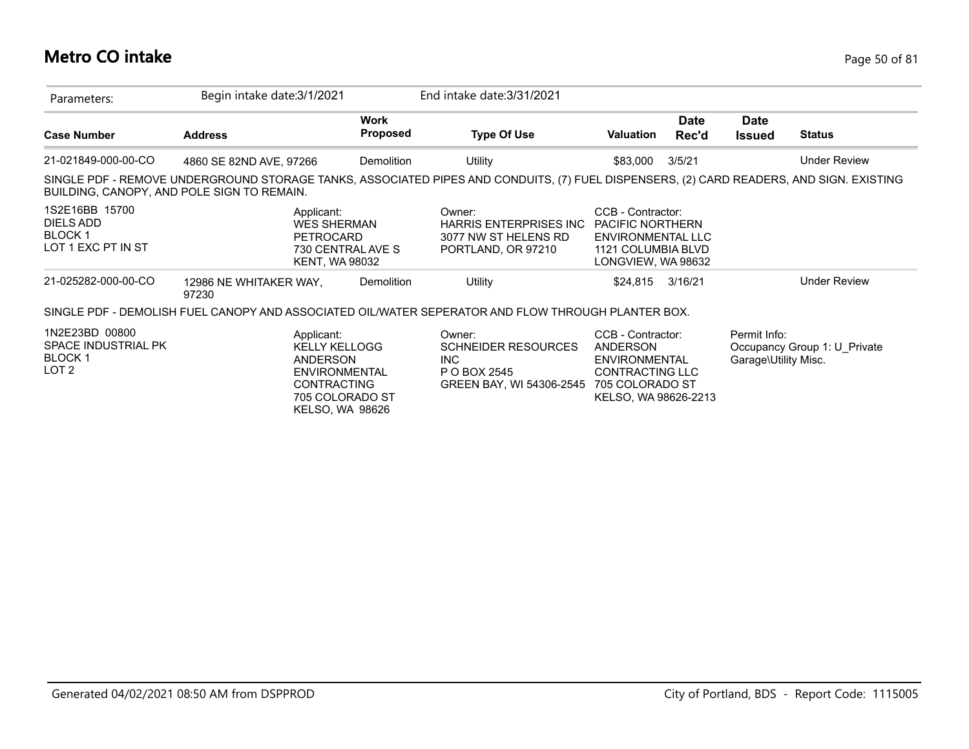### **Metro CO intake** Page 50 of 81

| Parameters:                                                                       | Begin intake date: 3/1/2021     |                                                                                                                                           |                                | End intake date: 3/31/2021                                                                                                              |                                                                                                                      |                             |                                      |                              |
|-----------------------------------------------------------------------------------|---------------------------------|-------------------------------------------------------------------------------------------------------------------------------------------|--------------------------------|-----------------------------------------------------------------------------------------------------------------------------------------|----------------------------------------------------------------------------------------------------------------------|-----------------------------|--------------------------------------|------------------------------|
| <b>Case Number</b>                                                                | <b>Address</b>                  |                                                                                                                                           | <b>Work</b><br><b>Proposed</b> | <b>Type Of Use</b>                                                                                                                      | <b>Valuation</b>                                                                                                     | <b>Date</b><br><b>Rec'd</b> | <b>Date</b><br><b>Issued</b>         | <b>Status</b>                |
| 21-021849-000-00-CO                                                               | 4860 SE 82ND AVE, 97266         |                                                                                                                                           | Demolition                     | Utility                                                                                                                                 | \$83,000                                                                                                             | 3/5/21                      |                                      | Under Review                 |
| BUILDING, CANOPY, AND POLE SIGN TO REMAIN.                                        |                                 |                                                                                                                                           |                                | SINGLE PDF - REMOVE UNDERGROUND STORAGE TANKS, ASSOCIATED PIPES AND CONDUITS, (7) FUEL DISPENSERS, (2) CARD READERS, AND SIGN. EXISTING |                                                                                                                      |                             |                                      |                              |
| 1S2E16BB 15700<br>DIELS ADD<br><b>BLOCK1</b><br>LOT 1 EXC PT IN ST                |                                 | Applicant:<br><b>WES SHERMAN</b><br><b>PETROCARD</b><br>730 CENTRAL AVE S<br>KENT, WA 98032                                               |                                | Owner:<br><b>HARRIS ENTERPRISES INC</b><br>3077 NW ST HELENS RD<br>PORTLAND, OR 97210                                                   | CCB - Contractor:<br><b>PACIFIC NORTHERN</b><br><b>ENVIRONMENTAL LLC</b><br>1121 COLUMBIA BLVD<br>LONGVIEW, WA 98632 |                             |                                      |                              |
| 21-025282-000-00-CO                                                               | 12986 NE WHITAKER WAY,<br>97230 |                                                                                                                                           | Demolition                     | Utility                                                                                                                                 | \$24,815                                                                                                             | 3/16/21                     |                                      | <b>Under Review</b>          |
|                                                                                   |                                 |                                                                                                                                           |                                | SINGLE PDF - DEMOLISH FUEL CANOPY AND ASSOCIATED OIL/WATER SEPERATOR AND FLOW THROUGH PLANTER BOX.                                      |                                                                                                                      |                             |                                      |                              |
| 1N2E23BD 00800<br><b>SPACE INDUSTRIAL PK</b><br><b>BLOCK1</b><br>LOT <sub>2</sub> |                                 | Applicant:<br><b>KELLY KELLOGG</b><br>ANDERSON<br><b>ENVIRONMENTAL</b><br><b>CONTRACTING</b><br>705 COLORADO ST<br><b>KELSO, WA 98626</b> |                                | Owner:<br><b>SCHNEIDER RESOURCES</b><br>INC.<br>P O BOX 2545<br>GREEN BAY, WI 54306-2545                                                | CCB - Contractor:<br>ANDERSON<br><b>ENVIRONMENTAL</b><br>CONTRACTING LLC<br>705 COLORADO ST<br>KELSO, WA 98626-2213  |                             | Permit Info:<br>Garage\Utility Misc. | Occupancy Group 1: U Private |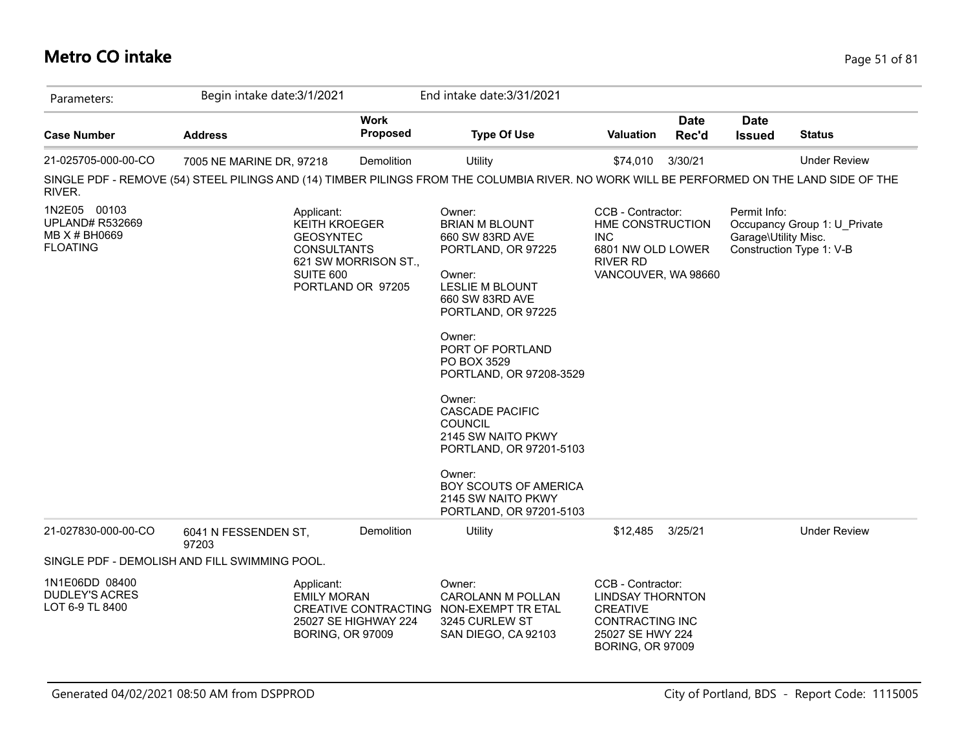### **Metro CO intake** Page 51 of 81

| Parameters:                                                                | Begin intake date: 3/1/2021                                                                                                               |                                                                                                      | End intake date: 3/31/2021                                                                                                                                                                                                                                                                                                                                                                                               |                                                                                                                                          |                      |                                      |                                                          |
|----------------------------------------------------------------------------|-------------------------------------------------------------------------------------------------------------------------------------------|------------------------------------------------------------------------------------------------------|--------------------------------------------------------------------------------------------------------------------------------------------------------------------------------------------------------------------------------------------------------------------------------------------------------------------------------------------------------------------------------------------------------------------------|------------------------------------------------------------------------------------------------------------------------------------------|----------------------|--------------------------------------|----------------------------------------------------------|
| <b>Case Number</b>                                                         | <b>Address</b>                                                                                                                            | <b>Work</b><br><b>Proposed</b>                                                                       | <b>Type Of Use</b>                                                                                                                                                                                                                                                                                                                                                                                                       | Valuation                                                                                                                                | <b>Date</b><br>Rec'd | <b>Date</b><br><b>Issued</b>         | <b>Status</b>                                            |
| 21-025705-000-00-CO                                                        | 7005 NE MARINE DR, 97218                                                                                                                  | Demolition                                                                                           | Utility                                                                                                                                                                                                                                                                                                                                                                                                                  | \$74,010                                                                                                                                 | 3/30/21              |                                      | <b>Under Review</b>                                      |
| RIVER.                                                                     | SINGLE PDF - REMOVE (54) STEEL PILINGS AND (14) TIMBER PILINGS FROM THE COLUMBIA RIVER. NO WORK WILL BE PERFORMED ON THE LAND SIDE OF THE |                                                                                                      |                                                                                                                                                                                                                                                                                                                                                                                                                          |                                                                                                                                          |                      |                                      |                                                          |
| 1N2E05 00103<br><b>UPLAND# R532669</b><br>MB X # BH0669<br><b>FLOATING</b> | Applicant:<br><b>GEOSYNTEC</b><br>SUITE 600                                                                                               | <b>KEITH KROEGER</b><br><b>CONSULTANTS</b><br>621 SW MORRISON ST.,<br>PORTLAND OR 97205              | Owner:<br><b>BRIAN M BLOUNT</b><br>660 SW 83RD AVE<br>PORTLAND, OR 97225<br>Owner:<br><b>LESLIE M BLOUNT</b><br>660 SW 83RD AVE<br>PORTLAND, OR 97225<br>Owner:<br>PORT OF PORTLAND<br>PO BOX 3529<br>PORTLAND, OR 97208-3529<br>Owner:<br><b>CASCADE PACIFIC</b><br><b>COUNCIL</b><br>2145 SW NAITO PKWY<br>PORTLAND, OR 97201-5103<br>Owner:<br>BOY SCOUTS OF AMERICA<br>2145 SW NAITO PKWY<br>PORTLAND, OR 97201-5103 | CCB - Contractor:<br>HME CONSTRUCTION<br><b>INC</b><br>6801 NW OLD LOWER<br><b>RIVER RD</b><br>VANCOUVER, WA 98660                       |                      | Permit Info:<br>Garage\Utility Misc. | Occupancy Group 1: U Private<br>Construction Type 1: V-B |
| 21-027830-000-00-CO                                                        | 6041 N FESSENDEN ST,<br>97203                                                                                                             | Demolition                                                                                           | Utility                                                                                                                                                                                                                                                                                                                                                                                                                  | \$12,485                                                                                                                                 | 3/25/21              |                                      | <b>Under Review</b>                                      |
|                                                                            | SINGLE PDF - DEMOLISH AND FILL SWIMMING POOL.                                                                                             |                                                                                                      |                                                                                                                                                                                                                                                                                                                                                                                                                          |                                                                                                                                          |                      |                                      |                                                          |
| 1N1E06DD 08400<br><b>DUDLEY'S ACRES</b><br>LOT 6-9 TL 8400                 | Applicant:                                                                                                                                | <b>EMILY MORAN</b><br><b>CREATIVE CONTRACTING</b><br>25027 SE HIGHWAY 224<br><b>BORING, OR 97009</b> | Owner:<br><b>CAROLANN M POLLAN</b><br>NON-EXEMPT TR ETAL<br>3245 CURLEW ST<br>SAN DIEGO, CA 92103                                                                                                                                                                                                                                                                                                                        | CCB - Contractor:<br><b>LINDSAY THORNTON</b><br><b>CREATIVE</b><br><b>CONTRACTING INC</b><br>25027 SE HWY 224<br><b>BORING, OR 97009</b> |                      |                                      |                                                          |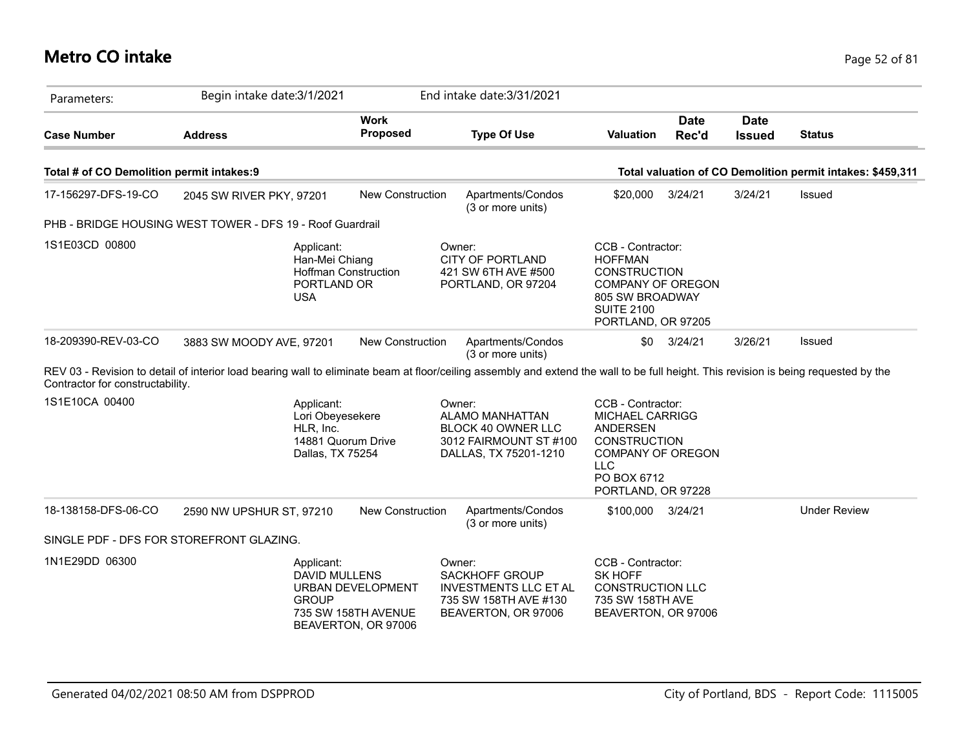### **Metro CO intake** Page 52 of 81

| Parameters:                               | Begin intake date: 3/1/2021                                                                                                                                                          |                                                                        | End intake date: 3/31/2021                                                                                      |                                                                                                                                                               |                      |                              |                                                            |
|-------------------------------------------|--------------------------------------------------------------------------------------------------------------------------------------------------------------------------------------|------------------------------------------------------------------------|-----------------------------------------------------------------------------------------------------------------|---------------------------------------------------------------------------------------------------------------------------------------------------------------|----------------------|------------------------------|------------------------------------------------------------|
| <b>Case Number</b>                        | <b>Address</b>                                                                                                                                                                       | <b>Work</b><br><b>Proposed</b>                                         | <b>Type Of Use</b>                                                                                              | <b>Valuation</b>                                                                                                                                              | <b>Date</b><br>Rec'd | <b>Date</b><br><b>Issued</b> | <b>Status</b>                                              |
| Total # of CO Demolition permit intakes:9 |                                                                                                                                                                                      |                                                                        |                                                                                                                 |                                                                                                                                                               |                      |                              | Total valuation of CO Demolition permit intakes: \$459,311 |
| 17-156297-DFS-19-CO                       | 2045 SW RIVER PKY, 97201                                                                                                                                                             | <b>New Construction</b>                                                | Apartments/Condos<br>(3 or more units)                                                                          | \$20,000                                                                                                                                                      | 3/24/21              | 3/24/21                      | Issued                                                     |
|                                           | PHB - BRIDGE HOUSING WEST TOWER - DFS 19 - Roof Guardrail                                                                                                                            |                                                                        |                                                                                                                 |                                                                                                                                                               |                      |                              |                                                            |
| 1S1E03CD 00800                            | Applicant:<br>Han-Mei Chiang<br><b>Hoffman Construction</b><br>PORTLAND OR<br><b>USA</b>                                                                                             |                                                                        | Owner:<br><b>CITY OF PORTLAND</b><br>421 SW 6TH AVE #500<br>PORTLAND, OR 97204                                  | CCB - Contractor:<br><b>HOFFMAN</b><br><b>CONSTRUCTION</b><br><b>COMPANY OF OREGON</b><br>805 SW BROADWAY<br><b>SUITE 2100</b><br>PORTLAND, OR 97205          |                      |                              |                                                            |
| 18-209390-REV-03-CO                       | 3883 SW MOODY AVE, 97201                                                                                                                                                             | <b>New Construction</b>                                                | Apartments/Condos<br>(3 or more units)                                                                          | <b>SO</b>                                                                                                                                                     | 3/24/21              | 3/26/21                      | Issued                                                     |
| Contractor for constructability.          | REV 03 - Revision to detail of interior load bearing wall to eliminate beam at floor/ceiling assembly and extend the wall to be full height. This revision is being requested by the |                                                                        |                                                                                                                 |                                                                                                                                                               |                      |                              |                                                            |
| 1S1E10CA 00400                            | Applicant:<br>Lori Obeyesekere<br>HLR, Inc.<br>14881 Quorum Drive<br>Dallas, TX 75254                                                                                                |                                                                        | Owner:<br><b>ALAMO MANHATTAN</b><br>BLOCK 40 OWNER LLC<br>3012 FAIRMOUNT ST #100<br>DALLAS, TX 75201-1210       | CCB - Contractor:<br><b>MICHAEL CARRIGG</b><br><b>ANDERSEN</b><br><b>CONSTRUCTION</b><br>COMPANY OF OREGON<br><b>LLC</b><br>PO BOX 6712<br>PORTLAND, OR 97228 |                      |                              |                                                            |
| 18-138158-DFS-06-CO                       | 2590 NW UPSHUR ST, 97210                                                                                                                                                             | <b>New Construction</b>                                                | Apartments/Condos<br>(3 or more units)                                                                          | \$100,000 3/24/21                                                                                                                                             |                      |                              | <b>Under Review</b>                                        |
| SINGLE PDF - DFS FOR STOREFRONT GLAZING.  |                                                                                                                                                                                      |                                                                        |                                                                                                                 |                                                                                                                                                               |                      |                              |                                                            |
| 1N1E29DD 06300                            | Applicant:<br>DAVID MULLENS<br><b>GROUP</b>                                                                                                                                          | <b>URBAN DEVELOPMENT</b><br>735 SW 158TH AVENUE<br>BEAVERTON, OR 97006 | Owner:<br><b>SACKHOFF GROUP</b><br><b>INVESTMENTS LLC ET AL</b><br>735 SW 158TH AVE #130<br>BEAVERTON, OR 97006 | CCB - Contractor:<br>SK HOFF<br><b>CONSTRUCTION LLC</b><br>735 SW 158TH AVE<br>BEAVERTON, OR 97006                                                            |                      |                              |                                                            |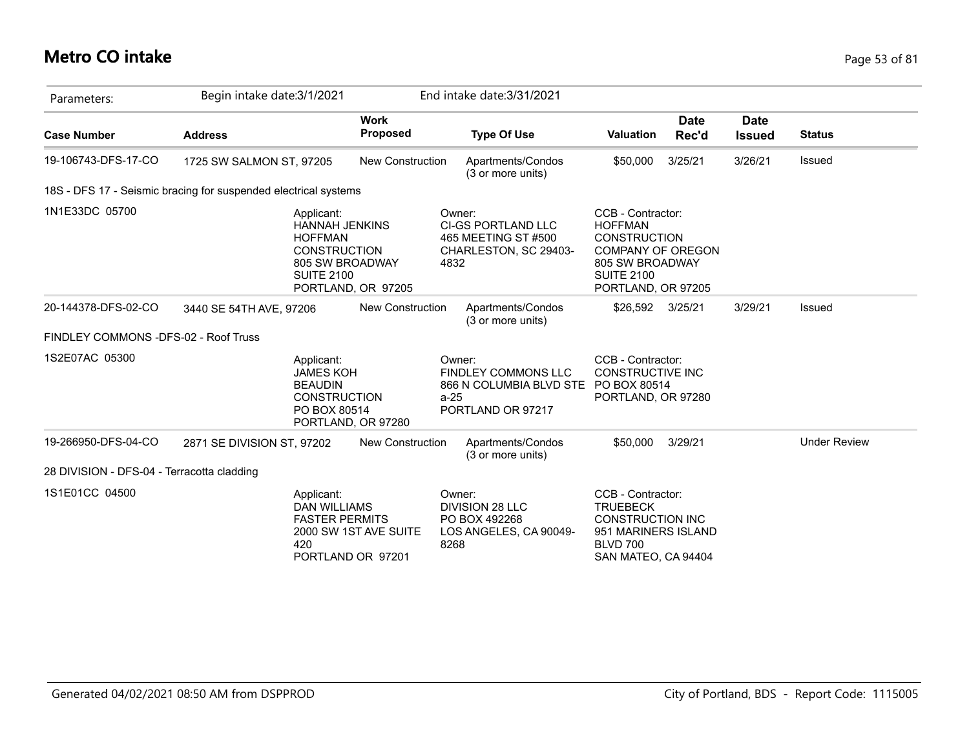# **Metro CO intake** Page 53 of 81

| Parameters:                                | Begin intake date: 3/1/2021                                                                                          |                                            | End intake date: 3/31/2021                                                              |                                                                                                                                                      |                      |                              |                     |
|--------------------------------------------|----------------------------------------------------------------------------------------------------------------------|--------------------------------------------|-----------------------------------------------------------------------------------------|------------------------------------------------------------------------------------------------------------------------------------------------------|----------------------|------------------------------|---------------------|
| <b>Case Number</b>                         | <b>Address</b>                                                                                                       | <b>Work</b><br>Proposed                    | <b>Type Of Use</b>                                                                      | <b>Valuation</b>                                                                                                                                     | <b>Date</b><br>Rec'd | <b>Date</b><br><b>Issued</b> | <b>Status</b>       |
| 19-106743-DFS-17-CO                        | 1725 SW SALMON ST, 97205                                                                                             | <b>New Construction</b>                    | Apartments/Condos<br>(3 or more units)                                                  | \$50,000                                                                                                                                             | 3/25/21              | 3/26/21                      | Issued              |
|                                            | 18S - DFS 17 - Seismic bracing for suspended electrical systems                                                      |                                            |                                                                                         |                                                                                                                                                      |                      |                              |                     |
| 1N1E33DC 05700                             | Applicant:<br><b>HANNAH JENKINS</b><br><b>HOFFMAN</b><br><b>CONSTRUCTION</b><br>805 SW BROADWAY<br><b>SUITE 2100</b> | PORTLAND, OR 97205                         | Owner:<br>CI-GS PORTLAND LLC<br>465 MEETING ST #500<br>CHARLESTON, SC 29403-<br>4832    | CCB - Contractor:<br><b>HOFFMAN</b><br><b>CONSTRUCTION</b><br><b>COMPANY OF OREGON</b><br>805 SW BROADWAY<br><b>SUITE 2100</b><br>PORTLAND, OR 97205 |                      |                              |                     |
| 20-144378-DFS-02-CO                        | 3440 SE 54TH AVE, 97206                                                                                              | New Construction                           | Apartments/Condos<br>(3 or more units)                                                  | \$26,592                                                                                                                                             | 3/25/21              | 3/29/21                      | Issued              |
| FINDLEY COMMONS - DFS-02 - Roof Truss      |                                                                                                                      |                                            |                                                                                         |                                                                                                                                                      |                      |                              |                     |
| 1S2E07AC 05300                             | Applicant:<br><b>JAMES KOH</b><br><b>BEAUDIN</b><br><b>CONSTRUCTION</b><br>PO BOX 80514                              | PORTLAND, OR 97280                         | Owner:<br>FINDLEY COMMONS LLC<br>866 N COLUMBIA BLVD STE<br>$a-25$<br>PORTLAND OR 97217 | CCB - Contractor:<br><b>CONSTRUCTIVE INC</b><br>PO BOX 80514<br>PORTLAND, OR 97280                                                                   |                      |                              |                     |
| 19-266950-DFS-04-CO                        | 2871 SE DIVISION ST, 97202                                                                                           | <b>New Construction</b>                    | Apartments/Condos<br>(3 or more units)                                                  | \$50,000                                                                                                                                             | 3/29/21              |                              | <b>Under Review</b> |
| 28 DIVISION - DFS-04 - Terracotta cladding |                                                                                                                      |                                            |                                                                                         |                                                                                                                                                      |                      |                              |                     |
| 1S1E01CC 04500                             | Applicant:<br><b>DAN WILLIAMS</b><br><b>FASTER PERMITS</b><br>420                                                    | 2000 SW 1ST AVE SUITE<br>PORTLAND OR 97201 | Owner:<br><b>DIVISION 28 LLC</b><br>PO BOX 492268<br>LOS ANGELES, CA 90049-<br>8268     | CCB - Contractor:<br><b>TRUEBECK</b><br><b>CONSTRUCTION INC</b><br>951 MARINERS ISLAND<br><b>BLVD 700</b><br>SAN MATEO, CA 94404                     |                      |                              |                     |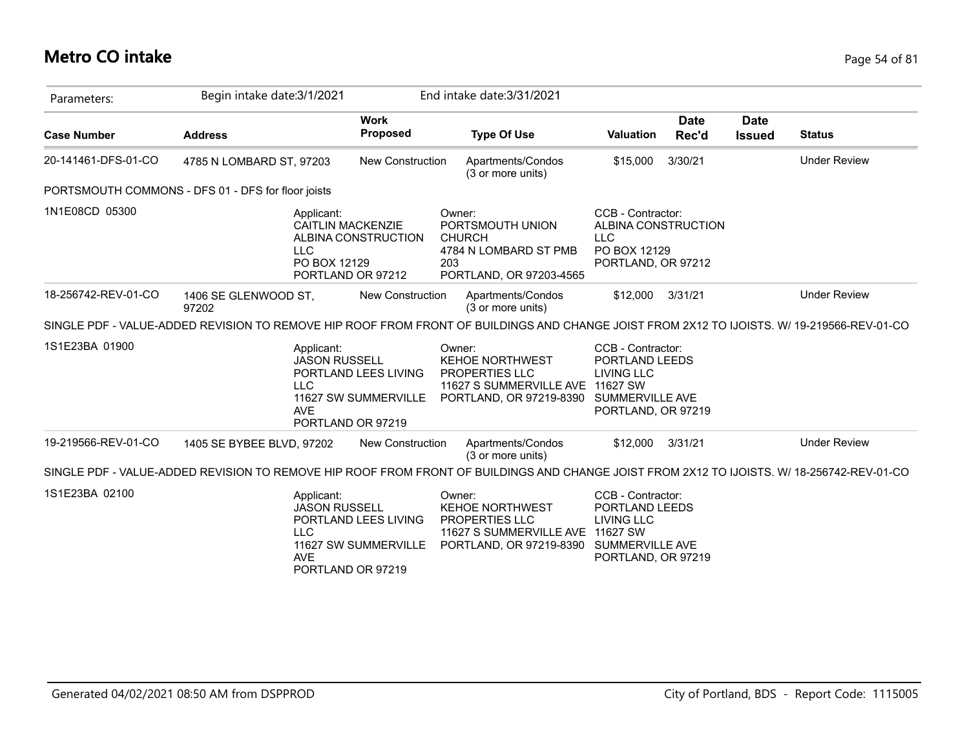#### **Metro CO intake** Page 54 of 81

| Parameters:         | Begin intake date: 3/1/2021                                                                                                                |                                                                   | End intake date: 3/31/2021                                                                                                               |                                                                                              |                      |                              |                     |
|---------------------|--------------------------------------------------------------------------------------------------------------------------------------------|-------------------------------------------------------------------|------------------------------------------------------------------------------------------------------------------------------------------|----------------------------------------------------------------------------------------------|----------------------|------------------------------|---------------------|
| <b>Case Number</b>  | <b>Address</b>                                                                                                                             | <b>Work</b><br>Proposed                                           | <b>Type Of Use</b>                                                                                                                       | <b>Valuation</b>                                                                             | <b>Date</b><br>Rec'd | <b>Date</b><br><b>Issued</b> | <b>Status</b>       |
| 20-141461-DFS-01-CO | 4785 N LOMBARD ST, 97203                                                                                                                   | <b>New Construction</b>                                           | Apartments/Condos<br>(3 or more units)                                                                                                   | \$15,000                                                                                     | 3/30/21              |                              | <b>Under Review</b> |
|                     | PORTSMOUTH COMMONS - DFS 01 - DFS for floor joists                                                                                         |                                                                   |                                                                                                                                          |                                                                                              |                      |                              |                     |
| 1N1E08CD 05300      | Applicant:<br><b>CAITLIN MACKENZIE</b><br><b>LLC</b><br>PO BOX 12129                                                                       | ALBINA CONSTRUCTION<br>PORTLAND OR 97212                          | Owner:<br>PORTSMOUTH UNION<br><b>CHURCH</b><br>4784 N LOMBARD ST PMB<br>203<br>PORTLAND, OR 97203-4565                                   | CCB - Contractor:<br>ALBINA CONSTRUCTION<br><b>LLC</b><br>PO BOX 12129<br>PORTLAND, OR 97212 |                      |                              |                     |
| 18-256742-REV-01-CO | 1406 SE GLENWOOD ST,<br>97202                                                                                                              | <b>New Construction</b>                                           | Apartments/Condos<br>(3 or more units)                                                                                                   | \$12,000                                                                                     | 3/31/21              |                              | <b>Under Review</b> |
|                     | SINGLE PDF - VALUE-ADDED REVISION TO REMOVE HIP ROOF FROM FRONT OF BUILDINGS AND CHANGE JOIST FROM 2X12 TO IJOISTS. W/ 19-219566-REV-01-CO |                                                                   |                                                                                                                                          |                                                                                              |                      |                              |                     |
| 1S1E23BA 01900      | Applicant:<br><b>JASON RUSSELL</b><br><b>LLC</b><br>AVE                                                                                    | PORTLAND LEES LIVING<br>11627 SW SUMMERVILLE<br>PORTLAND OR 97219 | Owner:<br><b>KEHOE NORTHWEST</b><br>PROPERTIES LLC<br>11627 S SUMMERVILLE AVE 11627 SW<br>PORTLAND, OR 97219-8390 SUMMERVILLE AVE        | CCB - Contractor:<br>PORTLAND LEEDS<br><b>LIVING LLC</b><br>PORTLAND, OR 97219               |                      |                              |                     |
| 19-219566-REV-01-CO | 1405 SE BYBEE BLVD, 97202                                                                                                                  | <b>New Construction</b>                                           | Apartments/Condos<br>(3 or more units)                                                                                                   | \$12,000                                                                                     | 3/31/21              |                              | <b>Under Review</b> |
|                     | SINGLE PDF - VALUE-ADDED REVISION TO REMOVE HIP ROOF FROM FRONT OF BUILDINGS AND CHANGE JOIST FROM 2X12 TO IJOISTS. W/ 18-256742-REV-01-CO |                                                                   |                                                                                                                                          |                                                                                              |                      |                              |                     |
| 1S1E23BA 02100      | Applicant:<br><b>JASON RUSSELL</b><br><b>LLC</b><br><b>AVE</b><br>PORTLAND OR 97219                                                        | PORTLAND LEES LIVING<br>11627 SW SUMMERVILLE                      | Owner:<br><b>KEHOE NORTHWEST</b><br><b>PROPERTIES LLC</b><br>11627 S SUMMERVILLE AVE 11627 SW<br>PORTLAND, OR 97219-8390 SUMMERVILLE AVE | CCB - Contractor:<br>PORTLAND LEEDS<br><b>LIVING LLC</b><br>PORTLAND, OR 97219               |                      |                              |                     |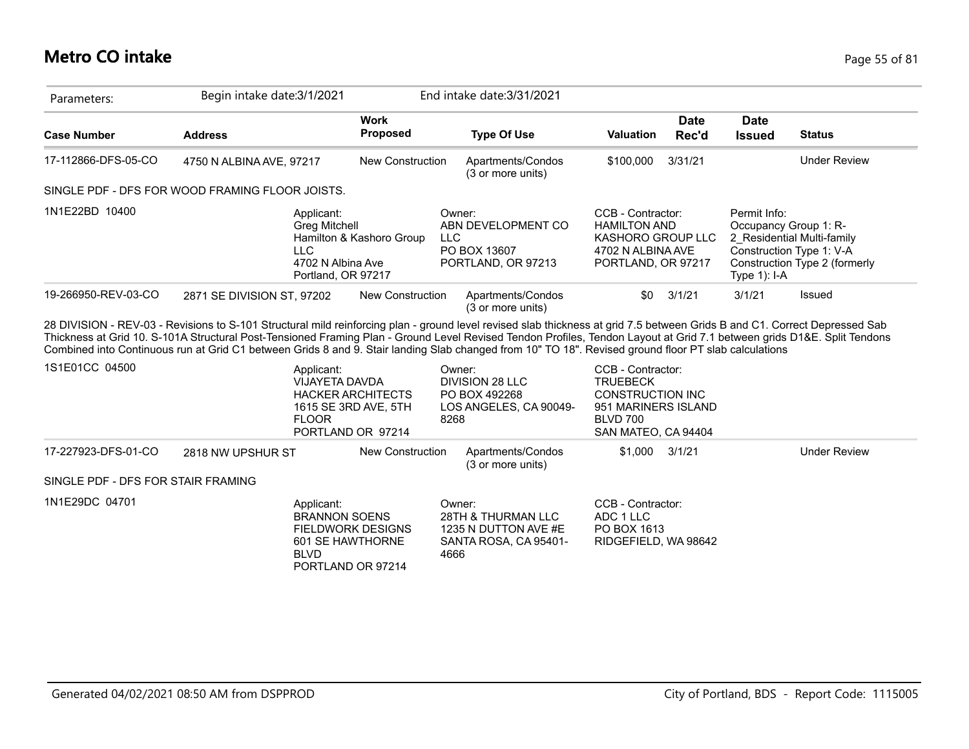### **Metro CO intake** Page 55 of 81

| Parameters:                                               | Begin intake date: 3/1/2021                                                                                                                                                                                                                                                                                                                                                                                                                                                                                   |                                                  | End intake date: 3/31/2021                                                       |                                                                                                          |                      |                                                          |                                                                                         |
|-----------------------------------------------------------|---------------------------------------------------------------------------------------------------------------------------------------------------------------------------------------------------------------------------------------------------------------------------------------------------------------------------------------------------------------------------------------------------------------------------------------------------------------------------------------------------------------|--------------------------------------------------|----------------------------------------------------------------------------------|----------------------------------------------------------------------------------------------------------|----------------------|----------------------------------------------------------|-----------------------------------------------------------------------------------------|
| <b>Case Number</b>                                        | <b>Address</b>                                                                                                                                                                                                                                                                                                                                                                                                                                                                                                | <b>Work</b><br><b>Proposed</b>                   | <b>Type Of Use</b>                                                               | <b>Valuation</b>                                                                                         | <b>Date</b><br>Rec'd | <b>Date</b><br><b>Issued</b>                             | <b>Status</b>                                                                           |
| 17-112866-DFS-05-CO                                       | 4750 N ALBINA AVE, 97217                                                                                                                                                                                                                                                                                                                                                                                                                                                                                      | New Construction                                 | Apartments/Condos<br>(3 or more units)                                           | \$100,000                                                                                                | 3/31/21              |                                                          | <b>Under Review</b>                                                                     |
|                                                           | SINGLE PDF - DFS FOR WOOD FRAMING FLOOR JOISTS.                                                                                                                                                                                                                                                                                                                                                                                                                                                               |                                                  |                                                                                  |                                                                                                          |                      |                                                          |                                                                                         |
| 1N1E22BD 10400                                            | Applicant:<br><b>Greg Mitchell</b><br><b>LLC</b><br>4702 N Albina Ave<br>Portland, OR 97217                                                                                                                                                                                                                                                                                                                                                                                                                   | Hamilton & Kashoro Group                         | Owner:<br>ABN DEVELOPMENT CO<br><b>LLC</b><br>PO BOX 13607<br>PORTLAND, OR 97213 | CCB - Contractor:<br><b>HAMILTON AND</b><br>KASHORO GROUP LLC<br>4702 N ALBINA AVE<br>PORTLAND, OR 97217 |                      | Permit Info:<br>Occupancy Group 1: R-<br>Type $1$ ): I-A | 2 Residential Multi-family<br>Construction Type 1: V-A<br>Construction Type 2 (formerly |
| 19-266950-REV-03-CO                                       | 2871 SE DIVISION ST, 97202                                                                                                                                                                                                                                                                                                                                                                                                                                                                                    | <b>New Construction</b>                          | Apartments/Condos<br>(3 or more units)                                           | \$0                                                                                                      | 3/1/21               | 3/1/21                                                   | Issued                                                                                  |
|                                                           | 28 DIVISION - REV-03 - Revisions to S-101 Structural mild reinforcing plan - ground level revised slab thickness at grid 7.5 between Grids B and C1. Correct Depressed Sab<br>Thickness at Grid 10. S-101A Structural Post-Tensioned Framing Plan - Ground Level Revised Tendon Profiles, Tendon Layout at Grid 7.1 between grids D1&E. Split Tendons<br>Combined into Continuous run at Grid C1 between Grids 8 and 9. Stair landing Slab changed from 10" TO 18". Revised ground floor PT slab calculations |                                                  |                                                                                  |                                                                                                          |                      |                                                          |                                                                                         |
| 1S1E01CC 04500                                            | Applicant:<br><b>VIJAYETA DAVDA</b><br><b>FLOOR</b>                                                                                                                                                                                                                                                                                                                                                                                                                                                           | <b>HACKER ARCHITECTS</b><br>1615 SE 3RD AVE, 5TH | Owner:<br><b>DIVISION 28 LLC</b><br>PO BOX 492268                                | CCB - Contractor:<br><b>TRUEBECK</b><br><b>CONSTRUCTION INC</b>                                          |                      |                                                          |                                                                                         |
|                                                           |                                                                                                                                                                                                                                                                                                                                                                                                                                                                                                               | PORTLAND OR 97214                                | LOS ANGELES, CA 90049-<br>8268                                                   | 951 MARINERS ISLAND<br><b>BLVD 700</b><br>SAN MATEO, CA 94404                                            |                      |                                                          |                                                                                         |
|                                                           | 2818 NW UPSHUR ST                                                                                                                                                                                                                                                                                                                                                                                                                                                                                             | <b>New Construction</b>                          | Apartments/Condos<br>(3 or more units)                                           | \$1,000                                                                                                  | 3/1/21               |                                                          | <b>Under Review</b>                                                                     |
| 17-227923-DFS-01-CO<br>SINGLE PDF - DFS FOR STAIR FRAMING |                                                                                                                                                                                                                                                                                                                                                                                                                                                                                                               |                                                  |                                                                                  |                                                                                                          |                      |                                                          |                                                                                         |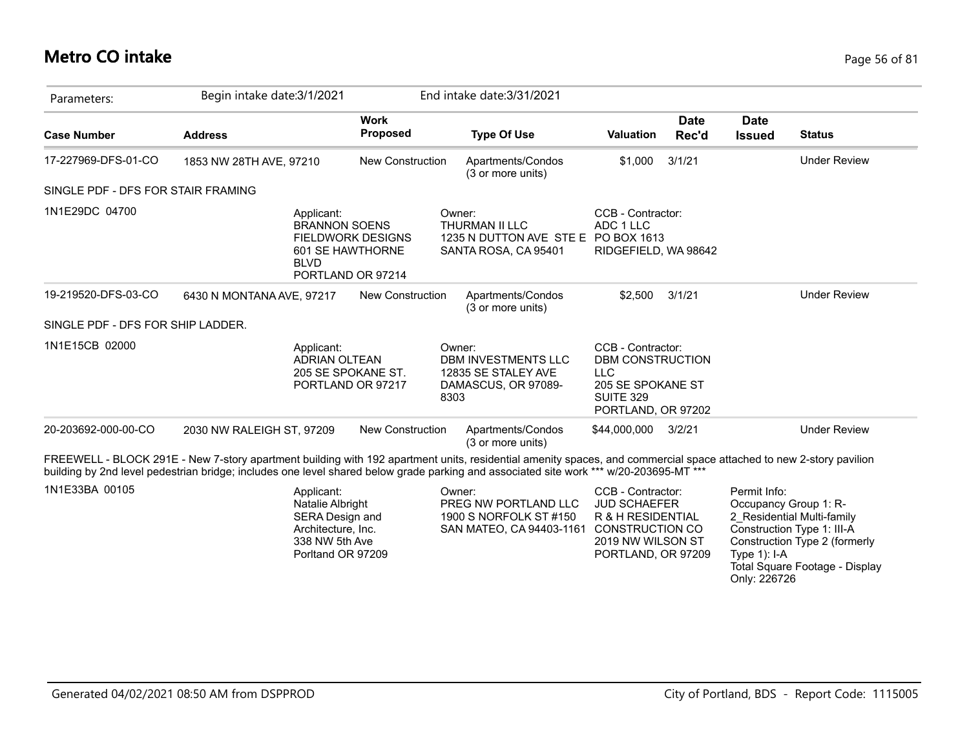# **Metro CO intake** Page 56 of 81

| Parameters:                        | Begin intake date: 3/1/2021                                                                |                          | End intake date: 3/31/2021                                                                     |                                                                                                                    |                      |                              |                     |
|------------------------------------|--------------------------------------------------------------------------------------------|--------------------------|------------------------------------------------------------------------------------------------|--------------------------------------------------------------------------------------------------------------------|----------------------|------------------------------|---------------------|
| <b>Case Number</b>                 | <b>Address</b>                                                                             | <b>Work</b><br>Proposed  | <b>Type Of Use</b>                                                                             | <b>Valuation</b>                                                                                                   | <b>Date</b><br>Rec'd | <b>Date</b><br><b>Issued</b> | <b>Status</b>       |
| 17-227969-DFS-01-CO                | 1853 NW 28TH AVE, 97210                                                                    | New Construction         | Apartments/Condos<br>(3 or more units)                                                         | \$1,000                                                                                                            | 3/1/21               |                              | <b>Under Review</b> |
| SINGLE PDF - DFS FOR STAIR FRAMING |                                                                                            |                          |                                                                                                |                                                                                                                    |                      |                              |                     |
| 1N1E29DC 04700                     | Applicant:<br><b>BRANNON SOENS</b><br>601 SE HAWTHORNE<br><b>BLVD</b><br>PORTLAND OR 97214 | <b>FIELDWORK DESIGNS</b> | Owner:<br><b>THURMAN II LLC</b><br>1235 N DUTTON AVE STE E PO BOX 1613<br>SANTA ROSA, CA 95401 | CCB - Contractor:<br>ADC 1 LLC<br>RIDGEFIELD, WA 98642                                                             |                      |                              |                     |
| 19-219520-DFS-03-CO                | 6430 N MONTANA AVE, 97217                                                                  | <b>New Construction</b>  | Apartments/Condos<br>(3 or more units)                                                         | \$2,500                                                                                                            | 3/1/21               |                              | <b>Under Review</b> |
| SINGLE PDF - DFS FOR SHIP LADDER.  |                                                                                            |                          |                                                                                                |                                                                                                                    |                      |                              |                     |
| 1N1E15CB 02000                     | Applicant:<br><b>ADRIAN OLTEAN</b><br>205 SE SPOKANE ST.<br>PORTLAND OR 97217              |                          | Owner:<br><b>DBM INVESTMENTS LLC</b><br>12835 SE STALEY AVE<br>DAMASCUS, OR 97089-<br>8303     | CCB - Contractor:<br>DBM CONSTRUCTION<br><b>LLC</b><br>205 SE SPOKANE ST<br><b>SUITE 329</b><br>PORTLAND, OR 97202 |                      |                              |                     |
| 20-203692-000-00-CO                | 2030 NW RALEIGH ST, 97209                                                                  | New Construction         | Apartments/Condos<br>(3 or more units)                                                         | \$44,000,000 3/2/21                                                                                                |                      |                              | <b>Under Review</b> |

| 1N1E33BA 00105 | Applicant:         | Owner:                   | CCB - Contractor:   | Permit Info:                                   |
|----------------|--------------------|--------------------------|---------------------|------------------------------------------------|
|                | Natalie Albright   | PREG NW PORTLAND LLC     | <b>JUD SCHAEFER</b> | Occupancy Group 1: R-                          |
|                | SERA Design and    | 1900 S NORFOLK ST #150   | R & H RESIDENTIAL   | 2 Residential Multi-family                     |
|                | Architecture, Inc. | SAN MATEO, CA 94403-1161 | CONSTRUCTION CO     | Construction Type 1: III-A                     |
|                | 338 NW 5th Ave     |                          | 2019 NW WILSON ST   | Construction Type 2 (formerly                  |
|                | Porltand OR 97209  |                          | PORTLAND, OR 97209  | Type $1$ ): I-A                                |
|                |                    |                          |                     | Total Square Footage - Display<br>Only: 226726 |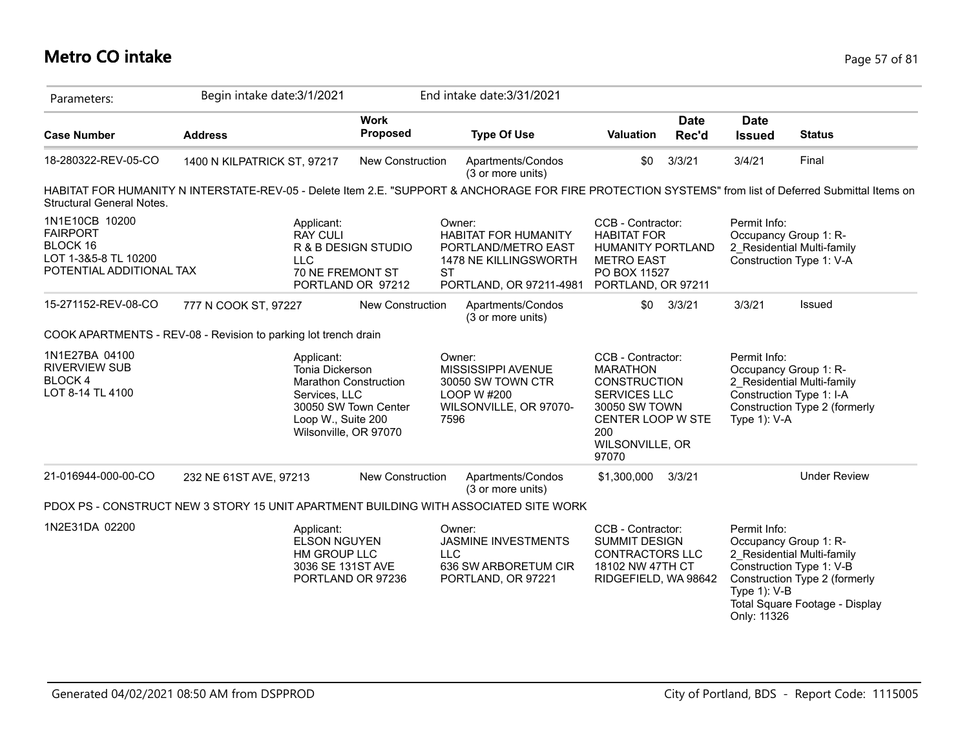### **Metro CO intake** Page 57 of 81

| Parameters:                                                                                       | Begin intake date: 3/1/2021                                                                                                                            |                                                                               | End intake date: 3/31/2021                                                                                       |                                                                                                                                                             |                                                                                                  |                                                                                               |
|---------------------------------------------------------------------------------------------------|--------------------------------------------------------------------------------------------------------------------------------------------------------|-------------------------------------------------------------------------------|------------------------------------------------------------------------------------------------------------------|-------------------------------------------------------------------------------------------------------------------------------------------------------------|--------------------------------------------------------------------------------------------------|-----------------------------------------------------------------------------------------------|
| <b>Case Number</b>                                                                                | <b>Address</b>                                                                                                                                         | <b>Work</b><br><b>Proposed</b>                                                | <b>Type Of Use</b>                                                                                               | <b>Date</b><br><b>Valuation</b><br>Rec'd                                                                                                                    | <b>Date</b><br><b>Issued</b>                                                                     | <b>Status</b>                                                                                 |
| 18-280322-REV-05-CO                                                                               | 1400 N KILPATRICK ST, 97217                                                                                                                            | <b>New Construction</b>                                                       | Apartments/Condos<br>(3 or more units)                                                                           | 3/3/21<br>\$0                                                                                                                                               | 3/4/21                                                                                           | Final                                                                                         |
| <b>Structural General Notes.</b>                                                                  | HABITAT FOR HUMANITY N INTERSTATE-REV-05 - Delete Item 2.E. "SUPPORT & ANCHORAGE FOR FIRE PROTECTION SYSTEMS" from list of Deferred Submittal Items on |                                                                               |                                                                                                                  |                                                                                                                                                             |                                                                                                  |                                                                                               |
| 1N1E10CB 10200<br><b>FAIRPORT</b><br>BLOCK 16<br>LOT 1-3&5-8 TL 10200<br>POTENTIAL ADDITIONAL TAX | Applicant:<br><b>RAY CULI</b><br><b>LLC</b><br>70 NE FREMONT ST                                                                                        | R & B DESIGN STUDIO<br><b>ST</b><br>PORTLAND OR 97212                         | Owner:<br><b>HABITAT FOR HUMANITY</b><br>PORTLAND/METRO EAST<br>1478 NE KILLINGSWORTH<br>PORTLAND, OR 97211-4981 | CCB - Contractor:<br><b>HABITAT FOR</b><br>HUMANITY PORTLAND<br><b>METRO EAST</b><br>PO BOX 11527<br>PORTLAND, OR 97211                                     | Permit Info:<br>Occupancy Group 1: R-<br>Construction Type 1: V-A                                | 2_Residential Multi-family                                                                    |
| 15-271152-REV-08-CO                                                                               | 777 N COOK ST, 97227                                                                                                                                   | New Construction                                                              | Apartments/Condos<br>(3 or more units)                                                                           | 3/3/21<br>\$0                                                                                                                                               | 3/3/21                                                                                           | Issued                                                                                        |
|                                                                                                   | COOK APARTMENTS - REV-08 - Revision to parking lot trench drain                                                                                        |                                                                               |                                                                                                                  |                                                                                                                                                             |                                                                                                  |                                                                                               |
| 1N1E27BA 04100<br><b>RIVERVIEW SUB</b><br><b>BLOCK4</b><br>LOT 8-14 TL 4100                       | Applicant:<br>Tonia Dickerson<br>Services, LLC<br>Loop W., Suite 200                                                                                   | <b>Marathon Construction</b><br>30050 SW Town Center<br>Wilsonville, OR 97070 | Owner:<br>MISSISSIPPI AVENUE<br>30050 SW TOWN CTR<br>LOOP W #200<br>WILSONVILLE, OR 97070-<br>7596               | CCB - Contractor:<br><b>MARATHON</b><br><b>CONSTRUCTION</b><br><b>SERVICES LLC</b><br>30050 SW TOWN<br>CENTER LOOP W STE<br>200<br>WILSONVILLE, OR<br>97070 | Permit Info:<br>Occupancy Group 1: R-<br>Construction Type 1: I-A<br>Type $1$ ): V-A             | 2 Residential Multi-family<br>Construction Type 2 (formerly                                   |
| 21-016944-000-00-CO                                                                               | 232 NE 61ST AVE, 97213                                                                                                                                 | New Construction                                                              | Apartments/Condos<br>(3 or more units)                                                                           | 3/3/21<br>\$1,300,000                                                                                                                                       |                                                                                                  | <b>Under Review</b>                                                                           |
|                                                                                                   | PDOX PS - CONSTRUCT NEW 3 STORY 15 UNIT APARTMENT BUILDING WITH ASSOCIATED SITE WORK                                                                   |                                                                               |                                                                                                                  |                                                                                                                                                             |                                                                                                  |                                                                                               |
| 1N2E31DA 02200                                                                                    | Applicant:<br><b>ELSON NGUYEN</b><br>HM GROUP LLC<br>3036 SE 131ST AVE                                                                                 | <b>LLC</b><br>PORTLAND OR 97236                                               | Owner:<br>JASMINE INVESTMENTS<br>636 SW ARBORETUM CIR<br>PORTLAND, OR 97221                                      | CCB - Contractor:<br><b>SUMMIT DESIGN</b><br><b>CONTRACTORS LLC</b><br>18102 NW 47TH CT<br>RIDGEFIELD, WA 98642                                             | Permit Info:<br>Occupancy Group 1: R-<br>Construction Type 1: V-B<br>Type 1): V-B<br>Only: 11326 | 2 Residential Multi-family<br>Construction Type 2 (formerly<br>Total Square Footage - Display |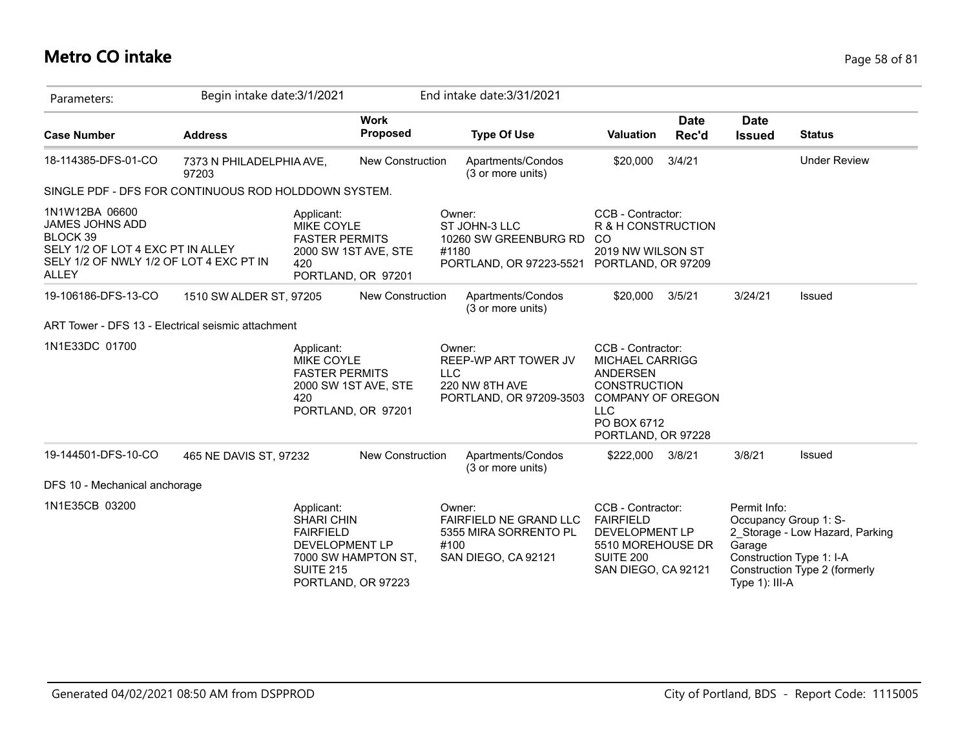# **Metro CO intake** Page 58 of 81

| Parameters:                                                                                                                                                 | Begin intake date: 3/1/2021       |                                                                                                                                               |                                |                      | End intake date: 3/31/2021                                                           |                                                                                                                                                                      |                      |                                                                                               |                                                                  |
|-------------------------------------------------------------------------------------------------------------------------------------------------------------|-----------------------------------|-----------------------------------------------------------------------------------------------------------------------------------------------|--------------------------------|----------------------|--------------------------------------------------------------------------------------|----------------------------------------------------------------------------------------------------------------------------------------------------------------------|----------------------|-----------------------------------------------------------------------------------------------|------------------------------------------------------------------|
| <b>Case Number</b>                                                                                                                                          | <b>Address</b>                    |                                                                                                                                               | <b>Work</b><br><b>Proposed</b> |                      | <b>Type Of Use</b>                                                                   | Valuation                                                                                                                                                            | <b>Date</b><br>Rec'd | <b>Date</b><br><b>Issued</b>                                                                  | <b>Status</b>                                                    |
| 18-114385-DFS-01-CO                                                                                                                                         | 7373 N PHILADELPHIA AVE,<br>97203 |                                                                                                                                               | New Construction               |                      | Apartments/Condos<br>(3 or more units)                                               | \$20,000                                                                                                                                                             | 3/4/21               |                                                                                               | <b>Under Review</b>                                              |
| SINGLE PDF - DFS FOR CONTINUOUS ROD HOLDDOWN SYSTEM.                                                                                                        |                                   |                                                                                                                                               |                                |                      |                                                                                      |                                                                                                                                                                      |                      |                                                                                               |                                                                  |
| 1N1W12BA 06600<br><b>JAMES JOHNS ADD</b><br><b>BLOCK 39</b><br>SELY 1/2 OF LOT 4 EXC PT IN ALLEY<br>SELY 1/2 OF NWLY 1/2 OF LOT 4 EXC PT IN<br><b>ALLEY</b> |                                   | Applicant:<br>MIKE COYLE<br><b>FASTER PERMITS</b><br>2000 SW 1ST AVE, STE<br>420<br>PORTLAND, OR 97201                                        |                                | Owner:<br>#1180      | ST JOHN-3 LLC<br>10260 SW GREENBURG RD<br>PORTLAND, OR 97223-5521 PORTLAND, OR 97209 | CCB - Contractor:<br>R & H CONSTRUCTION<br>-CO<br>2019 NW WILSON ST                                                                                                  |                      |                                                                                               |                                                                  |
| 19-106186-DFS-13-CO                                                                                                                                         | 1510 SW ALDER ST, 97205           |                                                                                                                                               | <b>New Construction</b>        |                      | Apartments/Condos<br>(3 or more units)                                               | \$20,000                                                                                                                                                             | 3/5/21               | 3/24/21                                                                                       | <b>Issued</b>                                                    |
| ART Tower - DFS 13 - Electrical seismic attachment                                                                                                          |                                   |                                                                                                                                               |                                |                      |                                                                                      |                                                                                                                                                                      |                      |                                                                                               |                                                                  |
| 1N1E33DC 01700                                                                                                                                              |                                   | Applicant:<br>MIKE COYLE<br><b>FASTER PERMITS</b><br>2000 SW 1ST AVE, STE<br>420<br>PORTLAND, OR 97201                                        |                                | Owner:<br><b>LLC</b> | REEP-WP ART TOWER JV<br>220 NW 8TH AVE<br>PORTLAND, OR 97209-3503                    | CCB - Contractor:<br><b>MICHAEL CARRIGG</b><br><b>ANDERSEN</b><br><b>CONSTRUCTION</b><br><b>COMPANY OF OREGON</b><br><b>LLC</b><br>PO BOX 6712<br>PORTLAND, OR 97228 |                      |                                                                                               |                                                                  |
| 19-144501-DFS-10-CO                                                                                                                                         | 465 NE DAVIS ST, 97232            |                                                                                                                                               | <b>New Construction</b>        |                      | Apartments/Condos<br>(3 or more units)                                               | \$222,000                                                                                                                                                            | 3/8/21               | 3/8/21                                                                                        | <b>Issued</b>                                                    |
| DFS 10 - Mechanical anchorage                                                                                                                               |                                   |                                                                                                                                               |                                |                      |                                                                                      |                                                                                                                                                                      |                      |                                                                                               |                                                                  |
| 1N1E35CB 03200                                                                                                                                              |                                   | Applicant:<br><b>SHARI CHIN</b><br><b>FAIRFIELD</b><br><b>DEVELOPMENT LP</b><br>7000 SW HAMPTON ST,<br><b>SUITE 215</b><br>PORTLAND, OR 97223 |                                | Owner:<br>#100       | FAIRFIELD NE GRAND LLC<br>5355 MIRA SORRENTO PL<br>SAN DIEGO, CA 92121               | CCB - Contractor:<br><b>FAIRFIELD</b><br>DEVELOPMENT LP<br>5510 MOREHOUSE DR<br><b>SUITE 200</b><br>SAN DIEGO, CA 92121                                              |                      | Permit Info:<br>Occupancy Group 1: S-<br>Garage<br>Construction Type 1: I-A<br>Type 1): III-A | 2 Storage - Low Hazard, Parking<br>Construction Type 2 (formerly |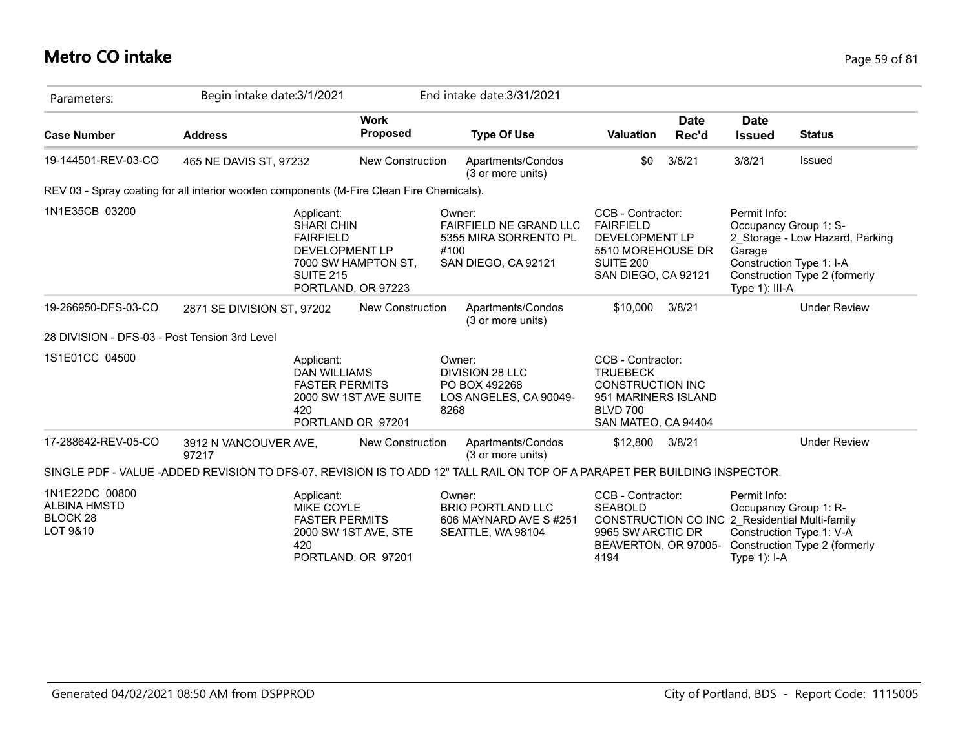### **Metro CO intake** Page 59 of 81

| Parameters:                                                              | Begin intake date: 3/1/2021                                                                                                |                                            | End intake date: 3/31/2021                                                                      |                                                                                                                                  |                                                                                                                                                                      |
|--------------------------------------------------------------------------|----------------------------------------------------------------------------------------------------------------------------|--------------------------------------------|-------------------------------------------------------------------------------------------------|----------------------------------------------------------------------------------------------------------------------------------|----------------------------------------------------------------------------------------------------------------------------------------------------------------------|
| <b>Case Number</b>                                                       | <b>Address</b>                                                                                                             | <b>Work</b><br><b>Proposed</b>             | <b>Type Of Use</b>                                                                              | <b>Date</b><br><b>Valuation</b><br>Rec'd                                                                                         | <b>Date</b><br><b>Status</b><br><b>Issued</b>                                                                                                                        |
| 19-144501-REV-03-CO                                                      | 465 NE DAVIS ST, 97232                                                                                                     | <b>New Construction</b>                    | Apartments/Condos<br>(3 or more units)                                                          | 3/8/21<br>\$0                                                                                                                    | 3/8/21<br>Issued                                                                                                                                                     |
|                                                                          | REV 03 - Spray coating for all interior wooden components (M-Fire Clean Fire Chemicals).                                   |                                            |                                                                                                 |                                                                                                                                  |                                                                                                                                                                      |
| 1N1E35CB 03200                                                           | Applicant:<br><b>SHARI CHIN</b><br><b>FAIRFIELD</b><br><b>DEVELOPMENT LP</b><br><b>SUITE 215</b>                           | 7000 SW HAMPTON ST,<br>PORTLAND, OR 97223  | Owner:<br><b>FAIRFIELD NE GRAND LLC</b><br>5355 MIRA SORRENTO PL<br>#100<br>SAN DIEGO, CA 92121 | CCB - Contractor:<br><b>FAIRFIELD</b><br>DEVELOPMENT LP<br>5510 MOREHOUSE DR<br>SUITE 200<br>SAN DIEGO, CA 92121                 | Permit Info:<br>Occupancy Group 1: S-<br>2 Storage - Low Hazard, Parking<br>Garage<br>Construction Type 1: I-A<br>Construction Type 2 (formerly<br>Type 1): III-A    |
| 19-266950-DFS-03-CO                                                      | 2871 SE DIVISION ST, 97202                                                                                                 | <b>New Construction</b>                    | Apartments/Condos<br>(3 or more units)                                                          | \$10,000<br>3/8/21                                                                                                               | <b>Under Review</b>                                                                                                                                                  |
| 28 DIVISION - DFS-03 - Post Tension 3rd Level                            |                                                                                                                            |                                            |                                                                                                 |                                                                                                                                  |                                                                                                                                                                      |
| 1S1E01CC 04500                                                           | Applicant:<br><b>DAN WILLIAMS</b><br><b>FASTER PERMITS</b><br>420                                                          | 2000 SW 1ST AVE SUITE<br>PORTLAND OR 97201 | Owner:<br>DIVISION 28 LLC<br>PO BOX 492268<br>LOS ANGELES, CA 90049-<br>8268                    | CCB - Contractor:<br><b>TRUEBECK</b><br><b>CONSTRUCTION INC</b><br>951 MARINERS ISLAND<br><b>BLVD 700</b><br>SAN MATEO, CA 94404 |                                                                                                                                                                      |
| 17-288642-REV-05-CO                                                      | 3912 N VANCOUVER AVE,<br>97217                                                                                             | New Construction                           | Apartments/Condos<br>(3 or more units)                                                          | 3/8/21<br>\$12,800                                                                                                               | <b>Under Review</b>                                                                                                                                                  |
|                                                                          | SINGLE PDF - VALUE -ADDED REVISION TO DFS-07. REVISION IS TO ADD 12" TALL RAIL ON TOP OF A PARAPET PER BUILDING INSPECTOR. |                                            |                                                                                                 |                                                                                                                                  |                                                                                                                                                                      |
| 1N1E22DC 00800<br><b>ALBINA HMSTD</b><br>BLOCK <sub>28</sub><br>LOT 9&10 | Applicant:<br><b>MIKE COYLE</b><br><b>FASTER PERMITS</b><br>420                                                            | 2000 SW 1ST AVE, STE<br>PORTLAND, OR 97201 | Owner:<br><b>BRIO PORTLAND LLC</b><br>606 MAYNARD AVE S#251<br>SEATTLE, WA 98104                | CCB - Contractor:<br><b>SEABOLD</b><br>9965 SW ARCTIC DR<br>BEAVERTON, OR 97005-<br>4194                                         | Permit Info:<br>Occupancy Group 1: R-<br>CONSTRUCTION CO INC 2 Residential Multi-family<br>Construction Type 1: V-A<br>Construction Type 2 (formerly<br>Type 1): I-A |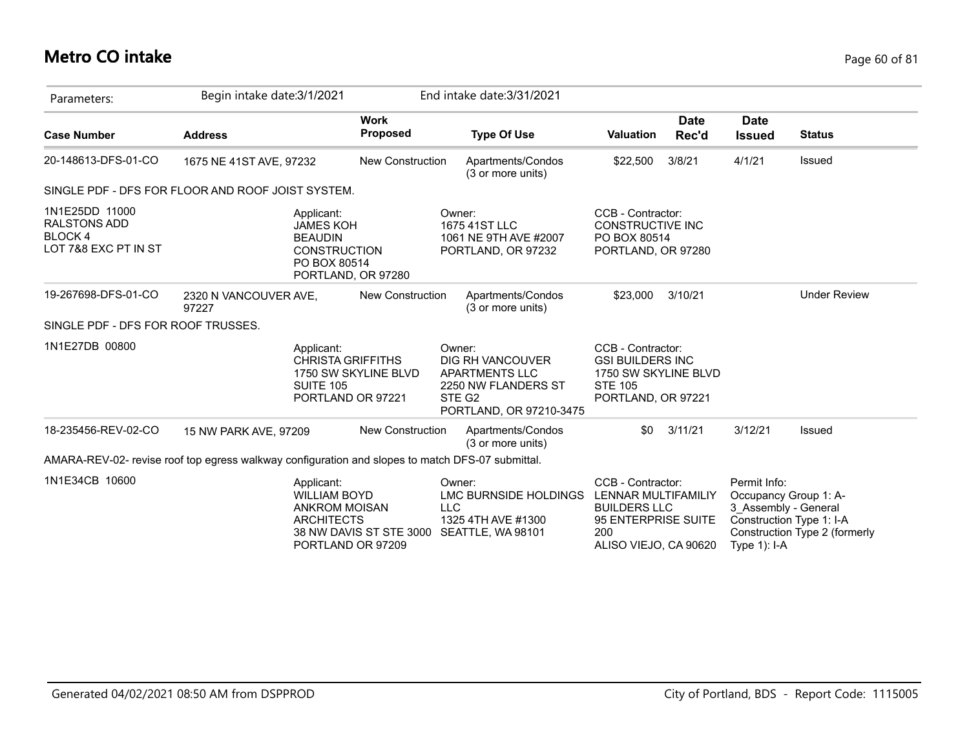# **Metro CO intake** Page 60 of 81

| Parameters:                                                              | Begin intake date: 3/1/2021                                                                      |                                              | End intake date: 3/31/2021                                                                                                  |                                                                                                                        |                                                        |                                                                                    |
|--------------------------------------------------------------------------|--------------------------------------------------------------------------------------------------|----------------------------------------------|-----------------------------------------------------------------------------------------------------------------------------|------------------------------------------------------------------------------------------------------------------------|--------------------------------------------------------|------------------------------------------------------------------------------------|
| <b>Case Number</b>                                                       | <b>Address</b>                                                                                   | <b>Work</b><br><b>Proposed</b>               | <b>Type Of Use</b>                                                                                                          | <b>Date</b><br><b>Valuation</b><br>Rec'd                                                                               | <b>Date</b><br><b>Issued</b>                           | <b>Status</b>                                                                      |
| 20-148613-DFS-01-CO                                                      | 1675 NE 41ST AVE, 97232                                                                          | <b>New Construction</b>                      | Apartments/Condos<br>(3 or more units)                                                                                      | 3/8/21<br>\$22,500                                                                                                     | 4/1/21                                                 | Issued                                                                             |
|                                                                          | SINGLE PDF - DFS FOR FLOOR AND ROOF JOIST SYSTEM.                                                |                                              |                                                                                                                             |                                                                                                                        |                                                        |                                                                                    |
| 1N1E25DD 11000<br><b>RALSTONS ADD</b><br>BLOCK 4<br>LOT 7&8 EXC PT IN ST | Applicant:<br><b>JAMES KOH</b><br><b>BEAUDIN</b><br><b>CONSTRUCTION</b><br>PO BOX 80514          | PORTLAND, OR 97280                           | Owner:<br>1675 41ST LLC<br>1061 NE 9TH AVE #2007<br>PORTLAND, OR 97232                                                      | CCB - Contractor:<br><b>CONSTRUCTIVE INC</b><br>PO BOX 80514<br>PORTLAND, OR 97280                                     |                                                        |                                                                                    |
| 19-267698-DFS-01-CO                                                      | 2320 N VANCOUVER AVE,<br>97227                                                                   | New Construction                             | Apartments/Condos<br>(3 or more units)                                                                                      | \$23,000<br>3/10/21                                                                                                    |                                                        | <b>Under Review</b>                                                                |
| SINGLE PDF - DFS FOR ROOF TRUSSES.                                       |                                                                                                  |                                              |                                                                                                                             |                                                                                                                        |                                                        |                                                                                    |
| 1N1E27DB 00800                                                           | Applicant:<br><b>CHRISTA GRIFFITHS</b><br><b>SUITE 105</b>                                       | 1750 SW SKYLINE BLVD<br>PORTLAND OR 97221    | Owner:<br>DIG RH VANCOUVER<br><b>APARTMENTS LLC</b><br>2250 NW FLANDERS ST<br>STE G <sub>2</sub><br>PORTLAND, OR 97210-3475 | CCB - Contractor:<br><b>GSI BUILDERS INC</b><br>1750 SW SKYLINE BLVD<br><b>STE 105</b><br>PORTLAND, OR 97221           |                                                        |                                                                                    |
| 18-235456-REV-02-CO                                                      | 15 NW PARK AVE, 97209                                                                            | New Construction                             | Apartments/Condos<br>(3 or more units)                                                                                      | 3/11/21<br>\$0                                                                                                         | 3/12/21                                                | Issued                                                                             |
|                                                                          | AMARA-REV-02- revise roof top egress walkway configuration and slopes to match DFS-07 submittal. |                                              |                                                                                                                             |                                                                                                                        |                                                        |                                                                                    |
| 1N1E34CB 10600                                                           | Applicant:<br><b>WILLIAM BOYD</b><br><b>ANKROM MOISAN</b><br><b>ARCHITECTS</b>                   | 38 NW DAVIS ST STE 3000<br>PORTLAND OR 97209 | Owner:<br>LMC BURNSIDE HOLDINGS<br><b>LLC</b><br>1325 4TH AVE #1300<br>SEATTLE, WA 98101                                    | CCB - Contractor:<br>LENNAR MULTIFAMILIY<br><b>BUILDERS LLC</b><br>95 ENTERPRISE SUITE<br>200<br>ALISO VIEJO, CA 90620 | Permit Info:<br>3 Assembly - General<br>Type $1$ : I-A | Occupancy Group 1: A-<br>Construction Type 1: I-A<br>Construction Type 2 (formerly |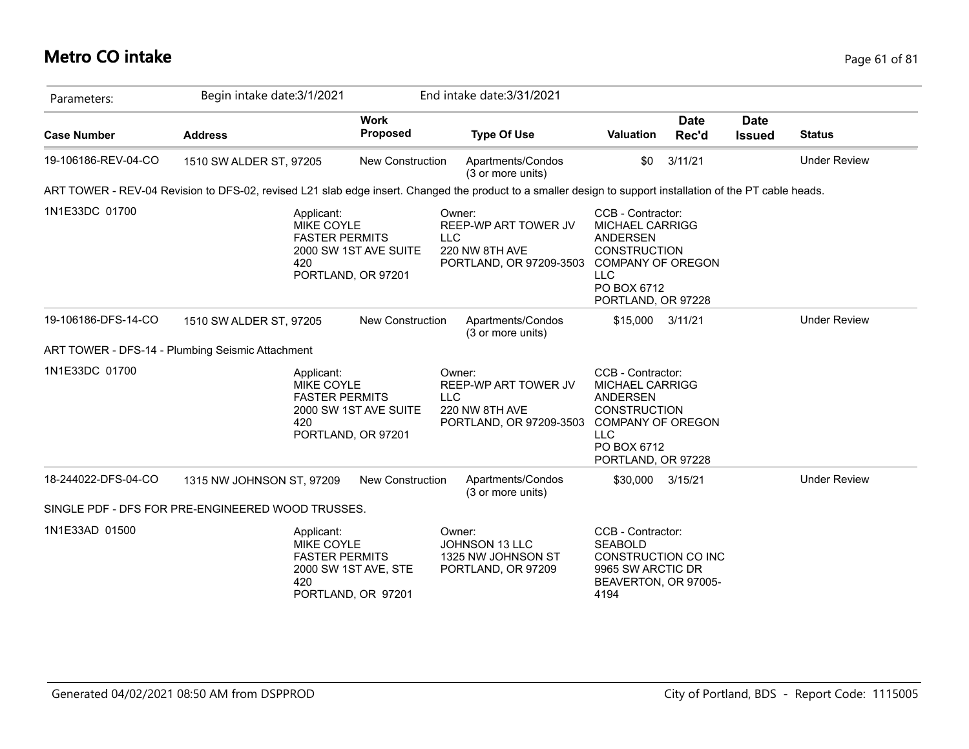#### **Metro CO intake** Page 61 of 81

| Parameters:         | Begin intake date: 3/1/2021                                                                                                                                 |                                             | End intake date: 3/31/2021                                                                |                                                                                                                                                                      |                      |                              |                     |
|---------------------|-------------------------------------------------------------------------------------------------------------------------------------------------------------|---------------------------------------------|-------------------------------------------------------------------------------------------|----------------------------------------------------------------------------------------------------------------------------------------------------------------------|----------------------|------------------------------|---------------------|
| <b>Case Number</b>  | <b>Address</b>                                                                                                                                              | <b>Work</b><br><b>Proposed</b>              | <b>Type Of Use</b>                                                                        | <b>Valuation</b>                                                                                                                                                     | <b>Date</b><br>Rec'd | <b>Date</b><br><b>Issued</b> | <b>Status</b>       |
| 19-106186-REV-04-CO | 1510 SW ALDER ST, 97205                                                                                                                                     | New Construction                            | Apartments/Condos<br>(3 or more units)                                                    | \$0                                                                                                                                                                  | 3/11/21              |                              | <b>Under Review</b> |
|                     | ART TOWER - REV-04 Revision to DFS-02, revised L21 slab edge insert. Changed the product to a smaller design to support installation of the PT cable heads. |                                             |                                                                                           |                                                                                                                                                                      |                      |                              |                     |
| 1N1E33DC 01700      | Applicant:<br>MIKE COYLE<br><b>FASTER PERMITS</b><br>420                                                                                                    | 2000 SW 1ST AVE SUITE<br>PORTLAND, OR 97201 | Owner:<br>REEP-WP ART TOWER JV<br><b>LLC</b><br>220 NW 8TH AVE<br>PORTLAND, OR 97209-3503 | CCB - Contractor:<br><b>MICHAEL CARRIGG</b><br><b>ANDERSEN</b><br><b>CONSTRUCTION</b><br><b>COMPANY OF OREGON</b><br><b>LLC</b><br>PO BOX 6712<br>PORTLAND, OR 97228 |                      |                              |                     |
| 19-106186-DFS-14-CO | 1510 SW ALDER ST, 97205                                                                                                                                     | New Construction                            | Apartments/Condos<br>(3 or more units)                                                    | \$15,000                                                                                                                                                             | 3/11/21              |                              | <b>Under Review</b> |
|                     | ART TOWER - DFS-14 - Plumbing Seismic Attachment                                                                                                            |                                             |                                                                                           |                                                                                                                                                                      |                      |                              |                     |
| 1N1E33DC 01700      | Applicant:<br>MIKE COYLE<br><b>FASTER PERMITS</b><br>420                                                                                                    | 2000 SW 1ST AVE SUITE<br>PORTLAND, OR 97201 | Owner:<br>REEP-WP ART TOWER JV<br><b>LLC</b><br>220 NW 8TH AVE<br>PORTLAND, OR 97209-3503 | CCB - Contractor:<br><b>MICHAEL CARRIGG</b><br>ANDERSEN<br><b>CONSTRUCTION</b><br><b>COMPANY OF OREGON</b><br><b>LLC</b><br>PO BOX 6712<br>PORTLAND, OR 97228        |                      |                              |                     |
| 18-244022-DFS-04-CO | 1315 NW JOHNSON ST, 97209                                                                                                                                   | New Construction                            | Apartments/Condos<br>(3 or more units)                                                    | \$30,000 3/15/21                                                                                                                                                     |                      |                              | <b>Under Review</b> |
|                     | SINGLE PDF - DFS FOR PRE-ENGINEERED WOOD TRUSSES.                                                                                                           |                                             |                                                                                           |                                                                                                                                                                      |                      |                              |                     |
| 1N1E33AD 01500      | Applicant:<br><b>MIKE COYLE</b><br><b>FASTER PERMITS</b><br>420                                                                                             | 2000 SW 1ST AVE, STE<br>PORTLAND, OR 97201  | Owner:<br><b>JOHNSON 13 LLC</b><br>1325 NW JOHNSON ST<br>PORTLAND, OR 97209               | CCB - Contractor:<br><b>SEABOLD</b><br>CONSTRUCTION CO INC<br>9965 SW ARCTIC DR<br>BEAVERTON, OR 97005-<br>4194                                                      |                      |                              |                     |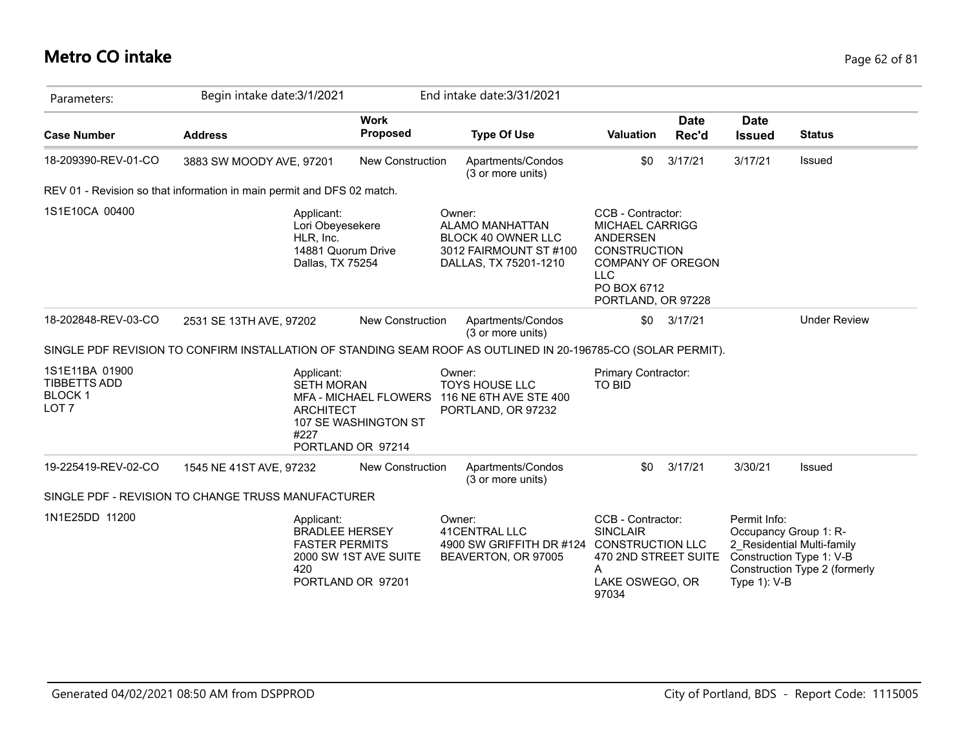# **Metro CO intake** Page 62 of 81

| Parameters:                                                                | Begin intake date: 3/1/2021                                                                                   |                                                                           | End intake date: 3/31/2021                                                                                |                                                                                                                                                               |                      |                                |                                                                                                                  |
|----------------------------------------------------------------------------|---------------------------------------------------------------------------------------------------------------|---------------------------------------------------------------------------|-----------------------------------------------------------------------------------------------------------|---------------------------------------------------------------------------------------------------------------------------------------------------------------|----------------------|--------------------------------|------------------------------------------------------------------------------------------------------------------|
| <b>Case Number</b>                                                         | <b>Address</b>                                                                                                | <b>Work</b><br><b>Proposed</b>                                            | <b>Type Of Use</b>                                                                                        | Valuation                                                                                                                                                     | <b>Date</b><br>Rec'd | <b>Date</b><br><b>Issued</b>   | <b>Status</b>                                                                                                    |
| 18-209390-REV-01-CO                                                        | 3883 SW MOODY AVE, 97201                                                                                      | <b>New Construction</b>                                                   | Apartments/Condos<br>(3 or more units)                                                                    | \$0                                                                                                                                                           | 3/17/21              | 3/17/21                        | Issued                                                                                                           |
|                                                                            | REV 01 - Revision so that information in main permit and DFS 02 match.                                        |                                                                           |                                                                                                           |                                                                                                                                                               |                      |                                |                                                                                                                  |
| 1S1E10CA 00400                                                             | Applicant:<br>Lori Obeyesekere<br>HLR, Inc.<br>14881 Quorum Drive<br>Dallas, TX 75254                         |                                                                           | Owner:<br><b>ALAMO MANHATTAN</b><br>BLOCK 40 OWNER LLC<br>3012 FAIRMOUNT ST #100<br>DALLAS, TX 75201-1210 | CCB - Contractor:<br><b>MICHAEL CARRIGG</b><br>ANDERSEN<br><b>CONSTRUCTION</b><br><b>COMPANY OF OREGON</b><br><b>LLC</b><br>PO BOX 6712<br>PORTLAND, OR 97228 |                      |                                |                                                                                                                  |
| 18-202848-REV-03-CO                                                        | 2531 SE 13TH AVE, 97202                                                                                       | <b>New Construction</b>                                                   | Apartments/Condos<br>(3 or more units)                                                                    | \$0                                                                                                                                                           | 3/17/21              |                                | <b>Under Review</b>                                                                                              |
|                                                                            | SINGLE PDF REVISION TO CONFIRM INSTALLATION OF STANDING SEAM ROOF AS OUTLINED IN 20-196785-CO (SOLAR PERMIT). |                                                                           |                                                                                                           |                                                                                                                                                               |                      |                                |                                                                                                                  |
| 1S1E11BA 01900<br><b>TIBBETTS ADD</b><br><b>BLOCK1</b><br>LOT <sub>7</sub> | Applicant:<br><b>SETH MORAN</b><br><b>ARCHITECT</b><br>#227                                                   | <b>MFA - MICHAEL FLOWERS</b><br>107 SE WASHINGTON ST<br>PORTLAND OR 97214 | Owner:<br><b>TOYS HOUSE LLC</b><br>116 NE 6TH AVE STE 400<br>PORTLAND, OR 97232                           | <b>Primary Contractor:</b><br><b>TO BID</b>                                                                                                                   |                      |                                |                                                                                                                  |
| 19-225419-REV-02-CO                                                        | 1545 NE 41ST AVE, 97232                                                                                       | <b>New Construction</b>                                                   | Apartments/Condos<br>(3 or more units)                                                                    | \$0                                                                                                                                                           | 3/17/21              | 3/30/21                        | Issued                                                                                                           |
|                                                                            | SINGLE PDF - REVISION TO CHANGE TRUSS MANUFACTURER                                                            |                                                                           |                                                                                                           |                                                                                                                                                               |                      |                                |                                                                                                                  |
| 1N1E25DD 11200                                                             | Applicant:<br><b>BRADLEE HERSEY</b><br><b>FASTER PERMITS</b><br>420                                           | 2000 SW 1ST AVE SUITE<br>PORTLAND OR 97201                                | Owner:<br>41CENTRAL LLC<br>4900 SW GRIFFITH DR #124 CONSTRUCTION LLC<br>BEAVERTON, OR 97005               | CCB - Contractor:<br><b>SINCLAIR</b><br>470 2ND STREET SUITE<br>A<br>LAKE OSWEGO, OR<br>97034                                                                 |                      | Permit Info:<br>Type $1$ : V-B | Occupancy Group 1: R-<br>2_Residential Multi-family<br>Construction Type 1: V-B<br>Construction Type 2 (formerly |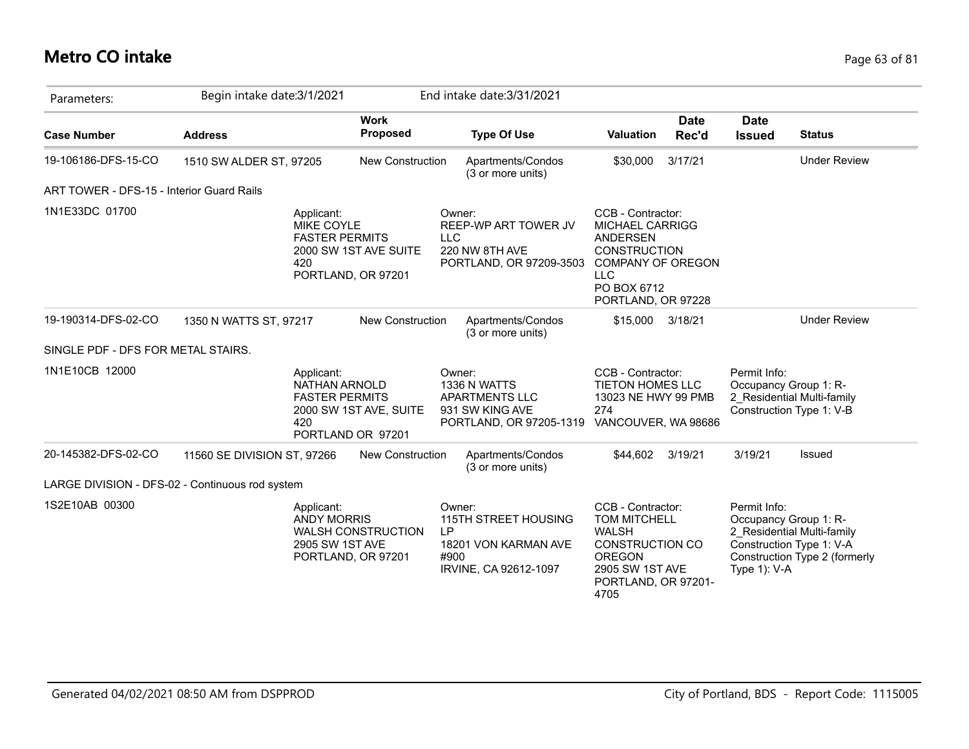### **Metro CO intake** Page 63 of 81

| Parameters:                                      | Begin intake date: 3/1/2021 |                                                                                       |                           |                      | End intake date: 3/31/2021                                                          |                                                                                                                                                                      |                      |                                                                                   |                                                             |
|--------------------------------------------------|-----------------------------|---------------------------------------------------------------------------------------|---------------------------|----------------------|-------------------------------------------------------------------------------------|----------------------------------------------------------------------------------------------------------------------------------------------------------------------|----------------------|-----------------------------------------------------------------------------------|-------------------------------------------------------------|
| <b>Case Number</b>                               | <b>Address</b>              |                                                                                       | <b>Work</b><br>Proposed   |                      | <b>Type Of Use</b>                                                                  | <b>Valuation</b>                                                                                                                                                     | <b>Date</b><br>Rec'd | <b>Date</b><br><b>Issued</b>                                                      | <b>Status</b>                                               |
| 19-106186-DFS-15-CO                              | 1510 SW ALDER ST, 97205     |                                                                                       | <b>New Construction</b>   |                      | Apartments/Condos<br>(3 or more units)                                              | \$30,000                                                                                                                                                             | 3/17/21              |                                                                                   | <b>Under Review</b>                                         |
| <b>ART TOWER - DFS-15 - Interior Guard Rails</b> |                             |                                                                                       |                           |                      |                                                                                     |                                                                                                                                                                      |                      |                                                                                   |                                                             |
| 1N1E33DC 01700                                   |                             | Applicant:<br><b>MIKE COYLE</b><br><b>FASTER PERMITS</b><br>420<br>PORTLAND, OR 97201 | 2000 SW 1ST AVE SUITE     | Owner:<br><b>LLC</b> | REEP-WP ART TOWER JV<br>220 NW 8TH AVE<br>PORTLAND, OR 97209-3503                   | CCB - Contractor:<br><b>MICHAEL CARRIGG</b><br><b>ANDERSEN</b><br><b>CONSTRUCTION</b><br><b>COMPANY OF OREGON</b><br><b>LLC</b><br>PO BOX 6712<br>PORTLAND, OR 97228 |                      |                                                                                   |                                                             |
| 19-190314-DFS-02-CO                              | 1350 N WATTS ST, 97217      |                                                                                       | <b>New Construction</b>   |                      | Apartments/Condos<br>(3 or more units)                                              | \$15,000                                                                                                                                                             | 3/18/21              |                                                                                   | <b>Under Review</b>                                         |
| SINGLE PDF - DFS FOR METAL STAIRS.               |                             |                                                                                       |                           |                      |                                                                                     |                                                                                                                                                                      |                      |                                                                                   |                                                             |
| 1N1E10CB 12000                                   |                             | Applicant:<br>NATHAN ARNOLD<br><b>FASTER PERMITS</b><br>420<br>PORTLAND OR 97201      | 2000 SW 1ST AVE, SUITE    | Owner:               | 1336 N WATTS<br><b>APARTMENTS LLC</b><br>931 SW KING AVE<br>PORTLAND, OR 97205-1319 | CCB - Contractor:<br>TIETON HOMES LLC<br>13023 NE HWY 99 PMB<br>274<br>VANCOUVER, WA 98686                                                                           |                      | Permit Info:<br>Occupancy Group 1: R-<br>Construction Type 1: V-B                 | 2 Residential Multi-family                                  |
| 20-145382-DFS-02-CO                              | 11560 SE DIVISION ST, 97266 |                                                                                       | <b>New Construction</b>   |                      | Apartments/Condos<br>(3 or more units)                                              | \$44,602                                                                                                                                                             | 3/19/21              | 3/19/21                                                                           | Issued                                                      |
| LARGE DIVISION - DFS-02 - Continuous rod system  |                             |                                                                                       |                           |                      |                                                                                     |                                                                                                                                                                      |                      |                                                                                   |                                                             |
| 1S2E10AB 00300                                   |                             | Applicant:<br><b>ANDY MORRIS</b><br>2905 SW 1ST AVE<br>PORTLAND, OR 97201             | <b>WALSH CONSTRUCTION</b> | Owner:<br>LP<br>#900 | 115TH STREET HOUSING<br>18201 VON KARMAN AVE<br>IRVINE, CA 92612-1097               | CCB - Contractor:<br>TOM MITCHELL<br><b>WALSH</b><br><b>CONSTRUCTION CO</b><br><b>OREGON</b><br>2905 SW 1ST AVE<br>PORTLAND, OR 97201-<br>4705                       |                      | Permit Info:<br>Occupancy Group 1: R-<br>Construction Type 1: V-A<br>Type 1): V-A | 2 Residential Multi-family<br>Construction Type 2 (formerly |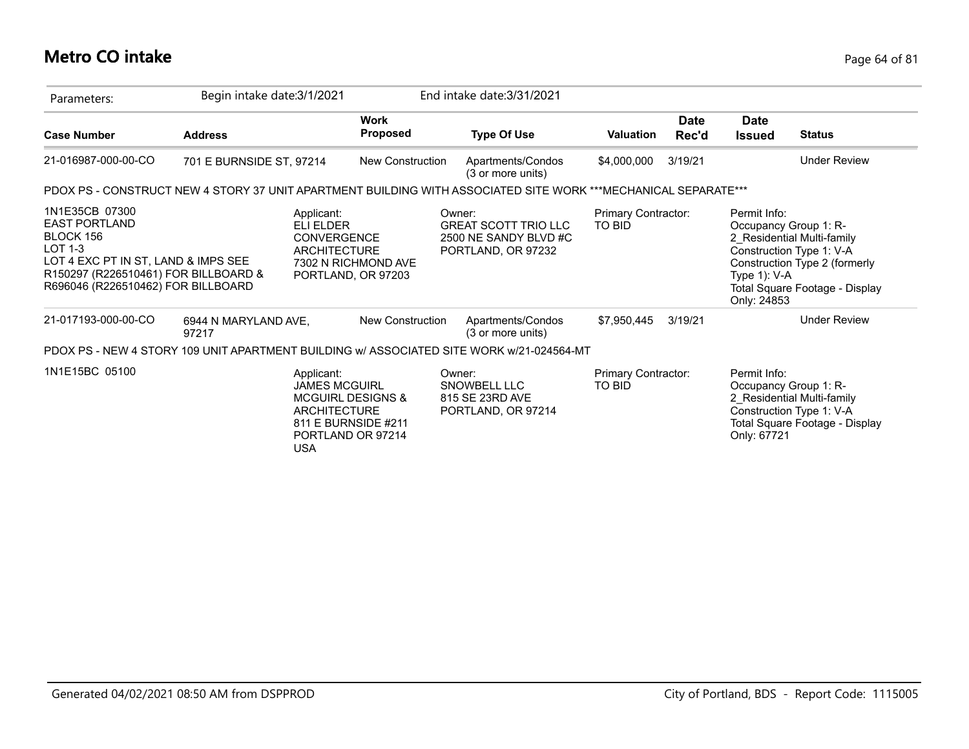# **Metro CO intake** Page 64 of 81

| Parameters:                                                                                                                                                                           | Begin intake date: 3/1/2021   |                                                                         |                                                                          | End intake date: 3/31/2021                                                                                     |                                      |                      |                                                |                                                                                                                                                    |
|---------------------------------------------------------------------------------------------------------------------------------------------------------------------------------------|-------------------------------|-------------------------------------------------------------------------|--------------------------------------------------------------------------|----------------------------------------------------------------------------------------------------------------|--------------------------------------|----------------------|------------------------------------------------|----------------------------------------------------------------------------------------------------------------------------------------------------|
| <b>Case Number</b>                                                                                                                                                                    | <b>Address</b>                |                                                                         | <b>Work</b><br>Proposed                                                  | <b>Type Of Use</b>                                                                                             | <b>Valuation</b>                     | <b>Date</b><br>Rec'd | <b>Date</b><br><b>Issued</b>                   | <b>Status</b>                                                                                                                                      |
| 21-016987-000-00-CO                                                                                                                                                                   | 701 E BURNSIDE ST, 97214      |                                                                         | New Construction                                                         | Apartments/Condos<br>(3 or more units)                                                                         | \$4,000,000                          | 3/19/21              |                                                | <b>Under Review</b>                                                                                                                                |
|                                                                                                                                                                                       |                               |                                                                         |                                                                          | PDOX PS - CONSTRUCT NEW 4 STORY 37 UNIT APARTMENT BUILDING WITH ASSOCIATED SITE WORK ***MECHANICAL SEPARATE*** |                                      |                      |                                                |                                                                                                                                                    |
| 1N1E35CB 07300<br><b>EAST PORTLAND</b><br>BLOCK 156<br>$LOT 1-3$<br>LOT 4 EXC PT IN ST, LAND & IMPS SEE<br>R150297 (R226510461) FOR BILLBOARD &<br>R696046 (R226510462) FOR BILLBOARD |                               | Applicant:<br>ELI ELDER<br><b>CONVERGENCE</b><br><b>ARCHITECTURE</b>    | 7302 N RICHMOND AVE<br>PORTLAND, OR 97203                                | Owner:<br><b>GREAT SCOTT TRIO LLC</b><br>2500 NE SANDY BLVD #C<br>PORTLAND, OR 97232                           | Primary Contractor:<br><b>TO BID</b> |                      | Permit Info:<br>Type $1$ ): V-A<br>Only: 24853 | Occupancy Group 1: R-<br>2_Residential Multi-family<br>Construction Type 1: V-A<br>Construction Type 2 (formerly<br>Total Square Footage - Display |
| 21-017193-000-00-CO                                                                                                                                                                   | 6944 N MARYLAND AVE,<br>97217 |                                                                         | New Construction                                                         | Apartments/Condos<br>(3 or more units)                                                                         | \$7,950,445                          | 3/19/21              |                                                | <b>Under Review</b>                                                                                                                                |
|                                                                                                                                                                                       |                               |                                                                         |                                                                          | PDOX PS - NEW 4 STORY 109 UNIT APARTMENT BUILDING w/ ASSOCIATED SITE WORK w/21-024564-MT                       |                                      |                      |                                                |                                                                                                                                                    |
| 1N1E15BC 05100                                                                                                                                                                        |                               | Applicant:<br><b>JAMES MCGUIRL</b><br><b>ARCHITECTURE</b><br><b>USA</b> | <b>MCGUIRL DESIGNS &amp;</b><br>811 E BURNSIDE #211<br>PORTLAND OR 97214 | Owner:<br>SNOWBELL LLC<br>815 SE 23RD AVE<br>PORTLAND, OR 97214                                                | Primary Contractor:<br><b>TO BID</b> |                      | Permit Info:<br>Only: 67721                    | Occupancy Group 1: R-<br>2 Residential Multi-family<br>Construction Type 1: V-A<br>Total Square Footage - Display                                  |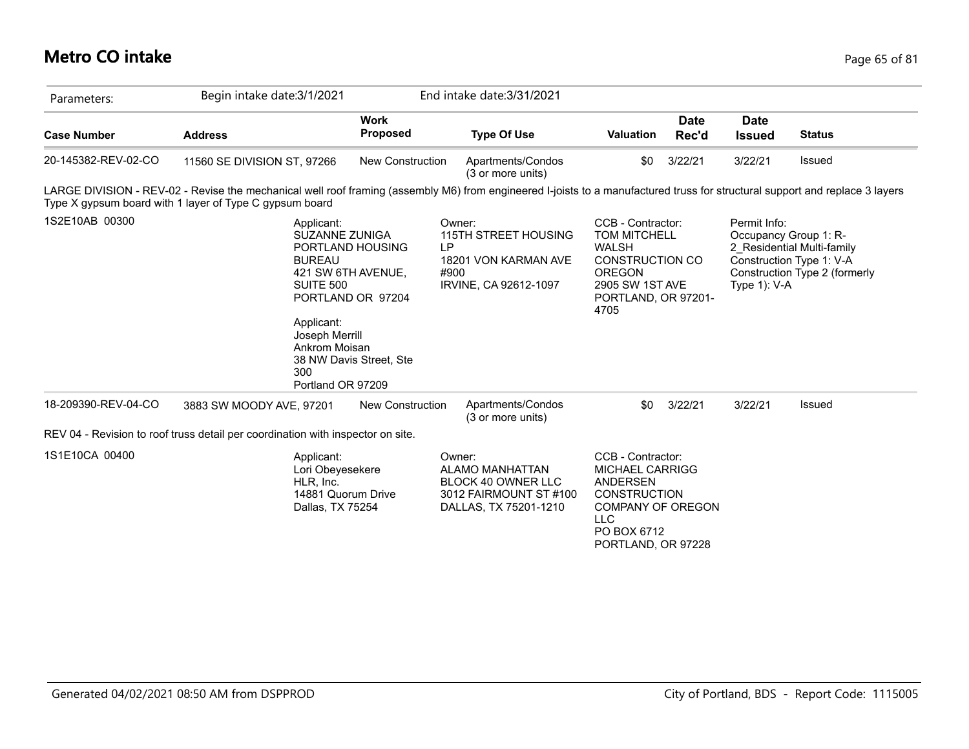### **Metro CO intake** Page 65 of 81

| Parameters:         | Begin intake date: 3/1/2021                                                                                                                                                                                                             |                                                                                        | End intake date: 3/31/2021                                                                                  |                                                                                                                                                                      |                      |                                                          |                                                                                         |
|---------------------|-----------------------------------------------------------------------------------------------------------------------------------------------------------------------------------------------------------------------------------------|----------------------------------------------------------------------------------------|-------------------------------------------------------------------------------------------------------------|----------------------------------------------------------------------------------------------------------------------------------------------------------------------|----------------------|----------------------------------------------------------|-----------------------------------------------------------------------------------------|
| <b>Case Number</b>  | <b>Address</b>                                                                                                                                                                                                                          | Work<br><b>Proposed</b>                                                                | <b>Type Of Use</b>                                                                                          | Valuation                                                                                                                                                            | <b>Date</b><br>Rec'd | <b>Date</b><br><b>Issued</b>                             | <b>Status</b>                                                                           |
| 20-145382-REV-02-CO | 11560 SE DIVISION ST, 97266                                                                                                                                                                                                             | <b>New Construction</b>                                                                | Apartments/Condos<br>(3 or more units)                                                                      | \$0                                                                                                                                                                  | 3/22/21              | 3/22/21                                                  | Issued                                                                                  |
|                     | LARGE DIVISION - REV-02 - Revise the mechanical well roof framing (assembly M6) from engineered I-joists to a manufactured truss for structural support and replace 3 layers<br>Type X gypsum board with 1 layer of Type C gypsum board |                                                                                        |                                                                                                             |                                                                                                                                                                      |                      |                                                          |                                                                                         |
| 1S2E10AB 00300      | Applicant:<br><b>SUZANNE ZUNIGA</b><br><b>BUREAU</b><br>SUITE 500<br>Applicant:<br>Joseph Merrill<br>Ankrom Moisan<br>300<br>Portland OR 97209                                                                                          | PORTLAND HOUSING<br>421 SW 6TH AVENUE,<br>PORTLAND OR 97204<br>38 NW Davis Street, Ste | Owner:<br><b>115TH STREET HOUSING</b><br><b>LP</b><br>18201 VON KARMAN AVE<br>#900<br>IRVINE, CA 92612-1097 | CCB - Contractor:<br><b>TOM MITCHELL</b><br><b>WALSH</b><br>CONSTRUCTION CO<br><b>OREGON</b><br>2905 SW 1ST AVE<br>PORTLAND, OR 97201-<br>4705                       |                      | Permit Info:<br>Occupancy Group 1: R-<br>Type $1$ ): V-A | 2 Residential Multi-family<br>Construction Type 1: V-A<br>Construction Type 2 (formerly |
| 18-209390-REV-04-CO | 3883 SW MOODY AVE, 97201                                                                                                                                                                                                                | <b>New Construction</b>                                                                | Apartments/Condos<br>(3 or more units)                                                                      | \$0                                                                                                                                                                  | 3/22/21              | 3/22/21                                                  | Issued                                                                                  |
|                     | REV 04 - Revision to roof truss detail per coordination with inspector on site.                                                                                                                                                         |                                                                                        |                                                                                                             |                                                                                                                                                                      |                      |                                                          |                                                                                         |
| 1S1E10CA 00400      | Applicant:<br>Lori Obeyesekere<br>HLR, Inc.<br>14881 Quorum Drive<br>Dallas, TX 75254                                                                                                                                                   |                                                                                        | Owner:<br>ALAMO MANHATTAN<br><b>BLOCK 40 OWNER LLC</b><br>3012 FAIRMOUNT ST #100<br>DALLAS, TX 75201-1210   | CCB - Contractor:<br><b>MICHAEL CARRIGG</b><br><b>ANDERSEN</b><br><b>CONSTRUCTION</b><br><b>COMPANY OF OREGON</b><br><b>LLC</b><br>PO BOX 6712<br>PORTLAND, OR 97228 |                      |                                                          |                                                                                         |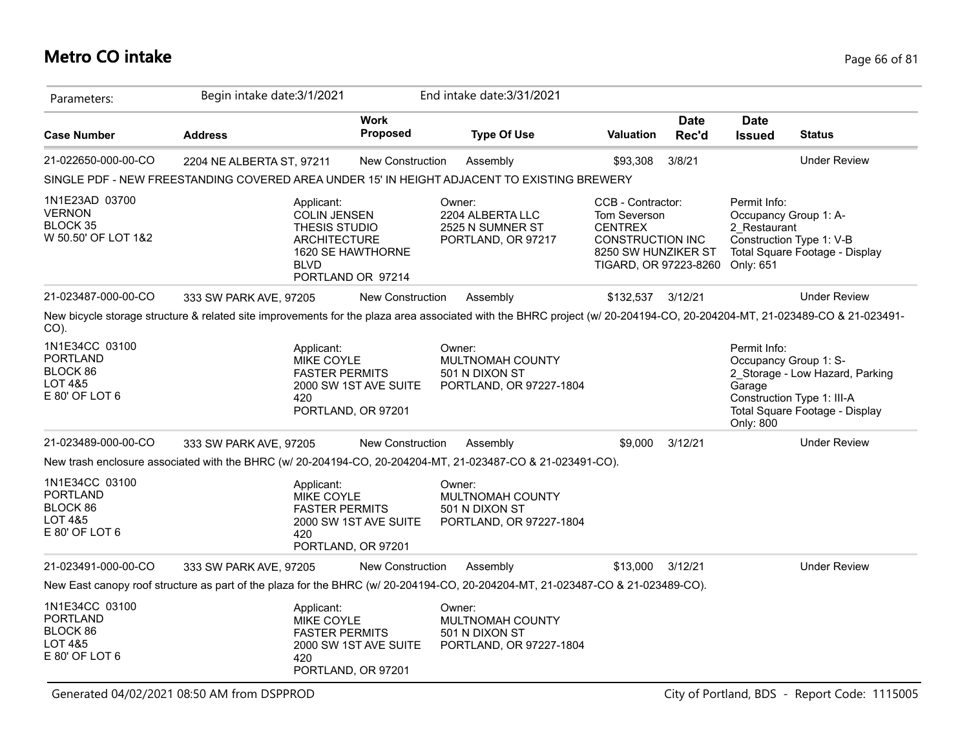### **Metro CO intake** Page 66 of 81

| Parameters:                                                                | Begin intake date: 3/1/2021                                                                                                                                             |                                             | End intake date: 3/31/2021                                                     |                                                                                                                                |                      |                                           |                                                                                                                          |
|----------------------------------------------------------------------------|-------------------------------------------------------------------------------------------------------------------------------------------------------------------------|---------------------------------------------|--------------------------------------------------------------------------------|--------------------------------------------------------------------------------------------------------------------------------|----------------------|-------------------------------------------|--------------------------------------------------------------------------------------------------------------------------|
| <b>Case Number</b>                                                         | <b>Address</b>                                                                                                                                                          | <b>Work</b><br><b>Proposed</b>              | <b>Type Of Use</b>                                                             | <b>Valuation</b>                                                                                                               | <b>Date</b><br>Rec'd | <b>Date</b><br><b>Issued</b>              | <b>Status</b>                                                                                                            |
| 21-022650-000-00-CO                                                        | 2204 NE ALBERTA ST, 97211                                                                                                                                               | <b>New Construction</b>                     | Assembly                                                                       | \$93,308                                                                                                                       | 3/8/21               |                                           | <b>Under Review</b>                                                                                                      |
|                                                                            | SINGLE PDF - NEW FREESTANDING COVERED AREA UNDER 15' IN HEIGHT ADJACENT TO EXISTING BREWERY                                                                             |                                             |                                                                                |                                                                                                                                |                      |                                           |                                                                                                                          |
| 1N1E23AD 03700<br><b>VERNON</b><br><b>BLOCK 35</b><br>W 50.50' OF LOT 1&2  | Applicant:<br><b>COLIN JENSEN</b><br>THESIS STUDIO<br><b>ARCHITECTURE</b><br><b>BLVD</b>                                                                                | 1620 SE HAWTHORNE<br>PORTLAND OR 97214      | Owner:<br>2204 ALBERTA LLC<br>2525 N SUMNER ST<br>PORTLAND, OR 97217           | CCB - Contractor:<br>Tom Severson<br><b>CENTREX</b><br><b>CONSTRUCTION INC</b><br>8250 SW HUNZIKER ST<br>TIGARD, OR 97223-8260 |                      | Permit Info:<br>2 Restaurant<br>Only: 651 | Occupancy Group 1: A-<br>Construction Type 1: V-B<br>Total Square Footage - Display                                      |
| 21-023487-000-00-CO                                                        | 333 SW PARK AVE, 97205                                                                                                                                                  | New Construction                            | Assembly                                                                       | \$132,537 3/12/21                                                                                                              |                      |                                           | <b>Under Review</b>                                                                                                      |
| $CO$ ).                                                                    | New bicycle storage structure & related site improvements for the plaza area associated with the BHRC project (w/ 20-204194-CO, 20-204204-MT, 21-023489-CO & 21-023491- |                                             |                                                                                |                                                                                                                                |                      |                                           |                                                                                                                          |
| 1N1E34CC 03100<br><b>PORTLAND</b><br>BLOCK 86<br>LOT 4&5<br>E 80' OF LOT 6 | Applicant:<br><b>MIKE COYLE</b><br><b>FASTER PERMITS</b><br>420                                                                                                         | 2000 SW 1ST AVE SUITE<br>PORTLAND, OR 97201 | Owner:<br><b>MULTNOMAH COUNTY</b><br>501 N DIXON ST<br>PORTLAND, OR 97227-1804 |                                                                                                                                |                      | Permit Info:<br>Garage<br>Only: 800       | Occupancy Group 1: S-<br>2 Storage - Low Hazard, Parking<br>Construction Type 1: III-A<br>Total Square Footage - Display |
| 21-023489-000-00-CO                                                        | 333 SW PARK AVE, 97205                                                                                                                                                  | New Construction                            | Assembly                                                                       | \$9,000                                                                                                                        | 3/12/21              |                                           | <b>Under Review</b>                                                                                                      |
|                                                                            | New trash enclosure associated with the BHRC (w/ 20-204194-CO, 20-204204-MT, 21-023487-CO & 21-023491-CO).                                                              |                                             |                                                                                |                                                                                                                                |                      |                                           |                                                                                                                          |
| 1N1E34CC 03100<br><b>PORTLAND</b><br>BLOCK 86<br>LOT 4&5<br>E 80' OF LOT 6 | Applicant:<br>MIKE COYLE<br><b>FASTER PERMITS</b><br>420                                                                                                                | 2000 SW 1ST AVE SUITE<br>PORTLAND, OR 97201 | Owner:<br>MULTNOMAH COUNTY<br>501 N DIXON ST<br>PORTLAND, OR 97227-1804        |                                                                                                                                |                      |                                           |                                                                                                                          |
| 21-023491-000-00-CO                                                        | 333 SW PARK AVE, 97205                                                                                                                                                  | <b>New Construction</b>                     | Assembly                                                                       | \$13,000                                                                                                                       | 3/12/21              |                                           | <b>Under Review</b>                                                                                                      |
|                                                                            | New East canopy roof structure as part of the plaza for the BHRC (w/ 20-204194-CO, 20-204204-MT, 21-023487-CO & 21-023489-CO).                                          |                                             |                                                                                |                                                                                                                                |                      |                                           |                                                                                                                          |
| 1N1E34CC 03100<br><b>PORTLAND</b><br>BLOCK 86<br>LOT 4&5<br>E 80' OF LOT 6 | Applicant:<br>MIKE COYLE<br><b>FASTER PERMITS</b><br>420                                                                                                                | 2000 SW 1ST AVE SUITE<br>PORTLAND, OR 97201 | Owner:<br>MULTNOMAH COUNTY<br>501 N DIXON ST<br>PORTLAND, OR 97227-1804        |                                                                                                                                |                      |                                           |                                                                                                                          |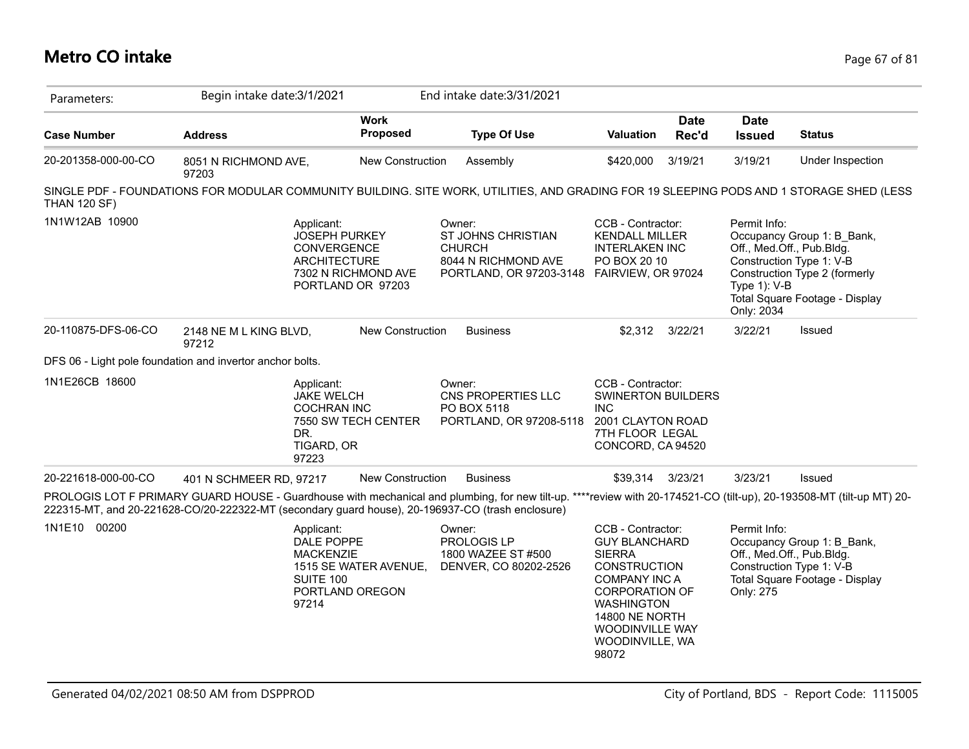### **Metro CO intake** Page 67 of 81

| Parameters:         | Begin intake date: 3/1/2021                                                                                                                                                                                                                                              |                                          | End intake date: 3/31/2021                                                                             |                                                                                                                                                                                                                                        |                      |                                               |                                                                                                                                                        |
|---------------------|--------------------------------------------------------------------------------------------------------------------------------------------------------------------------------------------------------------------------------------------------------------------------|------------------------------------------|--------------------------------------------------------------------------------------------------------|----------------------------------------------------------------------------------------------------------------------------------------------------------------------------------------------------------------------------------------|----------------------|-----------------------------------------------|--------------------------------------------------------------------------------------------------------------------------------------------------------|
| <b>Case Number</b>  | <b>Address</b>                                                                                                                                                                                                                                                           | <b>Work</b><br><b>Proposed</b>           | <b>Type Of Use</b>                                                                                     | <b>Valuation</b>                                                                                                                                                                                                                       | <b>Date</b><br>Rec'd | <b>Date</b><br><b>Issued</b>                  | <b>Status</b>                                                                                                                                          |
| 20-201358-000-00-CO | 8051 N RICHMOND AVE,<br>97203                                                                                                                                                                                                                                            | New Construction                         | Assembly                                                                                               | \$420,000                                                                                                                                                                                                                              | 3/19/21              | 3/19/21                                       | Under Inspection                                                                                                                                       |
| <b>THAN 120 SF)</b> | SINGLE PDF - FOUNDATIONS FOR MODULAR COMMUNITY BUILDING. SITE WORK, UTILITIES, AND GRADING FOR 19 SLEEPING PODS AND 1 STORAGE SHED (LESS                                                                                                                                 |                                          |                                                                                                        |                                                                                                                                                                                                                                        |                      |                                               |                                                                                                                                                        |
| 1N1W12AB 10900      | Applicant:<br><b>JOSEPH PURKEY</b><br>CONVERGENCE<br><b>ARCHITECTURE</b>                                                                                                                                                                                                 | 7302 N RICHMOND AVE<br>PORTLAND OR 97203 | Owner:<br><b>ST JOHNS CHRISTIAN</b><br><b>CHURCH</b><br>8044 N RICHMOND AVE<br>PORTLAND, OR 97203-3148 | CCB - Contractor:<br><b>KENDALL MILLER</b><br><b>INTERLAKEN INC</b><br>PO BOX 20 10<br>FAIRVIEW, OR 97024                                                                                                                              |                      | Permit Info:<br>Type $1$ ): V-B<br>Only: 2034 | Occupancy Group 1: B Bank,<br>Off., Med.Off., Pub.Bldg.<br>Construction Type 1: V-B<br>Construction Type 2 (formerly<br>Total Square Footage - Display |
| 20-110875-DFS-06-CO | 2148 NE M L KING BLVD,<br>97212                                                                                                                                                                                                                                          | <b>New Construction</b>                  | <b>Business</b>                                                                                        | \$2,312                                                                                                                                                                                                                                | 3/22/21              | 3/22/21                                       | Issued                                                                                                                                                 |
|                     | DFS 06 - Light pole foundation and invertor anchor bolts.                                                                                                                                                                                                                |                                          |                                                                                                        |                                                                                                                                                                                                                                        |                      |                                               |                                                                                                                                                        |
| 1N1E26CB 18600      | Applicant:<br><b>JAKE WELCH</b><br><b>COCHRAN INC</b><br>DR.<br>TIGARD, OR<br>97223                                                                                                                                                                                      | 7550 SW TECH CENTER                      | Owner:<br>CNS PROPERTIES LLC<br>PO BOX 5118<br>PORTLAND, OR 97208-5118                                 | CCB - Contractor:<br><b>SWINERTON BUILDERS</b><br><b>INC</b><br>2001 CLAYTON ROAD<br>7TH FLOOR LEGAL<br>CONCORD, CA 94520                                                                                                              |                      |                                               |                                                                                                                                                        |
| 20-221618-000-00-CO | 401 N SCHMEER RD, 97217                                                                                                                                                                                                                                                  | <b>New Construction</b>                  | <b>Business</b>                                                                                        | \$39,314                                                                                                                                                                                                                               | 3/23/21              | 3/23/21                                       | Issued                                                                                                                                                 |
|                     | PROLOGIS LOT F PRIMARY GUARD HOUSE - Guardhouse with mechanical and plumbing, for new tilt-up. ****review with 20-174521-CO (tilt-up), 20-193508-MT (tilt-up MT) 20-<br>222315-MT, and 20-221628-CO/20-222322-MT (secondary guard house), 20-196937-CO (trash enclosure) |                                          |                                                                                                        |                                                                                                                                                                                                                                        |                      |                                               |                                                                                                                                                        |
| 1N1E10 00200        | Applicant:<br>DALE POPPE<br><b>MACKENZIE</b><br>SUITE 100<br>97214                                                                                                                                                                                                       | 1515 SE WATER AVENUE,<br>PORTLAND OREGON | Owner:<br>PROLOGIS LP<br>1800 WAZEE ST #500<br>DENVER, CO 80202-2526                                   | CCB - Contractor:<br><b>GUY BLANCHARD</b><br><b>SIERRA</b><br><b>CONSTRUCTION</b><br><b>COMPANY INC A</b><br><b>CORPORATION OF</b><br><b>WASHINGTON</b><br><b>14800 NE NORTH</b><br><b>WOODINVILLE WAY</b><br>WOODINVILLE, WA<br>98072 |                      | Permit Info:<br>Only: 275                     | Occupancy Group 1: B Bank,<br>Off., Med.Off., Pub.Bldg.<br>Construction Type 1: V-B<br>Total Square Footage - Display                                  |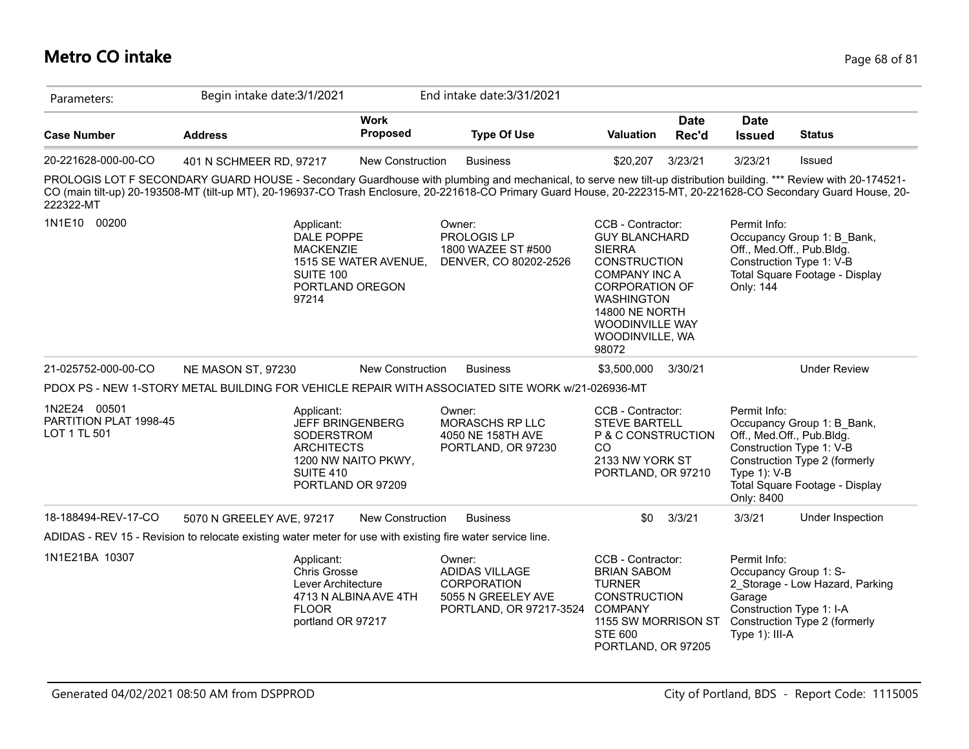# **Metro CO intake** Page 68 of 81

| Parameters:                                            | Begin intake date: 3/1/2021                                                                                                                                                                                                                                                                                                            |                                          | End intake date: 3/31/2021                                                               |                                                                                                                                                                                                                                 |                      |                                                                                               |                                                                                                                           |
|--------------------------------------------------------|----------------------------------------------------------------------------------------------------------------------------------------------------------------------------------------------------------------------------------------------------------------------------------------------------------------------------------------|------------------------------------------|------------------------------------------------------------------------------------------|---------------------------------------------------------------------------------------------------------------------------------------------------------------------------------------------------------------------------------|----------------------|-----------------------------------------------------------------------------------------------|---------------------------------------------------------------------------------------------------------------------------|
| <b>Case Number</b>                                     | <b>Address</b>                                                                                                                                                                                                                                                                                                                         | <b>Work</b><br><b>Proposed</b>           | <b>Type Of Use</b>                                                                       | <b>Valuation</b>                                                                                                                                                                                                                | <b>Date</b><br>Rec'd | <b>Date</b><br><b>Issued</b>                                                                  | <b>Status</b>                                                                                                             |
| 20-221628-000-00-CO                                    | 401 N SCHMEER RD, 97217                                                                                                                                                                                                                                                                                                                | New Construction                         | <b>Business</b>                                                                          | \$20,207                                                                                                                                                                                                                        | 3/23/21              | 3/23/21                                                                                       | <b>Issued</b>                                                                                                             |
| 222322-MT                                              | PROLOGIS LOT F SECONDARY GUARD HOUSE - Secondary Guardhouse with plumbing and mechanical, to serve new tilt-up distribution building. *** Review with 20-174521-<br>CO (main tilt-up) 20-193508-MT (tilt-up MT), 20-196937-CO Trash Enclosure, 20-221618-CO Primary Guard House, 20-222315-MT, 20-221628-CO Secondary Guard House, 20- |                                          |                                                                                          |                                                                                                                                                                                                                                 |                      |                                                                                               |                                                                                                                           |
| 1N1E10 00200                                           | Applicant:<br>DALE POPPE<br><b>MACKENZIE</b><br>SUITE 100<br>97214                                                                                                                                                                                                                                                                     | 1515 SE WATER AVENUE,<br>PORTLAND OREGON | Owner:<br>PROLOGIS LP<br>1800 WAZEE ST #500<br>DENVER, CO 80202-2526                     | CCB - Contractor:<br><b>GUY BLANCHARD</b><br><b>SIERRA</b><br><b>CONSTRUCTION</b><br><b>COMPANY INC A</b><br><b>CORPORATION OF</b><br><b>WASHINGTON</b><br><b>14800 NE NORTH</b><br>WOODINVILLE WAY<br>WOODINVILLE, WA<br>98072 |                      | Permit Info:<br>Off., Med.Off., Pub.Bldg.<br>Only: 144                                        | Occupancy Group 1: B_Bank,<br>Construction Type 1: V-B<br>Total Square Footage - Display                                  |
| 21-025752-000-00-CO                                    | NE MASON ST, 97230                                                                                                                                                                                                                                                                                                                     | New Construction                         | <b>Business</b>                                                                          | \$3,500,000                                                                                                                                                                                                                     | 3/30/21              |                                                                                               | <b>Under Review</b>                                                                                                       |
|                                                        | PDOX PS - NEW 1-STORY METAL BUILDING FOR VEHICLE REPAIR WITH ASSOCIATED SITE WORK w/21-026936-MT                                                                                                                                                                                                                                       |                                          |                                                                                          |                                                                                                                                                                                                                                 |                      |                                                                                               |                                                                                                                           |
| 1N2E24 00501<br>PARTITION PLAT 1998-45<br>LOT 1 TL 501 | Applicant:<br><b>JEFF BRINGENBERG</b><br>SODERSTROM<br><b>ARCHITECTS</b><br>SUITE 410                                                                                                                                                                                                                                                  | 1200 NW NAITO PKWY,<br>PORTLAND OR 97209 | Owner:<br>MORASCHS RP LLC<br>4050 NE 158TH AVE<br>PORTLAND, OR 97230                     | CCB - Contractor:<br><b>STEVE BARTELL</b><br>P & C CONSTRUCTION<br>CO<br>2133 NW YORK ST<br>PORTLAND, OR 97210                                                                                                                  |                      | Permit Info:<br>Off., Med.Off., Pub.Bldg.<br>Type $1$ ): V-B<br>Only: 8400                    | Occupancy Group 1: B_Bank,<br>Construction Type 1: V-B<br>Construction Type 2 (formerly<br>Total Square Footage - Display |
| 18-188494-REV-17-CO                                    | 5070 N GREELEY AVE, 97217                                                                                                                                                                                                                                                                                                              | <b>New Construction</b>                  | <b>Business</b>                                                                          | \$0                                                                                                                                                                                                                             | 3/3/21               | 3/3/21                                                                                        | Under Inspection                                                                                                          |
|                                                        | ADIDAS - REV 15 - Revision to relocate existing water meter for use with existing fire water service line.                                                                                                                                                                                                                             |                                          |                                                                                          |                                                                                                                                                                                                                                 |                      |                                                                                               |                                                                                                                           |
| 1N1E21BA 10307                                         | Applicant:<br>Chris Grosse<br>Lever Architecture<br><b>FLOOR</b><br>portland OR 97217                                                                                                                                                                                                                                                  | 4713 N ALBINA AVE 4TH                    | Owner:<br>ADIDAS VILLAGE<br>CORPORATION<br>5055 N GREELEY AVE<br>PORTLAND, OR 97217-3524 | CCB - Contractor:<br><b>BRIAN SABOM</b><br><b>TURNER</b><br><b>CONSTRUCTION</b><br><b>COMPANY</b><br>1155 SW MORRISON ST<br><b>STE 600</b><br>PORTLAND, OR 97205                                                                |                      | Permit Info:<br>Occupancy Group 1: S-<br>Garage<br>Construction Type 1: I-A<br>Type 1): III-A | 2 Storage - Low Hazard, Parking<br>Construction Type 2 (formerly                                                          |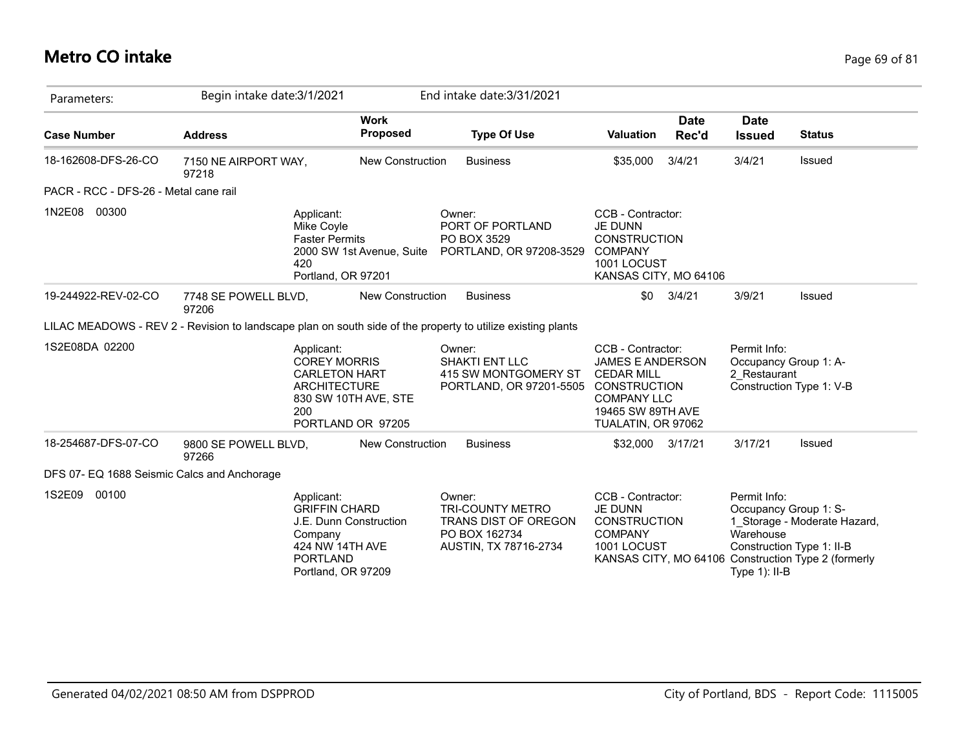# **Metro CO intake** Page 69 of 81

| Parameters:                                 | Begin intake date: 3/1/2021   |                                                                                                                                      |                                | End intake date: 3/31/2021                                                                                  |                                                                                                                                                           |                      |                                                                                                     |                                                                                     |
|---------------------------------------------|-------------------------------|--------------------------------------------------------------------------------------------------------------------------------------|--------------------------------|-------------------------------------------------------------------------------------------------------------|-----------------------------------------------------------------------------------------------------------------------------------------------------------|----------------------|-----------------------------------------------------------------------------------------------------|-------------------------------------------------------------------------------------|
| <b>Case Number</b>                          | <b>Address</b>                |                                                                                                                                      | <b>Work</b><br><b>Proposed</b> | <b>Type Of Use</b>                                                                                          | <b>Valuation</b>                                                                                                                                          | <b>Date</b><br>Rec'd | <b>Date</b><br><b>Issued</b>                                                                        | <b>Status</b>                                                                       |
| 18-162608-DFS-26-CO                         | 7150 NE AIRPORT WAY,<br>97218 |                                                                                                                                      | New Construction               | <b>Business</b>                                                                                             | \$35,000                                                                                                                                                  | 3/4/21               | 3/4/21                                                                                              | <b>Issued</b>                                                                       |
| PACR - RCC - DFS-26 - Metal cane rail       |                               |                                                                                                                                      |                                |                                                                                                             |                                                                                                                                                           |                      |                                                                                                     |                                                                                     |
| 00300<br>1N2E08                             |                               | Applicant:<br>Mike Coyle<br><b>Faster Permits</b><br>420<br>Portland, OR 97201                                                       | 2000 SW 1st Avenue, Suite      | Owner:<br>PORT OF PORTLAND<br>PO BOX 3529<br>PORTLAND, OR 97208-3529                                        | CCB - Contractor:<br><b>JE DUNN</b><br><b>CONSTRUCTION</b><br><b>COMPANY</b><br>1001 LOCUST<br>KANSAS CITY, MO 64106                                      |                      |                                                                                                     |                                                                                     |
| 19-244922-REV-02-CO                         | 7748 SE POWELL BLVD,<br>97206 |                                                                                                                                      | New Construction               | <b>Business</b>                                                                                             | \$0                                                                                                                                                       | 3/4/21               | 3/9/21                                                                                              | Issued                                                                              |
|                                             |                               |                                                                                                                                      |                                | LILAC MEADOWS - REV 2 - Revision to landscape plan on south side of the property to utilize existing plants |                                                                                                                                                           |                      |                                                                                                     |                                                                                     |
| 1S2E08DA 02200                              |                               | Applicant:<br><b>COREY MORRIS</b><br><b>CARLETON HART</b><br><b>ARCHITECTURE</b><br>830 SW 10TH AVE, STE<br>200<br>PORTLAND OR 97205 |                                | Owner:<br><b>SHAKTI ENT LLC</b><br>415 SW MONTGOMERY ST<br>PORTLAND, OR 97201-5505                          | CCB - Contractor:<br><b>JAMES E ANDERSON</b><br><b>CEDAR MILL</b><br><b>CONSTRUCTION</b><br><b>COMPANY LLC</b><br>19465 SW 89TH AVE<br>TUALATIN, OR 97062 |                      | Permit Info:<br>Occupancy Group 1: A-<br>2 Restaurant                                               | Construction Type 1: V-B                                                            |
| 18-254687-DFS-07-CO                         | 9800 SE POWELL BLVD,<br>97266 |                                                                                                                                      | New Construction               | <b>Business</b>                                                                                             | \$32,000                                                                                                                                                  | 3/17/21              | 3/17/21                                                                                             | <b>Issued</b>                                                                       |
| DFS 07- EQ 1688 Seismic Calcs and Anchorage |                               |                                                                                                                                      |                                |                                                                                                             |                                                                                                                                                           |                      |                                                                                                     |                                                                                     |
| 1S2E09<br>00100                             |                               | Applicant:<br><b>GRIFFIN CHARD</b><br>J.E. Dunn Construction<br>Company<br>424 NW 14TH AVE<br><b>PORTLAND</b><br>Portland, OR 97209  |                                | Owner:<br><b>TRI-COUNTY METRO</b><br>TRANS DIST OF OREGON<br>PO BOX 162734<br>AUSTIN, TX 78716-2734         | CCB - Contractor:<br><b>JE DUNN</b><br><b>CONSTRUCTION</b><br><b>COMPANY</b><br>1001 LOCUST                                                               |                      | Permit Info:<br>Occupancy Group 1: S-<br>Warehouse<br>Construction Type 1: II-B<br>Type $1$ ): II-B | 1_Storage - Moderate Hazard,<br>KANSAS CITY, MO 64106 Construction Type 2 (formerly |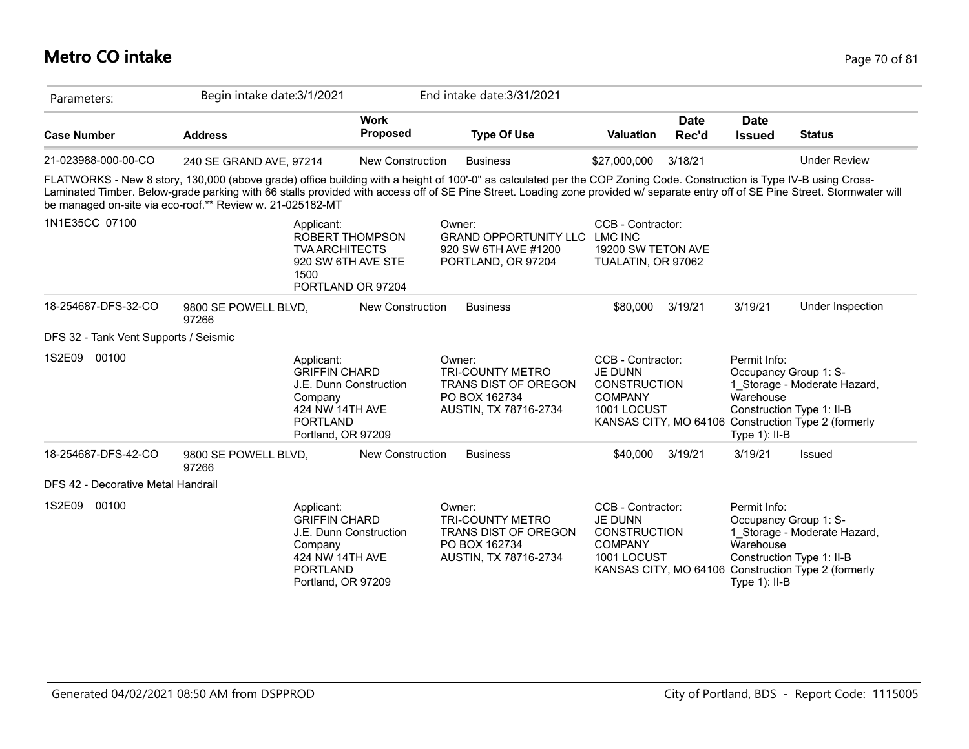# **Metro CO intake** Page 70 of 81

| Parameters:                           | Begin intake date: 3/1/2021                                                                                                                                                                                                                                                                                                                                                                                           |                                                                   | End intake date: 3/31/2021                                                                                 |                                                                                             |                      |                                                                                                     |                                                                                     |
|---------------------------------------|-----------------------------------------------------------------------------------------------------------------------------------------------------------------------------------------------------------------------------------------------------------------------------------------------------------------------------------------------------------------------------------------------------------------------|-------------------------------------------------------------------|------------------------------------------------------------------------------------------------------------|---------------------------------------------------------------------------------------------|----------------------|-----------------------------------------------------------------------------------------------------|-------------------------------------------------------------------------------------|
| <b>Case Number</b>                    | <b>Address</b>                                                                                                                                                                                                                                                                                                                                                                                                        | <b>Work</b><br><b>Proposed</b>                                    | <b>Type Of Use</b>                                                                                         | <b>Valuation</b>                                                                            | <b>Date</b><br>Rec'd | <b>Date</b><br><b>Issued</b>                                                                        | <b>Status</b>                                                                       |
| 21-023988-000-00-CO                   | 240 SE GRAND AVE, 97214                                                                                                                                                                                                                                                                                                                                                                                               | <b>New Construction</b>                                           | <b>Business</b>                                                                                            | \$27,000,000                                                                                | 3/18/21              |                                                                                                     | <b>Under Review</b>                                                                 |
|                                       | FLATWORKS - New 8 story, 130,000 (above grade) office building with a height of 100'-0" as calculated per the COP Zoning Code. Construction is Type IV-B using Cross-<br>Laminated Timber. Below-grade parking with 66 stalls provided with access off of SE Pine Street. Loading zone provided w/ separate entry off of SE Pine Street. Stormwater will<br>be managed on-site via eco-roof.** Review w. 21-025182-MT |                                                                   |                                                                                                            |                                                                                             |                      |                                                                                                     |                                                                                     |
| 1N1E35CC 07100                        | Applicant:<br><b>TVA ARCHITECTS</b><br>1500                                                                                                                                                                                                                                                                                                                                                                           | <b>ROBERT THOMPSON</b><br>920 SW 6TH AVE STE<br>PORTLAND OR 97204 | Owner:<br><b>GRAND OPPORTUNITY LLC</b><br>920 SW 6TH AVE #1200<br>PORTLAND, OR 97204                       | CCB - Contractor:<br><b>LMC INC</b><br>19200 SW TETON AVE<br>TUALATIN, OR 97062             |                      |                                                                                                     |                                                                                     |
| 18-254687-DFS-32-CO                   | 9800 SE POWELL BLVD,<br>97266                                                                                                                                                                                                                                                                                                                                                                                         | <b>New Construction</b>                                           | <b>Business</b>                                                                                            | \$80,000                                                                                    | 3/19/21              | 3/19/21                                                                                             | Under Inspection                                                                    |
| DFS 32 - Tank Vent Supports / Seismic |                                                                                                                                                                                                                                                                                                                                                                                                                       |                                                                   |                                                                                                            |                                                                                             |                      |                                                                                                     |                                                                                     |
| 00100<br>1S2E09                       | Applicant:<br><b>GRIFFIN CHARD</b><br>Company<br>424 NW 14TH AVE<br><b>PORTLAND</b><br>Portland, OR 97209                                                                                                                                                                                                                                                                                                             | J.E. Dunn Construction                                            | Owner:<br><b>TRI-COUNTY METRO</b><br><b>TRANS DIST OF OREGON</b><br>PO BOX 162734<br>AUSTIN, TX 78716-2734 | CCB - Contractor:<br><b>JE DUNN</b><br><b>CONSTRUCTION</b><br><b>COMPANY</b><br>1001 LOCUST |                      | Permit Info:<br>Occupancy Group 1: S-<br>Warehouse<br>Construction Type 1: II-B<br>Type $1$ ): II-B | 1 Storage - Moderate Hazard,<br>KANSAS CITY, MO 64106 Construction Type 2 (formerly |
| 18-254687-DFS-42-CO                   | 9800 SE POWELL BLVD,<br>97266                                                                                                                                                                                                                                                                                                                                                                                         | <b>New Construction</b>                                           | <b>Business</b>                                                                                            | \$40,000                                                                                    | 3/19/21              | 3/19/21                                                                                             | Issued                                                                              |
| DFS 42 - Decorative Metal Handrail    |                                                                                                                                                                                                                                                                                                                                                                                                                       |                                                                   |                                                                                                            |                                                                                             |                      |                                                                                                     |                                                                                     |
| 1S2E09<br>00100                       | Applicant:<br><b>GRIFFIN CHARD</b><br>Company<br>424 NW 14TH AVE<br><b>PORTLAND</b><br>Portland, OR 97209                                                                                                                                                                                                                                                                                                             | J.E. Dunn Construction                                            | Owner:<br><b>TRI-COUNTY METRO</b><br><b>TRANS DIST OF OREGON</b><br>PO BOX 162734<br>AUSTIN, TX 78716-2734 | CCB - Contractor:<br><b>JE DUNN</b><br><b>CONSTRUCTION</b><br><b>COMPANY</b><br>1001 LOCUST |                      | Permit Info:<br>Occupancy Group 1: S-<br>Warehouse<br>Construction Type 1: II-B<br>Type 1): II-B    | 1 Storage - Moderate Hazard,<br>KANSAS CITY, MO 64106 Construction Type 2 (formerly |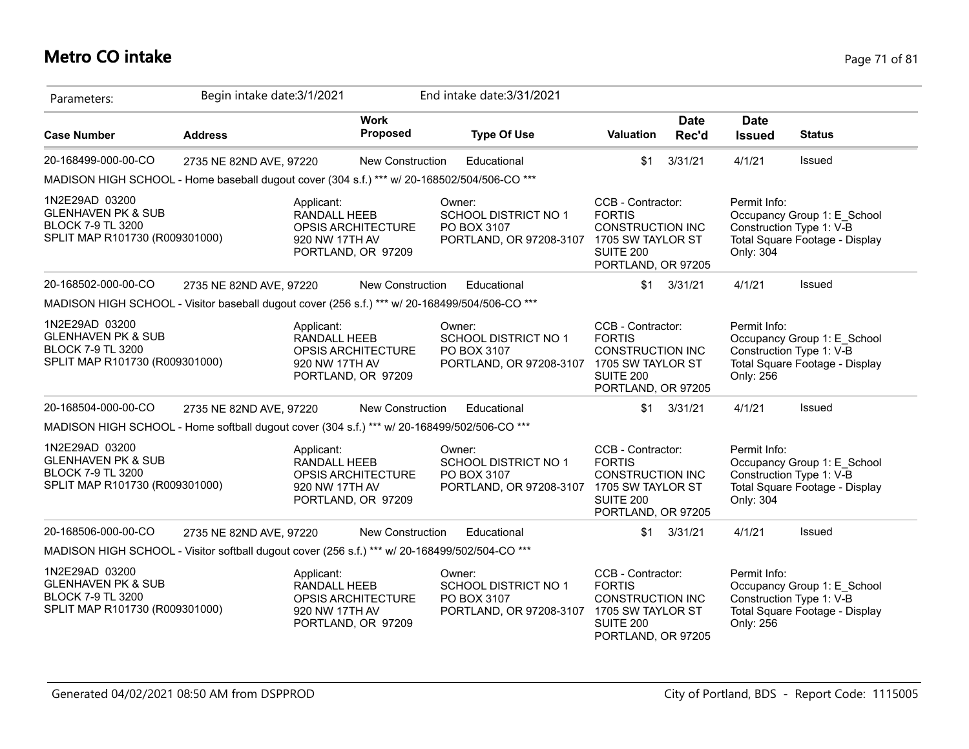### **Metro CO intake** Page 71 of 81

| Parameters:                                                                                                   | Begin intake date: 3/1/2021 |                                              |                                                 | End intake date: 3/31/2021                                                                        |                                                                                                                              |                      |                              |                                                                                           |
|---------------------------------------------------------------------------------------------------------------|-----------------------------|----------------------------------------------|-------------------------------------------------|---------------------------------------------------------------------------------------------------|------------------------------------------------------------------------------------------------------------------------------|----------------------|------------------------------|-------------------------------------------------------------------------------------------|
| <b>Case Number</b>                                                                                            | <b>Address</b>              |                                              | <b>Work</b><br><b>Proposed</b>                  | <b>Type Of Use</b>                                                                                | Valuation                                                                                                                    | <b>Date</b><br>Rec'd | <b>Date</b><br><b>Issued</b> | <b>Status</b>                                                                             |
| 20-168499-000-00-CO                                                                                           | 2735 NE 82ND AVE, 97220     |                                              | <b>New Construction</b>                         | Educational                                                                                       | \$1                                                                                                                          | 3/31/21              | 4/1/21                       | Issued                                                                                    |
| MADISON HIGH SCHOOL - Home baseball dugout cover (304 s.f.) *** w/ 20-168502/504/506-CO ***                   |                             |                                              |                                                 |                                                                                                   |                                                                                                                              |                      |                              |                                                                                           |
| 1N2E29AD 03200<br><b>GLENHAVEN PK &amp; SUB</b><br><b>BLOCK 7-9 TL 3200</b><br>SPLIT MAP R101730 (R009301000) |                             | Applicant:<br>RANDALL HEEB<br>920 NW 17TH AV | OPSIS ARCHITECTURE<br>PORTLAND, OR 97209        | Owner:<br><b>SCHOOL DISTRICT NO 1</b><br>PO BOX 3107<br>PORTLAND, OR 97208-3107                   | CCB - Contractor:<br><b>FORTIS</b><br><b>CONSTRUCTION INC</b><br>1705 SW TAYLOR ST<br><b>SUITE 200</b><br>PORTLAND, OR 97205 |                      | Permit Info:<br>Only: 304    | Occupancy Group 1: E School<br>Construction Type 1: V-B<br>Total Square Footage - Display |
| 20-168502-000-00-CO                                                                                           | 2735 NE 82ND AVE, 97220     |                                              | New Construction                                | Educational                                                                                       |                                                                                                                              | $$1 \quad 3/31/21$   | 4/1/21                       | Issued                                                                                    |
| MADISON HIGH SCHOOL - Visitor baseball dugout cover (256 s.f.) *** w/ 20-168499/504/506-CO ***                |                             |                                              |                                                 |                                                                                                   |                                                                                                                              |                      |                              |                                                                                           |
| 1N2E29AD 03200<br><b>GLENHAVEN PK &amp; SUB</b><br><b>BLOCK 7-9 TL 3200</b><br>SPLIT MAP R101730 (R009301000) |                             | Applicant:<br>RANDALL HEEB<br>920 NW 17TH AV | OPSIS ARCHITECTURE<br>PORTLAND, OR 97209        | Owner:<br><b>SCHOOL DISTRICT NO 1</b><br>PO BOX 3107<br>PORTLAND, OR 97208-3107                   | CCB - Contractor:<br><b>FORTIS</b><br><b>CONSTRUCTION INC</b><br>1705 SW TAYLOR ST<br>SUITE 200<br>PORTLAND, OR 97205        |                      | Permit Info:<br>Only: 256    | Occupancy Group 1: E_School<br>Construction Type 1: V-B<br>Total Square Footage - Display |
| 20-168504-000-00-CO                                                                                           | 2735 NE 82ND AVE, 97220     |                                              | <b>New Construction</b>                         | Educational                                                                                       | \$1                                                                                                                          | 3/31/21              | 4/1/21                       | Issued                                                                                    |
| MADISON HIGH SCHOOL - Home softball dugout cover (304 s.f.) *** w/ 20-168499/502/506-CO ***                   |                             |                                              |                                                 |                                                                                                   |                                                                                                                              |                      |                              |                                                                                           |
| 1N2E29AD 03200<br><b>GLENHAVEN PK &amp; SUB</b><br><b>BLOCK 7-9 TL 3200</b><br>SPLIT MAP R101730 (R009301000) |                             | Applicant:<br>RANDALL HEEB<br>920 NW 17TH AV | <b>OPSIS ARCHITECTURE</b><br>PORTLAND, OR 97209 | Owner:<br><b>SCHOOL DISTRICT NO 1</b><br>PO BOX 3107<br>PORTLAND, OR 97208-3107                   | CCB - Contractor:<br><b>FORTIS</b><br><b>CONSTRUCTION INC</b><br>1705 SW TAYLOR ST<br><b>SUITE 200</b><br>PORTLAND, OR 97205 |                      | Permit Info:<br>Only: 304    | Occupancy Group 1: E_School<br>Construction Type 1: V-B<br>Total Square Footage - Display |
| 20-168506-000-00-CO                                                                                           | 2735 NE 82ND AVE, 97220     |                                              | New Construction                                | Educational                                                                                       | \$1                                                                                                                          | 3/31/21              | 4/1/21                       | Issued                                                                                    |
| MADISON HIGH SCHOOL - Visitor softball dugout cover (256 s.f.) *** w/ 20-168499/502/504-CO ***                |                             |                                              |                                                 |                                                                                                   |                                                                                                                              |                      |                              |                                                                                           |
| 1N2E29AD 03200<br><b>GLENHAVEN PK &amp; SUB</b><br><b>BLOCK 7-9 TL 3200</b><br>SPLIT MAP R101730 (R009301000) |                             | Applicant:<br>RANDALL HEEB<br>920 NW 17TH AV | <b>OPSIS ARCHITECTURE</b><br>PORTLAND, OR 97209 | Owner:<br><b>SCHOOL DISTRICT NO 1</b><br>PO BOX 3107<br>PORTLAND, OR 97208-3107 1705 SW TAYLOR ST | CCB - Contractor:<br><b>FORTIS</b><br><b>CONSTRUCTION INC</b><br><b>SUITE 200</b><br>PORTLAND, OR 97205                      |                      | Permit Info:<br>Only: 256    | Occupancy Group 1: E School<br>Construction Type 1: V-B<br>Total Square Footage - Display |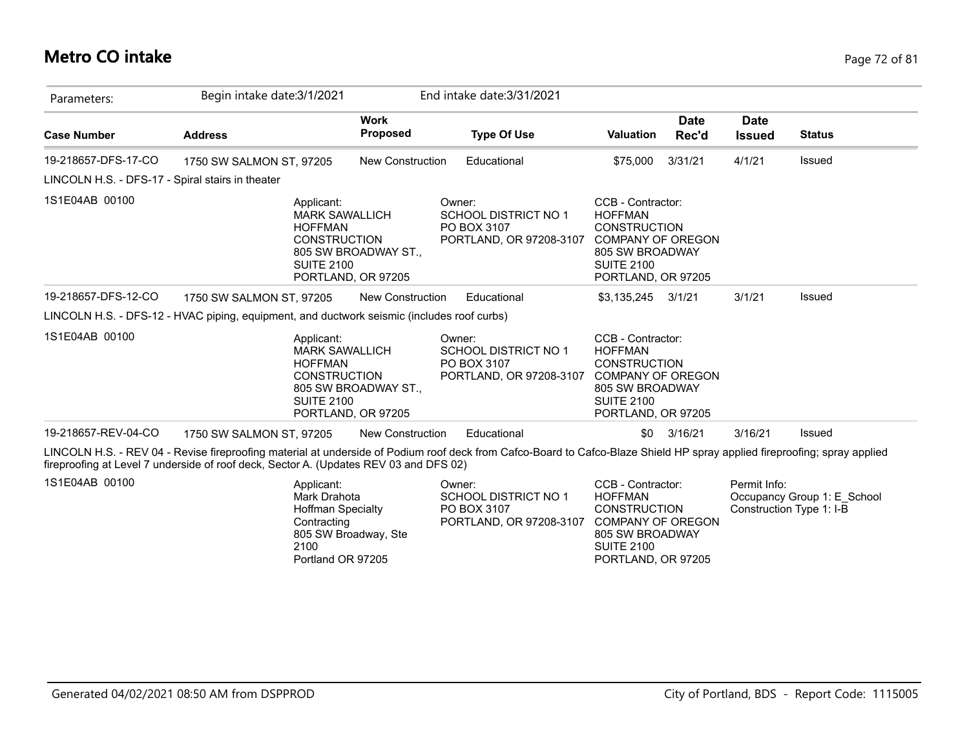### **Metro CO intake** Page 72 of 81

| Parameters:                                                                                                                                  | Begin intake date: 3/1/2021                                                                                                                                                                                                                                        |                                            | End intake date: 3/31/2021                                                      |                                                                                                                                                      |                      |                                                                         |               |
|----------------------------------------------------------------------------------------------------------------------------------------------|--------------------------------------------------------------------------------------------------------------------------------------------------------------------------------------------------------------------------------------------------------------------|--------------------------------------------|---------------------------------------------------------------------------------|------------------------------------------------------------------------------------------------------------------------------------------------------|----------------------|-------------------------------------------------------------------------|---------------|
| <b>Case Number</b>                                                                                                                           | <b>Address</b>                                                                                                                                                                                                                                                     | <b>Work</b><br>Proposed                    | <b>Type Of Use</b>                                                              | <b>Valuation</b>                                                                                                                                     | <b>Date</b><br>Rec'd | <b>Date</b><br><b>Issued</b>                                            | <b>Status</b> |
| 19-218657-DFS-17-CO                                                                                                                          | 1750 SW SALMON ST, 97205                                                                                                                                                                                                                                           | <b>New Construction</b>                    | Educational                                                                     | \$75,000                                                                                                                                             | 3/31/21              | 4/1/21                                                                  | Issued        |
| LINCOLN H.S. - DFS-17 - Spiral stairs in theater                                                                                             |                                                                                                                                                                                                                                                                    |                                            |                                                                                 |                                                                                                                                                      |                      |                                                                         |               |
| 1S1E04AB 00100                                                                                                                               | Applicant:<br><b>MARK SAWALLICH</b><br><b>HOFFMAN</b><br><b>CONSTRUCTION</b><br><b>SUITE 2100</b><br>PORTLAND, OR 97205                                                                                                                                            | 805 SW BROADWAY ST.,                       | Owner:<br><b>SCHOOL DISTRICT NO 1</b><br>PO BOX 3107<br>PORTLAND, OR 97208-3107 | CCB - Contractor:<br><b>HOFFMAN</b><br><b>CONSTRUCTION</b><br><b>COMPANY OF OREGON</b><br>805 SW BROADWAY<br><b>SUITE 2100</b><br>PORTLAND, OR 97205 |                      |                                                                         |               |
| 19-218657-DFS-12-CO                                                                                                                          | 1750 SW SALMON ST, 97205                                                                                                                                                                                                                                           | New Construction                           | Educational                                                                     | \$3,135,245                                                                                                                                          | 3/1/21               | 3/1/21                                                                  | Issued        |
|                                                                                                                                              | LINCOLN H.S. - DFS-12 - HVAC piping, equipment, and ductwork seismic (includes roof curbs)                                                                                                                                                                         |                                            |                                                                                 |                                                                                                                                                      |                      |                                                                         |               |
| 1S1E04AB 00100                                                                                                                               | Applicant:<br><b>MARK SAWALLICH</b><br><b>HOFFMAN</b><br><b>CONSTRUCTION</b><br><b>SUITE 2100</b>                                                                                                                                                                  | 805 SW BROADWAY ST.,<br>PORTLAND, OR 97205 | Owner:<br>SCHOOL DISTRICT NO 1<br>PO BOX 3107<br>PORTLAND, OR 97208-3107        | CCB - Contractor:<br><b>HOFFMAN</b><br><b>CONSTRUCTION</b><br><b>COMPANY OF OREGON</b><br>805 SW BROADWAY<br><b>SUITE 2100</b><br>PORTLAND, OR 97205 |                      |                                                                         |               |
| 19-218657-REV-04-CO                                                                                                                          | 1750 SW SALMON ST, 97205                                                                                                                                                                                                                                           | <b>New Construction</b>                    | Educational                                                                     | \$0                                                                                                                                                  | 3/16/21              | 3/16/21                                                                 | Issued        |
|                                                                                                                                              | LINCOLN H.S. - REV 04 - Revise fireproofing material at underside of Podium roof deck from Cafco-Board to Cafco-Blaze Shield HP spray applied fireproofing; spray applied<br>fireproofing at Level 7 underside of roof deck, Sector A. (Updates REV 03 and DFS 02) |                                            |                                                                                 |                                                                                                                                                      |                      |                                                                         |               |
| 1S1E04AB 00100<br>Applicant:<br>Mark Drahota<br><b>Hoffman Specialty</b><br>Contracting<br>805 SW Broadway, Ste<br>2100<br>Portland OR 97205 |                                                                                                                                                                                                                                                                    |                                            | Owner:<br>SCHOOL DISTRICT NO 1<br>PO BOX 3107<br>PORTLAND, OR 97208-3107        | CCB - Contractor:<br><b>HOFFMAN</b><br><b>CONSTRUCTION</b><br><b>COMPANY OF OREGON</b><br>805 SW BROADWAY<br><b>SUITE 2100</b><br>PORTLAND, OR 97205 |                      | Permit Info:<br>Occupancy Group 1: E School<br>Construction Type 1: I-B |               |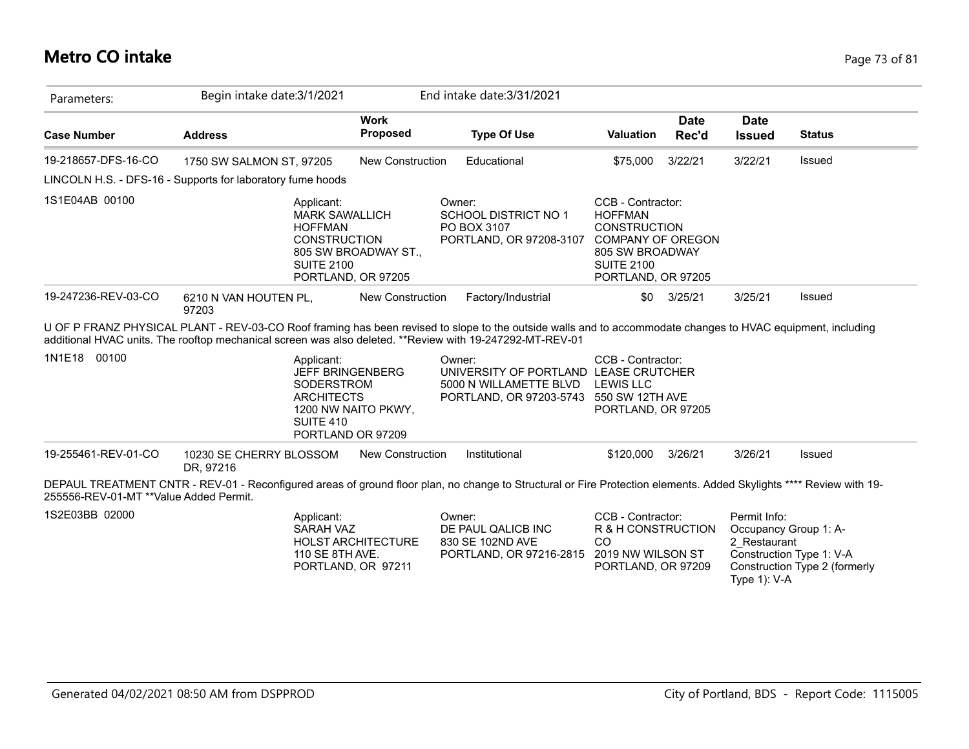## **Metro CO intake** Page 73 of 81

| Parameters:                            | Begin intake date: 3/1/2021                                                                                                                                                                                                                                             |                                                                     | End intake date: 3/31/2021                                                                                           |                                                                                                                                                      |                      |                                                 |                                                                                    |
|----------------------------------------|-------------------------------------------------------------------------------------------------------------------------------------------------------------------------------------------------------------------------------------------------------------------------|---------------------------------------------------------------------|----------------------------------------------------------------------------------------------------------------------|------------------------------------------------------------------------------------------------------------------------------------------------------|----------------------|-------------------------------------------------|------------------------------------------------------------------------------------|
| <b>Case Number</b>                     | <b>Address</b>                                                                                                                                                                                                                                                          | <b>Work</b><br>Proposed                                             | <b>Type Of Use</b>                                                                                                   | <b>Valuation</b>                                                                                                                                     | <b>Date</b><br>Rec'd | <b>Date</b><br><b>Issued</b>                    | <b>Status</b>                                                                      |
| 19-218657-DFS-16-CO                    | 1750 SW SALMON ST, 97205                                                                                                                                                                                                                                                | <b>New Construction</b>                                             | Educational                                                                                                          | \$75,000                                                                                                                                             | 3/22/21              | 3/22/21                                         | Issued                                                                             |
|                                        | LINCOLN H.S. - DFS-16 - Supports for laboratory fume hoods                                                                                                                                                                                                              |                                                                     |                                                                                                                      |                                                                                                                                                      |                      |                                                 |                                                                                    |
| 1S1E04AB 00100                         | Applicant:<br><b>MARK SAWALLICH</b><br><b>HOFFMAN</b><br><b>CONSTRUCTION</b><br><b>SUITE 2100</b>                                                                                                                                                                       | 805 SW BROADWAY ST.,<br>PORTLAND, OR 97205                          | Owner:<br>SCHOOL DISTRICT NO 1<br>PO BOX 3107<br>PORTLAND, OR 97208-3107                                             | CCB - Contractor:<br><b>HOFFMAN</b><br><b>CONSTRUCTION</b><br><b>COMPANY OF OREGON</b><br>805 SW BROADWAY<br><b>SUITE 2100</b><br>PORTLAND, OR 97205 |                      |                                                 |                                                                                    |
| 19-247236-REV-03-CO                    | 6210 N VAN HOUTEN PL,<br>97203                                                                                                                                                                                                                                          | <b>New Construction</b>                                             | Factory/Industrial                                                                                                   | \$0                                                                                                                                                  | 3/25/21              | 3/25/21                                         | Issued                                                                             |
|                                        | U OF P FRANZ PHYSICAL PLANT - REV-03-CO Roof framing has been revised to slope to the outside walls and to accommodate changes to HVAC equipment, including<br>additional HVAC units. The rooftop mechanical screen was also deleted. **Review with 19-247292-MT-REV-01 |                                                                     |                                                                                                                      |                                                                                                                                                      |                      |                                                 |                                                                                    |
| 1N1E18 00100                           | Applicant:<br>SODERSTROM<br><b>ARCHITECTS</b><br>SUITE 410                                                                                                                                                                                                              | <b>JEFF BRINGENBERG</b><br>1200 NW NAITO PKWY.<br>PORTLAND OR 97209 | Owner:<br>UNIVERSITY OF PORTLAND LEASE CRUTCHER<br>5000 N WILLAMETTE BLVD<br>PORTLAND, OR 97203-5743 550 SW 12TH AVE | CCB - Contractor:<br><b>LEWIS LLC</b><br>PORTLAND, OR 97205                                                                                          |                      |                                                 |                                                                                    |
| 19-255461-REV-01-CO                    | 10230 SE CHERRY BLOSSOM<br>DR, 97216                                                                                                                                                                                                                                    | <b>New Construction</b>                                             | Institutional                                                                                                        | \$120,000                                                                                                                                            | 3/26/21              | 3/26/21                                         | Issued                                                                             |
| 255556-REV-01-MT **Value Added Permit. | DEPAUL TREATMENT CNTR - REV-01 - Reconfigured areas of ground floor plan, no change to Structural or Fire Protection elements. Added Skylights **** Review with 19-                                                                                                     |                                                                     |                                                                                                                      |                                                                                                                                                      |                      |                                                 |                                                                                    |
| 1S2E03BB 02000                         | Applicant:<br><b>SARAH VAZ</b><br>110 SE 8TH AVE.                                                                                                                                                                                                                       | <b>HOLST ARCHITECTURE</b><br>PORTLAND, OR 97211                     | Owner:<br>DE PAUL QALICB INC<br>830 SE 102ND AVE<br>PORTLAND, OR 97216-2815                                          | CCB - Contractor:<br>R & H CONSTRUCTION<br><sub>CO</sub><br>2019 NW WILSON ST<br>PORTLAND, OR 97209                                                  |                      | Permit Info:<br>2 Restaurant<br>Type $1$ ): V-A | Occupancy Group 1: A-<br>Construction Type 1: V-A<br>Construction Type 2 (formerly |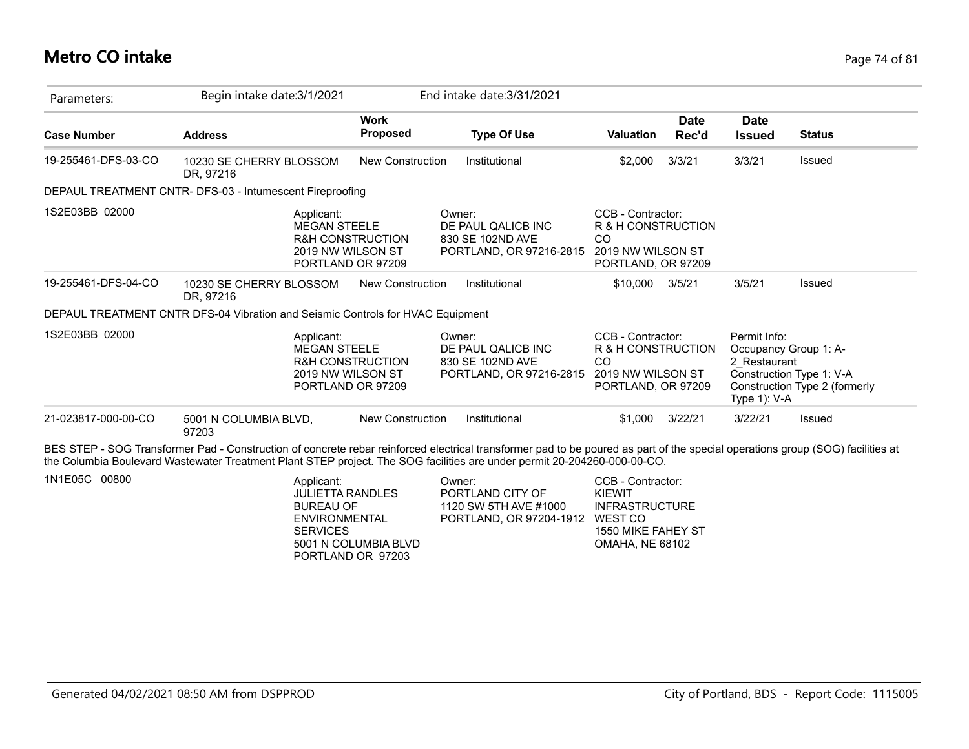#### **Metro CO intake** Page 74 of 81

| Parameters:         | Begin intake date: 3/1/2021                                                                                                                                                                                                                                                                                |                                                                       | End intake date: 3/31/2021                                                  |                                                                                          |                      |                                              |                                                                                    |
|---------------------|------------------------------------------------------------------------------------------------------------------------------------------------------------------------------------------------------------------------------------------------------------------------------------------------------------|-----------------------------------------------------------------------|-----------------------------------------------------------------------------|------------------------------------------------------------------------------------------|----------------------|----------------------------------------------|------------------------------------------------------------------------------------|
| <b>Case Number</b>  | <b>Address</b>                                                                                                                                                                                                                                                                                             | <b>Work</b><br><b>Proposed</b>                                        | <b>Type Of Use</b>                                                          | <b>Valuation</b>                                                                         | <b>Date</b><br>Rec'd | <b>Date</b><br><b>Issued</b>                 | <b>Status</b>                                                                      |
| 19-255461-DFS-03-CO | 10230 SE CHERRY BLOSSOM<br>DR, 97216                                                                                                                                                                                                                                                                       | <b>New Construction</b>                                               | Institutional                                                               | \$2,000                                                                                  | 3/3/21               | 3/3/21                                       | <b>Issued</b>                                                                      |
|                     | DEPAUL TREATMENT CNTR- DFS-03 - Intumescent Fireproofing                                                                                                                                                                                                                                                   |                                                                       |                                                                             |                                                                                          |                      |                                              |                                                                                    |
| 1S2E03BB 02000      | Applicant:<br><b>MEGAN STEELE</b>                                                                                                                                                                                                                                                                          | <b>R&amp;H CONSTRUCTION</b><br>2019 NW WILSON ST<br>PORTLAND OR 97209 | Owner:<br>DE PAUL QALICB INC<br>830 SE 102ND AVE<br>PORTLAND, OR 97216-2815 | CCB - Contractor:<br>R & H CONSTRUCTION<br>CO<br>2019 NW WILSON ST<br>PORTLAND, OR 97209 |                      |                                              |                                                                                    |
| 19-255461-DFS-04-CO | 10230 SE CHERRY BLOSSOM<br>DR, 97216                                                                                                                                                                                                                                                                       | <b>New Construction</b>                                               | Institutional                                                               | \$10,000                                                                                 | 3/5/21               | 3/5/21                                       | Issued                                                                             |
|                     | DEPAUL TREATMENT CNTR DFS-04 Vibration and Seismic Controls for HVAC Equipment                                                                                                                                                                                                                             |                                                                       |                                                                             |                                                                                          |                      |                                              |                                                                                    |
| 1S2E03BB 02000      | Applicant:<br><b>MEGAN STEELE</b>                                                                                                                                                                                                                                                                          | <b>R&amp;H CONSTRUCTION</b><br>2019 NW WILSON ST<br>PORTLAND OR 97209 | Owner:<br>DE PAUL QALICB INC<br>830 SE 102ND AVE<br>PORTLAND, OR 97216-2815 | CCB - Contractor:<br>R & H CONSTRUCTION<br>CO<br>2019 NW WILSON ST<br>PORTLAND, OR 97209 |                      | Permit Info:<br>2 Restaurant<br>Type 1): V-A | Occupancy Group 1: A-<br>Construction Type 1: V-A<br>Construction Type 2 (formerly |
| 21-023817-000-00-CO | 5001 N COLUMBIA BLVD,<br>97203                                                                                                                                                                                                                                                                             | <b>New Construction</b>                                               | Institutional                                                               | \$1.000                                                                                  | 3/22/21              | 3/22/21                                      | <b>Issued</b>                                                                      |
|                     | BES STEP - SOG Transformer Pad - Construction of concrete rebar reinforced electrical transformer pad to be poured as part of the special operations group (SOG) facilities at<br>the Columbia Boulevard Wastewater Treatment Plant STEP project. The SOG facilities are under permit 20-204260-000-00-CO. |                                                                       |                                                                             |                                                                                          |                      |                                              |                                                                                    |
| 1N1E05C 00800       | Applicant:<br><b>JULIETTA RANDLES</b><br><b>BUREAU OF</b>                                                                                                                                                                                                                                                  |                                                                       | Owner:<br>PORTLAND CITY OF<br>1120 SW 5TH AVE #1000                         | CCB - Contractor:<br><b>KIEWIT</b><br><b>INFRASTRUCTURE</b>                              |                      |                                              |                                                                                    |

BUREAU OF ENVIRONMENTAL **SERVICES** 5001 N COLUMBIA BLVD PORTLAND OR 97203

INFRASTRUCTURE WEST CO 1550 MIKE FAHEY ST OMAHA, NE 68102 PORTLAND, OR 97204-1912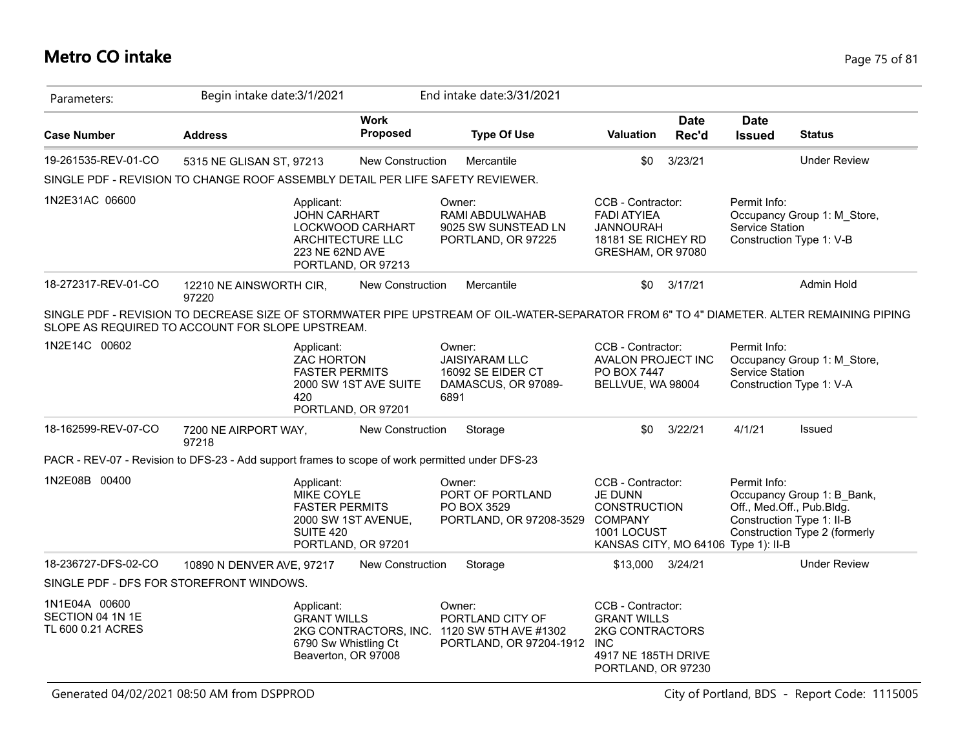## **Metro CO intake** Page 75 of 81

| Parameters:                                            | Begin intake date: 3/1/2021                                                                                                                                                                  |                                                                      | End intake date: 3/31/2021                                                          |                                                                                                                                    |                      |                                 |                                                                                                                       |
|--------------------------------------------------------|----------------------------------------------------------------------------------------------------------------------------------------------------------------------------------------------|----------------------------------------------------------------------|-------------------------------------------------------------------------------------|------------------------------------------------------------------------------------------------------------------------------------|----------------------|---------------------------------|-----------------------------------------------------------------------------------------------------------------------|
| <b>Case Number</b>                                     | <b>Address</b>                                                                                                                                                                               | <b>Work</b><br><b>Proposed</b>                                       | <b>Type Of Use</b>                                                                  | <b>Valuation</b>                                                                                                                   | <b>Date</b><br>Rec'd | <b>Date</b><br><b>Issued</b>    | <b>Status</b>                                                                                                         |
| 19-261535-REV-01-CO                                    | 5315 NE GLISAN ST, 97213                                                                                                                                                                     | <b>New Construction</b>                                              | Mercantile                                                                          | \$0                                                                                                                                | 3/23/21              |                                 | <b>Under Review</b>                                                                                                   |
|                                                        | SINGLE PDF - REVISION TO CHANGE ROOF ASSEMBLY DETAIL PER LIFE SAFETY REVIEWER.                                                                                                               |                                                                      |                                                                                     |                                                                                                                                    |                      |                                 |                                                                                                                       |
| 1N2E31AC 06600                                         | Applicant:<br><b>JOHN CARHART</b><br>223 NE 62ND AVE                                                                                                                                         | LOCKWOOD CARHART<br>ARCHITECTURE LLC<br>PORTLAND, OR 97213           | Owner:<br>RAMI ABDULWAHAB<br>9025 SW SUNSTEAD LN<br>PORTLAND, OR 97225              | CCB - Contractor:<br><b>FADI ATYIEA</b><br><b>JANNOURAH</b><br>18181 SE RICHEY RD<br>GRESHAM, OR 97080                             |                      | Permit Info:<br>Service Station | Occupancy Group 1: M_Store,<br>Construction Type 1: V-B                                                               |
| 18-272317-REV-01-CO                                    | 12210 NE AINSWORTH CIR,<br>97220                                                                                                                                                             | <b>New Construction</b>                                              | Mercantile                                                                          | \$0                                                                                                                                | 3/17/21              |                                 | Admin Hold                                                                                                            |
|                                                        | SINGLE PDF - REVISION TO DECREASE SIZE OF STORMWATER PIPE UPSTREAM OF OIL-WATER-SEPARATOR FROM 6" TO 4" DIAMETER. ALTER REMAINING PIPING<br>SLOPE AS REQUIRED TO ACCOUNT FOR SLOPE UPSTREAM. |                                                                      |                                                                                     |                                                                                                                                    |                      |                                 |                                                                                                                       |
| 1N2E14C 00602                                          | Applicant:<br>ZAC HORTON<br><b>FASTER PERMITS</b><br>420                                                                                                                                     | 2000 SW 1ST AVE SUITE<br>PORTLAND, OR 97201                          | Owner:<br><b>JAISIYARAM LLC</b><br>16092 SE EIDER CT<br>DAMASCUS, OR 97089-<br>6891 | CCB - Contractor:<br>AVALON PROJECT INC<br>PO BOX 7447<br>BELLVUE, WA 98004                                                        |                      | Permit Info:<br>Service Station | Occupancy Group 1: M_Store,<br>Construction Type 1: V-A                                                               |
| 18-162599-REV-07-CO                                    | 7200 NE AIRPORT WAY,<br>97218                                                                                                                                                                | New Construction                                                     | Storage                                                                             | \$0                                                                                                                                | 3/22/21              | 4/1/21                          | Issued                                                                                                                |
|                                                        | PACR - REV-07 - Revision to DFS-23 - Add support frames to scope of work permitted under DFS-23                                                                                              |                                                                      |                                                                                     |                                                                                                                                    |                      |                                 |                                                                                                                       |
| 1N2E08B 00400                                          | Applicant:<br>MIKE COYLE<br><b>FASTER PERMITS</b><br><b>SUITE 420</b>                                                                                                                        | 2000 SW 1ST AVENUE,<br>PORTLAND, OR 97201                            | Owner:<br>PORT OF PORTLAND<br>PO BOX 3529<br>PORTLAND, OR 97208-3529                | CCB - Contractor:<br><b>JE DUNN</b><br><b>CONSTRUCTION</b><br><b>COMPANY</b><br>1001 LOCUST<br>KANSAS CITY, MO 64106 Type 1): II-B |                      | Permit Info:                    | Occupancy Group 1: B_Bank,<br>Off., Med.Off., Pub.Bldg.<br>Construction Type 1: II-B<br>Construction Type 2 (formerly |
| 18-236727-DFS-02-CO                                    | 10890 N DENVER AVE, 97217                                                                                                                                                                    | <b>New Construction</b>                                              | Storage                                                                             | \$13,000 3/24/21                                                                                                                   |                      |                                 | <b>Under Review</b>                                                                                                   |
|                                                        | SINGLE PDF - DFS FOR STOREFRONT WINDOWS.                                                                                                                                                     |                                                                      |                                                                                     |                                                                                                                                    |                      |                                 |                                                                                                                       |
| 1N1E04A 00600<br>SECTION 04 1N 1E<br>TL 600 0.21 ACRES | Applicant:<br><b>GRANT WILLS</b>                                                                                                                                                             | 2KG CONTRACTORS, INC.<br>6790 Sw Whistling Ct<br>Beaverton, OR 97008 | Owner:<br>PORTLAND CITY OF<br>1120 SW 5TH AVE #1302<br>PORTLAND, OR 97204-1912      | CCB - Contractor:<br><b>GRANT WILLS</b><br>2KG CONTRACTORS<br><b>INC</b><br>4917 NE 185TH DRIVE<br>PORTLAND, OR 97230              |                      |                                 |                                                                                                                       |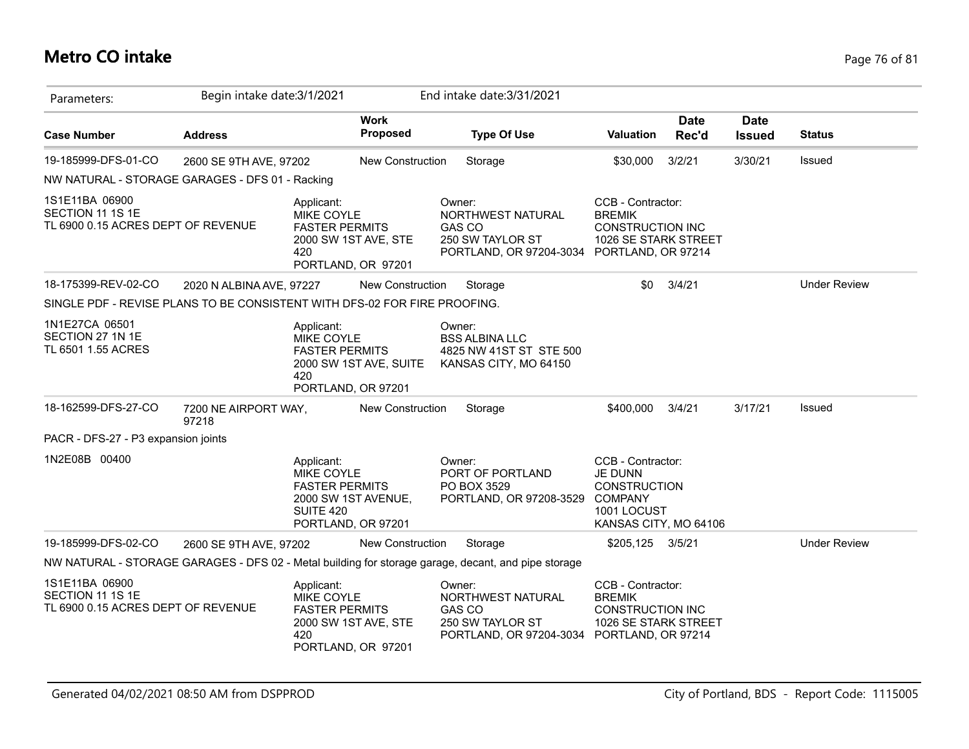# **Metro CO intake** Page 76 of 81

| Parameters:                                                               | Begin intake date: 3/1/2021   |                                                                                             |                                              | End intake date: 3/31/2021                                                                          |                                                                                                               |                      |                              |                     |
|---------------------------------------------------------------------------|-------------------------------|---------------------------------------------------------------------------------------------|----------------------------------------------|-----------------------------------------------------------------------------------------------------|---------------------------------------------------------------------------------------------------------------|----------------------|------------------------------|---------------------|
| <b>Case Number</b>                                                        | <b>Address</b>                |                                                                                             | <b>Work</b><br><b>Proposed</b>               | <b>Type Of Use</b>                                                                                  | <b>Valuation</b>                                                                                              | <b>Date</b><br>Rec'd | <b>Date</b><br><b>Issued</b> | <b>Status</b>       |
| 19-185999-DFS-01-CO                                                       | 2600 SE 9TH AVE, 97202        |                                                                                             | New Construction                             | Storage                                                                                             | \$30,000                                                                                                      | 3/2/21               | 3/30/21                      | Issued              |
| NW NATURAL - STORAGE GARAGES - DFS 01 - Racking                           |                               |                                                                                             |                                              |                                                                                                     |                                                                                                               |                      |                              |                     |
| 1S1E11BA 06900<br>SECTION 11 1S 1E<br>TL 6900 0.15 ACRES DEPT OF REVENUE  |                               | Applicant:<br>MIKE COYLE<br><b>FASTER PERMITS</b><br>420                                    | 2000 SW 1ST AVE, STE<br>PORTLAND, OR 97201   | Owner:<br>NORTHWEST NATURAL<br><b>GAS CO</b><br>250 SW TAYLOR ST<br>PORTLAND, OR 97204-3034         | CCB - Contractor:<br><b>BREMIK</b><br><b>CONSTRUCTION INC</b><br>1026 SE STARK STREET<br>PORTLAND, OR 97214   |                      |                              |                     |
| 18-175399-REV-02-CO                                                       | 2020 N ALBINA AVE, 97227      |                                                                                             | <b>New Construction</b>                      | Storage                                                                                             | \$0                                                                                                           | 3/4/21               |                              | <b>Under Review</b> |
| SINGLE PDF - REVISE PLANS TO BE CONSISTENT WITH DFS-02 FOR FIRE PROOFING. |                               |                                                                                             |                                              |                                                                                                     |                                                                                                               |                      |                              |                     |
| 1N1E27CA 06501<br>SECTION 27 1N 1E<br>TL 6501 1.55 ACRES                  |                               | Applicant:<br>MIKE COYLE<br><b>FASTER PERMITS</b><br>420                                    | 2000 SW 1ST AVE, SUITE<br>PORTLAND, OR 97201 | Owner:<br><b>BSS ALBINA LLC</b><br>4825 NW 41ST ST STE 500<br>KANSAS CITY, MO 64150                 |                                                                                                               |                      |                              |                     |
| 18-162599-DFS-27-CO                                                       | 7200 NE AIRPORT WAY,<br>97218 |                                                                                             | New Construction                             | Storage                                                                                             | \$400,000                                                                                                     | 3/4/21               | 3/17/21                      | Issued              |
| PACR - DFS-27 - P3 expansion joints                                       |                               |                                                                                             |                                              |                                                                                                     |                                                                                                               |                      |                              |                     |
| 1N2E08B 00400                                                             |                               | Applicant:<br>MIKE COYLE<br><b>FASTER PERMITS</b><br><b>SUITE 420</b><br>PORTLAND, OR 97201 | 2000 SW 1ST AVENUE,                          | Owner:<br>PORT OF PORTLAND<br>PO BOX 3529<br>PORTLAND, OR 97208-3529                                | CCB - Contractor:<br>JE DUNN<br><b>CONSTRUCTION</b><br><b>COMPANY</b><br>1001 LOCUST<br>KANSAS CITY, MO 64106 |                      |                              |                     |
| 19-185999-DFS-02-CO                                                       | 2600 SE 9TH AVE, 97202        |                                                                                             | New Construction                             | Storage                                                                                             | \$205,125 3/5/21                                                                                              |                      |                              | <b>Under Review</b> |
|                                                                           |                               |                                                                                             |                                              | NW NATURAL - STORAGE GARAGES - DFS 02 - Metal building for storage garage, decant, and pipe storage |                                                                                                               |                      |                              |                     |
| 1S1E11BA 06900<br>SECTION 11 1S 1E<br>TL 6900 0.15 ACRES DEPT OF REVENUE  |                               | Applicant:<br>MIKE COYLE<br><b>FASTER PERMITS</b><br>420                                    | 2000 SW 1ST AVE, STE<br>PORTLAND, OR 97201   | Owner:<br>NORTHWEST NATURAL<br>GAS CO<br>250 SW TAYLOR ST<br>PORTLAND, OR 97204-3034                | CCB - Contractor:<br><b>BREMIK</b><br><b>CONSTRUCTION INC</b><br>1026 SE STARK STREET<br>PORTLAND, OR 97214   |                      |                              |                     |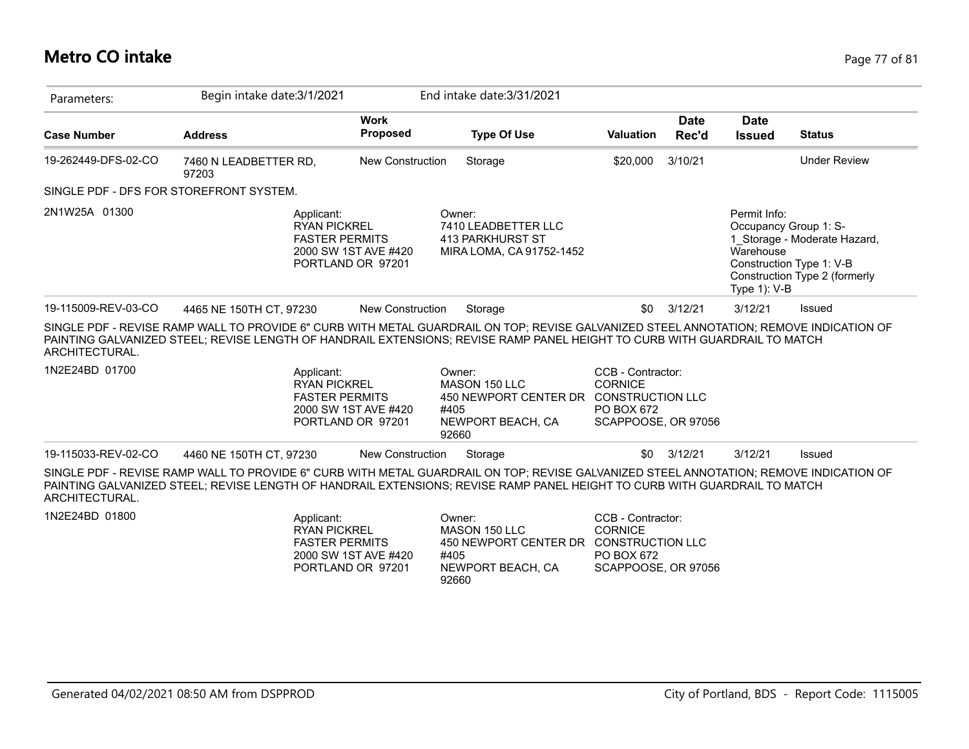## **Metro CO intake** Page 77 of 81

| Parameters:                                                                                                                                                                                                                                                                                             | Begin intake date: 3/1/2021    |                                                                                 |                                |                         | End intake date: 3/31/2021                                                   |                                                                          |                      |                                                                       |                                                                                           |
|---------------------------------------------------------------------------------------------------------------------------------------------------------------------------------------------------------------------------------------------------------------------------------------------------------|--------------------------------|---------------------------------------------------------------------------------|--------------------------------|-------------------------|------------------------------------------------------------------------------|--------------------------------------------------------------------------|----------------------|-----------------------------------------------------------------------|-------------------------------------------------------------------------------------------|
| <b>Case Number</b>                                                                                                                                                                                                                                                                                      | <b>Address</b>                 |                                                                                 | <b>Work</b><br><b>Proposed</b> |                         | <b>Type Of Use</b>                                                           | <b>Valuation</b>                                                         | <b>Date</b><br>Rec'd | <b>Date</b><br><b>Issued</b>                                          | <b>Status</b>                                                                             |
| 19-262449-DFS-02-CO                                                                                                                                                                                                                                                                                     | 7460 N LEADBETTER RD,<br>97203 |                                                                                 | <b>New Construction</b>        |                         | Storage                                                                      | \$20,000                                                                 | 3/10/21              |                                                                       | <b>Under Review</b>                                                                       |
| SINGLE PDF - DFS FOR STOREFRONT SYSTEM.                                                                                                                                                                                                                                                                 |                                |                                                                                 |                                |                         |                                                                              |                                                                          |                      |                                                                       |                                                                                           |
| 2N1W25A 01300                                                                                                                                                                                                                                                                                           |                                | Applicant:<br><b>RYAN PICKREL</b><br><b>FASTER PERMITS</b><br>PORTLAND OR 97201 | 2000 SW 1ST AVE #420           | Owner:                  | 7410 LEADBETTER LLC<br>413 PARKHURST ST<br>MIRA LOMA, CA 91752-1452          |                                                                          |                      | Permit Info:<br>Occupancy Group 1: S-<br>Warehouse<br>Type $1$ ): V-B | 1 Storage - Moderate Hazard,<br>Construction Type 1: V-B<br>Construction Type 2 (formerly |
| 19-115009-REV-03-CO                                                                                                                                                                                                                                                                                     | 4465 NE 150TH CT. 97230        |                                                                                 | <b>New Construction</b>        |                         | Storage                                                                      | \$0                                                                      | 3/12/21              | 3/12/21                                                               | Issued                                                                                    |
| SINGLE PDF - REVISE RAMP WALL TO PROVIDE 6" CURB WITH METAL GUARDRAIL ON TOP; REVISE GALVANIZED STEEL ANNOTATION; REMOVE INDICATION OF<br>PAINTING GALVANIZED STEEL; REVISE LENGTH OF HANDRAIL EXTENSIONS; REVISE RAMP PANEL HEIGHT TO CURB WITH GUARDRAIL TO MATCH<br>ARCHITECTURAL.<br>1N2E24BD 01700 |                                | Applicant:<br><b>RYAN PICKREL</b><br><b>FASTER PERMITS</b><br>PORTLAND OR 97201 | 2000 SW 1ST AVE #420           | Owner:<br>#405<br>92660 | MASON 150 LLC<br>450 NEWPORT CENTER DR CONSTRUCTION LLC<br>NEWPORT BEACH, CA | CCB - Contractor:<br><b>CORNICE</b><br>PO BOX 672<br>SCAPPOOSE, OR 97056 |                      |                                                                       |                                                                                           |
| 19-115033-REV-02-CO                                                                                                                                                                                                                                                                                     | 4460 NE 150TH CT, 97230        |                                                                                 | <b>New Construction</b>        |                         | Storage                                                                      | \$0                                                                      | 3/12/21              | 3/12/21                                                               | Issued                                                                                    |
| SINGLE PDF - REVISE RAMP WALL TO PROVIDE 6" CURB WITH METAL GUARDRAIL ON TOP; REVISE GALVANIZED STEEL ANNOTATION; REMOVE INDICATION OF<br>PAINTING GALVANIZED STEEL; REVISE LENGTH OF HANDRAIL EXTENSIONS; REVISE RAMP PANEL HEIGHT TO CURB WITH GUARDRAIL TO MATCH<br>ARCHITECTURAL.<br>1N2E24BD 01800 |                                | Applicant:                                                                      |                                | Owner:                  |                                                                              | CCB - Contractor:                                                        |                      |                                                                       |                                                                                           |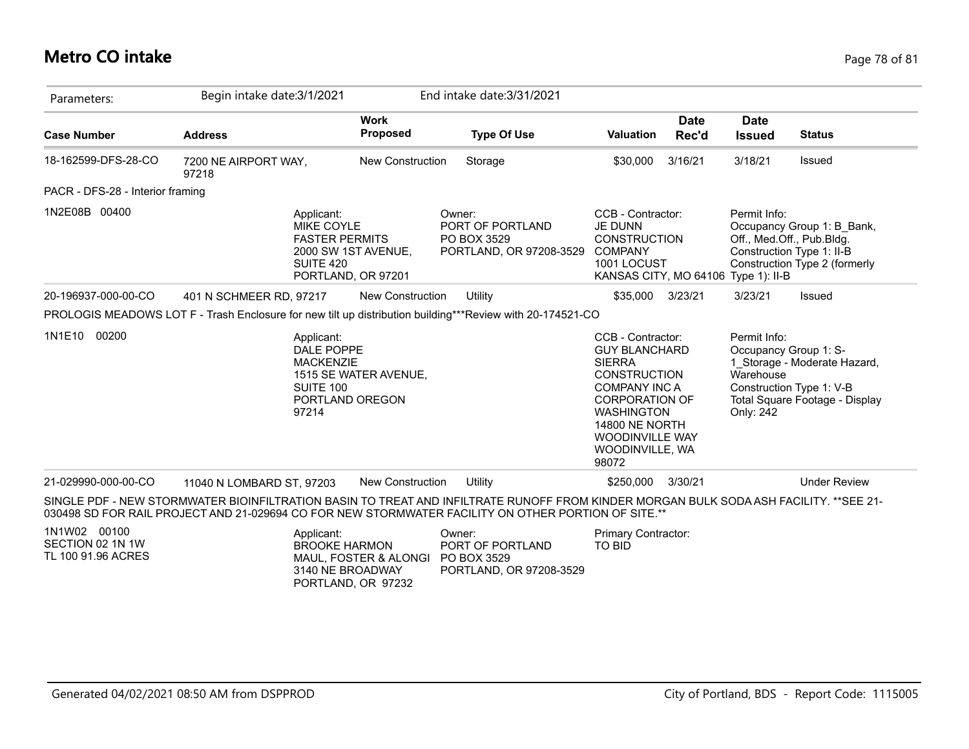#### **Metro CO intake** Page 78 of 81

| Parameters:                                            | Begin intake date: 3/1/2021                                                                                                                                                                                                                  |                                                                                         | End intake date: 3/31/2021                                           |                                                                                                                                                                                                                                        |                      |                                                                                            |                                                                                            |
|--------------------------------------------------------|----------------------------------------------------------------------------------------------------------------------------------------------------------------------------------------------------------------------------------------------|-----------------------------------------------------------------------------------------|----------------------------------------------------------------------|----------------------------------------------------------------------------------------------------------------------------------------------------------------------------------------------------------------------------------------|----------------------|--------------------------------------------------------------------------------------------|--------------------------------------------------------------------------------------------|
| <b>Case Number</b>                                     | <b>Address</b>                                                                                                                                                                                                                               | <b>Work</b><br><b>Proposed</b>                                                          | <b>Type Of Use</b>                                                   | <b>Valuation</b>                                                                                                                                                                                                                       | <b>Date</b><br>Rec'd | <b>Date</b><br><b>Issued</b>                                                               | <b>Status</b>                                                                              |
| 18-162599-DFS-28-CO                                    | 7200 NE AIRPORT WAY,<br>97218                                                                                                                                                                                                                | New Construction                                                                        | Storage                                                              | \$30,000                                                                                                                                                                                                                               | 3/16/21              | 3/18/21                                                                                    | Issued                                                                                     |
| PACR - DFS-28 - Interior framing                       |                                                                                                                                                                                                                                              |                                                                                         |                                                                      |                                                                                                                                                                                                                                        |                      |                                                                                            |                                                                                            |
| 1N2E08B 00400                                          | Applicant:<br>MIKE COYLE<br><b>FASTER PERMITS</b><br><b>SUITE 420</b>                                                                                                                                                                        | 2000 SW 1ST AVENUE,<br>PORTLAND, OR 97201                                               | Owner:<br>PORT OF PORTLAND<br>PO BOX 3529<br>PORTLAND, OR 97208-3529 | CCB - Contractor:<br>JE DUNN<br><b>CONSTRUCTION</b><br><b>COMPANY</b><br>1001 LOCUST<br>KANSAS CITY, MO 64106                                                                                                                          |                      | Permit Info:<br>Off., Med.Off., Pub.Bldg.<br>Construction Type 1: II-B<br>Type $1$ ): II-B | Occupancy Group 1: B Bank,<br>Construction Type 2 (formerly                                |
| 20-196937-000-00-CO                                    | 401 N SCHMEER RD, 97217                                                                                                                                                                                                                      | <b>New Construction</b>                                                                 | <b>Utility</b>                                                       | \$35,000 3/23/21                                                                                                                                                                                                                       |                      | 3/23/21                                                                                    | Issued                                                                                     |
|                                                        | PROLOGIS MEADOWS LOT F - Trash Enclosure for new tilt up distribution building***Review with 20-174521-CO                                                                                                                                    |                                                                                         |                                                                      |                                                                                                                                                                                                                                        |                      |                                                                                            |                                                                                            |
| 1N1E10 00200                                           | Applicant:<br>DALE POPPE<br><b>MACKENZIE</b><br>SUITE 100<br>97214                                                                                                                                                                           | 1515 SE WATER AVENUE,<br>PORTLAND OREGON                                                |                                                                      | CCB - Contractor:<br><b>GUY BLANCHARD</b><br><b>SIERRA</b><br><b>CONSTRUCTION</b><br><b>COMPANY INC A</b><br><b>CORPORATION OF</b><br><b>WASHINGTON</b><br><b>14800 NE NORTH</b><br><b>WOODINVILLE WAY</b><br>WOODINVILLE, WA<br>98072 |                      | Permit Info:<br>Occupancy Group 1: S-<br>Warehouse<br>Only: 242                            | 1 Storage - Moderate Hazard,<br>Construction Type 1: V-B<br>Total Square Footage - Display |
| 21-029990-000-00-CO                                    | 11040 N LOMBARD ST, 97203                                                                                                                                                                                                                    | <b>New Construction</b>                                                                 | Utility                                                              | \$250,000                                                                                                                                                                                                                              | 3/30/21              |                                                                                            | <b>Under Review</b>                                                                        |
|                                                        | SINGLE PDF - NEW STORMWATER BIOINFILTRATION BASIN TO TREAT AND INFILTRATE RUNOFF FROM KINDER MORGAN BULK SODA ASH FACILITY. **SEE 21-<br>030498 SD FOR RAIL PROJECT AND 21-029694 CO FOR NEW STORMWATER FACILITY ON OTHER PORTION OF SITE.** |                                                                                         |                                                                      |                                                                                                                                                                                                                                        |                      |                                                                                            |                                                                                            |
| 1N1W02 00100<br>SECTION 02 1N 1W<br>TL 100 91.96 ACRES | Applicant:                                                                                                                                                                                                                                   | <b>BROOKE HARMON</b><br>MAUL, FOSTER & ALONGI<br>3140 NE BROADWAY<br>PORTLAND, OR 97232 | Owner:<br>PORT OF PORTLAND<br>PO BOX 3529<br>PORTLAND, OR 97208-3529 | <b>Primary Contractor:</b><br><b>TO BID</b>                                                                                                                                                                                            |                      |                                                                                            |                                                                                            |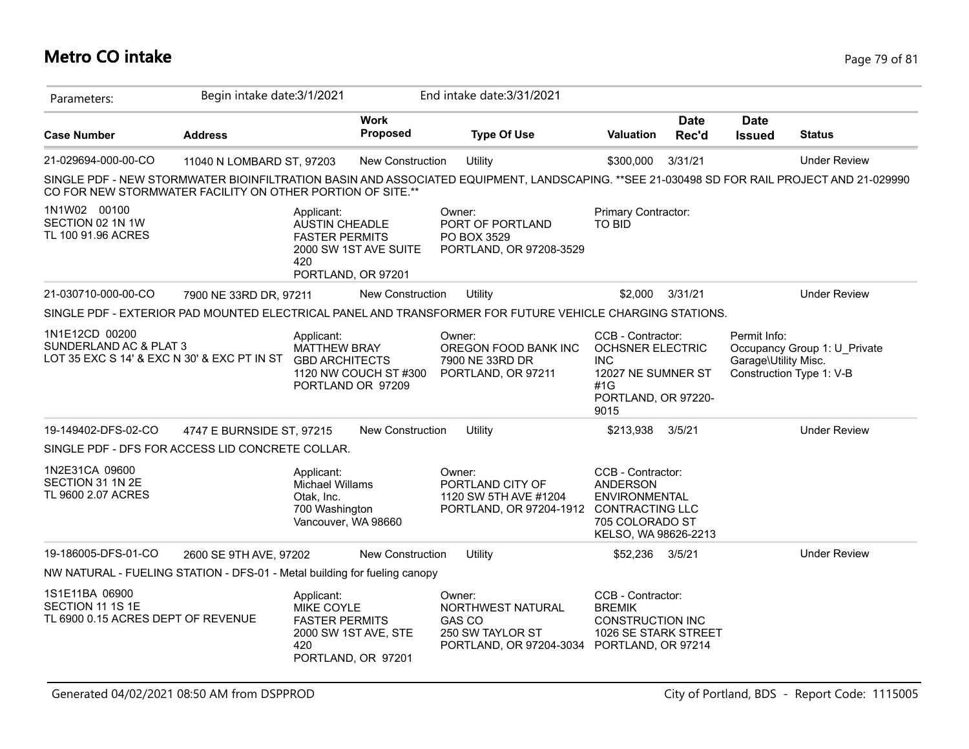## **Metro CO intake** Page 79 of 81

| Parameters:                                                                             | Begin intake date: 3/1/2021 |                                                                                                                    |                                | End intake date: 3/31/2021                                                                                                                 |                                                                                                                        |                      |                                      |                                                          |
|-----------------------------------------------------------------------------------------|-----------------------------|--------------------------------------------------------------------------------------------------------------------|--------------------------------|--------------------------------------------------------------------------------------------------------------------------------------------|------------------------------------------------------------------------------------------------------------------------|----------------------|--------------------------------------|----------------------------------------------------------|
| <b>Case Number</b>                                                                      | <b>Address</b>              |                                                                                                                    | <b>Work</b><br><b>Proposed</b> | <b>Type Of Use</b>                                                                                                                         | <b>Valuation</b>                                                                                                       | <b>Date</b><br>Rec'd | <b>Date</b><br><b>Issued</b>         | <b>Status</b>                                            |
| 21-029694-000-00-CO                                                                     | 11040 N LOMBARD ST, 97203   |                                                                                                                    | <b>New Construction</b>        | Utility                                                                                                                                    | \$300,000                                                                                                              | 3/31/21              |                                      | <b>Under Review</b>                                      |
| CO FOR NEW STORMWATER FACILITY ON OTHER PORTION OF SITE.**                              |                             |                                                                                                                    |                                | SINGLE PDF - NEW STORMWATER BIOINFILTRATION BASIN AND ASSOCIATED EQUIPMENT, LANDSCAPING. **SEE 21-030498 SD FOR RAIL PROJECT AND 21-029990 |                                                                                                                        |                      |                                      |                                                          |
| 1N1W02 00100<br>SECTION 02 1N 1W<br>TL 100 91.96 ACRES                                  |                             | Applicant:<br><b>AUSTIN CHEADLE</b><br><b>FASTER PERMITS</b><br>2000 SW 1ST AVE SUITE<br>420<br>PORTLAND, OR 97201 |                                | Owner:<br>PORT OF PORTLAND<br>PO BOX 3529<br>PORTLAND, OR 97208-3529                                                                       | Primary Contractor:<br><b>TO BID</b>                                                                                   |                      |                                      |                                                          |
| 21-030710-000-00-CO                                                                     | 7900 NE 33RD DR, 97211      |                                                                                                                    | <b>New Construction</b>        | Utility                                                                                                                                    | \$2,000                                                                                                                | 3/31/21              |                                      | <b>Under Review</b>                                      |
|                                                                                         |                             |                                                                                                                    |                                | SINGLE PDF - EXTERIOR PAD MOUNTED ELECTRICAL PANEL AND TRANSFORMER FOR FUTURE VEHICLE CHARGING STATIONS.                                   |                                                                                                                        |                      |                                      |                                                          |
| 1N1E12CD 00200<br>SUNDERLAND AC & PLAT 3<br>LOT 35 EXC S 14' & EXC N 30' & EXC PT IN ST |                             | Applicant:<br><b>MATTHEW BRAY</b><br><b>GBD ARCHITECTS</b><br>PORTLAND OR 97209                                    | 1120 NW COUCH ST #300          | Owner:<br>OREGON FOOD BANK INC<br>7900 NE 33RD DR<br>PORTLAND, OR 97211                                                                    | CCB - Contractor:<br><b>OCHSNER ELECTRIC</b><br><b>INC</b><br>12027 NE SUMNER ST<br>#1G<br>PORTLAND, OR 97220-<br>9015 |                      | Permit Info:<br>Garage\Utility Misc. | Occupancy Group 1: U Private<br>Construction Type 1: V-B |
| 19-149402-DFS-02-CO                                                                     | 4747 E BURNSIDE ST, 97215   |                                                                                                                    | <b>New Construction</b>        | Utility                                                                                                                                    | \$213,938                                                                                                              | 3/5/21               |                                      | <b>Under Review</b>                                      |
| SINGLE PDF - DFS FOR ACCESS LID CONCRETE COLLAR.                                        |                             |                                                                                                                    |                                |                                                                                                                                            |                                                                                                                        |                      |                                      |                                                          |
| 1N2E31CA 09600<br>SECTION 31 1N 2E<br>TL 9600 2.07 ACRES                                |                             | Applicant:<br><b>Michael Willams</b><br>Otak, Inc.<br>700 Washington<br>Vancouver, WA 98660                        |                                | Owner:<br>PORTLAND CITY OF<br>1120 SW 5TH AVE #1204<br>PORTLAND, OR 97204-1912 CONTRACTING LLC                                             | CCB - Contractor:<br><b>ANDERSON</b><br><b>ENVIRONMENTAL</b><br>705 COLORADO ST<br>KELSO, WA 98626-2213                |                      |                                      |                                                          |
| 19-186005-DFS-01-CO                                                                     | 2600 SE 9TH AVE, 97202      |                                                                                                                    | <b>New Construction</b>        | Utility                                                                                                                                    | \$52,236 3/5/21                                                                                                        |                      |                                      | <b>Under Review</b>                                      |
| NW NATURAL - FUELING STATION - DFS-01 - Metal building for fueling canopy               |                             |                                                                                                                    |                                |                                                                                                                                            |                                                                                                                        |                      |                                      |                                                          |
| 1S1E11BA 06900<br>SECTION 11 1S 1E<br>TL 6900 0.15 ACRES DEPT OF REVENUE                |                             | Applicant:<br>MIKE COYLE<br><b>FASTER PERMITS</b><br>2000 SW 1ST AVE, STE<br>420<br>PORTLAND, OR 97201             |                                | Owner:<br>NORTHWEST NATURAL<br><b>GAS CO</b><br>250 SW TAYLOR ST<br>PORTLAND, OR 97204-3034 PORTLAND, OR 97214                             | CCB - Contractor:<br><b>BREMIK</b><br><b>CONSTRUCTION INC</b><br>1026 SE STARK STREET                                  |                      |                                      |                                                          |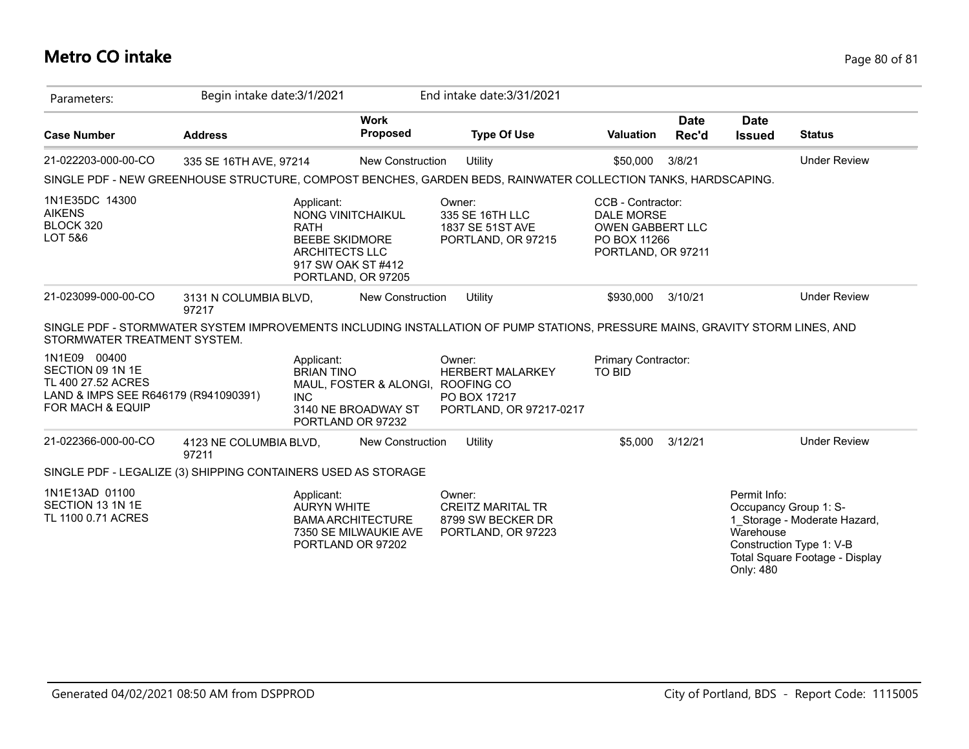## **Metro CO intake** Page 80 of 81

| Parameters:                                                                                                                   | Begin intake date: 3/1/2021                                                                                                   |                                                                               | End intake date: 3/31/2021                                                    |                                                                                                         |                      |                                        |                                                                                                                     |
|-------------------------------------------------------------------------------------------------------------------------------|-------------------------------------------------------------------------------------------------------------------------------|-------------------------------------------------------------------------------|-------------------------------------------------------------------------------|---------------------------------------------------------------------------------------------------------|----------------------|----------------------------------------|---------------------------------------------------------------------------------------------------------------------|
| <b>Case Number</b>                                                                                                            | <b>Address</b>                                                                                                                | <b>Work</b><br><b>Proposed</b>                                                | <b>Type Of Use</b>                                                            | <b>Valuation</b>                                                                                        | <b>Date</b><br>Rec'd | <b>Date</b><br><b>Issued</b>           | <b>Status</b>                                                                                                       |
| 21-022203-000-00-CO                                                                                                           | 335 SE 16TH AVE, 97214                                                                                                        | <b>New Construction</b>                                                       | Utility                                                                       | \$50,000                                                                                                | 3/8/21               |                                        | <b>Under Review</b>                                                                                                 |
|                                                                                                                               | SINGLE PDF - NEW GREENHOUSE STRUCTURE, COMPOST BENCHES, GARDEN BEDS, RAINWATER COLLECTION TANKS, HARDSCAPING.                 |                                                                               |                                                                               |                                                                                                         |                      |                                        |                                                                                                                     |
| 1N1E35DC 14300<br><b>AIKENS</b><br>BLOCK 320<br>LOT 5&6                                                                       | Applicant:<br><b>RATH</b><br><b>BEEBE SKIDMORE</b><br><b>ARCHITECTS LLC</b>                                                   | NONG VINITCHAIKUL<br>917 SW OAK ST #412<br>PORTLAND, OR 97205                 | Owner:<br>335 SE 16TH LLC<br>1837 SE 51ST AVE<br>PORTLAND, OR 97215           | CCB - Contractor:<br><b>DALE MORSE</b><br><b>OWEN GABBERT LLC</b><br>PO BOX 11266<br>PORTLAND, OR 97211 |                      |                                        |                                                                                                                     |
| 21-023099-000-00-CO                                                                                                           | 3131 N COLUMBIA BLVD,<br>97217                                                                                                | New Construction                                                              | Utility                                                                       | \$930,000                                                                                               | 3/10/21              |                                        | <b>Under Review</b>                                                                                                 |
| STORMWATER TREATMENT SYSTEM.                                                                                                  | SINGLE PDF - STORMWATER SYSTEM IMPROVEMENTS INCLUDING INSTALLATION OF PUMP STATIONS, PRESSURE MAINS, GRAVITY STORM LINES, AND |                                                                               |                                                                               |                                                                                                         |                      |                                        |                                                                                                                     |
| 1N1E09 00400<br>SECTION 09 1N 1E<br>TL 400 27.52 ACRES<br>LAND & IMPS SEE R646179 (R941090391)<br><b>FOR MACH &amp; EQUIP</b> | Applicant:<br><b>BRIAN TINO</b><br><b>INC</b>                                                                                 | MAUL, FOSTER & ALONGI, ROOFING CO<br>3140 NE BROADWAY ST<br>PORTLAND OR 97232 | Owner:<br><b>HERBERT MALARKEY</b><br>PO BOX 17217<br>PORTLAND, OR 97217-0217  | Primary Contractor:<br>TO BID                                                                           |                      |                                        |                                                                                                                     |
| 21-022366-000-00-CO                                                                                                           | 4123 NE COLUMBIA BLVD,<br>97211                                                                                               | <b>New Construction</b>                                                       | Utility                                                                       | \$5,000                                                                                                 | 3/12/21              |                                        | <b>Under Review</b>                                                                                                 |
|                                                                                                                               | SINGLE PDF - LEGALIZE (3) SHIPPING CONTAINERS USED AS STORAGE                                                                 |                                                                               |                                                                               |                                                                                                         |                      |                                        |                                                                                                                     |
| 1N1E13AD 01100<br>SECTION 13 1N 1E<br>TL 1100 0.71 ACRES                                                                      | Applicant:<br><b>AURYN WHITE</b>                                                                                              | <b>BAMA ARCHITECTURE</b><br>7350 SE MILWAUKIE AVE<br>PORTLAND OR 97202        | Owner:<br><b>CREITZ MARITAL TR</b><br>8799 SW BECKER DR<br>PORTLAND, OR 97223 |                                                                                                         |                      | Permit Info:<br>Warehouse<br>Only: 480 | Occupancy Group 1: S-<br>1 Storage - Moderate Hazard,<br>Construction Type 1: V-B<br>Total Square Footage - Display |